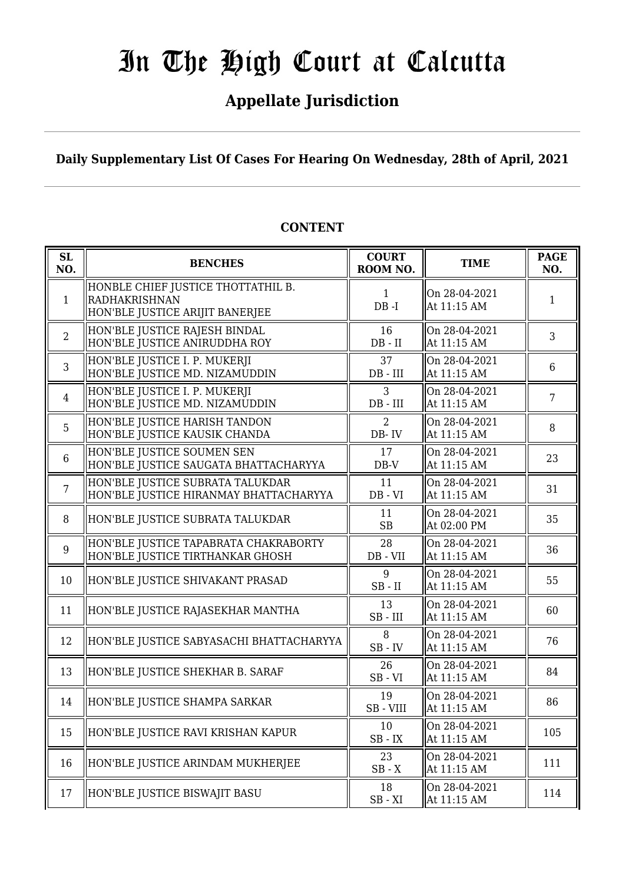## **Appellate Jurisdiction**

**Daily Supplementary List Of Cases For Hearing On Wednesday, 28th of April, 2021**

| <b>SL</b><br>NO. | <b>BENCHES</b>                                                                         | <b>COURT</b><br>ROOM NO. | <b>TIME</b>                  | <b>PAGE</b><br>NO. |
|------------------|----------------------------------------------------------------------------------------|--------------------------|------------------------------|--------------------|
| $\mathbf{1}$     | HONBLE CHIEF JUSTICE THOTTATHIL B.<br>RADHAKRISHNAN<br>HON'BLE JUSTICE ARIJIT BANERJEE | $\mathbf{1}$<br>$DB - I$ | On 28-04-2021<br>At 11:15 AM | 1                  |
| 2                | HON'BLE JUSTICE RAJESH BINDAL<br>HON'BLE JUSTICE ANIRUDDHA ROY                         | 16<br>$DB - II$          | On 28-04-2021<br>At 11:15 AM | 3                  |
| 3                | HON'BLE JUSTICE I. P. MUKERJI<br>HON'BLE JUSTICE MD. NIZAMUDDIN                        | 37<br>$DB$ - $III$       | On 28-04-2021<br>At 11:15 AM | 6                  |
| $\overline{4}$   | HON'BLE JUSTICE I. P. MUKERJI<br>HON'BLE JUSTICE MD. NIZAMUDDIN                        | 3<br>$DB$ - $III$        | On 28-04-2021<br>At 11:15 AM | 7                  |
| 5                | HON'BLE JUSTICE HARISH TANDON<br>HON'BLE JUSTICE KAUSIK CHANDA                         | 2<br>DB-IV               | On 28-04-2021<br>At 11:15 AM | 8                  |
| 6                | HON'BLE JUSTICE SOUMEN SEN<br>HON'BLE JUSTICE SAUGATA BHATTACHARYYA                    | 17<br>$DB-V$             | On 28-04-2021<br>At 11:15 AM | 23                 |
| $\overline{7}$   | HON'BLE JUSTICE SUBRATA TALUKDAR<br>HON'BLE JUSTICE HIRANMAY BHATTACHARYYA             | 11<br>$DB - VI$          | On 28-04-2021<br>At 11:15 AM | 31                 |
| 8                | HON'BLE JUSTICE SUBRATA TALUKDAR                                                       | 11<br><b>SB</b>          | On 28-04-2021<br>At 02:00 PM | 35                 |
| 9                | HON'BLE JUSTICE TAPABRATA CHAKRABORTY<br>HON'BLE JUSTICE TIRTHANKAR GHOSH              | 28<br>DB - VII           | On 28-04-2021<br>At 11:15 AM | 36                 |
| 10               | HON'BLE JUSTICE SHIVAKANT PRASAD                                                       | 9<br>$SB$ - $II$         | On 28-04-2021<br>At 11:15 AM | 55                 |
| 11               | HON'BLE JUSTICE RAJASEKHAR MANTHA                                                      | 13<br>$SB$ - $III$       | On 28-04-2021<br>At 11:15 AM | 60                 |
| 12               | HON'BLE JUSTICE SABYASACHI BHATTACHARYYA                                               | 8<br>$SB$ - $IV$         | On 28-04-2021<br>At 11:15 AM | 76                 |
| 13               | HON'BLE JUSTICE SHEKHAR B. SARAF                                                       | 26<br>$SB - VI$          | On 28-04-2021<br>At 11:15 AM | 84                 |
| 14               | HON'BLE JUSTICE SHAMPA SARKAR                                                          | 19<br>SB-VIII            | On 28-04-2021<br>At 11:15 AM | 86                 |
| 15               | HON'BLE JUSTICE RAVI KRISHAN KAPUR                                                     | 10<br>$SB$ - $IX$        | On 28-04-2021<br>At 11:15 AM | 105                |
| 16               | HON'BLE JUSTICE ARINDAM MUKHERJEE                                                      | 23<br>$SB - X$           | On 28-04-2021<br>At 11:15 AM | 111                |
| 17               | HON'BLE JUSTICE BISWAJIT BASU                                                          | 18<br>$SB - XI$          | On 28-04-2021<br>At 11:15 AM | 114                |

#### **CONTENT**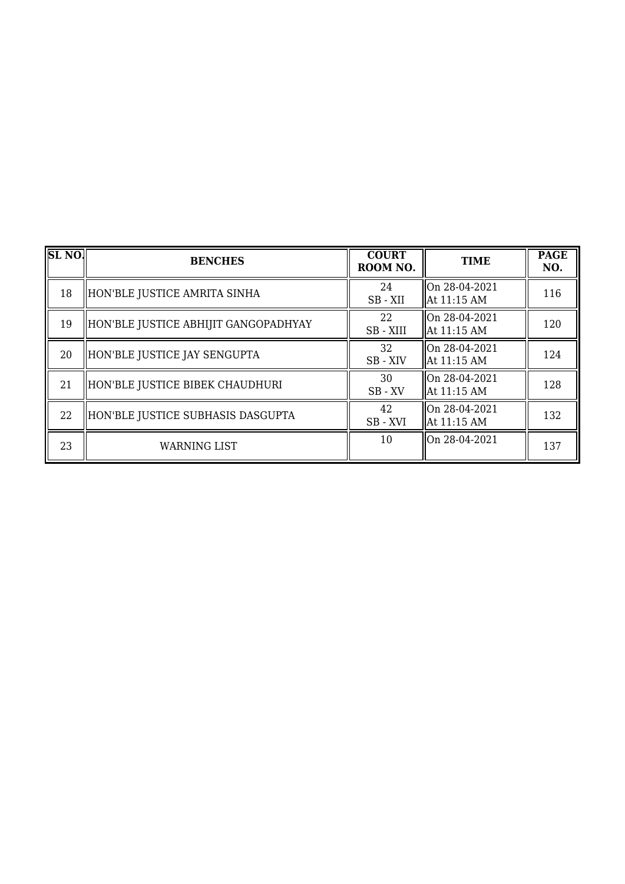| SLNO | <b>BENCHES</b>                       | <b>COURT</b><br>ROOM NO. | <b>TIME</b>                  | <b>PAGE</b><br>NO. |
|------|--------------------------------------|--------------------------|------------------------------|--------------------|
| 18   | HON'BLE JUSTICE AMRITA SINHA         | 24<br>SB-XII             | On 28-04-2021<br>At 11:15 AM | 116                |
| 19   | HON'BLE JUSTICE ABHIJIT GANGOPADHYAY | 22<br>SB-XIII            | On 28-04-2021<br>At 11:15 AM | 120                |
| 20   | HON'BLE JUSTICE JAY SENGUPTA         | 32<br>SB - XIV           | On 28-04-2021<br>At 11:15 AM | 124                |
| 21   | HON'BLE JUSTICE BIBEK CHAUDHURI      | 30<br>$SB$ - $XV$        | On 28-04-2021<br>At 11:15 AM | 128                |
| 22   | HON'BLE JUSTICE SUBHASIS DASGUPTA    | 42<br>SB - XVI           | On 28-04-2021<br>At 11:15 AM | 132                |
| 23   | <b>WARNING LIST</b>                  | 10                       | On 28-04-2021                | 137                |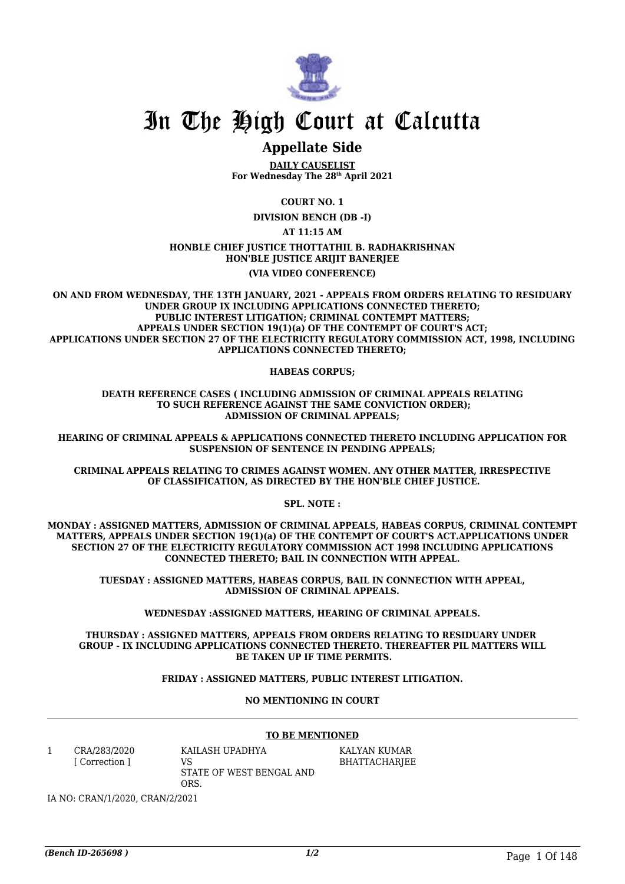

#### **Appellate Side**

**DAILY CAUSELIST For Wednesday The 28th April 2021**

**COURT NO. 1**

**DIVISION BENCH (DB -I)**

**AT 11:15 AM**

**HONBLE CHIEF JUSTICE THOTTATHIL B. RADHAKRISHNAN HON'BLE JUSTICE ARIJIT BANERJEE**

#### **(VIA VIDEO CONFERENCE)**

**ON AND FROM WEDNESDAY, THE 13TH JANUARY, 2021 - APPEALS FROM ORDERS RELATING TO RESIDUARY UNDER GROUP IX INCLUDING APPLICATIONS CONNECTED THERETO; PUBLIC INTEREST LITIGATION; CRIMINAL CONTEMPT MATTERS; APPEALS UNDER SECTION 19(1)(a) OF THE CONTEMPT OF COURT'S ACT; APPLICATIONS UNDER SECTION 27 OF THE ELECTRICITY REGULATORY COMMISSION ACT, 1998, INCLUDING APPLICATIONS CONNECTED THERETO;**

**HABEAS CORPUS;**

**DEATH REFERENCE CASES ( INCLUDING ADMISSION OF CRIMINAL APPEALS RELATING TO SUCH REFERENCE AGAINST THE SAME CONVICTION ORDER); ADMISSION OF CRIMINAL APPEALS;**

**HEARING OF CRIMINAL APPEALS & APPLICATIONS CONNECTED THERETO INCLUDING APPLICATION FOR SUSPENSION OF SENTENCE IN PENDING APPEALS;**

**CRIMINAL APPEALS RELATING TO CRIMES AGAINST WOMEN. ANY OTHER MATTER, IRRESPECTIVE OF CLASSIFICATION, AS DIRECTED BY THE HON'BLE CHIEF JUSTICE.**

**SPL. NOTE :**

**MONDAY : ASSIGNED MATTERS, ADMISSION OF CRIMINAL APPEALS, HABEAS CORPUS, CRIMINAL CONTEMPT MATTERS, APPEALS UNDER SECTION 19(1)(a) OF THE CONTEMPT OF COURT'S ACT.APPLICATIONS UNDER SECTION 27 OF THE ELECTRICITY REGULATORY COMMISSION ACT 1998 INCLUDING APPLICATIONS CONNECTED THERETO; BAIL IN CONNECTION WITH APPEAL.**

**TUESDAY : ASSIGNED MATTERS, HABEAS CORPUS, BAIL IN CONNECTION WITH APPEAL, ADMISSION OF CRIMINAL APPEALS.**

**WEDNESDAY :ASSIGNED MATTERS, HEARING OF CRIMINAL APPEALS.**

**THURSDAY : ASSIGNED MATTERS, APPEALS FROM ORDERS RELATING TO RESIDUARY UNDER GROUP - IX INCLUDING APPLICATIONS CONNECTED THERETO. THEREAFTER PIL MATTERS WILL BE TAKEN UP IF TIME PERMITS.**

**FRIDAY : ASSIGNED MATTERS, PUBLIC INTEREST LITIGATION.**

**NO MENTIONING IN COURT**

### **TO BE MENTIONED**

1 CRA/283/2020 [ Correction ]

KAILASH UPADHYA VS STATE OF WEST BENGAL AND ORS.

KALYAN KUMAR BHATTACHARJEE

IA NO: CRAN/1/2020, CRAN/2/2021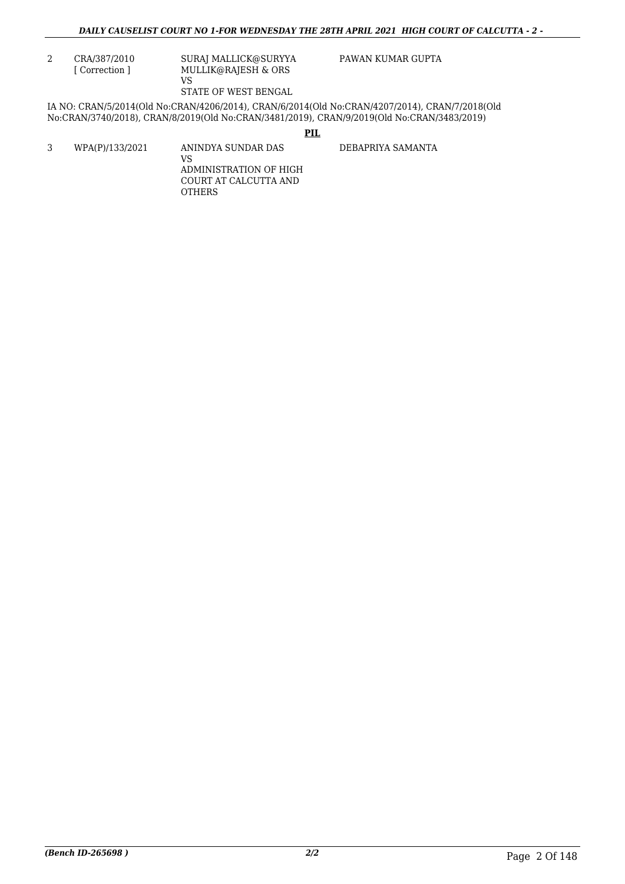2 CRA/387/2010 [ Correction ]

| SURAJ MALLICK@SURYYA |
|----------------------|
| MULLIK@RAJESH & ORS  |
| VS.                  |
| STATE OF WEST BENGAL |

PAWAN KUMAR GUPTA

IA NO: CRAN/5/2014(Old No:CRAN/4206/2014), CRAN/6/2014(Old No:CRAN/4207/2014), CRAN/7/2018(Old No:CRAN/3740/2018), CRAN/8/2019(Old No:CRAN/3481/2019), CRAN/9/2019(Old No:CRAN/3483/2019)

**PIL**

| 3 | WPA(P)/133/2021 | ANINDYA SUNDAR DAS     |
|---|-----------------|------------------------|
|   |                 | VS                     |
|   |                 | ADMINISTRATION OF HIGH |
|   |                 | COURT AT CALCUTTA AND  |
|   |                 | <b>OTHERS</b>          |

DEBAPRIYA SAMANTA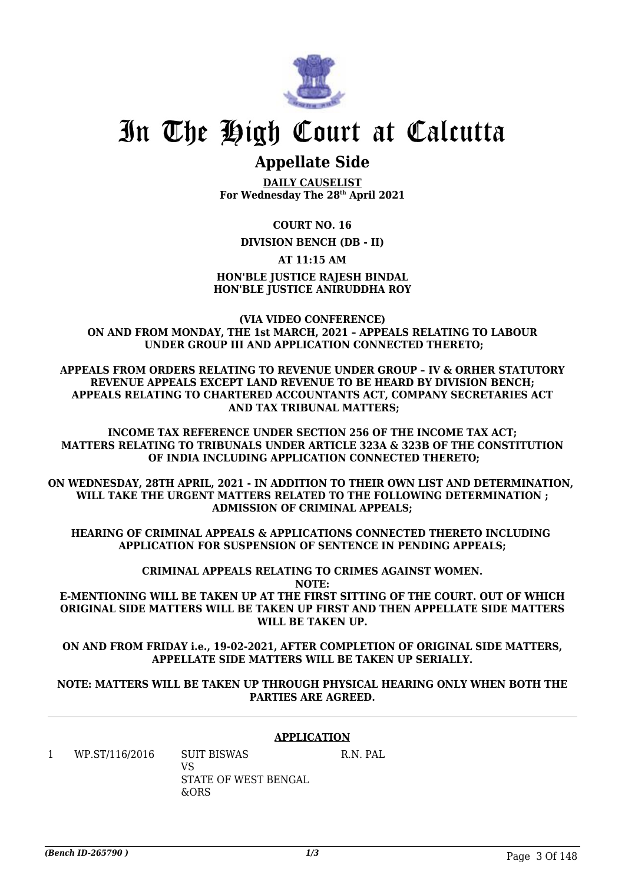

### **Appellate Side**

**DAILY CAUSELIST For Wednesday The 28th April 2021**

**COURT NO. 16**

**DIVISION BENCH (DB - II)**

**AT 11:15 AM**

**HON'BLE JUSTICE RAJESH BINDAL HON'BLE JUSTICE ANIRUDDHA ROY**

**(VIA VIDEO CONFERENCE) ON AND FROM MONDAY, THE 1st MARCH, 2021 – APPEALS RELATING TO LABOUR UNDER GROUP III AND APPLICATION CONNECTED THERETO;**

**APPEALS FROM ORDERS RELATING TO REVENUE UNDER GROUP – IV & ORHER STATUTORY REVENUE APPEALS EXCEPT LAND REVENUE TO BE HEARD BY DIVISION BENCH; APPEALS RELATING TO CHARTERED ACCOUNTANTS ACT, COMPANY SECRETARIES ACT AND TAX TRIBUNAL MATTERS;**

**INCOME TAX REFERENCE UNDER SECTION 256 OF THE INCOME TAX ACT; MATTERS RELATING TO TRIBUNALS UNDER ARTICLE 323A & 323B OF THE CONSTITUTION OF INDIA INCLUDING APPLICATION CONNECTED THERETO;**

**ON WEDNESDAY, 28TH APRIL, 2021 - IN ADDITION TO THEIR OWN LIST AND DETERMINATION, WILL TAKE THE URGENT MATTERS RELATED TO THE FOLLOWING DETERMINATION ; ADMISSION OF CRIMINAL APPEALS;**

**HEARING OF CRIMINAL APPEALS & APPLICATIONS CONNECTED THERETO INCLUDING APPLICATION FOR SUSPENSION OF SENTENCE IN PENDING APPEALS;**

**CRIMINAL APPEALS RELATING TO CRIMES AGAINST WOMEN. NOTE: E-MENTIONING WILL BE TAKEN UP AT THE FIRST SITTING OF THE COURT. OUT OF WHICH ORIGINAL SIDE MATTERS WILL BE TAKEN UP FIRST AND THEN APPELLATE SIDE MATTERS WILL BE TAKEN UP.**

**ON AND FROM FRIDAY i.e., 19-02-2021, AFTER COMPLETION OF ORIGINAL SIDE MATTERS, APPELLATE SIDE MATTERS WILL BE TAKEN UP SERIALLY.**

**NOTE: MATTERS WILL BE TAKEN UP THROUGH PHYSICAL HEARING ONLY WHEN BOTH THE PARTIES ARE AGREED.**

#### **APPLICATION**

1 WP.ST/116/2016 SUIT BISWAS VS STATE OF WEST BENGAL &ORS R.N. PAL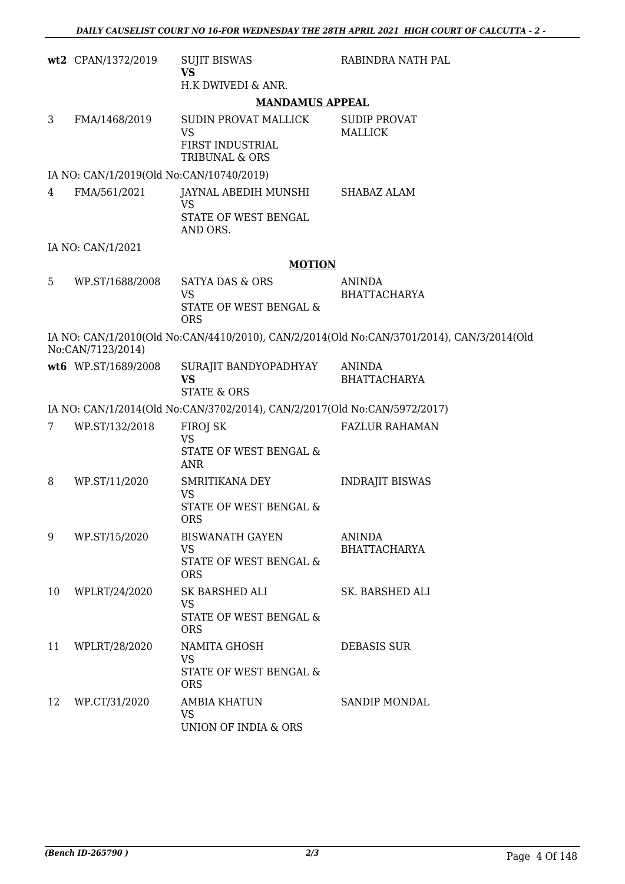|    | wt2 CPAN/1372/2019                       | <b>SUJIT BISWAS</b><br><b>VS</b>                                                   | RABINDRA NATH PAL                                                                         |
|----|------------------------------------------|------------------------------------------------------------------------------------|-------------------------------------------------------------------------------------------|
|    |                                          | H.K DWIVEDI & ANR.                                                                 |                                                                                           |
|    |                                          | <b>MANDAMUS APPEAL</b>                                                             |                                                                                           |
| 3  | FMA/1468/2019                            | SUDIN PROVAT MALLICK<br><b>VS</b><br>FIRST INDUSTRIAL<br><b>TRIBUNAL &amp; ORS</b> | <b>SUDIP PROVAT</b><br><b>MALLICK</b>                                                     |
|    | IA NO: CAN/1/2019(Old No:CAN/10740/2019) |                                                                                    |                                                                                           |
| 4  | FMA/561/2021                             | JAYNAL ABEDIH MUNSHI                                                               | SHABAZ ALAM                                                                               |
|    |                                          | <b>VS</b><br>STATE OF WEST BENGAL<br>AND ORS.                                      |                                                                                           |
|    | IA NO: CAN/1/2021                        |                                                                                    |                                                                                           |
|    |                                          | <b>MOTION</b>                                                                      |                                                                                           |
| 5  | WP.ST/1688/2008                          | <b>SATYA DAS &amp; ORS</b>                                                         | <b>ANINDA</b>                                                                             |
|    |                                          | <b>VS</b><br>STATE OF WEST BENGAL &<br><b>ORS</b>                                  | <b>BHATTACHARYA</b>                                                                       |
|    | No:CAN/7123/2014)                        |                                                                                    | IA NO: CAN/1/2010(Old No:CAN/4410/2010), CAN/2/2014(Old No:CAN/3701/2014), CAN/3/2014(Old |
|    | wt6 WP.ST/1689/2008                      | SURAJIT BANDYOPADHYAY<br><b>VS</b><br><b>STATE &amp; ORS</b>                       | <b>ANINDA</b><br><b>BHATTACHARYA</b>                                                      |
|    |                                          | IA NO: CAN/1/2014(Old No:CAN/3702/2014), CAN/2/2017(Old No:CAN/5972/2017)          |                                                                                           |
| 7  | WP.ST/132/2018                           | FIROJ SK<br><b>VS</b><br>STATE OF WEST BENGAL &<br><b>ANR</b>                      | <b>FAZLUR RAHAMAN</b>                                                                     |
| 8  | WP.ST/11/2020                            | SMRITIKANA DEY<br><b>VS</b><br>STATE OF WEST BENGAL &<br><b>ORS</b>                | <b>INDRAJIT BISWAS</b>                                                                    |
| 9  | WP.ST/15/2020                            | <b>BISWANATH GAYEN</b><br><b>VS</b><br>STATE OF WEST BENGAL &<br><b>ORS</b>        | <b>ANINDA</b><br><b>BHATTACHARYA</b>                                                      |
| 10 | WPLRT/24/2020                            | SK BARSHED ALI<br><b>VS</b><br>STATE OF WEST BENGAL &<br><b>ORS</b>                | SK. BARSHED ALI                                                                           |
| 11 | WPLRT/28/2020                            | NAMITA GHOSH<br><b>VS</b><br>STATE OF WEST BENGAL &<br><b>ORS</b>                  | <b>DEBASIS SUR</b>                                                                        |
| 12 | WP.CT/31/2020                            | <b>AMBIA KHATUN</b><br><b>VS</b><br>UNION OF INDIA & ORS                           | SANDIP MONDAL                                                                             |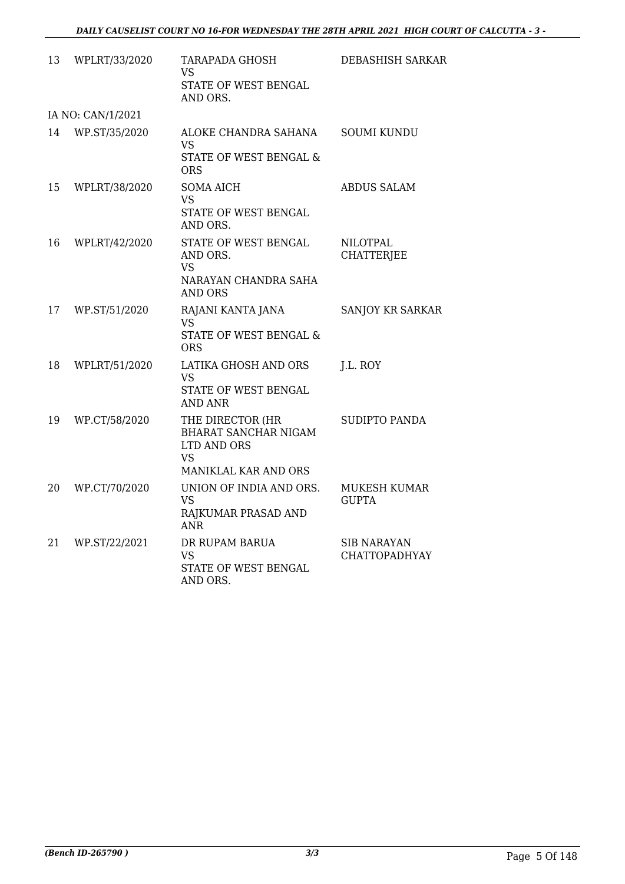| 13 | WPLRT/33/2020     | <b>TARAPADA GHOSH</b><br>VS<br>STATE OF WEST BENGAL<br>AND ORS.                         | <b>DEBASHISH SARKAR</b>                    |
|----|-------------------|-----------------------------------------------------------------------------------------|--------------------------------------------|
|    | IA NO: CAN/1/2021 |                                                                                         |                                            |
| 14 | WP.ST/35/2020     | ALOKE CHANDRA SAHANA<br>VS<br>STATE OF WEST BENGAL &<br><b>ORS</b>                      | <b>SOUMI KUNDU</b>                         |
| 15 | WPLRT/38/2020     | <b>SOMA AICH</b><br><b>VS</b><br>STATE OF WEST BENGAL<br>AND ORS.                       | <b>ABDUS SALAM</b>                         |
| 16 | WPLRT/42/2020     | STATE OF WEST BENGAL<br>AND ORS.<br><b>VS</b><br>NARAYAN CHANDRA SAHA<br><b>AND ORS</b> | <b>NILOTPAL</b><br>CHATTERJEE              |
| 17 | WP.ST/51/2020     | RAJANI KANTA JANA<br><b>VS</b><br>STATE OF WEST BENGAL &<br><b>ORS</b>                  | SANJOY KR SARKAR                           |
| 18 | WPLRT/51/2020     | LATIKA GHOSH AND ORS<br>VS.<br>STATE OF WEST BENGAL<br><b>AND ANR</b>                   | J.L. ROY                                   |
| 19 | WP.CT/58/2020     | THE DIRECTOR (HR<br>BHARAT SANCHAR NIGAM<br>LTD AND ORS<br>VS<br>MANIKLAL KAR AND ORS   | SUDIPTO PANDA                              |
| 20 | WP.CT/70/2020     | UNION OF INDIA AND ORS.<br>VS<br>RAJKUMAR PRASAD AND<br><b>ANR</b>                      | <b>MUKESH KUMAR</b><br><b>GUPTA</b>        |
| 21 | WP.ST/22/2021     | DR RUPAM BARUA<br><b>VS</b><br>STATE OF WEST BENGAL<br>AND ORS.                         | <b>SIB NARAYAN</b><br><b>CHATTOPADHYAY</b> |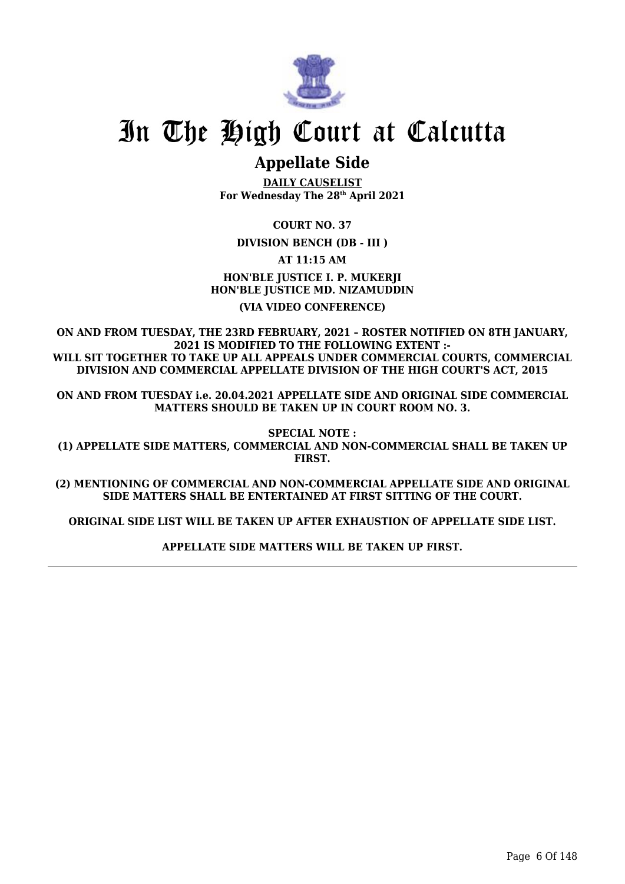

### **Appellate Side**

**DAILY CAUSELIST For Wednesday The 28th April 2021**

**COURT NO. 37**

**DIVISION BENCH (DB - III )**

**AT 11:15 AM**

**HON'BLE JUSTICE I. P. MUKERJI HON'BLE JUSTICE MD. NIZAMUDDIN (VIA VIDEO CONFERENCE)**

**ON AND FROM TUESDAY, THE 23RD FEBRUARY, 2021 – ROSTER NOTIFIED ON 8TH JANUARY, 2021 IS MODIFIED TO THE FOLLOWING EXTENT :- WILL SIT TOGETHER TO TAKE UP ALL APPEALS UNDER COMMERCIAL COURTS, COMMERCIAL DIVISION AND COMMERCIAL APPELLATE DIVISION OF THE HIGH COURT'S ACT, 2015**

**ON AND FROM TUESDAY i.e. 20.04.2021 APPELLATE SIDE AND ORIGINAL SIDE COMMERCIAL MATTERS SHOULD BE TAKEN UP IN COURT ROOM NO. 3.**

**SPECIAL NOTE : (1) APPELLATE SIDE MATTERS, COMMERCIAL AND NON-COMMERCIAL SHALL BE TAKEN UP FIRST.**

**(2) MENTIONING OF COMMERCIAL AND NON-COMMERCIAL APPELLATE SIDE AND ORIGINAL SIDE MATTERS SHALL BE ENTERTAINED AT FIRST SITTING OF THE COURT.**

**ORIGINAL SIDE LIST WILL BE TAKEN UP AFTER EXHAUSTION OF APPELLATE SIDE LIST.**

**APPELLATE SIDE MATTERS WILL BE TAKEN UP FIRST.**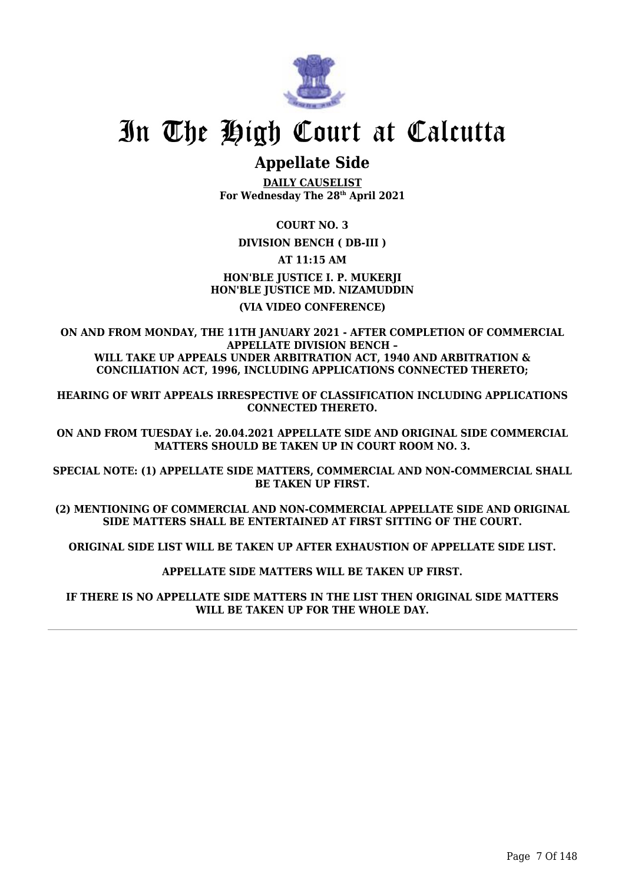

### **Appellate Side**

**DAILY CAUSELIST For Wednesday The 28th April 2021**

**COURT NO. 3**

**DIVISION BENCH ( DB-III )**

**AT 11:15 AM**

**HON'BLE JUSTICE I. P. MUKERJI HON'BLE JUSTICE MD. NIZAMUDDIN (VIA VIDEO CONFERENCE)**

**ON AND FROM MONDAY, THE 11TH JANUARY 2021 - AFTER COMPLETION OF COMMERCIAL APPELLATE DIVISION BENCH – WILL TAKE UP APPEALS UNDER ARBITRATION ACT, 1940 AND ARBITRATION & CONCILIATION ACT, 1996, INCLUDING APPLICATIONS CONNECTED THERETO;**

**HEARING OF WRIT APPEALS IRRESPECTIVE OF CLASSIFICATION INCLUDING APPLICATIONS CONNECTED THERETO.**

**ON AND FROM TUESDAY i.e. 20.04.2021 APPELLATE SIDE AND ORIGINAL SIDE COMMERCIAL MATTERS SHOULD BE TAKEN UP IN COURT ROOM NO. 3.**

**SPECIAL NOTE: (1) APPELLATE SIDE MATTERS, COMMERCIAL AND NON-COMMERCIAL SHALL BE TAKEN UP FIRST.**

**(2) MENTIONING OF COMMERCIAL AND NON-COMMERCIAL APPELLATE SIDE AND ORIGINAL SIDE MATTERS SHALL BE ENTERTAINED AT FIRST SITTING OF THE COURT.**

**ORIGINAL SIDE LIST WILL BE TAKEN UP AFTER EXHAUSTION OF APPELLATE SIDE LIST.**

**APPELLATE SIDE MATTERS WILL BE TAKEN UP FIRST.**

**IF THERE IS NO APPELLATE SIDE MATTERS IN THE LIST THEN ORIGINAL SIDE MATTERS WILL BE TAKEN UP FOR THE WHOLE DAY.**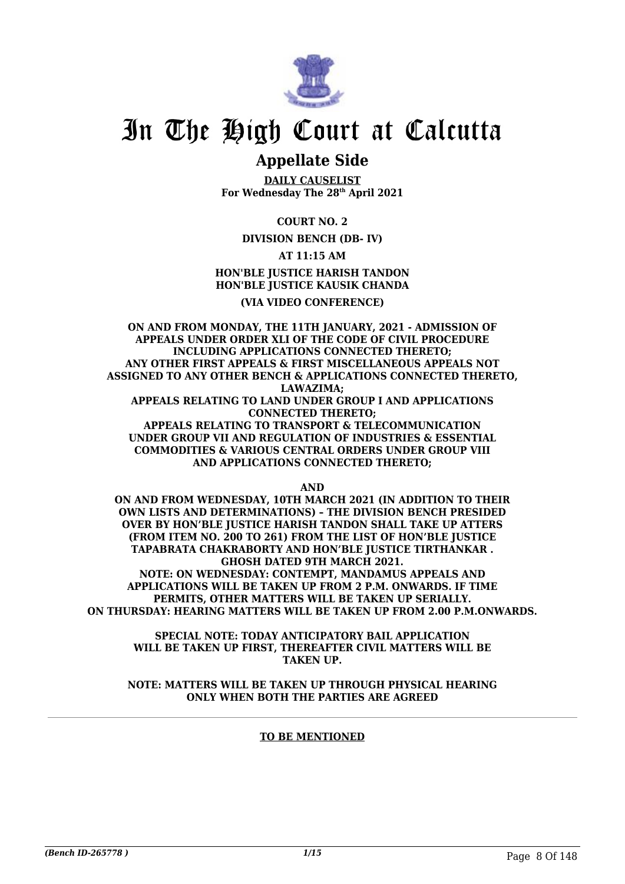

### **Appellate Side**

**DAILY CAUSELIST For Wednesday The 28th April 2021**

#### **COURT NO. 2**

**DIVISION BENCH (DB- IV)**

#### **AT 11:15 AM HON'BLE JUSTICE HARISH TANDON HON'BLE JUSTICE KAUSIK CHANDA**

#### **(VIA VIDEO CONFERENCE)**

**ON AND FROM MONDAY, THE 11TH JANUARY, 2021 - ADMISSION OF APPEALS UNDER ORDER XLI OF THE CODE OF CIVIL PROCEDURE INCLUDING APPLICATIONS CONNECTED THERETO; ANY OTHER FIRST APPEALS & FIRST MISCELLANEOUS APPEALS NOT ASSIGNED TO ANY OTHER BENCH & APPLICATIONS CONNECTED THERETO, LAWAZIMA; APPEALS RELATING TO LAND UNDER GROUP I AND APPLICATIONS CONNECTED THERETO; APPEALS RELATING TO TRANSPORT & TELECOMMUNICATION UNDER GROUP VII AND REGULATION OF INDUSTRIES & ESSENTIAL COMMODITIES & VARIOUS CENTRAL ORDERS UNDER GROUP VIII AND APPLICATIONS CONNECTED THERETO;**

**AND**

**ON AND FROM WEDNESDAY, 10TH MARCH 2021 (IN ADDITION TO THEIR OWN LISTS AND DETERMINATIONS) – THE DIVISION BENCH PRESIDED OVER BY HON'BLE JUSTICE HARISH TANDON SHALL TAKE UP ATTERS (FROM ITEM NO. 200 TO 261) FROM THE LIST OF HON'BLE JUSTICE TAPABRATA CHAKRABORTY AND HON'BLE JUSTICE TIRTHANKAR . GHOSH DATED 9TH MARCH 2021. NOTE: ON WEDNESDAY: CONTEMPT, MANDAMUS APPEALS AND APPLICATIONS WILL BE TAKEN UP FROM 2 P.M. ONWARDS. IF TIME PERMITS, OTHER MATTERS WILL BE TAKEN UP SERIALLY. ON THURSDAY: HEARING MATTERS WILL BE TAKEN UP FROM 2.00 P.M.ONWARDS.**

> **SPECIAL NOTE: TODAY ANTICIPATORY BAIL APPLICATION WILL BE TAKEN UP FIRST, THEREAFTER CIVIL MATTERS WILL BE TAKEN UP.**

**NOTE: MATTERS WILL BE TAKEN UP THROUGH PHYSICAL HEARING ONLY WHEN BOTH THE PARTIES ARE AGREED**

#### **TO BE MENTIONED**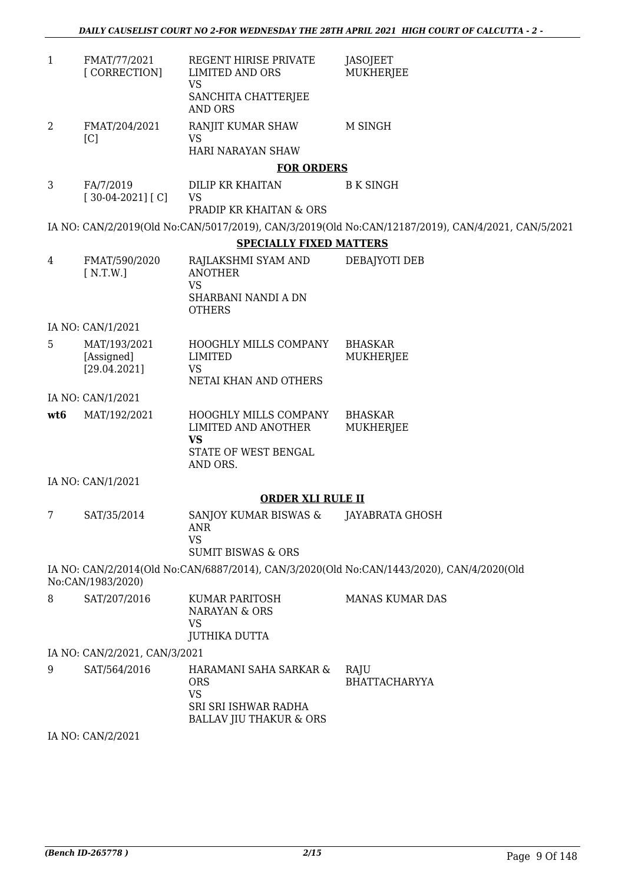| 1               | FMAT/77/2021<br>[ CORRECTION]              | REGENT HIRISE PRIVATE<br>LIMITED AND ORS<br><b>VS</b>                                                           | <b>JASOJEET</b><br><b>MUKHERJEE</b>                                                                |
|-----------------|--------------------------------------------|-----------------------------------------------------------------------------------------------------------------|----------------------------------------------------------------------------------------------------|
|                 |                                            | SANCHITA CHATTERJEE<br>AND ORS                                                                                  |                                                                                                    |
| $\overline{2}$  | FMAT/204/2021<br>[C]                       | RANJIT KUMAR SHAW<br><b>VS</b>                                                                                  | M SINGH                                                                                            |
|                 |                                            | HARI NARAYAN SHAW                                                                                               |                                                                                                    |
|                 |                                            | <b>FOR ORDERS</b>                                                                                               |                                                                                                    |
| 3               | FA/7/2019<br>$[30-04-2021] [C]$            | <b>DILIP KR KHAITAN</b><br>VS<br>PRADIP KR KHAITAN & ORS                                                        | <b>B K SINGH</b>                                                                                   |
|                 |                                            |                                                                                                                 | IA NO: CAN/2/2019(Old No:CAN/5017/2019), CAN/3/2019(Old No:CAN/12187/2019), CAN/4/2021, CAN/5/2021 |
|                 |                                            | <b>SPECIALLY FIXED MATTERS</b>                                                                                  |                                                                                                    |
| 4               | FMAT/590/2020<br>[ N.T.W.]                 | RAJLAKSHMI SYAM AND<br><b>ANOTHER</b><br><b>VS</b><br>SHARBANI NANDI A DN<br><b>OTHERS</b>                      | DEBAJYOTI DEB                                                                                      |
|                 | IA NO: CAN/1/2021                          |                                                                                                                 |                                                                                                    |
| 5               | MAT/193/2021<br>[Assigned]<br>[29.04.2021] | HOOGHLY MILLS COMPANY<br><b>LIMITED</b><br><b>VS</b><br>NETAI KHAN AND OTHERS                                   | <b>BHASKAR</b><br>MUKHERJEE                                                                        |
|                 | IA NO: CAN/1/2021                          |                                                                                                                 |                                                                                                    |
| wt <sub>6</sub> | MAT/192/2021                               | HOOGHLY MILLS COMPANY<br>LIMITED AND ANOTHER                                                                    | <b>BHASKAR</b><br>MUKHERJEE                                                                        |
|                 |                                            | VS<br>STATE OF WEST BENGAL<br>AND ORS.                                                                          |                                                                                                    |
|                 | IA NO: CAN/1/2021                          |                                                                                                                 |                                                                                                    |
|                 |                                            | <b>ORDER XLI RULE II</b>                                                                                        |                                                                                                    |
| 7               | SAT/35/2014                                | SANJOY KUMAR BISWAS & JAYABRATA GHOSH<br><b>ANR</b><br><b>VS</b>                                                |                                                                                                    |
|                 |                                            | <b>SUMIT BISWAS &amp; ORS</b>                                                                                   |                                                                                                    |
|                 | No:CAN/1983/2020)                          |                                                                                                                 | IA NO: CAN/2/2014(Old No:CAN/6887/2014), CAN/3/2020(Old No:CAN/1443/2020), CAN/4/2020(Old          |
| 8               | SAT/207/2016                               | KUMAR PARITOSH<br><b>NARAYAN &amp; ORS</b><br><b>VS</b><br><b>JUTHIKA DUTTA</b>                                 | <b>MANAS KUMAR DAS</b>                                                                             |
|                 | IA NO: CAN/2/2021, CAN/3/2021              |                                                                                                                 |                                                                                                    |
| 9               | SAT/564/2016                               | HARAMANI SAHA SARKAR &<br><b>ORS</b><br><b>VS</b><br>SRI SRI ISHWAR RADHA<br><b>BALLAV JIU THAKUR &amp; ORS</b> | RAJU<br><b>BHATTACHARYYA</b>                                                                       |
|                 | IA NO: CAN/2/2021                          |                                                                                                                 |                                                                                                    |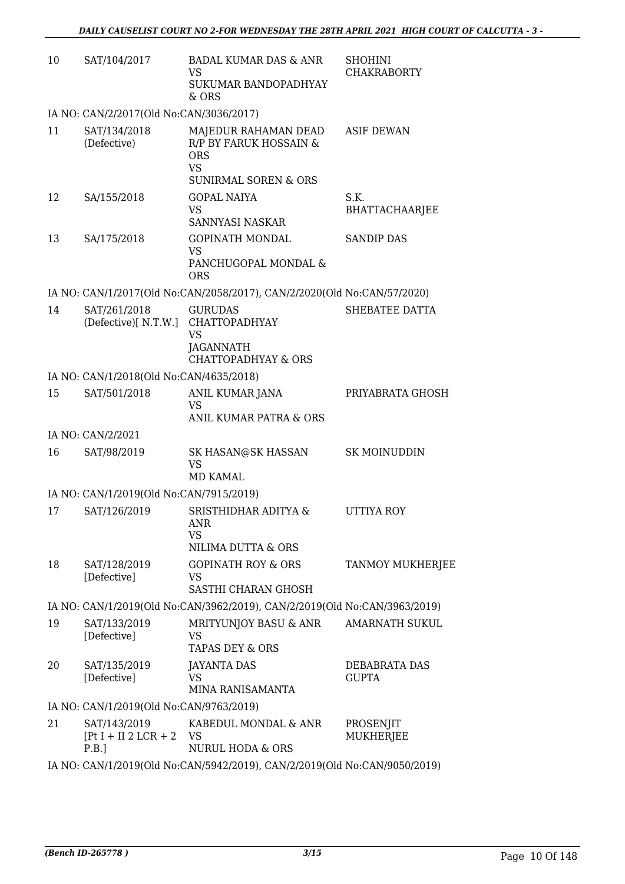| 10 | SAT/104/2017                                     | <b>BADAL KUMAR DAS &amp; ANR</b><br>VS<br>SUKUMAR BANDOPADHYAY<br>& ORS                                      | <b>SHOHINI</b><br><b>CHAKRABORTY</b> |
|----|--------------------------------------------------|--------------------------------------------------------------------------------------------------------------|--------------------------------------|
|    | IA NO: CAN/2/2017(Old No:CAN/3036/2017)          |                                                                                                              |                                      |
| 11 | SAT/134/2018<br>(Defective)                      | MAJEDUR RAHAMAN DEAD<br>R/P BY FARUK HOSSAIN &<br><b>ORS</b><br><b>VS</b><br><b>SUNIRMAL SOREN &amp; ORS</b> | <b>ASIF DEWAN</b>                    |
| 12 | SA/155/2018                                      | <b>GOPAL NAIYA</b>                                                                                           | S.K.                                 |
|    |                                                  | <b>VS</b><br>SANNYASI NASKAR                                                                                 | <b>BHATTACHAARJEE</b>                |
| 13 | SA/175/2018                                      | <b>GOPINATH MONDAL</b><br>VS<br>PANCHUGOPAL MONDAL &<br><b>ORS</b>                                           | <b>SANDIP DAS</b>                    |
|    |                                                  | IA NO: CAN/1/2017(Old No:CAN/2058/2017), CAN/2/2020(Old No:CAN/57/2020)                                      |                                      |
| 14 | SAT/261/2018<br>(Defective)[N.T.W.]              | <b>GURUDAS</b><br><b>CHATTOPADHYAY</b><br><b>VS</b>                                                          | SHEBATEE DATTA                       |
|    |                                                  | JAGANNATH<br><b>CHATTOPADHYAY &amp; ORS</b>                                                                  |                                      |
|    | IA NO: CAN/1/2018(Old No:CAN/4635/2018)          |                                                                                                              |                                      |
| 15 | SAT/501/2018                                     | ANIL KUMAR JANA<br>VS<br>ANIL KUMAR PATRA & ORS                                                              | PRIYABRATA GHOSH                     |
|    | IA NO: CAN/2/2021                                |                                                                                                              |                                      |
| 16 | SAT/98/2019                                      | SK HASAN@SK HASSAN<br><b>VS</b><br>MD KAMAL                                                                  | <b>SK MOINUDDIN</b>                  |
|    | IA NO: CAN/1/2019(Old No:CAN/7915/2019)          |                                                                                                              |                                      |
| 17 | SAT/126/2019                                     | SRISTHIDHAR ADITYA &<br>ANR<br>VS<br>NILIMA DUTTA & ORS                                                      | UTTIYA ROY                           |
| 18 | SAT/128/2019<br>[Defective]                      | <b>GOPINATH ROY &amp; ORS</b><br><b>VS</b><br><b>SASTHI CHARAN GHOSH</b>                                     | TANMOY MUKHERJEE                     |
|    |                                                  | IA NO: CAN/1/2019(Old No:CAN/3962/2019), CAN/2/2019(Old No:CAN/3963/2019)                                    |                                      |
| 19 | SAT/133/2019                                     | MRITYUNJOY BASU & ANR                                                                                        | AMARNATH SUKUL                       |
|    | [Defective]                                      | VS<br><b>TAPAS DEY &amp; ORS</b>                                                                             |                                      |
| 20 | SAT/135/2019<br>[Defective]                      | <b>JAYANTA DAS</b><br>VS<br>MINA RANISAMANTA                                                                 | DEBABRATA DAS<br><b>GUPTA</b>        |
|    | IA NO: CAN/1/2019(Old No:CAN/9763/2019)          |                                                                                                              |                                      |
| 21 | SAT/143/2019<br>$[Pt I + II 2 LCR + 2]$<br>P.B.] | KABEDUL MONDAL & ANR<br>VS<br>NURUL HODA & ORS                                                               | PROSENJIT<br><b>MUKHERJEE</b>        |
|    |                                                  | IA NO: CAN/1/2019(Old No:CAN/5942/2019), CAN/2/2019(Old No:CAN/9050/2019)                                    |                                      |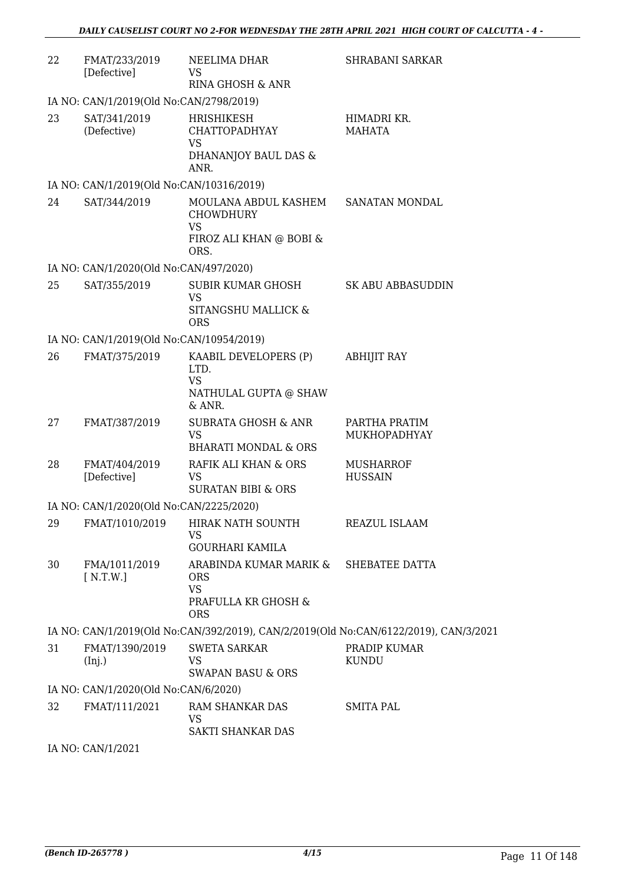| 22 | FMAT/233/2019<br>[Defective]             | NEELIMA DHAR<br><b>VS</b><br><b>RINA GHOSH &amp; ANR</b>                                 | SHRABANI SARKAR                                                                      |
|----|------------------------------------------|------------------------------------------------------------------------------------------|--------------------------------------------------------------------------------------|
|    | IA NO: CAN/1/2019(Old No:CAN/2798/2019)  |                                                                                          |                                                                                      |
| 23 | SAT/341/2019<br>(Defective)              | HRISHIKESH<br>CHATTOPADHYAY<br><b>VS</b><br>DHANANJOY BAUL DAS &<br>ANR.                 | HIMADRI KR.<br>MAHATA                                                                |
|    | IA NO: CAN/1/2019(Old No:CAN/10316/2019) |                                                                                          |                                                                                      |
| 24 | SAT/344/2019                             | MOULANA ABDUL KASHEM<br><b>CHOWDHURY</b><br><b>VS</b><br>FIROZ ALI KHAN @ BOBI &<br>ORS. | SANATAN MONDAL                                                                       |
|    | IA NO: CAN/1/2020(Old No:CAN/497/2020)   |                                                                                          |                                                                                      |
| 25 | SAT/355/2019                             | <b>SUBIR KUMAR GHOSH</b><br><b>VS</b><br>SITANGSHU MALLICK &<br><b>ORS</b>               | <b>SK ABU ABBASUDDIN</b>                                                             |
|    | IA NO: CAN/1/2019(Old No:CAN/10954/2019) |                                                                                          |                                                                                      |
| 26 | FMAT/375/2019                            | KAABIL DEVELOPERS (P)<br>LTD.<br>VS<br>NATHULAL GUPTA @ SHAW<br>& ANR.                   | <b>ABHIJIT RAY</b>                                                                   |
| 27 | FMAT/387/2019                            | <b>SUBRATA GHOSH &amp; ANR</b><br><b>VS</b><br><b>BHARATI MONDAL &amp; ORS</b>           | PARTHA PRATIM<br>MUKHOPADHYAY                                                        |
| 28 | FMAT/404/2019<br>[Defective]             | RAFIK ALI KHAN & ORS<br><b>VS</b><br><b>SURATAN BIBI &amp; ORS</b>                       | <b>MUSHARROF</b><br><b>HUSSAIN</b>                                                   |
|    | IA NO: CAN/1/2020(Old No:CAN/2225/2020)  |                                                                                          |                                                                                      |
|    |                                          | 29 FMAT/1010/2019 HIRAK NATH SOUNTH<br>VS<br><b>GOURHARI KAMILA</b>                      | REAZUL ISLAAM                                                                        |
| 30 | FMA/1011/2019<br>N.T.W.                  | ARABINDA KUMAR MARIK &<br><b>ORS</b><br><b>VS</b><br>PRAFULLA KR GHOSH &<br><b>ORS</b>   | SHEBATEE DATTA                                                                       |
|    |                                          |                                                                                          | IA NO: CAN/1/2019(Old No:CAN/392/2019), CAN/2/2019(Old No:CAN/6122/2019), CAN/3/2021 |
| 31 | FMAT/1390/2019<br>(Inj.)                 | <b>SWETA SARKAR</b><br><b>VS</b><br><b>SWAPAN BASU &amp; ORS</b>                         | PRADIP KUMAR<br><b>KUNDU</b>                                                         |
|    | IA NO: CAN/1/2020(Old No:CAN/6/2020)     |                                                                                          |                                                                                      |
| 32 | FMAT/111/2021                            | RAM SHANKAR DAS<br><b>VS</b><br>SAKTI SHANKAR DAS                                        | SMITA PAL                                                                            |
|    | IA NO: CAN/1/2021                        |                                                                                          |                                                                                      |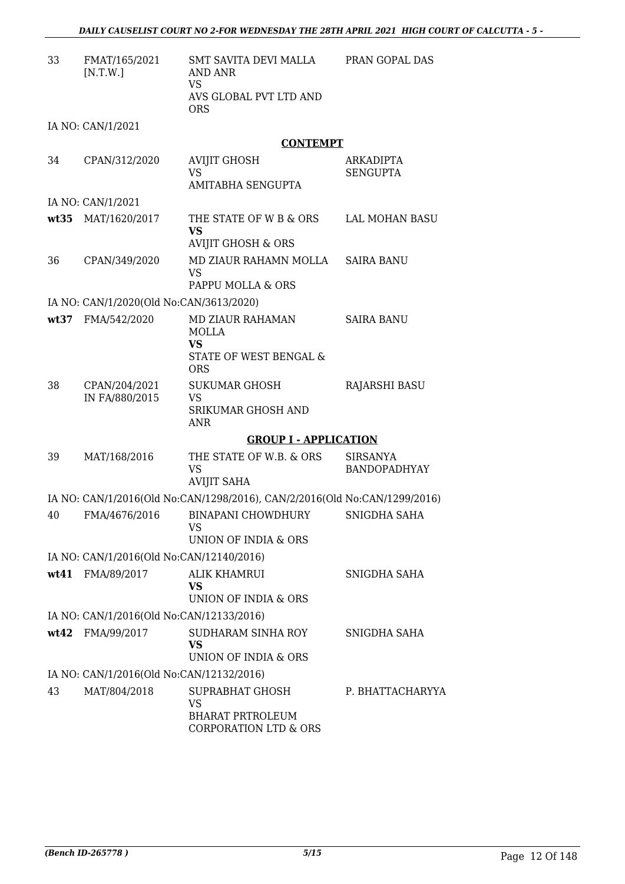| 33   | FMAT/165/2021<br>[N.T.W.]                | SMT SAVITA DEVI MALLA<br>AND ANR<br><b>VS</b><br>AVS GLOBAL PVT LTD AND   | PRAN GOPAL DAS                      |
|------|------------------------------------------|---------------------------------------------------------------------------|-------------------------------------|
|      |                                          | <b>ORS</b>                                                                |                                     |
|      | IA NO: CAN/1/2021                        |                                                                           |                                     |
|      |                                          | <b>CONTEMPT</b>                                                           |                                     |
| 34   | CPAN/312/2020                            | <b>AVIJIT GHOSH</b><br><b>VS</b>                                          | <b>ARKADIPTA</b><br><b>SENGUPTA</b> |
|      |                                          | AMITABHA SENGUPTA                                                         |                                     |
|      | IA NO: CAN/1/2021                        |                                                                           |                                     |
| wt35 | MAT/1620/2017                            | THE STATE OF W B & ORS<br><b>VS</b>                                       | LAL MOHAN BASU                      |
|      |                                          | <b>AVIJIT GHOSH &amp; ORS</b>                                             |                                     |
| 36   | CPAN/349/2020                            | MD ZIAUR RAHAMN MOLLA<br><b>VS</b>                                        | <b>SAIRA BANU</b>                   |
|      |                                          | PAPPU MOLLA & ORS                                                         |                                     |
|      | IA NO: CAN/1/2020(Old No:CAN/3613/2020)  |                                                                           |                                     |
| wt37 | FMA/542/2020                             | <b>MD ZIAUR RAHAMAN</b><br><b>MOLLA</b><br><b>VS</b>                      | <b>SAIRA BANU</b>                   |
|      |                                          | STATE OF WEST BENGAL &<br><b>ORS</b>                                      |                                     |
| 38   | CPAN/204/2021                            | <b>SUKUMAR GHOSH</b>                                                      | <b>RAJARSHI BASU</b>                |
|      | IN FA/880/2015                           | <b>VS</b><br><b>SRIKUMAR GHOSH AND</b>                                    |                                     |
|      |                                          | <b>ANR</b>                                                                |                                     |
|      |                                          | <b>GROUP I - APPLICATION</b>                                              |                                     |
| 39   | MAT/168/2016                             | THE STATE OF W.B. & ORS                                                   | <b>SIRSANYA</b>                     |
|      |                                          | <b>VS</b><br><b>AVIJIT SAHA</b>                                           | <b>BANDOPADHYAY</b>                 |
|      |                                          | IA NO: CAN/1/2016(Old No:CAN/1298/2016), CAN/2/2016(Old No:CAN/1299/2016) |                                     |
| 40   | FMA/4676/2016                            | <b>BINAPANI CHOWDHURY</b>                                                 | SNIGDHA SAHA                        |
|      |                                          | <b>VS</b>                                                                 |                                     |
|      |                                          | UNION OF INDIA & ORS                                                      |                                     |
|      | IA NO: CAN/1/2016(Old No:CAN/12140/2016) |                                                                           |                                     |
| wt41 | FMA/89/2017                              | <b>ALIK KHAMRUI</b>                                                       | SNIGDHA SAHA                        |
|      |                                          | VS<br>UNION OF INDIA & ORS                                                |                                     |
|      | IA NO: CAN/1/2016(Old No:CAN/12133/2016) |                                                                           |                                     |
| wt42 | FMA/99/2017                              | SUDHARAM SINHA ROY                                                        | SNIGDHA SAHA                        |
|      |                                          | <b>VS</b><br>UNION OF INDIA & ORS                                         |                                     |
|      | IA NO: CAN/1/2016(Old No:CAN/12132/2016) |                                                                           |                                     |
| 43   | MAT/804/2018                             | SUPRABHAT GHOSH                                                           | P. BHATTACHARYYA                    |
|      |                                          | <b>VS</b>                                                                 |                                     |
|      |                                          | <b>BHARAT PRTROLEUM</b><br>CORPORATION LTD & ORS                          |                                     |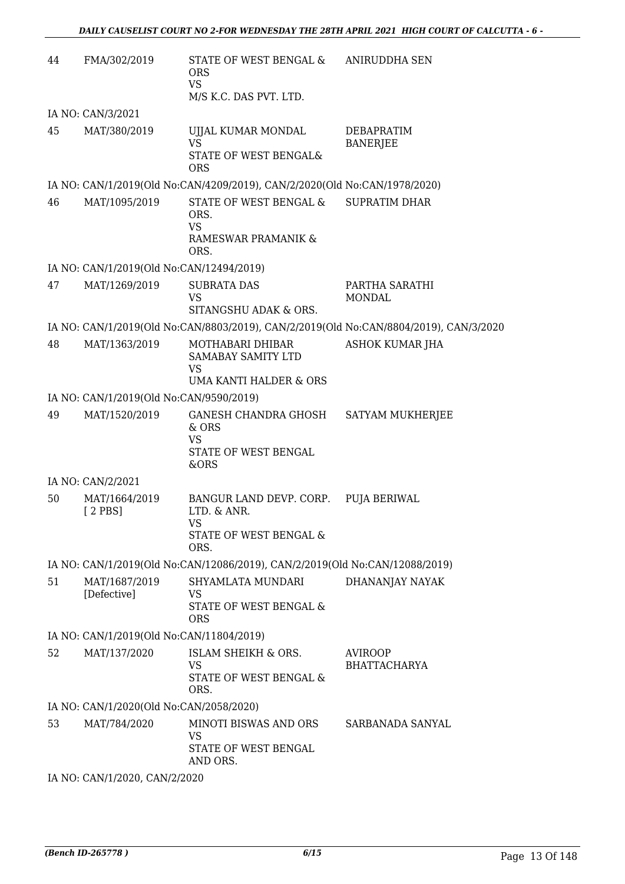| 44 | FMA/302/2019                             | STATE OF WEST BENGAL &<br><b>ORS</b><br><b>VS</b><br>M/S K.C. DAS PVT. LTD.           | ANIRUDDHA SEN                                                                                            |
|----|------------------------------------------|---------------------------------------------------------------------------------------|----------------------------------------------------------------------------------------------------------|
|    | IA NO: CAN/3/2021                        |                                                                                       |                                                                                                          |
| 45 | MAT/380/2019                             | UJJAL KUMAR MONDAL<br><b>VS</b><br>STATE OF WEST BENGAL&<br><b>ORS</b>                | <b>DEBAPRATIM</b><br><b>BANERJEE</b>                                                                     |
|    |                                          | IA NO: CAN/1/2019(Old No:CAN/4209/2019), CAN/2/2020(Old No:CAN/1978/2020)             |                                                                                                          |
| 46 | MAT/1095/2019                            | STATE OF WEST BENGAL &<br>ORS.<br><b>VS</b><br>RAMESWAR PRAMANIK &<br>ORS.            | <b>SUPRATIM DHAR</b>                                                                                     |
|    | IA NO: CAN/1/2019(Old No:CAN/12494/2019) |                                                                                       |                                                                                                          |
| 47 | MAT/1269/2019                            | <b>SUBRATA DAS</b><br><b>VS</b>                                                       | PARTHA SARATHI<br><b>MONDAL</b>                                                                          |
|    |                                          | SITANGSHU ADAK & ORS.                                                                 |                                                                                                          |
| 48 | MAT/1363/2019                            | MOTHABARI DHIBAR                                                                      | IA NO: CAN/1/2019(Old No:CAN/8803/2019), CAN/2/2019(Old No:CAN/8804/2019), CAN/3/2020<br>ASHOK KUMAR JHA |
|    |                                          | SAMABAY SAMITY LTD<br><b>VS</b>                                                       |                                                                                                          |
|    |                                          | <b>UMA KANTI HALDER &amp; ORS</b>                                                     |                                                                                                          |
|    | IA NO: CAN/1/2019(Old No:CAN/9590/2019)  |                                                                                       |                                                                                                          |
| 49 | MAT/1520/2019                            | GANESH CHANDRA GHOSH<br>& ORS<br><b>VS</b><br>STATE OF WEST BENGAL<br>&ORS            | SATYAM MUKHERJEE                                                                                         |
|    | IA NO: CAN/2/2021                        |                                                                                       |                                                                                                          |
| 50 | MAT/1664/2019<br>$[2$ PBS]               | BANGUR LAND DEVP. CORP.<br>LTD. & ANR.<br><b>VS</b><br>STATE OF WEST BENGAL &<br>ORS. | PUJA BERIWAL                                                                                             |
|    |                                          | IA NO: CAN/1/2019(Old No:CAN/12086/2019), CAN/2/2019(Old No:CAN/12088/2019)           |                                                                                                          |
| 51 | MAT/1687/2019<br>[Defective]             | SHYAMLATA MUNDARI<br>VS<br>STATE OF WEST BENGAL &<br><b>ORS</b>                       | DHANANJAY NAYAK                                                                                          |
|    | IA NO: CAN/1/2019(Old No:CAN/11804/2019) |                                                                                       |                                                                                                          |
| 52 | MAT/137/2020                             | ISLAM SHEIKH & ORS.<br><b>VS</b><br>STATE OF WEST BENGAL &<br>ORS.                    | <b>AVIROOP</b><br><b>BHATTACHARYA</b>                                                                    |
|    | IA NO: CAN/1/2020(Old No:CAN/2058/2020)  |                                                                                       |                                                                                                          |
| 53 | MAT/784/2020                             | MINOTI BISWAS AND ORS<br><b>VS</b><br>STATE OF WEST BENGAL                            | SARBANADA SANYAL                                                                                         |
|    | IA NO: CAN/1/2020, CAN/2/2020            | AND ORS.                                                                              |                                                                                                          |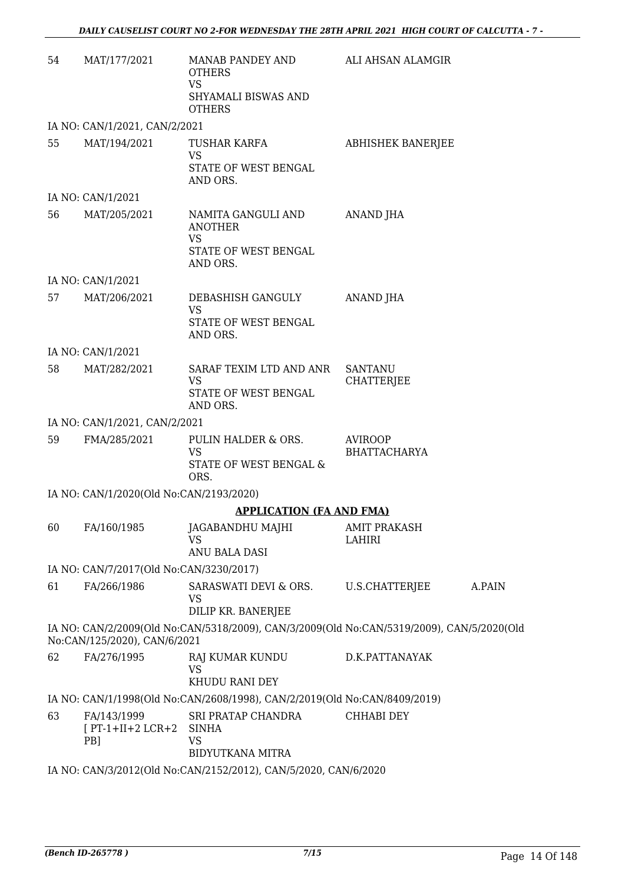| 54 | MAT/177/2021                              | MANAB PANDEY AND<br><b>OTHERS</b><br>VS                                                   | ALI AHSAN ALAMGIR                     |        |
|----|-------------------------------------------|-------------------------------------------------------------------------------------------|---------------------------------------|--------|
|    |                                           | SHYAMALI BISWAS AND<br><b>OTHERS</b>                                                      |                                       |        |
|    | IA NO: CAN/1/2021, CAN/2/2021             |                                                                                           |                                       |        |
| 55 | MAT/194/2021                              | TUSHAR KARFA<br>VS<br>STATE OF WEST BENGAL                                                | <b>ABHISHEK BANERJEE</b>              |        |
|    |                                           | AND ORS.                                                                                  |                                       |        |
|    | IA NO: CAN/1/2021                         |                                                                                           |                                       |        |
| 56 | MAT/205/2021                              | NAMITA GANGULI AND<br><b>ANOTHER</b><br>VS<br>STATE OF WEST BENGAL<br>AND ORS.            | ANAND JHA                             |        |
|    | IA NO: CAN/1/2021                         |                                                                                           |                                       |        |
| 57 | MAT/206/2021                              | DEBASHISH GANGULY<br>VS                                                                   | ANAND JHA                             |        |
|    |                                           | STATE OF WEST BENGAL<br>AND ORS.                                                          |                                       |        |
|    | IA NO: CAN/1/2021                         |                                                                                           |                                       |        |
| 58 | MAT/282/2021                              | SARAF TEXIM LTD AND ANR<br><b>VS</b>                                                      | <b>SANTANU</b><br><b>CHATTERJEE</b>   |        |
|    |                                           | STATE OF WEST BENGAL<br>AND ORS.                                                          |                                       |        |
|    | IA NO: CAN/1/2021, CAN/2/2021             |                                                                                           |                                       |        |
| 59 | FMA/285/2021                              | PULIN HALDER & ORS.<br><b>VS</b><br>STATE OF WEST BENGAL &<br>ORS.                        | <b>AVIROOP</b><br><b>BHATTACHARYA</b> |        |
|    | IA NO: CAN/1/2020(Old No:CAN/2193/2020)   |                                                                                           |                                       |        |
|    |                                           | <b>APPLICATION (FA AND FMA)</b>                                                           |                                       |        |
| 60 | FA/160/1985                               | JAGABANDHU MAJHI<br><b>VS</b><br>ANU BALA DASI                                            | <b>AMIT PRAKASH</b><br>LAHIRI         |        |
|    | IA NO: CAN/7/2017(Old No:CAN/3230/2017)   |                                                                                           |                                       |        |
| 61 | FA/266/1986                               | SARASWATI DEVI & ORS.<br>VS<br>DILIP KR. BANERJEE                                         | U.S.CHATTERJEE                        | A.PAIN |
|    | No:CAN/125/2020), CAN/6/2021              | IA NO: CAN/2/2009(Old No:CAN/5318/2009), CAN/3/2009(Old No:CAN/5319/2009), CAN/5/2020(Old |                                       |        |
| 62 | FA/276/1995                               | RAJ KUMAR KUNDU<br><b>VS</b>                                                              | D.K.PATTANAYAK                        |        |
|    |                                           | KHUDU RANI DEY                                                                            |                                       |        |
|    |                                           | IA NO: CAN/1/1998(Old No:CAN/2608/1998), CAN/2/2019(Old No:CAN/8409/2019)                 |                                       |        |
| 63 | FA/143/1999<br>$[PT-1+II+2 LCR+2]$<br>PB] | SRI PRATAP CHANDRA<br><b>SINHA</b><br><b>VS</b><br><b>BIDYUTKANA MITRA</b>                | CHHABI DEY                            |        |
|    |                                           | IA NO: CAN/3/2012(Old No:CAN/2152/2012), CAN/5/2020, CAN/6/2020                           |                                       |        |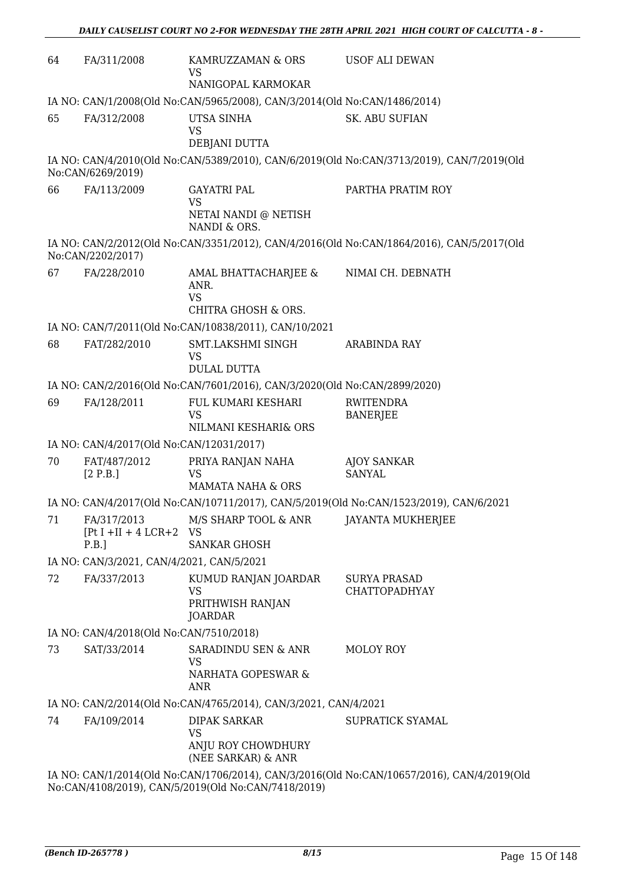| 64 | FA/311/2008                                              | KAMRUZZAMAN & ORS<br>VS<br>NANIGOPAL KARMOKAR                             | <b>USOF ALI DEWAN</b>                                                                      |
|----|----------------------------------------------------------|---------------------------------------------------------------------------|--------------------------------------------------------------------------------------------|
|    |                                                          | IA NO: CAN/1/2008(Old No:CAN/5965/2008), CAN/3/2014(Old No:CAN/1486/2014) |                                                                                            |
| 65 | FA/312/2008                                              | UTSA SINHA                                                                | <b>SK. ABU SUFIAN</b>                                                                      |
|    |                                                          | <b>VS</b><br>DEBJANI DUTTA                                                |                                                                                            |
|    | No:CAN/6269/2019)                                        |                                                                           | IA NO: CAN/4/2010(Old No:CAN/5389/2010), CAN/6/2019(Old No:CAN/3713/2019), CAN/7/2019(Old  |
| 66 | FA/113/2009                                              | <b>GAYATRI PAL</b>                                                        | PARTHA PRATIM ROY                                                                          |
|    |                                                          | <b>VS</b><br>NETAI NANDI @ NETISH<br>NANDI & ORS.                         |                                                                                            |
|    | No:CAN/2202/2017)                                        |                                                                           | IA NO: CAN/2/2012(Old No:CAN/3351/2012), CAN/4/2016(Old No:CAN/1864/2016), CAN/5/2017(Old  |
| 67 | FA/228/2010                                              | AMAL BHATTACHARJEE &<br>ANR.<br><b>VS</b><br>CHITRA GHOSH & ORS.          | NIMAI CH. DEBNATH                                                                          |
|    |                                                          | IA NO: CAN/7/2011(Old No:CAN/10838/2011), CAN/10/2021                     |                                                                                            |
| 68 | FAT/282/2010                                             | SMT.LAKSHMI SINGH<br><b>VS</b><br><b>DULAL DUTTA</b>                      | <b>ARABINDA RAY</b>                                                                        |
|    |                                                          | IA NO: CAN/2/2016(Old No:CAN/7601/2016), CAN/3/2020(Old No:CAN/2899/2020) |                                                                                            |
| 69 | FA/128/2011                                              | FUL KUMARI KESHARI                                                        | <b>RWITENDRA</b>                                                                           |
|    |                                                          | <b>VS</b>                                                                 | <b>BANERJEE</b>                                                                            |
|    |                                                          | NILMANI KESHARI& ORS                                                      |                                                                                            |
| 70 | IA NO: CAN/4/2017(Old No:CAN/12031/2017)<br>FAT/487/2012 | PRIYA RANJAN NAHA                                                         | <b>AJOY SANKAR</b>                                                                         |
|    | [2 P.B.]                                                 | VS<br><b>MAMATA NAHA &amp; ORS</b>                                        | <b>SANYAL</b>                                                                              |
|    |                                                          |                                                                           | IA NO: CAN/4/2017(Old No:CAN/10711/2017), CAN/5/2019(Old No:CAN/1523/2019), CAN/6/2021     |
|    | $[Pt I + II + 4 LCR + 2 VS]$                             | 71 FA/317/2013 M/S SHARP TOOL & ANR JAYANTA MUKHERJEE                     |                                                                                            |
|    | P.B.]                                                    | <b>SANKAR GHOSH</b>                                                       |                                                                                            |
|    | IA NO: CAN/3/2021, CAN/4/2021, CAN/5/2021                |                                                                           |                                                                                            |
| 72 | FA/337/2013                                              | KUMUD RANJAN JOARDAR<br><b>VS</b><br>PRITHWISH RANJAN<br><b>JOARDAR</b>   | <b>SURYA PRASAD</b><br><b>CHATTOPADHYAY</b>                                                |
|    | IA NO: CAN/4/2018(Old No:CAN/7510/2018)                  |                                                                           |                                                                                            |
| 73 | SAT/33/2014                                              | SARADINDU SEN & ANR<br>VS                                                 | <b>MOLOY ROY</b>                                                                           |
|    |                                                          | NARHATA GOPESWAR &<br>ANR                                                 |                                                                                            |
|    |                                                          | IA NO: CAN/2/2014(Old No:CAN/4765/2014), CAN/3/2021, CAN/4/2021           |                                                                                            |
| 74 | FA/109/2014                                              | <b>DIPAK SARKAR</b><br><b>VS</b>                                          | SUPRATICK SYAMAL                                                                           |
|    |                                                          | ANJU ROY CHOWDHURY<br>(NEE SARKAR) & ANR                                  |                                                                                            |
|    |                                                          |                                                                           | IA NO: CAN/1/2014(Old No:CAN/1706/2014), CAN/3/2016(Old No:CAN/10657/2016), CAN/4/2019(Old |

No:CAN/4108/2019), CAN/5/2019(Old No:CAN/7418/2019)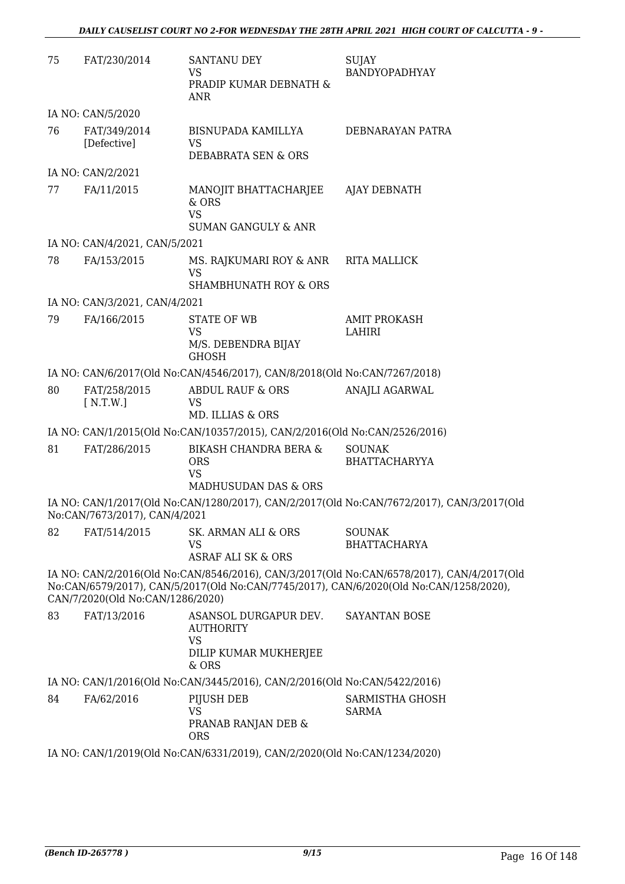| 75 | FAT/230/2014                     | <b>SANTANU DEY</b><br><b>VS</b><br>PRADIP KUMAR DEBNATH &<br>ANR                         | <b>SUJAY</b><br>BANDYOPADHYAY                                                                                                                                                       |
|----|----------------------------------|------------------------------------------------------------------------------------------|-------------------------------------------------------------------------------------------------------------------------------------------------------------------------------------|
|    | IA NO: CAN/5/2020                |                                                                                          |                                                                                                                                                                                     |
| 76 | FAT/349/2014<br>[Defective]      | BISNUPADA KAMILLYA<br><b>VS</b><br>DEBABRATA SEN & ORS                                   | DEBNARAYAN PATRA                                                                                                                                                                    |
|    | IA NO: CAN/2/2021                |                                                                                          |                                                                                                                                                                                     |
| 77 | FA/11/2015                       | MANOJIT BHATTACHARJEE<br>& ORS<br><b>VS</b>                                              | <b>AJAY DEBNATH</b>                                                                                                                                                                 |
|    |                                  | <b>SUMAN GANGULY &amp; ANR</b>                                                           |                                                                                                                                                                                     |
|    | IA NO: CAN/4/2021, CAN/5/2021    |                                                                                          |                                                                                                                                                                                     |
| 78 | FA/153/2015                      | MS. RAJKUMARI ROY & ANR<br><b>VS</b><br><b>SHAMBHUNATH ROY &amp; ORS</b>                 | RITA MALLICK                                                                                                                                                                        |
|    | IA NO: CAN/3/2021, CAN/4/2021    |                                                                                          |                                                                                                                                                                                     |
| 79 | FA/166/2015                      | <b>STATE OF WB</b>                                                                       | <b>AMIT PROKASH</b>                                                                                                                                                                 |
|    |                                  | <b>VS</b><br>M/S. DEBENDRA BIJAY                                                         | LAHIRI                                                                                                                                                                              |
|    |                                  | <b>GHOSH</b>                                                                             |                                                                                                                                                                                     |
|    |                                  | IA NO: CAN/6/2017(Old No:CAN/4546/2017), CAN/8/2018(Old No:CAN/7267/2018)                |                                                                                                                                                                                     |
| 80 | FAT/258/2015<br>[ N.T.W.]        | <b>ABDUL RAUF &amp; ORS</b><br><b>VS</b><br>MD. ILLIAS & ORS                             | ANAJLI AGARWAL                                                                                                                                                                      |
|    |                                  | IA NO: CAN/1/2015(Old No:CAN/10357/2015), CAN/2/2016(Old No:CAN/2526/2016)               |                                                                                                                                                                                     |
| 81 | FAT/286/2015                     | <b>BIKASH CHANDRA BERA &amp;</b><br><b>ORS</b><br><b>VS</b><br>MADHUSUDAN DAS & ORS      | <b>SOUNAK</b><br><b>BHATTACHARYYA</b>                                                                                                                                               |
|    | No:CAN/7673/2017), CAN/4/2021    |                                                                                          | IA NO: CAN/1/2017(Old No:CAN/1280/2017), CAN/2/2017(Old No:CAN/7672/2017), CAN/3/2017(Old                                                                                           |
| 82 | FAT/514/2015                     | SK. ARMAN ALI & ORS<br>VS<br><b>ASRAF ALI SK &amp; ORS</b>                               | <b>SOUNAK</b><br><b>BHATTACHARYA</b>                                                                                                                                                |
|    | CAN/7/2020(Old No:CAN/1286/2020) |                                                                                          | IA NO: CAN/2/2016(Old No:CAN/8546/2016), CAN/3/2017(Old No:CAN/6578/2017), CAN/4/2017(Old<br>No:CAN/6579/2017), CAN/5/2017(Old No:CAN/7745/2017), CAN/6/2020(Old No:CAN/1258/2020), |
| 83 | FAT/13/2016                      | ASANSOL DURGAPUR DEV.<br><b>AUTHORITY</b><br><b>VS</b><br>DILIP KUMAR MUKHERJEE<br>& ORS | <b>SAYANTAN BOSE</b>                                                                                                                                                                |
|    |                                  | IA NO: CAN/1/2016(Old No:CAN/3445/2016), CAN/2/2016(Old No:CAN/5422/2016)                |                                                                                                                                                                                     |
| 84 | FA/62/2016                       | PIJUSH DEB<br>VS<br>PRANAB RANJAN DEB &<br><b>ORS</b>                                    | SARMISTHA GHOSH<br>SARMA                                                                                                                                                            |
|    |                                  | IA NO: CAN/1/2019(Old No:CAN/6331/2019), CAN/2/2020(Old No:CAN/1234/2020)                |                                                                                                                                                                                     |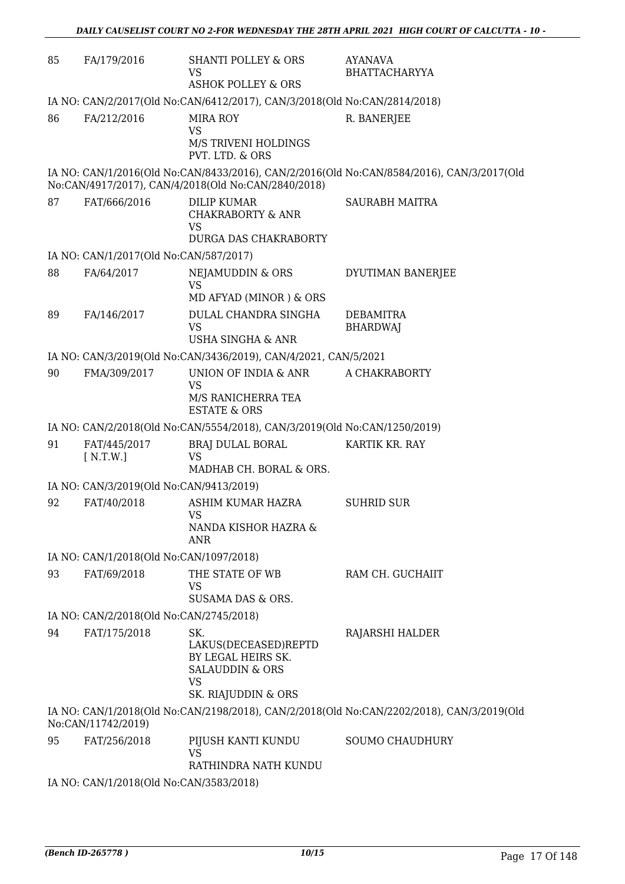| 85 | FA/179/2016                             | <b>SHANTI POLLEY &amp; ORS</b><br>VS<br><b>ASHOK POLLEY &amp; ORS</b>                        | AYANAVA<br><b>BHATTACHARYYA</b>                                                           |
|----|-----------------------------------------|----------------------------------------------------------------------------------------------|-------------------------------------------------------------------------------------------|
|    |                                         | IA NO: CAN/2/2017(Old No:CAN/6412/2017), CAN/3/2018(Old No:CAN/2814/2018)                    |                                                                                           |
| 86 | FA/212/2016                             | <b>MIRA ROY</b><br><b>VS</b><br><b>M/S TRIVENI HOLDINGS</b><br>PVT. LTD. & ORS               | R. BANERJEE                                                                               |
|    |                                         | No:CAN/4917/2017), CAN/4/2018(Old No:CAN/2840/2018)                                          | IA NO: CAN/1/2016(Old No:CAN/8433/2016), CAN/2/2016(Old No:CAN/8584/2016), CAN/3/2017(Old |
| 87 | FAT/666/2016                            | <b>DILIP KUMAR</b><br><b>CHAKRABORTY &amp; ANR</b><br>VS<br>DURGA DAS CHAKRABORTY            | SAURABH MAITRA                                                                            |
|    | IA NO: CAN/1/2017(Old No:CAN/587/2017)  |                                                                                              |                                                                                           |
| 88 | FA/64/2017                              | <b>NEJAMUDDIN &amp; ORS</b><br><b>VS</b>                                                     | DYUTIMAN BANERJEE                                                                         |
|    |                                         | MD AFYAD (MINOR) & ORS                                                                       |                                                                                           |
| 89 | FA/146/2017                             | DULAL CHANDRA SINGHA<br><b>VS</b>                                                            | <b>DEBAMITRA</b><br><b>BHARDWAJ</b>                                                       |
|    |                                         | USHA SINGHA & ANR                                                                            |                                                                                           |
|    |                                         | IA NO: CAN/3/2019(Old No:CAN/3436/2019), CAN/4/2021, CAN/5/2021                              |                                                                                           |
| 90 | FMA/309/2017                            | UNION OF INDIA & ANR<br><b>VS</b>                                                            | A CHAKRABORTY                                                                             |
|    |                                         | M/S RANICHERRA TEA<br><b>ESTATE &amp; ORS</b>                                                |                                                                                           |
|    |                                         | IA NO: CAN/2/2018(Old No:CAN/5554/2018), CAN/3/2019(Old No:CAN/1250/2019)                    |                                                                                           |
| 91 | FAT/445/2017<br>[ N.T.W.]               | <b>BRAJ DULAL BORAL</b><br><b>VS</b><br>MADHAB CH. BORAL & ORS.                              | KARTIK KR. RAY                                                                            |
|    | IA NO: CAN/3/2019(Old No:CAN/9413/2019) |                                                                                              |                                                                                           |
| 92 | FAT/40/2018                             | ASHIM KUMAR HAZRA                                                                            | <b>SUHRID SUR</b>                                                                         |
|    |                                         | <b>VS</b><br>NANDA KISHOR HAZRA &<br>ANR                                                     |                                                                                           |
|    | IA NO: CAN/1/2018(Old No:CAN/1097/2018) |                                                                                              |                                                                                           |
| 93 | FAT/69/2018                             | THE STATE OF WB<br>VS                                                                        | RAM CH. GUCHAIIT                                                                          |
|    |                                         | SUSAMA DAS & ORS.                                                                            |                                                                                           |
|    | IA NO: CAN/2/2018(Old No:CAN/2745/2018) |                                                                                              |                                                                                           |
| 94 | FAT/175/2018                            | SK.<br>LAKUS(DECEASED)REPTD<br>BY LEGAL HEIRS SK.<br><b>SALAUDDIN &amp; ORS</b><br><b>VS</b> | RAJARSHI HALDER                                                                           |
|    |                                         | SK. RIAJUDDIN & ORS                                                                          |                                                                                           |
|    | No:CAN/11742/2019)                      |                                                                                              | IA NO: CAN/1/2018(Old No:CAN/2198/2018), CAN/2/2018(Old No:CAN/2202/2018), CAN/3/2019(Old |
| 95 | FAT/256/2018                            | PIJUSH KANTI KUNDU<br><b>VS</b><br>RATHINDRA NATH KUNDU                                      | <b>SOUMO CHAUDHURY</b>                                                                    |
|    | IA NO: CAN/1/2018(Old No:CAN/3583/2018) |                                                                                              |                                                                                           |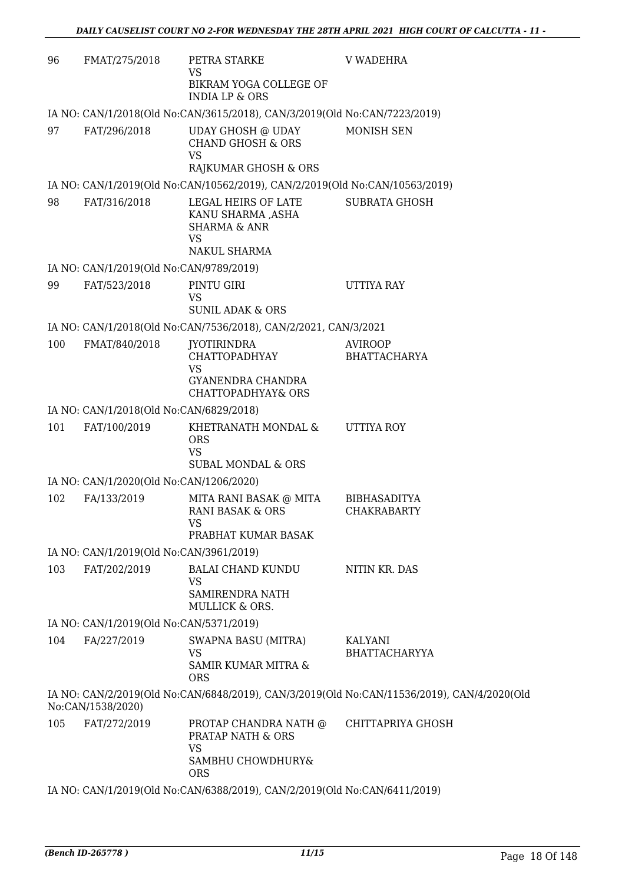| 96  | FMAT/275/2018                           | PETRA STARKE<br>VS<br>BIKRAM YOGA COLLEGE OF                                                           | <b>V WADEHRA</b>                                                                           |
|-----|-----------------------------------------|--------------------------------------------------------------------------------------------------------|--------------------------------------------------------------------------------------------|
|     |                                         | <b>INDIA LP &amp; ORS</b><br>IA NO: CAN/1/2018(Old No:CAN/3615/2018), CAN/3/2019(Old No:CAN/7223/2019) |                                                                                            |
| 97  | FAT/296/2018                            | <b>UDAY GHOSH @ UDAY</b><br><b>CHAND GHOSH &amp; ORS</b><br>VS<br>RAJKUMAR GHOSH & ORS                 | <b>MONISH SEN</b>                                                                          |
|     |                                         | IA NO: CAN/1/2019(Old No:CAN/10562/2019), CAN/2/2019(Old No:CAN/10563/2019)                            |                                                                                            |
| 98  | FAT/316/2018                            | LEGAL HEIRS OF LATE<br>KANU SHARMA ,ASHA<br><b>SHARMA &amp; ANR</b><br><b>VS</b>                       | <b>SUBRATA GHOSH</b>                                                                       |
|     |                                         | NAKUL SHARMA                                                                                           |                                                                                            |
|     | IA NO: CAN/1/2019(Old No:CAN/9789/2019) |                                                                                                        |                                                                                            |
| 99  | FAT/523/2018                            | PINTU GIRI<br><b>VS</b>                                                                                | UTTIYA RAY                                                                                 |
|     |                                         | <b>SUNIL ADAK &amp; ORS</b>                                                                            |                                                                                            |
|     |                                         | IA NO: CAN/1/2018(Old No:CAN/7536/2018), CAN/2/2021, CAN/3/2021                                        |                                                                                            |
| 100 | FMAT/840/2018                           | <b>JYOTIRINDRA</b><br>CHATTOPADHYAY<br><b>VS</b><br>GYANENDRA CHANDRA<br><b>CHATTOPADHYAY&amp; ORS</b> | <b>AVIROOP</b><br><b>BHATTACHARYA</b>                                                      |
|     | IA NO: CAN/1/2018(Old No:CAN/6829/2018) |                                                                                                        |                                                                                            |
| 101 | FAT/100/2019                            | KHETRANATH MONDAL &<br><b>ORS</b><br><b>VS</b>                                                         | UTTIYA ROY                                                                                 |
|     |                                         | <b>SUBAL MONDAL &amp; ORS</b>                                                                          |                                                                                            |
|     | IA NO: CAN/1/2020(Old No:CAN/1206/2020) |                                                                                                        |                                                                                            |
| 102 | FA/133/2019                             | MITA RANI BASAK @ MITA<br><b>RANI BASAK &amp; ORS</b><br>VS.<br>PRABHAT KUMAR BASAK                    | <b>BIBHASADITYA</b><br><b>CHAKRABARTY</b>                                                  |
|     | IA NO: CAN/1/2019(Old No:CAN/3961/2019) |                                                                                                        |                                                                                            |
| 103 | FAT/202/2019                            | <b>BALAI CHAND KUNDU</b><br><b>VS</b><br>SAMIRENDRA NATH<br><b>MULLICK &amp; ORS.</b>                  | NITIN KR. DAS                                                                              |
|     | IA NO: CAN/1/2019(Old No:CAN/5371/2019) |                                                                                                        |                                                                                            |
| 104 | FA/227/2019                             | <b>SWAPNA BASU (MITRA)</b><br>VS<br><b>SAMIR KUMAR MITRA &amp;</b><br><b>ORS</b>                       | <b>KALYANI</b><br><b>BHATTACHARYYA</b>                                                     |
|     | No:CAN/1538/2020)                       |                                                                                                        | IA NO: CAN/2/2019(Old No:CAN/6848/2019), CAN/3/2019(Old No:CAN/11536/2019), CAN/4/2020(Old |
| 105 | FAT/272/2019                            | PROTAP CHANDRA NATH @<br>PRATAP NATH & ORS<br><b>VS</b>                                                | CHITTAPRIYA GHOSH                                                                          |
|     |                                         | SAMBHU CHOWDHURY&<br><b>ORS</b>                                                                        |                                                                                            |
|     |                                         | IA NO: CAN/1/2019(Old No:CAN/6388/2019), CAN/2/2019(Old No:CAN/6411/2019)                              |                                                                                            |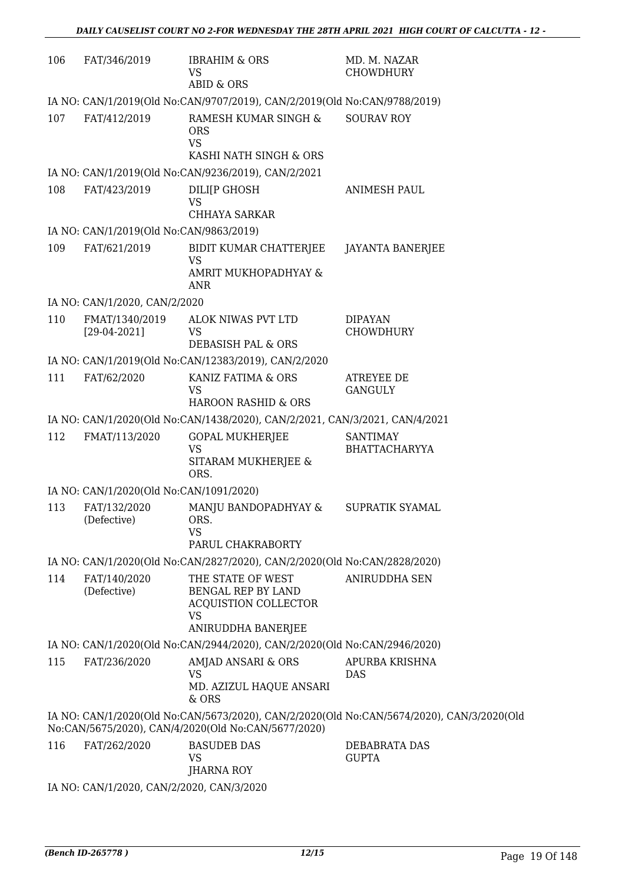| 106 | FAT/346/2019                            | <b>IBRAHIM &amp; ORS</b><br>VS<br><b>ABID &amp; ORS</b>                                    | MD. M. NAZAR<br><b>CHOWDHURY</b>                                                          |
|-----|-----------------------------------------|--------------------------------------------------------------------------------------------|-------------------------------------------------------------------------------------------|
|     |                                         | IA NO: CAN/1/2019(Old No:CAN/9707/2019), CAN/2/2019(Old No:CAN/9788/2019)                  |                                                                                           |
| 107 | FAT/412/2019                            | RAMESH KUMAR SINGH &<br><b>ORS</b><br><b>VS</b>                                            | <b>SOURAV ROY</b>                                                                         |
|     |                                         | KASHI NATH SINGH & ORS<br>IA NO: CAN/1/2019(Old No:CAN/9236/2019), CAN/2/2021              |                                                                                           |
| 108 | FAT/423/2019                            | <b>DILI[P GHOSH</b>                                                                        | <b>ANIMESH PAUL</b>                                                                       |
|     |                                         | <b>VS</b>                                                                                  |                                                                                           |
|     |                                         | CHHAYA SARKAR                                                                              |                                                                                           |
|     | IA NO: CAN/1/2019(Old No:CAN/9863/2019) |                                                                                            |                                                                                           |
| 109 | FAT/621/2019                            | BIDIT KUMAR CHATTERJEE<br>VS<br>AMRIT MUKHOPADHYAY &<br><b>ANR</b>                         | JAYANTA BANERJEE                                                                          |
|     | IA NO: CAN/1/2020, CAN/2/2020           |                                                                                            |                                                                                           |
| 110 | FMAT/1340/2019<br>$[29-04-2021]$        | ALOK NIWAS PVT LTD<br><b>VS</b>                                                            | <b>DIPAYAN</b><br><b>CHOWDHURY</b>                                                        |
|     |                                         | DEBASISH PAL & ORS                                                                         |                                                                                           |
|     |                                         | IA NO: CAN/1/2019(Old No:CAN/12383/2019), CAN/2/2020                                       |                                                                                           |
| 111 | FAT/62/2020                             | KANIZ FATIMA & ORS<br><b>VS</b><br><b>HAROON RASHID &amp; ORS</b>                          | ATREYEE DE<br><b>GANGULY</b>                                                              |
|     |                                         | IA NO: CAN/1/2020(Old No:CAN/1438/2020), CAN/2/2021, CAN/3/2021, CAN/4/2021                |                                                                                           |
| 112 | FMAT/113/2020                           | <b>GOPAL MUKHERJEE</b><br>VS                                                               | <b>SANTIMAY</b><br><b>BHATTACHARYYA</b>                                                   |
|     |                                         | SITARAM MUKHERJEE &<br>ORS.                                                                |                                                                                           |
|     | IA NO: CAN/1/2020(Old No:CAN/1091/2020) |                                                                                            |                                                                                           |
| 113 | FAT/132/2020<br>(Defective)             | MANJU BANDOPADHYAY &<br>ORS.<br>VS<br>PARUL CHAKRABORTY                                    | SUPRATIK SYAMAL                                                                           |
|     |                                         | IA NO: CAN/1/2020(Old No:CAN/2827/2020), CAN/2/2020(Old No:CAN/2828/2020)                  |                                                                                           |
| 114 | FAT/140/2020<br>(Defective)             | THE STATE OF WEST<br><b>BENGAL REP BY LAND</b><br><b>ACQUISTION COLLECTOR</b><br><b>VS</b> | ANIRUDDHA SEN                                                                             |
|     |                                         | ANIRUDDHA BANERJEE                                                                         |                                                                                           |
|     |                                         | IA NO: CAN/1/2020(Old No:CAN/2944/2020), CAN/2/2020(Old No:CAN/2946/2020)                  |                                                                                           |
| 115 | FAT/236/2020                            | AMJAD ANSARI & ORS<br>VS<br>MD. AZIZUL HAQUE ANSARI<br>& ORS                               | APURBA KRISHNA<br><b>DAS</b>                                                              |
|     |                                         | No:CAN/5675/2020), CAN/4/2020(Old No:CAN/5677/2020)                                        | IA NO: CAN/1/2020(Old No:CAN/5673/2020), CAN/2/2020(Old No:CAN/5674/2020), CAN/3/2020(Old |
| 116 | FAT/262/2020                            | <b>BASUDEB DAS</b><br>VS                                                                   | DEBABRATA DAS<br><b>GUPTA</b>                                                             |
|     | IA NO CANTA 2000 CANTO 2000 CANTO 2000  | JHARNA ROY                                                                                 |                                                                                           |

IA NO: CAN/1/2020, CAN/2/2020, CAN/3/2020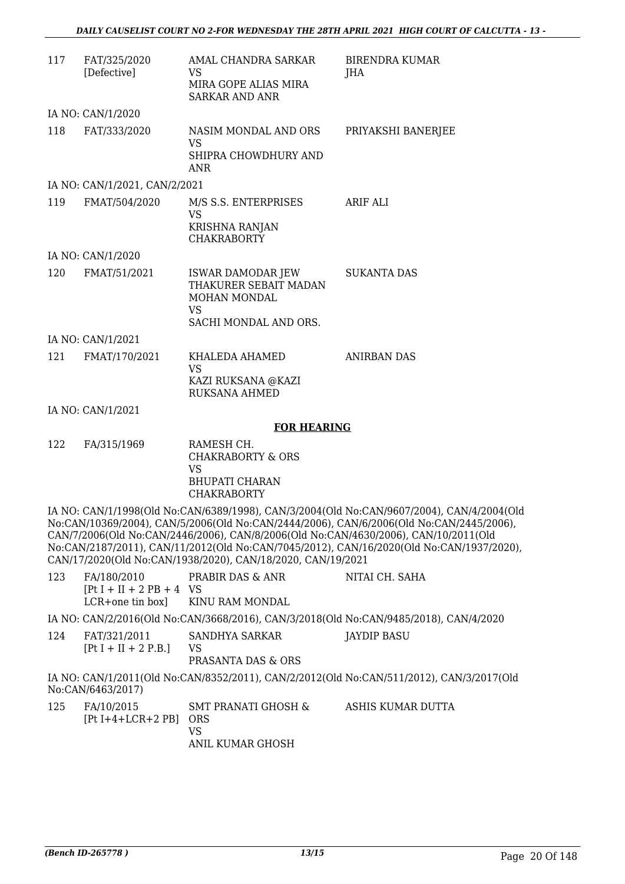| 117 | FAT/325/2020<br>[Defective]                                      | AMAL CHANDRA SARKAR<br>VS<br>MIRA GOPE ALIAS MIRA<br><b>SARKAR AND ANR</b>                                                                         | <b>BIRENDRA KUMAR</b><br>JHA                                                                                                                                                                                                                                                     |
|-----|------------------------------------------------------------------|----------------------------------------------------------------------------------------------------------------------------------------------------|----------------------------------------------------------------------------------------------------------------------------------------------------------------------------------------------------------------------------------------------------------------------------------|
|     | IA NO: CAN/1/2020                                                |                                                                                                                                                    |                                                                                                                                                                                                                                                                                  |
| 118 | FAT/333/2020                                                     | NASIM MONDAL AND ORS<br>VS<br>SHIPRA CHOWDHURY AND<br><b>ANR</b>                                                                                   | PRIYAKSHI BANERJEE                                                                                                                                                                                                                                                               |
|     | IA NO: CAN/1/2021, CAN/2/2021                                    |                                                                                                                                                    |                                                                                                                                                                                                                                                                                  |
| 119 | FMAT/504/2020                                                    | M/S S.S. ENTERPRISES<br>VS<br>KRISHNA RANJAN<br><b>CHAKRABORTY</b>                                                                                 | <b>ARIF ALI</b>                                                                                                                                                                                                                                                                  |
|     | IA NO: CAN/1/2020                                                |                                                                                                                                                    |                                                                                                                                                                                                                                                                                  |
| 120 | FMAT/51/2021                                                     | ISWAR DAMODAR JEW<br>THAKURER SEBAIT MADAN<br>MOHAN MONDAL<br><b>VS</b>                                                                            | <b>SUKANTA DAS</b>                                                                                                                                                                                                                                                               |
|     | IA NO: CAN/1/2021                                                | SACHI MONDAL AND ORS.                                                                                                                              |                                                                                                                                                                                                                                                                                  |
| 121 | FMAT/170/2021                                                    | KHALEDA AHAMED<br><b>VS</b>                                                                                                                        | <b>ANIRBAN DAS</b>                                                                                                                                                                                                                                                               |
|     |                                                                  | KAZI RUKSANA @KAZI<br><b>RUKSANA AHMED</b>                                                                                                         |                                                                                                                                                                                                                                                                                  |
|     | IA NO: CAN/1/2021                                                |                                                                                                                                                    |                                                                                                                                                                                                                                                                                  |
|     |                                                                  | <b>FOR HEARING</b>                                                                                                                                 |                                                                                                                                                                                                                                                                                  |
| 122 | FA/315/1969                                                      | RAMESH CH.<br><b>CHAKRABORTY &amp; ORS</b><br><b>VS</b><br><b>BHUPATI CHARAN</b><br><b>CHAKRABORTY</b>                                             |                                                                                                                                                                                                                                                                                  |
|     |                                                                  | CAN/7/2006(Old No:CAN/2446/2006), CAN/8/2006(Old No:CAN/4630/2006), CAN/10/2011(Old<br>CAN/17/2020(Old No:CAN/1938/2020), CAN/18/2020, CAN/19/2021 | IA NO: CAN/1/1998(Old No:CAN/6389/1998), CAN/3/2004(Old No:CAN/9607/2004), CAN/4/2004(Old<br>No:CAN/10369/2004), CAN/5/2006(Old No:CAN/2444/2006), CAN/6/2006(Old No:CAN/2445/2006),<br>No:CAN/2187/2011), CAN/11/2012(Old No:CAN/7045/2012), CAN/16/2020(Old No:CAN/1937/2020), |
| 123 | FA/180/2010<br>$[Pt I + II + 2 PB + 4 VS]$<br>$LCR+one$ tin box] | PRABIR DAS & ANR<br>KINU RAM MONDAL                                                                                                                | NITAI CH. SAHA                                                                                                                                                                                                                                                                   |
|     |                                                                  |                                                                                                                                                    | IA NO: CAN/2/2016(Old No:CAN/3668/2016), CAN/3/2018(Old No:CAN/9485/2018), CAN/4/2020                                                                                                                                                                                            |
| 124 | FAT/321/2011<br>$[Pt I + II + 2 P.B.]$                           | SANDHYA SARKAR<br>VS<br>PRASANTA DAS & ORS                                                                                                         | <b>JAYDIP BASU</b>                                                                                                                                                                                                                                                               |
|     | No:CAN/6463/2017)                                                |                                                                                                                                                    | IA NO: CAN/1/2011(Old No:CAN/8352/2011), CAN/2/2012(Old No:CAN/511/2012), CAN/3/2017(Old                                                                                                                                                                                         |
| 125 | FA/10/2015<br>$[Pt I+4+LCR+2 PB]$                                | <b>SMT PRANATI GHOSH &amp;</b><br><b>ORS</b><br><b>VS</b><br>ANIL KUMAR GHOSH                                                                      | ASHIS KUMAR DUTTA                                                                                                                                                                                                                                                                |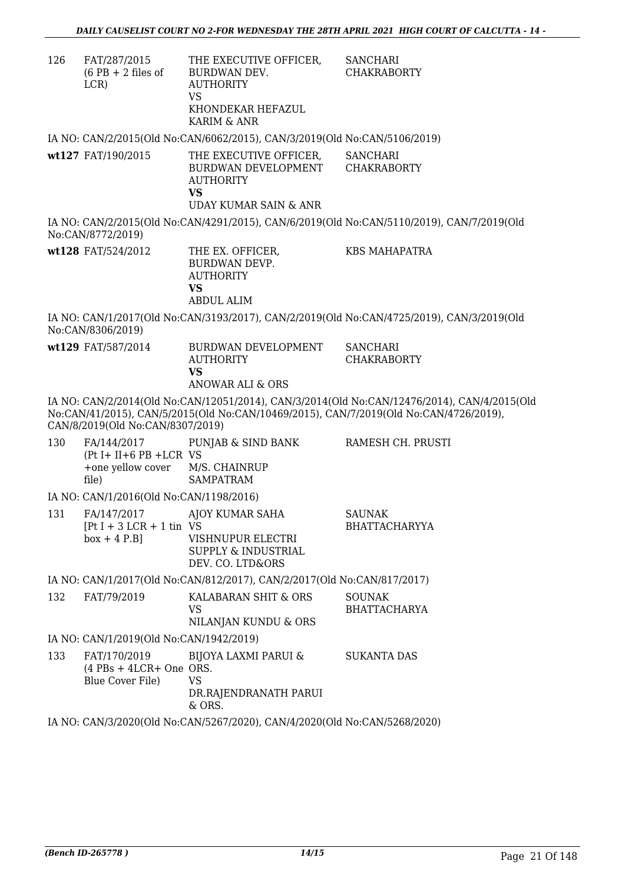| 126 | FAT/287/2015<br>$(6$ PB + 2 files of<br>LCR)                              | THE EXECUTIVE OFFICER,<br>BURDWAN DEV.<br><b>AUTHORITY</b><br><b>VS</b><br>KHONDEKAR HEFAZUL<br>KARIM & ANR | <b>SANCHARI</b><br><b>CHAKRABORTY</b>                                                                                                                                                |
|-----|---------------------------------------------------------------------------|-------------------------------------------------------------------------------------------------------------|--------------------------------------------------------------------------------------------------------------------------------------------------------------------------------------|
|     |                                                                           | IA NO: CAN/2/2015(Old No:CAN/6062/2015), CAN/3/2019(Old No:CAN/5106/2019)                                   |                                                                                                                                                                                      |
|     | wt127 FAT/190/2015                                                        | THE EXECUTIVE OFFICER,<br>BURDWAN DEVELOPMENT<br><b>AUTHORITY</b><br><b>VS</b><br>UDAY KUMAR SAIN & ANR     | <b>SANCHARI</b><br><b>CHAKRABORTY</b>                                                                                                                                                |
|     | No:CAN/8772/2019)                                                         |                                                                                                             | IA NO: CAN/2/2015(Old No:CAN/4291/2015), CAN/6/2019(Old No:CAN/5110/2019), CAN/7/2019(Old                                                                                            |
|     | wt128 FAT/524/2012                                                        | THE EX. OFFICER,<br><b>BURDWAN DEVP.</b><br><b>AUTHORITY</b><br><b>VS</b><br><b>ABDUL ALIM</b>              | <b>KBS MAHAPATRA</b>                                                                                                                                                                 |
|     | No:CAN/8306/2019)                                                         |                                                                                                             | IA NO: CAN/1/2017(Old No:CAN/3193/2017), CAN/2/2019(Old No:CAN/4725/2019), CAN/3/2019(Old                                                                                            |
|     | wt129 FAT/587/2014                                                        | BURDWAN DEVELOPMENT<br><b>AUTHORITY</b><br><b>VS</b><br>ANOWAR ALI & ORS                                    | <b>SANCHARI</b><br><b>CHAKRABORTY</b>                                                                                                                                                |
|     | CAN/8/2019(Old No:CAN/8307/2019)                                          |                                                                                                             | IA NO: CAN/2/2014(Old No:CAN/12051/2014), CAN/3/2014(Old No:CAN/12476/2014), CAN/4/2015(Old<br>No:CAN/41/2015), CAN/5/2015(Old No:CAN/10469/2015), CAN/7/2019(Old No:CAN/4726/2019), |
| 130 | $(Pt I + II + 6 PB + LCR VS)$<br>+one yellow cover M/S. CHAINRUP<br>file) | FA/144/2017 PUNJAB & SIND BANK<br><b>SAMPATRAM</b>                                                          | RAMESH CH. PRUSTI                                                                                                                                                                    |
|     | IA NO: CAN/1/2016(Old No:CAN/1198/2016)                                   |                                                                                                             |                                                                                                                                                                                      |
| 131 | FA/147/2017<br>$[Pt I + 3 LCR + 1 tin VS$<br>$box + 4 P.B]$               | AJOY KUMAR SAHA<br>VISHNUPUR ELECTRI<br><b>SUPPLY &amp; INDUSTRIAL</b><br>DEV. CO. LTD&ORS                  | <b>SAUNAK</b><br><b>BHATTACHARYYA</b>                                                                                                                                                |
|     |                                                                           | IA NO: CAN/1/2017(Old No:CAN/812/2017), CAN/2/2017(Old No:CAN/817/2017)                                     |                                                                                                                                                                                      |
| 132 | FAT/79/2019                                                               | KALABARAN SHIT & ORS<br>VS.<br>NILANJAN KUNDU & ORS                                                         | <b>SOUNAK</b><br><b>BHATTACHARYA</b>                                                                                                                                                 |
|     | IA NO: CAN/1/2019(Old No:CAN/1942/2019)                                   |                                                                                                             |                                                                                                                                                                                      |
| 133 | FAT/170/2019<br>$(4$ PBs + 4LCR+ One ORS.<br>Blue Cover File)             | <b>BIJOYA LAXMI PARUI &amp;</b><br><b>VS</b><br>DR.RAJENDRANATH PARUI<br>& ORS.                             | SUKANTA DAS                                                                                                                                                                          |
|     |                                                                           | IA NO: CAN/3/2020(Old No:CAN/5267/2020), CAN/4/2020(Old No:CAN/5268/2020)                                   |                                                                                                                                                                                      |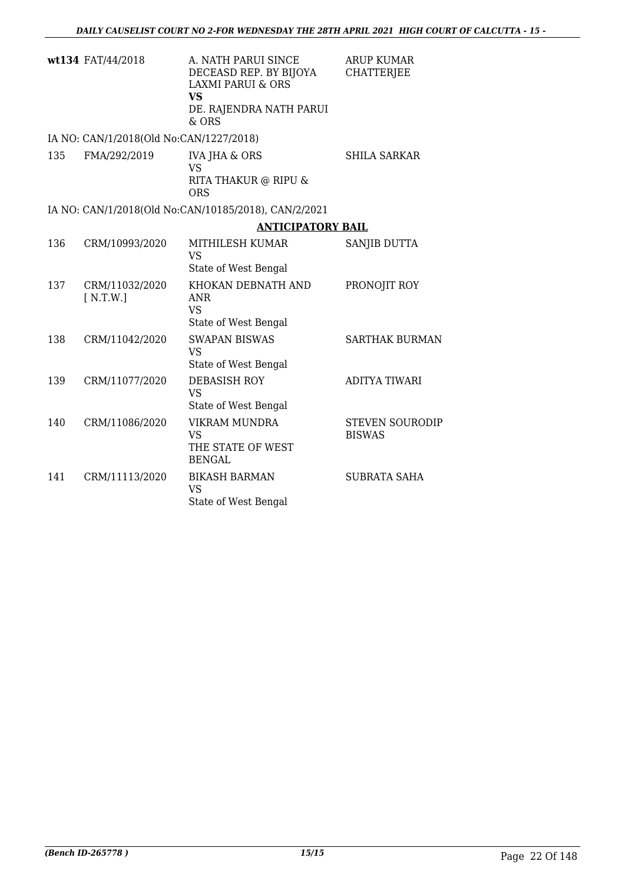|     | wt134 FAT/44/2018                       | A. NATH PARUI SINCE<br>DECEASD REP. BY BIJOYA<br><b>LAXMI PARUI &amp; ORS</b><br><b>VS</b><br>DE. RAJENDRA NATH PARUI<br>$&$ ORS | <b>ARUP KUMAR</b><br><b>CHATTERJEE</b>  |
|-----|-----------------------------------------|----------------------------------------------------------------------------------------------------------------------------------|-----------------------------------------|
|     | IA NO: CAN/1/2018(Old No:CAN/1227/2018) |                                                                                                                                  |                                         |
| 135 | FMA/292/2019                            | <b>IVA JHA &amp; ORS</b><br><b>VS</b><br>RITA THAKUR @ RIPU &<br><b>ORS</b>                                                      | <b>SHILA SARKAR</b>                     |
|     |                                         | IA NO: CAN/1/2018(Old No:CAN/10185/2018), CAN/2/2021                                                                             |                                         |
|     |                                         | <b>ANTICIPATORY BAIL</b>                                                                                                         |                                         |
| 136 | CRM/10993/2020                          | MITHILESH KUMAR<br><b>VS</b><br>State of West Bengal                                                                             | SANJIB DUTTA                            |
| 137 | CRM/11032/2020<br>[ N.T.W.]             | KHOKAN DEBNATH AND<br><b>ANR</b><br><b>VS</b><br>State of West Bengal                                                            | PRONOJIT ROY                            |
| 138 | CRM/11042/2020                          | <b>SWAPAN BISWAS</b><br><b>VS</b><br>State of West Bengal                                                                        | <b>SARTHAK BURMAN</b>                   |
| 139 | CRM/11077/2020                          | <b>DEBASISH ROY</b><br><b>VS</b><br>State of West Bengal                                                                         | <b>ADITYA TIWARI</b>                    |
| 140 | CRM/11086/2020                          | VIKRAM MUNDRA<br>VS<br>THE STATE OF WEST<br><b>BENGAL</b>                                                                        | <b>STEVEN SOURODIP</b><br><b>BISWAS</b> |
| 141 | CRM/11113/2020                          | <b>BIKASH BARMAN</b><br><b>VS</b><br>State of West Bengal                                                                        | <b>SUBRATA SAHA</b>                     |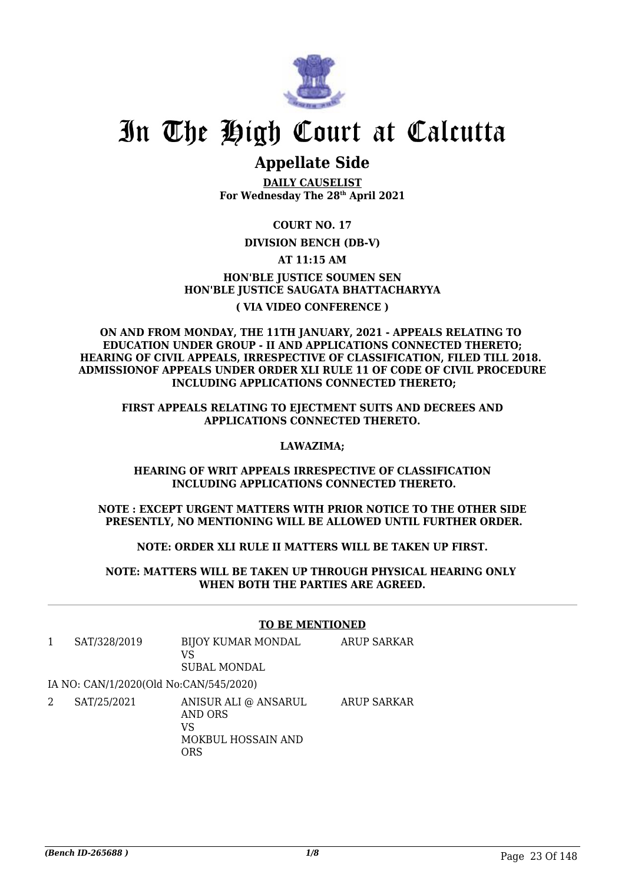

### **Appellate Side**

**DAILY CAUSELIST For Wednesday The 28th April 2021**

**COURT NO. 17**

#### **DIVISION BENCH (DB-V)**

**AT 11:15 AM**

**HON'BLE JUSTICE SOUMEN SEN HON'BLE JUSTICE SAUGATA BHATTACHARYYA ( VIA VIDEO CONFERENCE )**

#### **ON AND FROM MONDAY, THE 11TH JANUARY, 2021 - APPEALS RELATING TO EDUCATION UNDER GROUP - II AND APPLICATIONS CONNECTED THERETO; HEARING OF CIVIL APPEALS, IRRESPECTIVE OF CLASSIFICATION, FILED TILL 2018. ADMISSIONOF APPEALS UNDER ORDER XLI RULE 11 OF CODE OF CIVIL PROCEDURE INCLUDING APPLICATIONS CONNECTED THERETO;**

**FIRST APPEALS RELATING TO EJECTMENT SUITS AND DECREES AND APPLICATIONS CONNECTED THERETO.**

#### **LAWAZIMA;**

#### **HEARING OF WRIT APPEALS IRRESPECTIVE OF CLASSIFICATION INCLUDING APPLICATIONS CONNECTED THERETO.**

#### **NOTE : EXCEPT URGENT MATTERS WITH PRIOR NOTICE TO THE OTHER SIDE PRESENTLY, NO MENTIONING WILL BE ALLOWED UNTIL FURTHER ORDER.**

#### **NOTE: ORDER XLI RULE II MATTERS WILL BE TAKEN UP FIRST.**

#### **NOTE: MATTERS WILL BE TAKEN UP THROUGH PHYSICAL HEARING ONLY WHEN BOTH THE PARTIES ARE AGREED.**

#### **TO BE MENTIONED**

|   | SAT/328/2019                           | <b>BIJOY KUMAR MONDAL</b><br>VS<br>SUBAL MONDAL             | ARUP SARKAR        |
|---|----------------------------------------|-------------------------------------------------------------|--------------------|
|   | IA NO: CAN/1/2020(Old No:CAN/545/2020) |                                                             |                    |
| 2 | SAT/25/2021                            | ANISUR ALI @ ANSARUL<br>AND ORS<br>VS<br>MOKBUL HOSSAIN AND | <b>ARUP SARKAR</b> |

ORS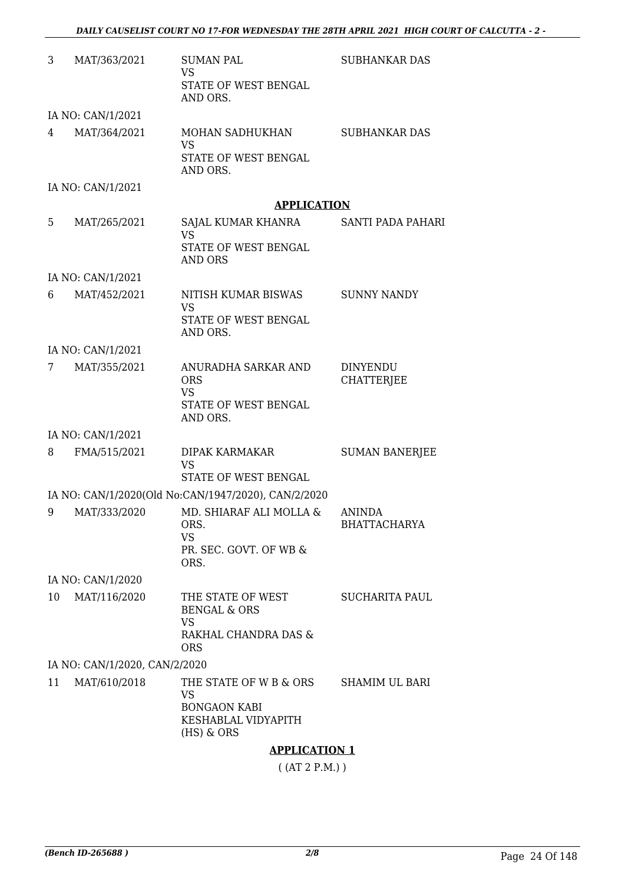| 3  | MAT/363/2021                      | <b>SUMAN PAL</b><br><b>VS</b><br>STATE OF WEST BENGAL<br>AND ORS.                                 | <b>SUBHANKAR DAS</b>                 |
|----|-----------------------------------|---------------------------------------------------------------------------------------------------|--------------------------------------|
|    | IA NO: CAN/1/2021                 |                                                                                                   |                                      |
| 4  | MAT/364/2021                      | MOHAN SADHUKHAN<br><b>VS</b><br>STATE OF WEST BENGAL<br>AND ORS.                                  | <b>SUBHANKAR DAS</b>                 |
|    | IA NO: CAN/1/2021                 |                                                                                                   |                                      |
|    |                                   | <b>APPLICATION</b>                                                                                |                                      |
| 5  | MAT/265/2021                      | SAJAL KUMAR KHANRA<br><b>VS</b><br>STATE OF WEST BENGAL                                           | SANTI PADA PAHARI                    |
|    |                                   | <b>AND ORS</b>                                                                                    |                                      |
| 6  | IA NO: CAN/1/2021<br>MAT/452/2021 | NITISH KUMAR BISWAS                                                                               | SUNNY NANDY                          |
|    |                                   | <b>VS</b><br><b>STATE OF WEST BENGAL</b><br>AND ORS.                                              |                                      |
|    | IA NO: CAN/1/2021                 |                                                                                                   |                                      |
| 7  | MAT/355/2021                      | ANURADHA SARKAR AND<br><b>ORS</b><br><b>VS</b><br>STATE OF WEST BENGAL<br>AND ORS.                | <b>DINYENDU</b><br><b>CHATTERJEE</b> |
|    | IA NO: CAN/1/2021                 |                                                                                                   |                                      |
| 8  | FMA/515/2021                      | DIPAK KARMAKAR<br><b>VS</b><br>STATE OF WEST BENGAL                                               | <b>SUMAN BANERJEE</b>                |
|    |                                   | IA NO: CAN/1/2020(Old No:CAN/1947/2020), CAN/2/2020                                               |                                      |
| 9  | MAT/333/2020                      | MD. SHIARAF ALI MOLLA &<br>ORS.<br><b>VS</b><br>PR. SEC. GOVT. OF WB &<br>ORS.                    | <b>ANINDA</b><br><b>BHATTACHARYA</b> |
|    | IA NO: CAN/1/2020                 |                                                                                                   |                                      |
| 10 | MAT/116/2020                      | THE STATE OF WEST<br><b>BENGAL &amp; ORS</b><br><b>VS</b><br>RAKHAL CHANDRA DAS &<br><b>ORS</b>   | <b>SUCHARITA PAUL</b>                |
|    | IA NO: CAN/1/2020, CAN/2/2020     |                                                                                                   |                                      |
| 11 | MAT/610/2018                      | THE STATE OF W B & ORS<br><b>VS</b><br><b>BONGAON KABI</b><br>KESHABLAL VIDYAPITH<br>$(HS)$ & ORS | <b>SHAMIM UL BARI</b>                |
|    |                                   | <b>APPLICATION 1</b>                                                                              |                                      |

( (AT 2 P.M.) )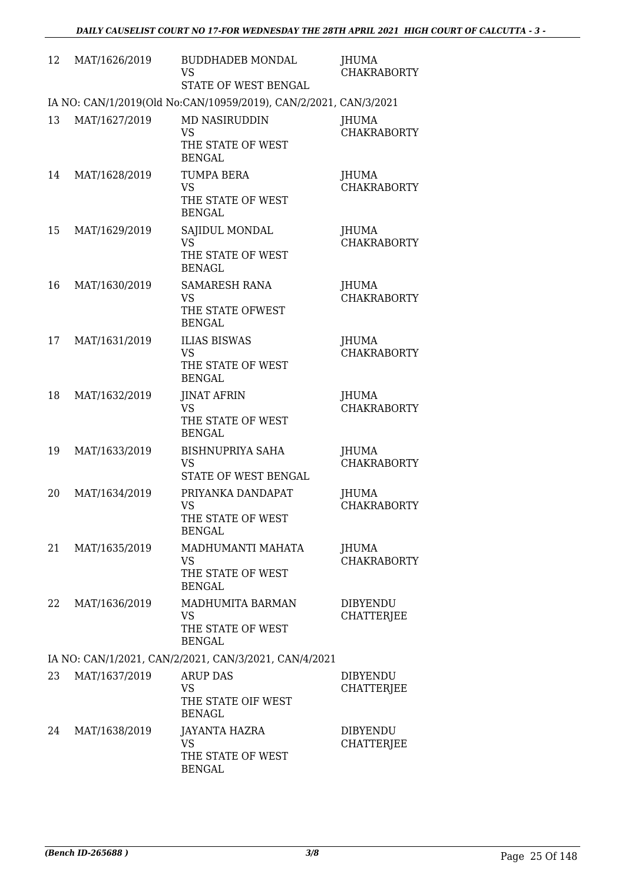| 12 | MAT/1626/2019 | <b>BUDDHADEB MONDAL</b><br><b>VS</b><br>STATE OF WEST BENGAL            | <b>JHUMA</b><br><b>CHAKRABORTY</b>   |
|----|---------------|-------------------------------------------------------------------------|--------------------------------------|
|    |               | IA NO: CAN/1/2019(Old No:CAN/10959/2019), CAN/2/2021, CAN/3/2021        |                                      |
| 13 | MAT/1627/2019 | <b>MD NASIRUDDIN</b><br><b>VS</b><br>THE STATE OF WEST<br><b>BENGAL</b> | JHUMA<br><b>CHAKRABORTY</b>          |
| 14 | MAT/1628/2019 | <b>TUMPA BERA</b><br><b>VS</b><br>THE STATE OF WEST<br><b>BENGAL</b>    | <b>JHUMA</b><br><b>CHAKRABORTY</b>   |
| 15 | MAT/1629/2019 | SAJIDUL MONDAL<br><b>VS</b><br>THE STATE OF WEST<br><b>BENAGL</b>       | <b>JHUMA</b><br><b>CHAKRABORTY</b>   |
| 16 | MAT/1630/2019 | <b>SAMARESH RANA</b><br><b>VS</b><br>THE STATE OFWEST<br><b>BENGAL</b>  | <b>JHUMA</b><br><b>CHAKRABORTY</b>   |
| 17 | MAT/1631/2019 | <b>ILIAS BISWAS</b><br><b>VS</b><br>THE STATE OF WEST<br><b>BENGAL</b>  | <b>JHUMA</b><br><b>CHAKRABORTY</b>   |
| 18 | MAT/1632/2019 | <b>JINAT AFRIN</b><br><b>VS</b><br>THE STATE OF WEST<br><b>BENGAL</b>   | <b>JHUMA</b><br><b>CHAKRABORTY</b>   |
| 19 | MAT/1633/2019 | <b>BISHNUPRIYA SAHA</b><br><b>VS</b><br>STATE OF WEST BENGAL            | <b>JHUMA</b><br><b>CHAKRABORTY</b>   |
| 20 | MAT/1634/2019 | PRIYANKA DANDAPAT<br><b>VS</b><br>THE STATE OF WEST<br><b>BENGAL</b>    | <b>JHUMA</b><br><b>CHAKRABORTY</b>   |
| 21 | MAT/1635/2019 | MADHUMANTI MAHATA<br><b>VS</b><br>THE STATE OF WEST<br><b>BENGAL</b>    | <b>JHUMA</b><br><b>CHAKRABORTY</b>   |
| 22 | MAT/1636/2019 | MADHUMITA BARMAN<br><b>VS</b><br>THE STATE OF WEST<br><b>BENGAL</b>     | <b>DIBYENDU</b><br><b>CHATTERJEE</b> |
|    |               | IA NO: CAN/1/2021, CAN/2/2021, CAN/3/2021, CAN/4/2021                   |                                      |
| 23 | MAT/1637/2019 | <b>ARUP DAS</b><br><b>VS</b><br>THE STATE OIF WEST<br><b>BENAGL</b>     | <b>DIBYENDU</b><br><b>CHATTERJEE</b> |
| 24 | MAT/1638/2019 | JAYANTA HAZRA<br><b>VS</b><br>THE STATE OF WEST<br><b>BENGAL</b>        | <b>DIBYENDU</b><br><b>CHATTERJEE</b> |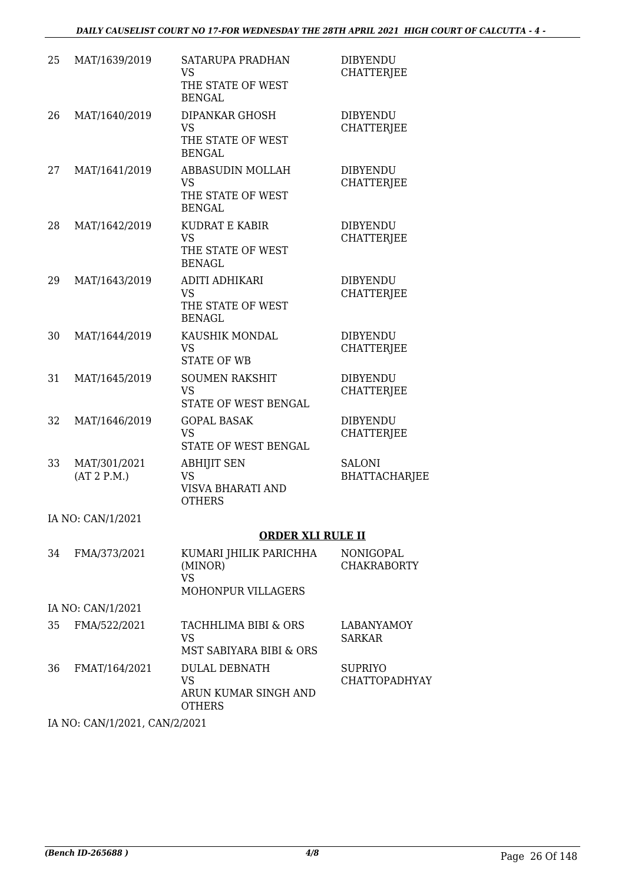| 25 | MAT/1639/2019                      | SATARUPA PRADHAN<br><b>VS</b><br>THE STATE OF WEST                           | <b>DIBYENDU</b><br><b>CHATTERJEE</b>   |
|----|------------------------------------|------------------------------------------------------------------------------|----------------------------------------|
| 26 | MAT/1640/2019                      | <b>BENGAL</b><br>DIPANKAR GHOSH<br>VS.<br>THE STATE OF WEST<br><b>BENGAL</b> | <b>DIBYENDU</b><br><b>CHATTERJEE</b>   |
| 27 | MAT/1641/2019                      | ABBASUDIN MOLLAH<br><b>VS</b><br>THE STATE OF WEST<br><b>BENGAL</b>          | <b>DIBYENDU</b><br><b>CHATTERJEE</b>   |
| 28 | MAT/1642/2019                      | KUDRAT E KABIR<br><b>VS</b><br>THE STATE OF WEST<br><b>BENAGL</b>            | <b>DIBYENDU</b><br><b>CHATTERJEE</b>   |
| 29 | MAT/1643/2019                      | ADITI ADHIKARI<br><b>VS</b><br>THE STATE OF WEST<br><b>BENAGL</b>            | <b>DIBYENDU</b><br><b>CHATTERJEE</b>   |
| 30 | MAT/1644/2019                      | KAUSHIK MONDAL<br><b>VS</b><br><b>STATE OF WB</b>                            | <b>DIBYENDU</b><br><b>CHATTERJEE</b>   |
| 31 | MAT/1645/2019                      | <b>SOUMEN RAKSHIT</b><br><b>VS</b><br>STATE OF WEST BENGAL                   | <b>DIBYENDU</b><br><b>CHATTERJEE</b>   |
| 32 | MAT/1646/2019                      | <b>GOPAL BASAK</b><br><b>VS</b><br>STATE OF WEST BENGAL                      | <b>DIBYENDU</b><br><b>CHATTERJEE</b>   |
| 33 | MAT/301/2021<br>(AT 2 P.M.)        | <b>ABHIJIT SEN</b><br><b>VS</b><br>VISVA BHARATI AND<br><b>OTHERS</b>        | <b>SALONI</b><br><b>BHATTACHARJEE</b>  |
|    | IA NO: CAN/1/2021                  |                                                                              |                                        |
|    |                                    | <b>ORDER XLI RULE II</b>                                                     |                                        |
| 34 | FMA/373/2021                       | KUMARI JHILIK PARICHHA<br>(MINOR)<br><b>VS</b><br>MOHONPUR VILLAGERS         | <b>NONIGOPAL</b><br><b>CHAKRABORTY</b> |
|    | IA NO: CAN/1/2021                  |                                                                              |                                        |
| 35 | FMA/522/2021                       | TACHHLIMA BIBI & ORS<br><b>VS</b><br>MST SABIYARA BIBI & ORS                 | <b>LABANYAMOY</b><br><b>SARKAR</b>     |
| 36 | FMAT/164/2021                      | DULAL DEBNATH<br><b>VS</b><br>ARUN KUMAR SINGH AND<br><b>OTHERS</b>          | <b>SUPRIYO</b><br>CHATTOPADHYAY        |
|    | $IA$ $NQ$ , $CAN111001$ $CAN12001$ |                                                                              |                                        |

IA NO: CAN/1/2021, CAN/2/2021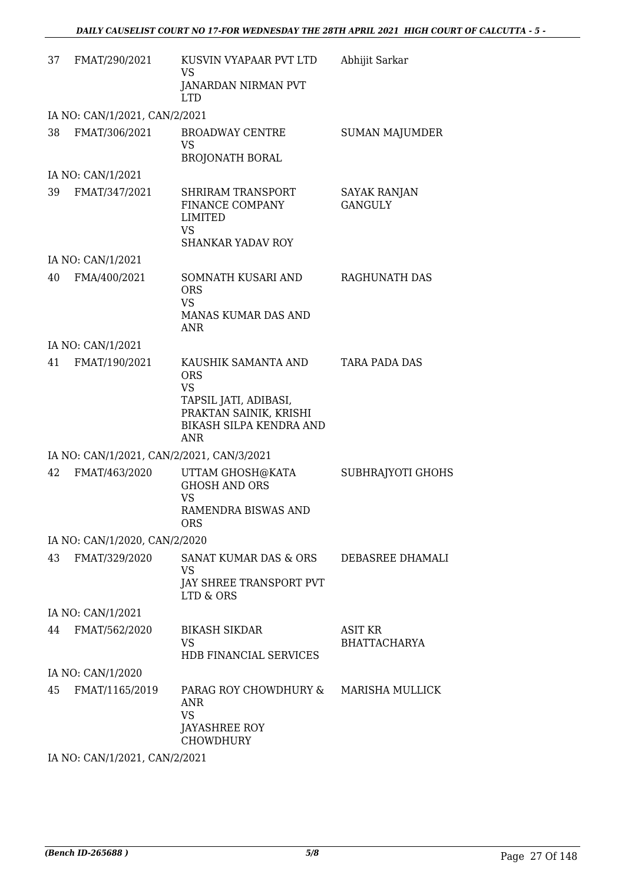| 37 | FMAT/290/2021                 | KUSVIN VYAPAAR PVT LTD<br>VS<br>JANARDAN NIRMAN PVT<br><b>LTD</b>                                                                   | Abhijit Sarkar                        |
|----|-------------------------------|-------------------------------------------------------------------------------------------------------------------------------------|---------------------------------------|
|    | IA NO: CAN/1/2021, CAN/2/2021 |                                                                                                                                     |                                       |
| 38 | FMAT/306/2021                 | <b>BROADWAY CENTRE</b><br><b>VS</b><br><b>BROJONATH BORAL</b>                                                                       | <b>SUMAN MAJUMDER</b>                 |
|    | IA NO: CAN/1/2021             |                                                                                                                                     |                                       |
| 39 | FMAT/347/2021                 | <b>SHRIRAM TRANSPORT</b><br>FINANCE COMPANY<br><b>LIMITED</b><br><b>VS</b><br><b>SHANKAR YADAV ROY</b>                              | <b>SAYAK RANJAN</b><br><b>GANGULY</b> |
|    | IA NO: CAN/1/2021             |                                                                                                                                     |                                       |
| 40 | FMA/400/2021                  | SOMNATH KUSARI AND<br><b>ORS</b><br><b>VS</b><br>MANAS KUMAR DAS AND<br><b>ANR</b>                                                  | <b>RAGHUNATH DAS</b>                  |
|    | IA NO: CAN/1/2021             |                                                                                                                                     |                                       |
| 41 | FMAT/190/2021                 | KAUSHIK SAMANTA AND<br><b>ORS</b><br><b>VS</b><br>TAPSIL JATI, ADIBASI,<br>PRAKTAN SAINIK, KRISHI<br>BIKASH SILPA KENDRA AND<br>ANR | <b>TARA PADA DAS</b>                  |
|    |                               | IA NO: CAN/1/2021, CAN/2/2021, CAN/3/2021                                                                                           |                                       |
| 42 | FMAT/463/2020                 | UTTAM GHOSH@KATA<br><b>GHOSH AND ORS</b><br><b>VS</b><br>RAMENDRA BISWAS AND<br><b>ORS</b>                                          | SUBHRAJYOTI GHOHS                     |
|    | IA NO: CAN/1/2020, CAN/2/2020 |                                                                                                                                     |                                       |
| 43 | FMAT/329/2020                 | SANAT KUMAR DAS & ORS<br><b>VS</b><br>JAY SHREE TRANSPORT PVT<br>LTD & ORS                                                          | DEBASREE DHAMALI                      |
|    | IA NO: CAN/1/2021             |                                                                                                                                     |                                       |
| 44 | FMAT/562/2020                 | <b>BIKASH SIKDAR</b><br><b>VS</b><br>HDB FINANCIAL SERVICES                                                                         | ASIT KR<br><b>BHATTACHARYA</b>        |
|    | IA NO: CAN/1/2020             |                                                                                                                                     |                                       |
| 45 | FMAT/1165/2019                | PARAG ROY CHOWDHURY &<br><b>ANR</b><br><b>VS</b><br>JAYASHREE ROY<br><b>CHOWDHURY</b>                                               | <b>MARISHA MULLICK</b>                |
|    |                               | 0.137101001                                                                                                                         |                                       |

IA NO: CAN/1/2021, CAN/2/2021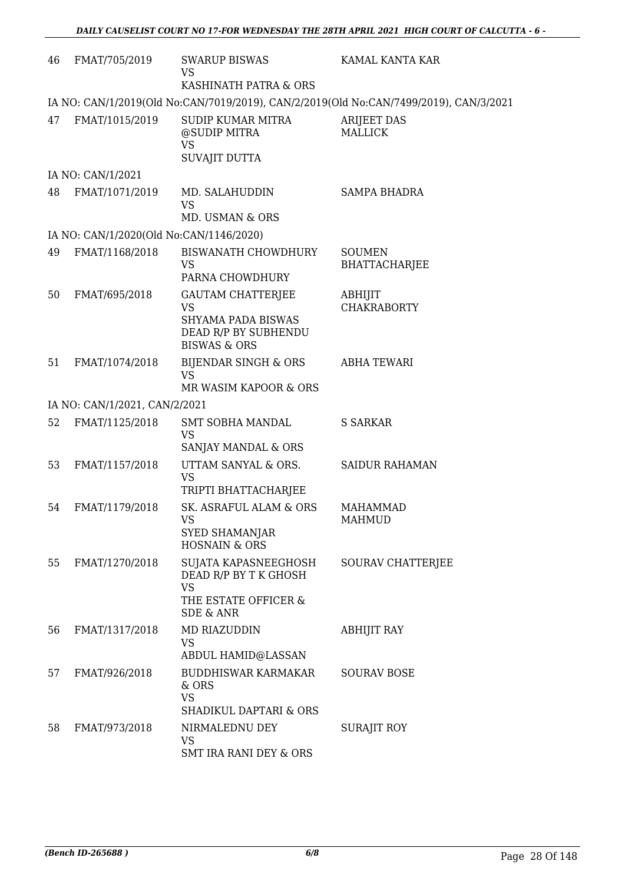| 46 | FMAT/705/2019                           | <b>SWARUP BISWAS</b><br><b>VS</b><br>KASHINATH PATRA & ORS                                                            | KAMAL KANTA KAR                                                                       |
|----|-----------------------------------------|-----------------------------------------------------------------------------------------------------------------------|---------------------------------------------------------------------------------------|
|    |                                         |                                                                                                                       | IA NO: CAN/1/2019(Old No:CAN/7019/2019), CAN/2/2019(Old No:CAN/7499/2019), CAN/3/2021 |
| 47 | FMAT/1015/2019                          | SUDIP KUMAR MITRA<br>@SUDIP MITRA<br><b>VS</b><br><b>SUVAJIT DUTTA</b>                                                | <b>ARIJEET DAS</b><br><b>MALLICK</b>                                                  |
|    | IA NO: CAN/1/2021                       |                                                                                                                       |                                                                                       |
| 48 | FMAT/1071/2019                          | MD. SALAHUDDIN<br><b>VS</b><br>MD. USMAN & ORS                                                                        | <b>SAMPA BHADRA</b>                                                                   |
|    | IA NO: CAN/1/2020(Old No:CAN/1146/2020) |                                                                                                                       |                                                                                       |
| 49 | FMAT/1168/2018                          | BISWANATH CHOWDHURY<br><b>VS</b><br>PARNA CHOWDHURY                                                                   | <b>SOUMEN</b><br><b>BHATTACHARJEE</b>                                                 |
| 50 | FMAT/695/2018                           | <b>GAUTAM CHATTERJEE</b><br><b>VS</b><br><b>SHYAMA PADA BISWAS</b><br>DEAD R/P BY SUBHENDU<br><b>BISWAS &amp; ORS</b> | ABHIJIT<br><b>CHAKRABORTY</b>                                                         |
| 51 | FMAT/1074/2018                          | BIJENDAR SINGH & ORS<br><b>VS</b><br>MR WASIM KAPOOR & ORS                                                            | <b>ABHA TEWARI</b>                                                                    |
|    | IA NO: CAN/1/2021, CAN/2/2021           |                                                                                                                       |                                                                                       |
| 52 | FMAT/1125/2018                          | <b>SMT SOBHA MANDAL</b><br><b>VS</b>                                                                                  | <b>S SARKAR</b>                                                                       |
| 53 | FMAT/1157/2018                          | SANJAY MANDAL & ORS<br>UTTAM SANYAL & ORS.<br><b>VS</b><br>TRIPTI BHATTACHARJEE                                       | <b>SAIDUR RAHAMAN</b>                                                                 |
| 54 | FMAT/1179/2018                          | SK. ASRAFUL ALAM & ORS<br>VS.<br><b>SYED SHAMANJAR</b><br><b>HOSNAIN &amp; ORS</b>                                    | <b>MAHAMMAD</b><br>MAHMUD                                                             |
| 55 | FMAT/1270/2018                          | SUJATA KAPASNEEGHOSH<br>DEAD R/P BY T K GHOSH<br><b>VS</b><br>THE ESTATE OFFICER &<br><b>SDE &amp; ANR</b>            | SOURAV CHATTERJEE                                                                     |
| 56 | FMAT/1317/2018                          | MD RIAZUDDIN<br><b>VS</b><br>ABDUL HAMID@LASSAN                                                                       | <b>ABHIJIT RAY</b>                                                                    |
| 57 | FMAT/926/2018                           | <b>BUDDHISWAR KARMAKAR</b><br>& ORS<br><b>VS</b>                                                                      | <b>SOURAV BOSE</b>                                                                    |
| 58 | FMAT/973/2018                           | <b>SHADIKUL DAPTARI &amp; ORS</b><br>NIRMALEDNU DEY<br><b>VS</b><br><b>SMT IRA RANI DEY &amp; ORS</b>                 | SURAJIT ROY                                                                           |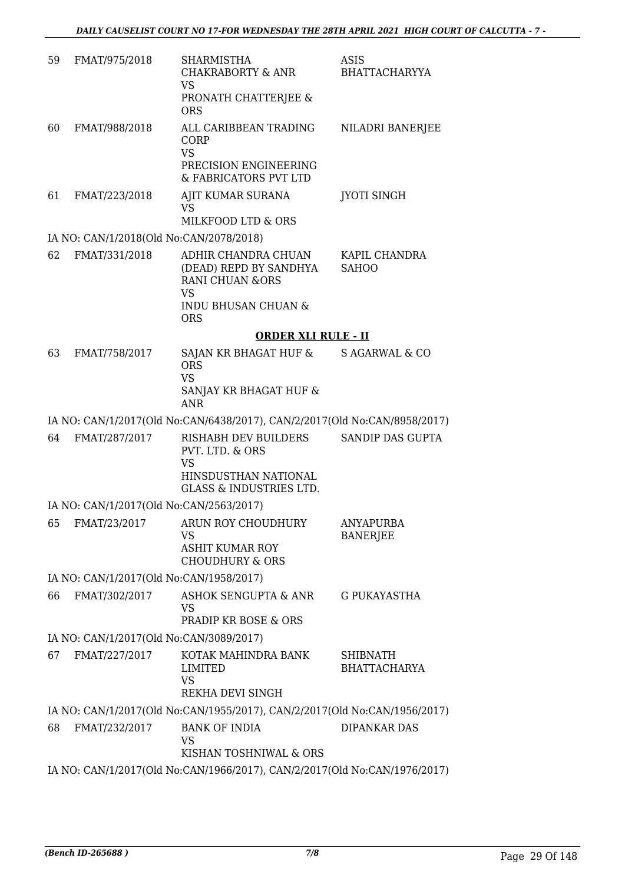| 59 | FMAT/975/2018                           | <b>SHARMISTHA</b><br><b>CHAKRABORTY &amp; ANR</b><br><b>VS</b>            | ASIS<br><b>BHATTACHARYYA</b>        |
|----|-----------------------------------------|---------------------------------------------------------------------------|-------------------------------------|
|    |                                         | PRONATH CHATTERIEE &<br><b>ORS</b>                                        |                                     |
| 60 | FMAT/988/2018                           | ALL CARIBBEAN TRADING<br>CORP<br><b>VS</b>                                | NILADRI BANERJEE                    |
|    |                                         | PRECISION ENGINEERING<br>& FABRICATORS PVT LTD                            |                                     |
| 61 | FMAT/223/2018                           | AJIT KUMAR SURANA<br>VS                                                   | <b>JYOTI SINGH</b>                  |
|    | IA NO: CAN/1/2018(Old No:CAN/2078/2018) | MILKFOOD LTD & ORS                                                        |                                     |
| 62 | FMAT/331/2018                           | ADHIR CHANDRA CHUAN                                                       | KAPIL CHANDRA                       |
|    |                                         | (DEAD) REPD BY SANDHYA<br><b>RANI CHUAN &amp;ORS</b>                      | <b>SAHOO</b>                        |
|    |                                         | <b>VS</b><br><b>INDU BHUSAN CHUAN &amp;</b><br><b>ORS</b>                 |                                     |
|    |                                         | <b>ORDER XLI RULE - II</b>                                                |                                     |
| 63 | FMAT/758/2017                           | SAJAN KR BHAGAT HUF &<br><b>ORS</b><br><b>VS</b>                          | S AGARWAL & CO                      |
|    |                                         | SANJAY KR BHAGAT HUF &<br><b>ANR</b>                                      |                                     |
|    |                                         | IA NO: CAN/1/2017(Old No:CAN/6438/2017), CAN/2/2017(Old No:CAN/8958/2017) |                                     |
| 64 | FMAT/287/2017                           | RISHABH DEV BUILDERS<br>PVT. LTD. & ORS<br><b>VS</b>                      | SANDIP DAS GUPTA                    |
|    |                                         | HINSDUSTHAN NATIONAL<br><b>GLASS &amp; INDUSTRIES LTD.</b>                |                                     |
|    | IA NO: CAN/1/2017(Old No:CAN/2563/2017) |                                                                           |                                     |
| 65 | FMAT/23/2017                            | ARUN ROY CHOUDHURY<br><b>VS</b><br><b>ASHIT KUMAR ROY</b>                 | <b>ANYAPURBA</b><br><b>BANERJEE</b> |
|    |                                         | <b>CHOUDHURY &amp; ORS</b>                                                |                                     |
|    | IA NO: CAN/1/2017(Old No:CAN/1958/2017) |                                                                           |                                     |
| 66 | FMAT/302/2017                           | ASHOK SENGUPTA & ANR<br>VS<br>PRADIP KR BOSE & ORS                        | G PUKAYASTHA                        |
|    | IA NO: CAN/1/2017(Old No:CAN/3089/2017) |                                                                           |                                     |
| 67 | FMAT/227/2017                           | KOTAK MAHINDRA BANK                                                       | <b>SHIBNATH</b>                     |
|    |                                         | <b>LIMITED</b><br><b>VS</b><br>REKHA DEVI SINGH                           | <b>BHATTACHARYA</b>                 |
|    |                                         | IA NO: CAN/1/2017(Old No:CAN/1955/2017), CAN/2/2017(Old No:CAN/1956/2017) |                                     |
| 68 | FMAT/232/2017                           | <b>BANK OF INDIA</b><br><b>VS</b>                                         | <b>DIPANKAR DAS</b>                 |
|    |                                         | KISHAN TOSHNIWAL & ORS                                                    |                                     |
|    |                                         | IA NO: CAN/1/2017(Old No:CAN/1966/2017), CAN/2/2017(Old No:CAN/1976/2017) |                                     |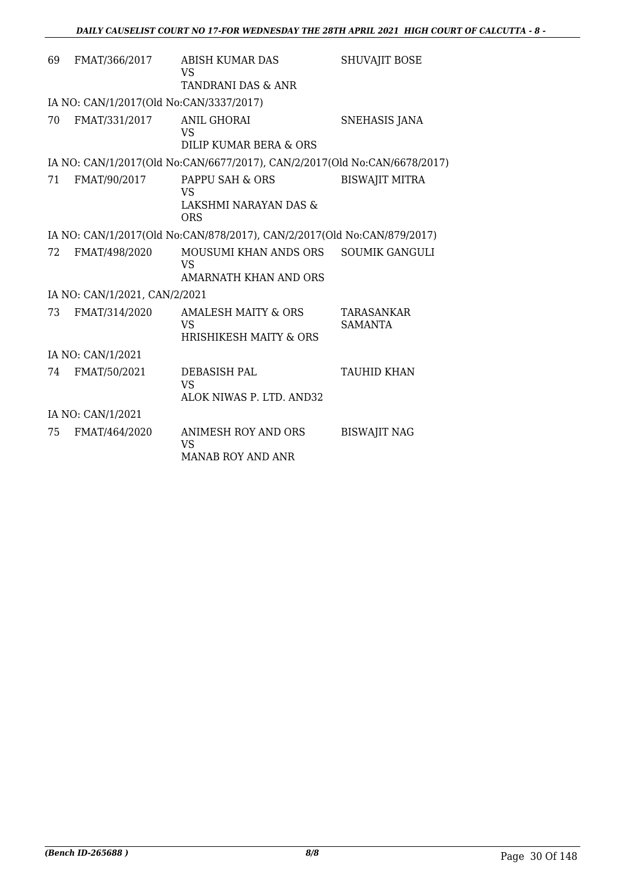| 69                                                                      | FMAT/366/2017                           | <b>ABISH KUMAR DAS</b><br>VS<br>TANDRANI DAS & ANR                               | <b>SHUVAJIT BOSE</b>                |
|-------------------------------------------------------------------------|-----------------------------------------|----------------------------------------------------------------------------------|-------------------------------------|
|                                                                         | IA NO: CAN/1/2017(Old No:CAN/3337/2017) |                                                                                  |                                     |
| 70                                                                      | FMAT/331/2017                           | <b>ANIL GHORAI</b><br><b>VS</b><br>DILIP KUMAR BERA & ORS                        | <b>SNEHASIS JANA</b>                |
|                                                                         |                                         | IA NO: CAN/1/2017(Old No:CAN/6677/2017), CAN/2/2017(Old No:CAN/6678/2017)        |                                     |
| 71                                                                      | FMAT/90/2017                            | PAPPU SAH & ORS<br><b>VS</b><br>LAKSHMI NARAYAN DAS &<br><b>ORS</b>              | <b>BISWAJIT MITRA</b>               |
| IA NO: CAN/1/2017(Old No:CAN/878/2017), CAN/2/2017(Old No:CAN/879/2017) |                                         |                                                                                  |                                     |
| 72                                                                      | FMAT/498/2020                           | MOUSUMI KHAN ANDS ORS<br><b>VS</b><br>AMARNATH KHAN AND ORS                      | <b>SOUMIK GANGULI</b>               |
|                                                                         | IA NO: CAN/1/2021, CAN/2/2021           |                                                                                  |                                     |
| 73                                                                      | FMAT/314/2020                           | <b>AMALESH MAITY &amp; ORS</b><br><b>VS</b><br><b>HRISHIKESH MAITY &amp; ORS</b> | <b>TARASANKAR</b><br><b>SAMANTA</b> |
|                                                                         | IA NO: CAN/1/2021                       |                                                                                  |                                     |
| 74                                                                      | FMAT/50/2021                            | <b>DEBASISH PAL</b><br><b>VS</b><br>ALOK NIWAS P. LTD. AND32                     | <b>TAUHID KHAN</b>                  |
|                                                                         | IA NO: CAN/1/2021                       |                                                                                  |                                     |
| 75                                                                      | FMAT/464/2020                           | ANIMESH ROY AND ORS<br><b>VS</b><br><b>MANAB ROY AND ANR</b>                     | <b>BISWAJIT NAG</b>                 |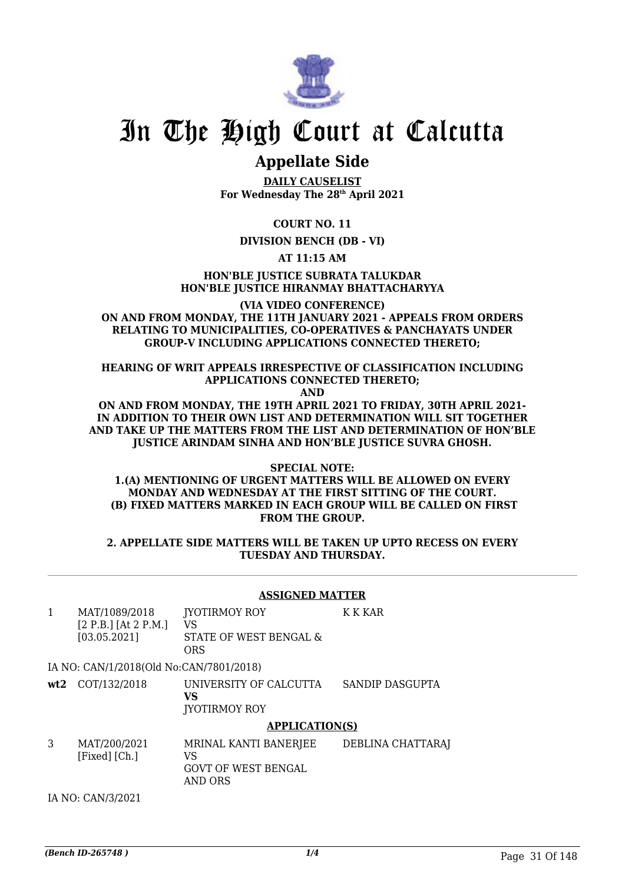

### **Appellate Side**

**DAILY CAUSELIST For Wednesday The 28th April 2021**

**COURT NO. 11**

**DIVISION BENCH (DB - VI)**

**AT 11:15 AM**

**HON'BLE JUSTICE SUBRATA TALUKDAR HON'BLE JUSTICE HIRANMAY BHATTACHARYYA**

**(VIA VIDEO CONFERENCE) ON AND FROM MONDAY, THE 11TH JANUARY 2021 - APPEALS FROM ORDERS RELATING TO MUNICIPALITIES, CO-OPERATIVES & PANCHAYATS UNDER GROUP-V INCLUDING APPLICATIONS CONNECTED THERETO;**

**HEARING OF WRIT APPEALS IRRESPECTIVE OF CLASSIFICATION INCLUDING APPLICATIONS CONNECTED THERETO; AND**

**ON AND FROM MONDAY, THE 19TH APRIL 2021 TO FRIDAY, 30TH APRIL 2021- IN ADDITION TO THEIR OWN LIST AND DETERMINATION WILL SIT TOGETHER AND TAKE UP THE MATTERS FROM THE LIST AND DETERMINATION OF HON'BLE JUSTICE ARINDAM SINHA AND HON'BLE JUSTICE SUVRA GHOSH.**

**SPECIAL NOTE:**

**1.(A) MENTIONING OF URGENT MATTERS WILL BE ALLOWED ON EVERY MONDAY AND WEDNESDAY AT THE FIRST SITTING OF THE COURT. (B) FIXED MATTERS MARKED IN EACH GROUP WILL BE CALLED ON FIRST FROM THE GROUP.**

**2. APPELLATE SIDE MATTERS WILL BE TAKEN UP UPTO RECESS ON EVERY TUESDAY AND THURSDAY.**

#### **ASSIGNED MATTER**

1 MAT/1089/2018 [2 P.B.] [At 2 P.M.] [03.05.2021] JYOTIRMOY ROY VS STATE OF WEST BENGAL & ORS K K KAR

IA NO: CAN/1/2018(Old No:CAN/7801/2018)

**wt2** COT/132/2018 UNIVERSITY OF CALCUTTA **VS** JYOTIRMOY ROY SANDIP DASGUPTA

#### **APPLICATION(S)**

3 MAT/200/2021 [Fixed] [Ch.] MRINAL KANTI BANERJEE VS GOVT OF WEST BENGAL AND ORS DEBLINA CHATTARAJ

IA NO: CAN/3/2021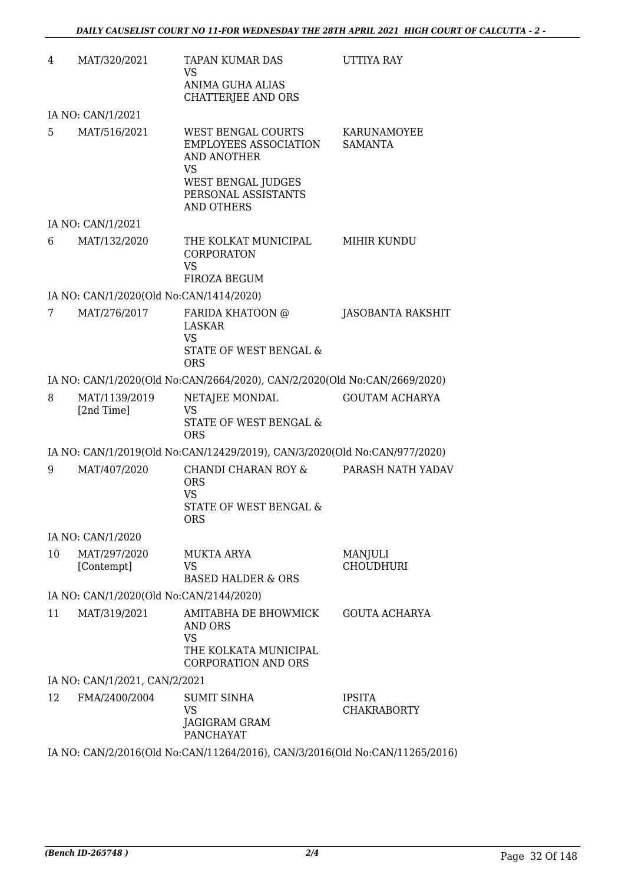| 4                                                                         | MAT/320/2021                            | <b>TAPAN KUMAR DAS</b><br><b>UTTIYA RAY</b><br><b>VS</b><br><b>ANIMA GUHA ALIAS</b><br>CHATTERJEE AND ORS                                               |                                     |
|---------------------------------------------------------------------------|-----------------------------------------|---------------------------------------------------------------------------------------------------------------------------------------------------------|-------------------------------------|
|                                                                           | IA NO: CAN/1/2021                       |                                                                                                                                                         |                                     |
| 5                                                                         | MAT/516/2021                            | WEST BENGAL COURTS<br>EMPLOYEES ASSOCIATION<br><b>AND ANOTHER</b><br><b>VS</b><br><b>WEST BENGAL JUDGES</b><br>PERSONAL ASSISTANTS<br><b>AND OTHERS</b> | KARUNAMOYEE<br><b>SAMANTA</b>       |
|                                                                           | IA NO: CAN/1/2021                       |                                                                                                                                                         |                                     |
| 6                                                                         | MAT/132/2020                            | THE KOLKAT MUNICIPAL<br><b>CORPORATON</b><br><b>VS</b><br>FIROZA BEGUM                                                                                  | MIHIR KUNDU                         |
|                                                                           | IA NO: CAN/1/2020(Old No:CAN/1414/2020) |                                                                                                                                                         |                                     |
| 7                                                                         | MAT/276/2017                            | FARIDA KHATOON @<br><b>LASKAR</b><br><b>VS</b><br><b>STATE OF WEST BENGAL &amp;</b><br><b>ORS</b>                                                       | <b>JASOBANTA RAKSHIT</b>            |
| IA NO: CAN/1/2020(Old No:CAN/2664/2020), CAN/2/2020(Old No:CAN/2669/2020) |                                         |                                                                                                                                                         |                                     |
| 8                                                                         | MAT/1139/2019<br>[2nd Time]             | NETAJEE MONDAL<br><b>VS</b><br>STATE OF WEST BENGAL &<br><b>ORS</b>                                                                                     | <b>GOUTAM ACHARYA</b>               |
|                                                                           |                                         | IA NO: CAN/1/2019(Old No:CAN/12429/2019), CAN/3/2020(Old No:CAN/977/2020)                                                                               |                                     |
| 9                                                                         | MAT/407/2020                            | CHANDI CHARAN ROY &<br><b>ORS</b><br><b>VS</b><br>STATE OF WEST BENGAL &<br>ORS                                                                         | PARASH NATH YADAV                   |
|                                                                           | IA NO: CAN/1/2020                       |                                                                                                                                                         |                                     |
| 10                                                                        | MAT/297/2020<br>[Contempt]              | <b>MUKTA ARYA</b><br><b>VS</b><br><b>BASED HALDER &amp; ORS</b>                                                                                         | MANJULI<br><b>CHOUDHURI</b>         |
| IA NO: CAN/1/2020(Old No:CAN/2144/2020)                                   |                                         |                                                                                                                                                         |                                     |
| 11                                                                        | MAT/319/2021                            | AMITABHA DE BHOWMICK<br>AND ORS<br><b>VS</b><br>THE KOLKATA MUNICIPAL<br><b>CORPORATION AND ORS</b>                                                     | <b>GOUTA ACHARYA</b>                |
|                                                                           | IA NO: CAN/1/2021, CAN/2/2021           |                                                                                                                                                         |                                     |
| 12                                                                        | FMA/2400/2004                           | <b>SUMIT SINHA</b><br><b>VS</b><br><b>JAGIGRAM GRAM</b><br><b>PANCHAYAT</b>                                                                             | <b>IPSITA</b><br><b>CHAKRABORTY</b> |
|                                                                           |                                         | IA NO: CAN/2/2016(Old No:CAN/11264/2016), CAN/3/2016(Old No:CAN/11265/2016)                                                                             |                                     |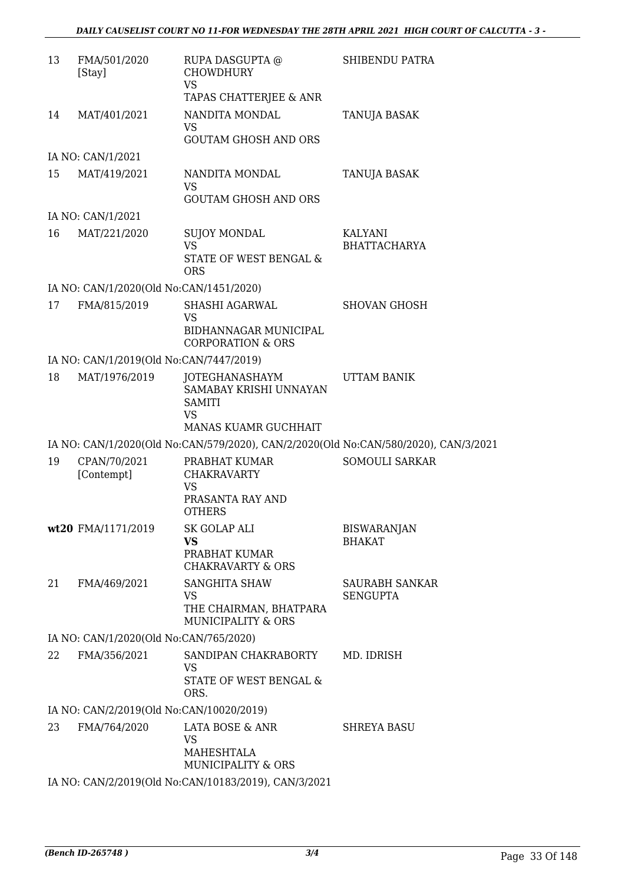| 13 | FMA/501/2020<br>[Stay]                   | RUPA DASGUPTA @<br><b>CHOWDHURY</b><br><b>VS</b><br>TAPAS CHATTERJEE & ANR                   | SHIBENDU PATRA                                                                      |
|----|------------------------------------------|----------------------------------------------------------------------------------------------|-------------------------------------------------------------------------------------|
| 14 | MAT/401/2021                             | NANDITA MONDAL<br><b>VS</b><br><b>GOUTAM GHOSH AND ORS</b>                                   | TANUJA BASAK                                                                        |
|    | IA NO: CAN/1/2021                        |                                                                                              |                                                                                     |
| 15 | MAT/419/2021                             | NANDITA MONDAL<br><b>VS</b>                                                                  | TANUJA BASAK                                                                        |
|    |                                          | <b>GOUTAM GHOSH AND ORS</b>                                                                  |                                                                                     |
|    | IA NO: CAN/1/2021                        |                                                                                              |                                                                                     |
| 16 | MAT/221/2020                             | <b>SUJOY MONDAL</b><br><b>VS</b><br>STATE OF WEST BENGAL &                                   | KALYANI<br><b>BHATTACHARYA</b>                                                      |
|    |                                          | <b>ORS</b>                                                                                   |                                                                                     |
|    | IA NO: CAN/1/2020(Old No:CAN/1451/2020)  |                                                                                              |                                                                                     |
| 17 | FMA/815/2019                             | SHASHI AGARWAL<br><b>VS</b><br>BIDHANNAGAR MUNICIPAL<br><b>CORPORATION &amp; ORS</b>         | <b>SHOVAN GHOSH</b>                                                                 |
|    | IA NO: CAN/1/2019(Old No:CAN/7447/2019)  |                                                                                              |                                                                                     |
| 18 | MAT/1976/2019                            | JOTEGHANASHAYM<br>SAMABAY KRISHI UNNAYAN<br><b>SAMITI</b><br><b>VS</b>                       | UTTAM BANIK                                                                         |
|    |                                          | MANAS KUAMR GUCHHAIT                                                                         |                                                                                     |
|    |                                          |                                                                                              | IA NO: CAN/1/2020(Old No:CAN/579/2020), CAN/2/2020(Old No:CAN/580/2020), CAN/3/2021 |
| 19 | CPAN/70/2021<br>[Contempt]               | PRABHAT KUMAR<br><b>CHAKRAVARTY</b><br><b>VS</b><br>PRASANTA RAY AND<br><b>OTHERS</b>        | SOMOULI SARKAR                                                                      |
|    | wt20 FMA/1171/2019                       | SK GOLAP ALI                                                                                 | <b>BISWARANJAN</b>                                                                  |
|    |                                          | VS<br>PRABHAT KUMAR<br><b>CHAKRAVARTY &amp; ORS</b>                                          | <b>BHAKAT</b>                                                                       |
| 21 | FMA/469/2021                             | <b>SANGHITA SHAW</b><br><b>VS</b><br>THE CHAIRMAN, BHATPARA<br><b>MUNICIPALITY &amp; ORS</b> | SAURABH SANKAR<br><b>SENGUPTA</b>                                                   |
|    | IA NO: CAN/1/2020(Old No:CAN/765/2020)   |                                                                                              |                                                                                     |
| 22 | FMA/356/2021                             | SANDIPAN CHAKRABORTY<br><b>VS</b><br>STATE OF WEST BENGAL &<br>ORS.                          | MD. IDRISH                                                                          |
|    | IA NO: CAN/2/2019(Old No:CAN/10020/2019) |                                                                                              |                                                                                     |
| 23 | FMA/764/2020                             | LATA BOSE & ANR<br><b>VS</b>                                                                 | <b>SHREYA BASU</b>                                                                  |
|    |                                          | MAHESHTALA<br>MUNICIPALITY & ORS                                                             |                                                                                     |
|    |                                          | IA NO: CAN/2/2019(Old No:CAN/10183/2019), CAN/3/2021                                         |                                                                                     |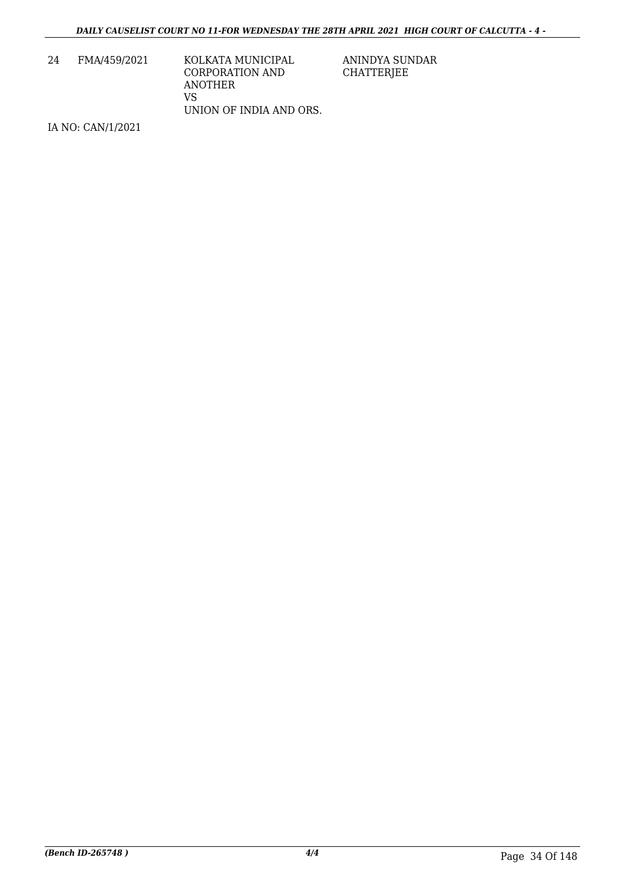| 24 | FMA/459/2021 | KOLKATA MUNICIPAL       |
|----|--------------|-------------------------|
|    |              | CORPORATION AND         |
|    |              | ANOTHER                 |
|    |              | VS                      |
|    |              | UNION OF INDIA AND ORS. |
|    |              |                         |

ANINDYA SUNDAR CHATTERJEE

IA NO: CAN/1/2021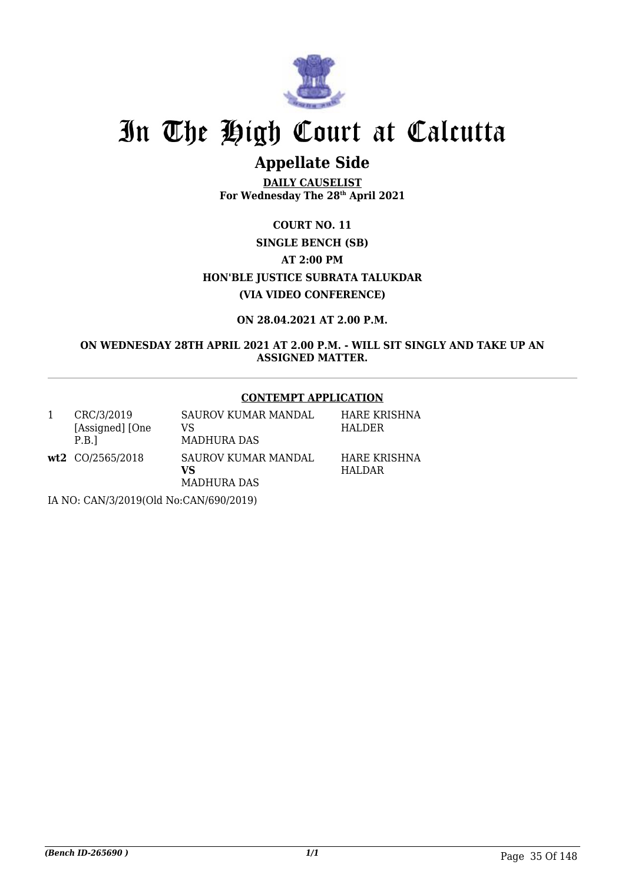

## **Appellate Side**

**DAILY CAUSELIST For Wednesday The 28th April 2021**

**COURT NO. 11 SINGLE BENCH (SB) AT 2:00 PM HON'BLE JUSTICE SUBRATA TALUKDAR (VIA VIDEO CONFERENCE)**

**ON 28.04.2021 AT 2.00 P.M.**

**ON WEDNESDAY 28TH APRIL 2021 AT 2.00 P.M. - WILL SIT SINGLY AND TAKE UP AN ASSIGNED MATTER.**

## **CONTEMPT APPLICATION**

|                                        | CRC/3/2019<br>[Assigned] [One<br>P.B. | SAUROV KUMAR MANDAL<br>VS<br><b>MADHURA DAS</b> | <b>HARE KRISHNA</b><br>HALDER |  |
|----------------------------------------|---------------------------------------|-------------------------------------------------|-------------------------------|--|
|                                        | $wt2$ CO/2565/2018                    | SAUROV KUMAR MANDAL<br>VS<br><b>MADHURA DAS</b> | <b>HARE KRISHNA</b><br>HALDAR |  |
| IA NO: CAN/3/2019(Old No:CAN/690/2019) |                                       |                                                 |                               |  |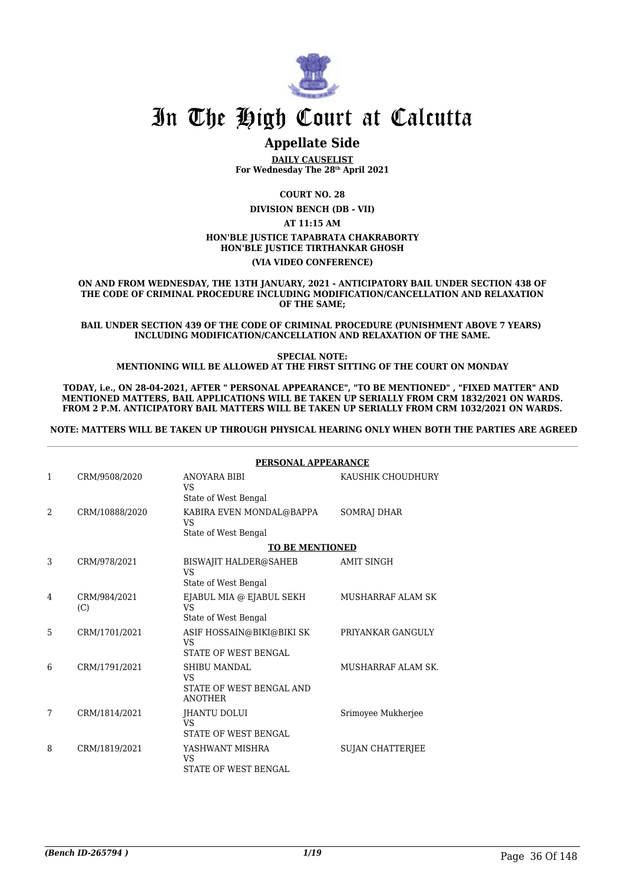

## **Appellate Side**

**DAILY CAUSELIST For Wednesday The 28th April 2021**

**COURT NO. 28**

**DIVISION BENCH (DB - VII)**

**AT 11:15 AM**

#### **HON'BLE JUSTICE TAPABRATA CHAKRABORTY**

**HON'BLE JUSTICE TIRTHANKAR GHOSH**

**(VIA VIDEO CONFERENCE)**

**ON AND FROM WEDNESDAY, THE 13TH JANUARY, 2021 - ANTICIPATORY BAIL UNDER SECTION 438 OF THE CODE OF CRIMINAL PROCEDURE INCLUDING MODIFICATION/CANCELLATION AND RELAXATION OF THE SAME;**

**BAIL UNDER SECTION 439 OF THE CODE OF CRIMINAL PROCEDURE (PUNISHMENT ABOVE 7 YEARS) INCLUDING MODIFICATION/CANCELLATION AND RELAXATION OF THE SAME.**

**SPECIAL NOTE: MENTIONING WILL BE ALLOWED AT THE FIRST SITTING OF THE COURT ON MONDAY**

**TODAY, i.e., ON 28-04-2021, AFTER " PERSONAL APPEARANCE", "TO BE MENTIONED" , "FIXED MATTER" AND MENTIONED MATTERS, BAIL APPLICATIONS WILL BE TAKEN UP SERIALLY FROM CRM 1832/2021 ON WARDS. FROM 2 P.M. ANTICIPATORY BAIL MATTERS WILL BE TAKEN UP SERIALLY FROM CRM 1032/2021 ON WARDS.**

 **NOTE: MATTERS WILL BE TAKEN UP THROUGH PHYSICAL HEARING ONLY WHEN BOTH THE PARTIES ARE AGREED**

|                |                     | PERSONAL APPEARANCE                                                            |                         |  |
|----------------|---------------------|--------------------------------------------------------------------------------|-------------------------|--|
| 1              | CRM/9508/2020       | ANOYARA BIBI<br>VS<br>State of West Bengal                                     | KAUSHIK CHOUDHURY       |  |
| $\mathfrak{D}$ | CRM/10888/2020      | KABIRA EVEN MONDAL@BAPPA<br>VS<br>State of West Bengal                         | SOMRAJ DHAR             |  |
|                |                     | <b>TO BE MENTIONED</b>                                                         |                         |  |
| 3              | CRM/978/2021        | BISWAJIT HALDER@SAHEB<br>VS<br>State of West Bengal                            | AMIT SINGH              |  |
| 4              | CRM/984/2021<br>(C) | EJABUL MIA @ EJABUL SEKH<br><b>VS</b><br>State of West Bengal                  | MUSHARRAF ALAM SK       |  |
| 5              | CRM/1701/2021       | ASIF HOSSAIN@BIKI@BIKI SK<br><b>VS</b><br><b>STATE OF WEST BENGAL</b>          | PRIYANKAR GANGULY       |  |
| 6              | CRM/1791/2021       | <b>SHIBU MANDAL</b><br><b>VS</b><br>STATE OF WEST BENGAL AND<br><b>ANOTHER</b> | MUSHARRAF ALAM SK.      |  |
| 7              | CRM/1814/2021       | JHANTU DOLUI<br><b>VS</b><br><b>STATE OF WEST BENGAL</b>                       | Srimoyee Mukherjee      |  |
| 8              | CRM/1819/2021       | YASHWANT MISHRA<br>VS<br><b>STATE OF WEST BENGAL</b>                           | <b>SUJAN CHATTERJEE</b> |  |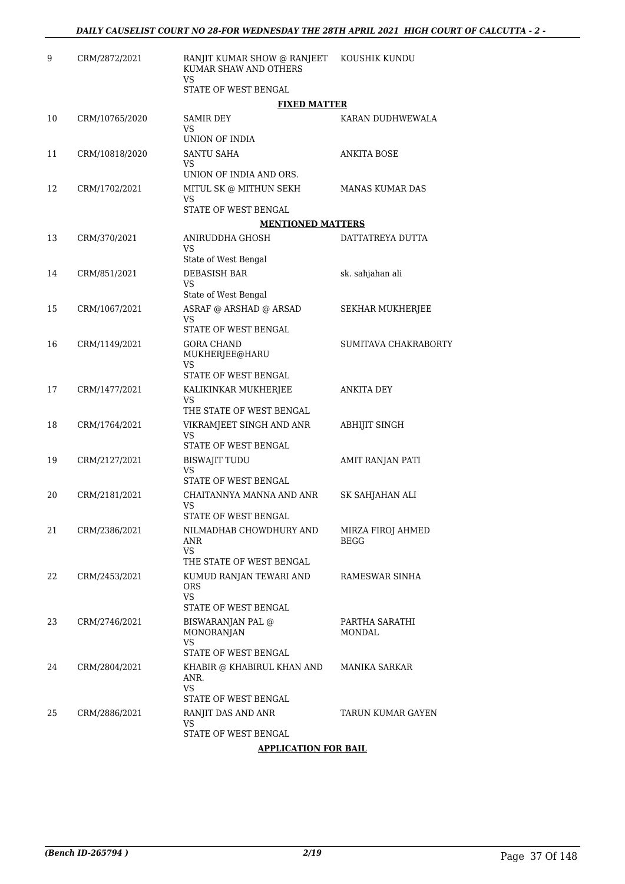| 9  | CRM/2872/2021  | RANJIT KUMAR SHOW @ RANJEET<br>KUMAR SHAW AND OTHERS<br>VS.                | KOUSHIK KUNDU                    |
|----|----------------|----------------------------------------------------------------------------|----------------------------------|
|    |                | STATE OF WEST BENGAL                                                       |                                  |
|    |                | <b>FIXED MATTER</b>                                                        |                                  |
| 10 | CRM/10765/2020 | SAMIR DEY<br>VS<br>UNION OF INDIA                                          | KARAN DUDHWEWALA                 |
| 11 | CRM/10818/2020 | <b>SANTU SAHA</b><br>VS.                                                   | <b>ANKITA BOSE</b>               |
|    |                | UNION OF INDIA AND ORS.                                                    |                                  |
| 12 | CRM/1702/2021  | MITUL SK @ MITHUN SEKH<br>VS                                               | <b>MANAS KUMAR DAS</b>           |
|    |                | STATE OF WEST BENGAL                                                       |                                  |
|    |                | <b>MENTIONED MATTERS</b>                                                   |                                  |
| 13 | CRM/370/2021   | ANIRUDDHA GHOSH<br>VS.<br>State of West Bengal                             | DATTATREYA DUTTA                 |
|    |                |                                                                            |                                  |
| 14 | CRM/851/2021   | DEBASISH BAR<br>VS<br>State of West Bengal                                 | sk. sahjahan ali                 |
| 15 | CRM/1067/2021  | ASRAF @ ARSHAD @ ARSAD<br>VS.                                              | SEKHAR MUKHERJEE                 |
|    |                | STATE OF WEST BENGAL                                                       |                                  |
| 16 | CRM/1149/2021  | <b>GORA CHAND</b><br>MUKHERJEE@HARU<br>VS                                  | SUMITAVA CHAKRABORTY             |
|    |                | STATE OF WEST BENGAL                                                       |                                  |
| 17 | CRM/1477/2021  | KALIKINKAR MUKHERJEE<br>VS.<br>THE STATE OF WEST BENGAL                    | ANKITA DEY                       |
| 18 | CRM/1764/2021  | VIKRAMJEET SINGH AND ANR<br>VS<br>STATE OF WEST BENGAL                     | ABHIJIT SINGH                    |
| 19 | CRM/2127/2021  |                                                                            | AMIT RANJAN PATI                 |
|    |                | BISWAJIT TUDU<br>VS<br>STATE OF WEST BENGAL                                |                                  |
| 20 | CRM/2181/2021  | CHAITANNYA MANNA AND ANR<br>VS                                             | SK SAHJAHAN ALI                  |
|    |                | STATE OF WEST BENGAL                                                       |                                  |
| 21 | CRM/2386/2021  | NILMADHAB CHOWDHURY AND<br>ANR<br><b>VS</b>                                | MIRZA FIROJ AHMED<br><b>BEGG</b> |
|    |                | THE STATE OF WEST BENGAL                                                   |                                  |
| 22 | CRM/2453/2021  | KUMUD RANJAN TEWARI AND<br><b>ORS</b><br><b>VS</b><br>STATE OF WEST BENGAL | RAMESWAR SINHA                   |
| 23 | CRM/2746/2021  | BISWARANJAN PAL @                                                          | PARTHA SARATHI                   |
|    |                | <b>MONORANJAN</b><br><b>VS</b>                                             | MONDAL                           |
|    |                | STATE OF WEST BENGAL                                                       |                                  |
| 24 | CRM/2804/2021  | KHABIR @ KHABIRUL KHAN AND<br>ANR.<br><b>VS</b>                            | MANIKA SARKAR                    |
|    |                | STATE OF WEST BENGAL                                                       |                                  |
| 25 | CRM/2886/2021  | RANJIT DAS AND ANR<br>VS                                                   | TARUN KUMAR GAYEN                |
|    |                | STATE OF WEST BENGAL                                                       |                                  |

#### **APPLICATION FOR BAIL**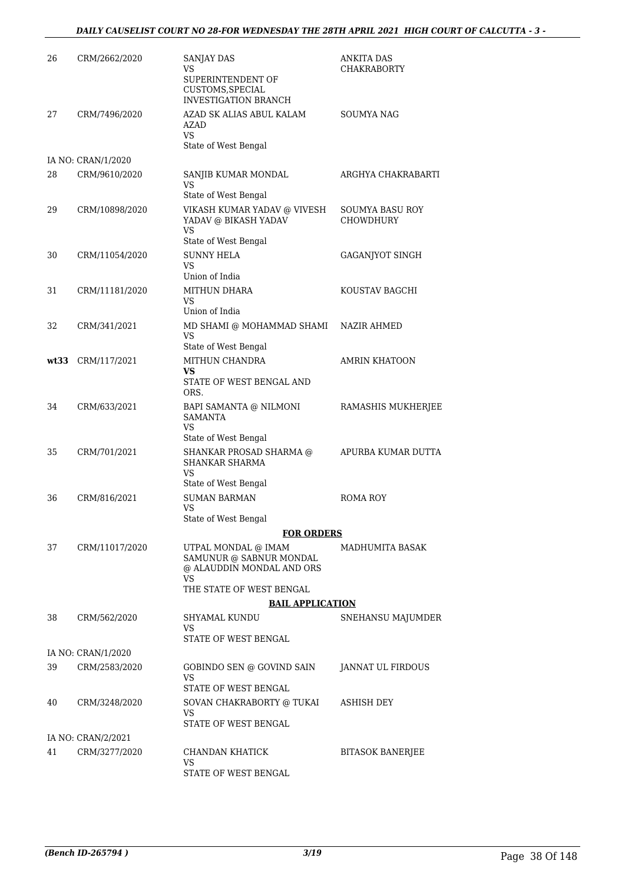| 26   | CRM/2662/2020      | SANJAY DAS<br>VS<br>SUPERINTENDENT OF<br>CUSTOMS, SPECIAL<br><b>INVESTIGATION BRANCH</b> | ANKITA DAS<br><b>CHAKRABORTY</b>    |
|------|--------------------|------------------------------------------------------------------------------------------|-------------------------------------|
| 27   | CRM/7496/2020      | AZAD SK ALIAS ABUL KALAM<br>AZAD<br>VS.<br>State of West Bengal                          | SOUMYA NAG                          |
|      | IA NO: CRAN/1/2020 |                                                                                          |                                     |
| 28   | CRM/9610/2020      | SANJIB KUMAR MONDAL<br>VS                                                                | ARGHYA CHAKRABARTI                  |
| 29   | CRM/10898/2020     | State of West Bengal<br>VIKASH KUMAR YADAV @ VIVESH<br>YADAV @ BIKASH YADAV<br>VS.       | SOUMYA BASU ROY<br><b>CHOWDHURY</b> |
| 30   | CRM/11054/2020     | State of West Bengal<br><b>SUNNY HELA</b><br>VS.<br>Union of India                       | <b>GAGANJYOT SINGH</b>              |
| 31   | CRM/11181/2020     | MITHUN DHARA<br>VS.<br>Union of India                                                    | KOUSTAV BAGCHI                      |
| 32   | CRM/341/2021       | MD SHAMI @ MOHAMMAD SHAMI<br>VS.<br>State of West Bengal                                 | NAZIR AHMED                         |
| wt33 | CRM/117/2021       | MITHUN CHANDRA<br>VS<br>STATE OF WEST BENGAL AND                                         | <b>AMRIN KHATOON</b>                |
| 34   | CRM/633/2021       | ORS.<br>BAPI SAMANTA @ NILMONI<br><b>SAMANTA</b><br>VS                                   | RAMASHIS MUKHERJEE                  |
|      |                    | State of West Bengal                                                                     |                                     |
| 35   | CRM/701/2021       | SHANKAR PROSAD SHARMA @<br><b>SHANKAR SHARMA</b><br>VS.                                  | APURBA KUMAR DUTTA                  |
|      |                    | State of West Bengal                                                                     |                                     |
| 36   | CRM/816/2021       | <b>SUMAN BARMAN</b><br><b>VS</b><br>State of West Bengal                                 | ROMA ROY                            |
|      |                    | <b>FOR ORDERS</b>                                                                        |                                     |
| 37   | CRM/11017/2020     | UTPAL MONDAL @ IMAM<br>SAMUNUR @ SABNUR MONDAL<br>@ ALAUDDIN MONDAL AND ORS<br><b>VS</b> | <b>MADHUMITA BASAK</b>              |
|      |                    | THE STATE OF WEST BENGAL                                                                 |                                     |
|      |                    | <b>BAIL APPLICATION</b>                                                                  |                                     |
| 38   | CRM/562/2020       | SHYAMAL KUNDU<br>VS.<br>STATE OF WEST BENGAL                                             | SNEHANSU MAJUMDER                   |
|      | IA NO: CRAN/1/2020 |                                                                                          |                                     |
| 39   | CRM/2583/2020      | GOBINDO SEN @ GOVIND SAIN<br>VS.                                                         | JANNAT UL FIRDOUS                   |
|      |                    | STATE OF WEST BENGAL                                                                     |                                     |
| 40   | CRM/3248/2020      | SOVAN CHAKRABORTY @ TUKAI<br>VS.<br>STATE OF WEST BENGAL                                 | ASHISH DEY                          |
|      | IA NO: CRAN/2/2021 |                                                                                          |                                     |
| 41   | CRM/3277/2020      | CHANDAN KHATICK<br>VS<br>STATE OF WEST BENGAL                                            | <b>BITASOK BANERJEE</b>             |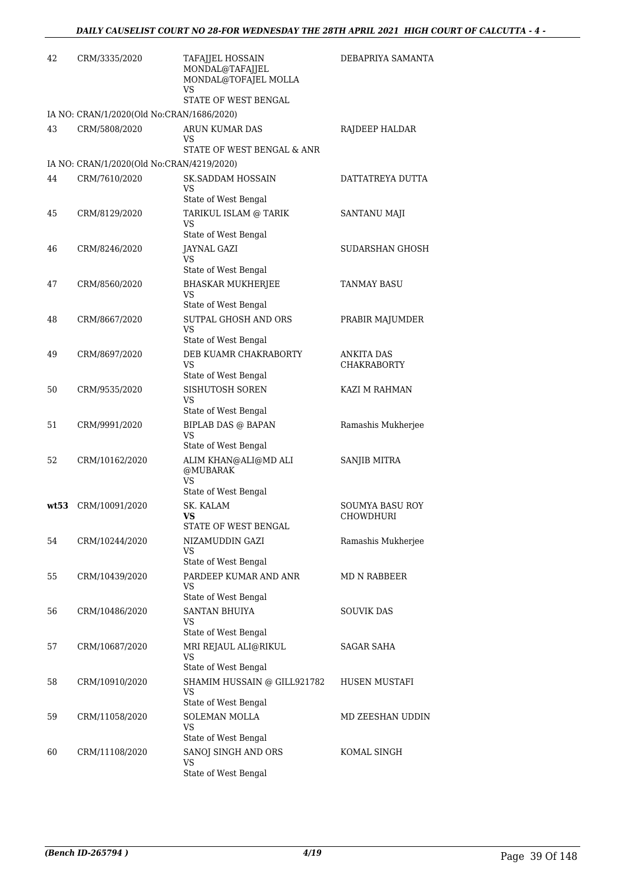| 42 | CRM/3335/2020                             | TAFAJJEL HOSSAIN<br>MONDAL@TAFAJJEL<br>MONDAL@TOFAJEL MOLLA<br>VS<br>STATE OF WEST BENGAL | DEBAPRIYA SAMANTA                          |
|----|-------------------------------------------|-------------------------------------------------------------------------------------------|--------------------------------------------|
|    | IA NO: CRAN/1/2020(Old No:CRAN/1686/2020) |                                                                                           |                                            |
| 43 | CRM/5808/2020                             | ARUN KUMAR DAS<br>VS<br>STATE OF WEST BENGAL & ANR                                        | RAJDEEP HALDAR                             |
|    | IA NO: CRAN/1/2020(Old No:CRAN/4219/2020) |                                                                                           |                                            |
| 44 | CRM/7610/2020                             | <b>SK.SADDAM HOSSAIN</b><br>VS                                                            | DATTATREYA DUTTA                           |
| 45 | CRM/8129/2020                             | State of West Bengal<br>TARIKUL ISLAM @ TARIK<br>VS                                       | SANTANU MAJI                               |
| 46 | CRM/8246/2020                             | State of West Bengal<br>JAYNAL GAZI<br><b>VS</b>                                          | SUDARSHAN GHOSH                            |
| 47 | CRM/8560/2020                             | State of West Bengal<br><b>BHASKAR MUKHERJEE</b><br>VS                                    | <b>TANMAY BASU</b>                         |
| 48 | CRM/8667/2020                             | State of West Bengal<br>SUTPAL GHOSH AND ORS<br>VS<br>State of West Bengal                | PRABIR MAJUMDER                            |
| 49 | CRM/8697/2020                             | DEB KUAMR CHAKRABORTY<br>VS<br>State of West Bengal                                       | ANKITA DAS<br><b>CHAKRABORTY</b>           |
| 50 | CRM/9535/2020                             | SISHUTOSH SOREN<br>VS<br>State of West Bengal                                             | KAZI M RAHMAN                              |
| 51 | CRM/9991/2020                             | <b>BIPLAB DAS @ BAPAN</b><br>VS<br>State of West Bengal                                   | Ramashis Mukherjee                         |
| 52 | CRM/10162/2020                            | ALIM KHAN@ALI@MD ALI<br>@MUBARAK<br>VS<br>State of West Bengal                            | SANJIB MITRA                               |
|    | wt53 CRM/10091/2020                       | SK. KALAM<br><b>VS</b><br>STATE OF WEST BENGAL                                            | <b>SOUMYA BASU ROY</b><br><b>CHOWDHURI</b> |
| 54 | CRM/10244/2020                            | NIZAMUDDIN GAZI<br>VS<br>State of West Bengal                                             | Ramashis Mukherjee                         |
| 55 | CRM/10439/2020                            | PARDEEP KUMAR AND ANR<br>VS.<br>State of West Bengal                                      | MD N RABBEER                               |
| 56 | CRM/10486/2020                            | <b>SANTAN BHUIYA</b><br>VS<br>State of West Bengal                                        | SOUVIK DAS                                 |
| 57 | CRM/10687/2020                            | MRI REJAUL ALI@RIKUL<br>VS<br>State of West Bengal                                        | SAGAR SAHA                                 |
| 58 | CRM/10910/2020                            | SHAMIM HUSSAIN @ GILL921782<br>VS<br>State of West Bengal                                 | HUSEN MUSTAFI                              |
| 59 | CRM/11058/2020                            | SOLEMAN MOLLA<br>VS<br>State of West Bengal                                               | MD ZEESHAN UDDIN                           |
| 60 | CRM/11108/2020                            | SANOJ SINGH AND ORS<br>VS<br>State of West Bengal                                         | KOMAL SINGH                                |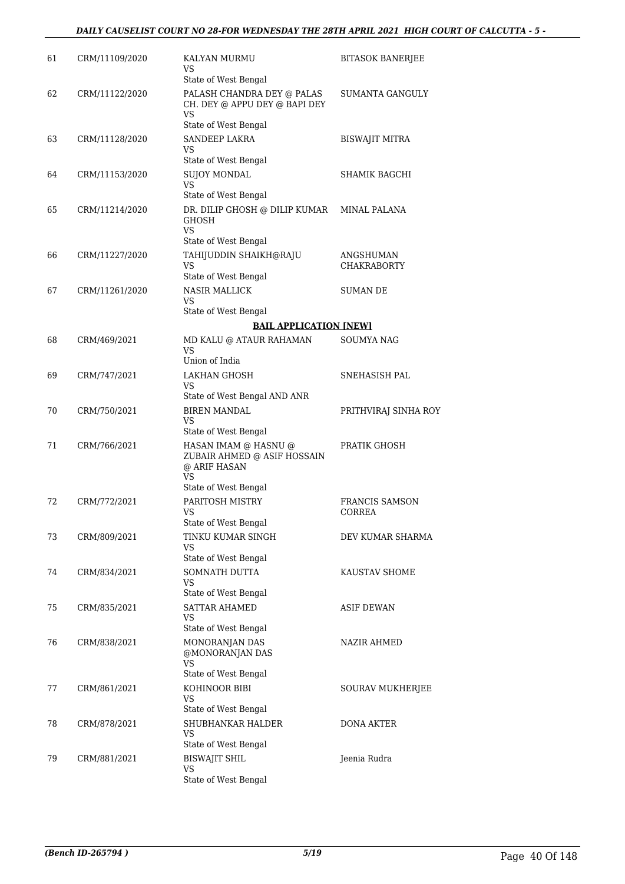| 61 | CRM/11109/2020 | KALYAN MURMU<br>VS.<br>State of West Bengal                                               | <b>BITASOK BANERJEE</b>         |
|----|----------------|-------------------------------------------------------------------------------------------|---------------------------------|
| 62 | CRM/11122/2020 | PALASH CHANDRA DEY @ PALAS<br>CH. DEY @ APPU DEY @ BAPI DEY<br>VS<br>State of West Bengal | SUMANTA GANGULY                 |
| 63 | CRM/11128/2020 | SANDEEP LAKRA<br>VS<br>State of West Bengal                                               | <b>BISWAJIT MITRA</b>           |
| 64 | CRM/11153/2020 | <b>SUJOY MONDAL</b><br>VS                                                                 | SHAMIK BAGCHI                   |
| 65 | CRM/11214/2020 | State of West Bengal<br>DR. DILIP GHOSH @ DILIP KUMAR<br>GHOSH<br>VS.                     | MINAL PALANA                    |
| 66 | CRM/11227/2020 | State of West Bengal<br>TAHIJUDDIN SHAIKH@RAJU<br>VS                                      | ANGSHUMAN<br>CHAKRABORTY        |
| 67 | CRM/11261/2020 | State of West Bengal<br><b>NASIR MALLICK</b><br>VS<br>State of West Bengal                | <b>SUMAN DE</b>                 |
|    |                | <b>BAIL APPLICATION [NEW]</b>                                                             |                                 |
| 68 | CRM/469/2021   | MD KALU @ ATAUR RAHAMAN<br>VS.                                                            | <b>SOUMYA NAG</b>               |
| 69 | CRM/747/2021   | Union of India<br><b>LAKHAN GHOSH</b><br>VS                                               | SNEHASISH PAL                   |
| 70 | CRM/750/2021   | State of West Bengal AND ANR<br><b>BIREN MANDAL</b><br>VS<br>State of West Bengal         | PRITHVIRAJ SINHA ROY            |
| 71 | CRM/766/2021   | HASAN IMAM @ HASNU @<br>ZUBAIR AHMED @ ASIF HOSSAIN<br>@ ARIF HASAN<br>VS.                | PRATIK GHOSH                    |
| 72 | CRM/772/2021   | State of West Bengal<br>PARITOSH MISTRY<br>VS<br>State of West Bengal                     | <b>FRANCIS SAMSON</b><br>CORREA |
| 73 | CRM/809/2021   | TINKU KUMAR SINGH<br>VS<br>State of West Bengal                                           | DEV KUMAR SHARMA                |
| 74 | CRM/834/2021   | SOMNATH DUTTA<br>VS.<br>State of West Bengal                                              | KAUSTAV SHOME                   |
| 75 | CRM/835/2021   | <b>SATTAR AHAMED</b><br>VS<br>State of West Bengal                                        | ASIF DEWAN                      |
| 76 | CRM/838/2021   | MONORANJAN DAS<br>@MONORANJAN DAS<br><b>VS</b><br>State of West Bengal                    | NAZIR AHMED                     |
| 77 | CRM/861/2021   | KOHINOOR BIBI<br>VS                                                                       | SOURAV MUKHERJEE                |
| 78 | CRM/878/2021   | State of West Bengal<br>SHUBHANKAR HALDER<br>VS.<br>State of West Bengal                  | DONA AKTER                      |
| 79 | CRM/881/2021   | <b>BISWAJIT SHIL</b><br>VS<br>State of West Bengal                                        | Jeenia Rudra                    |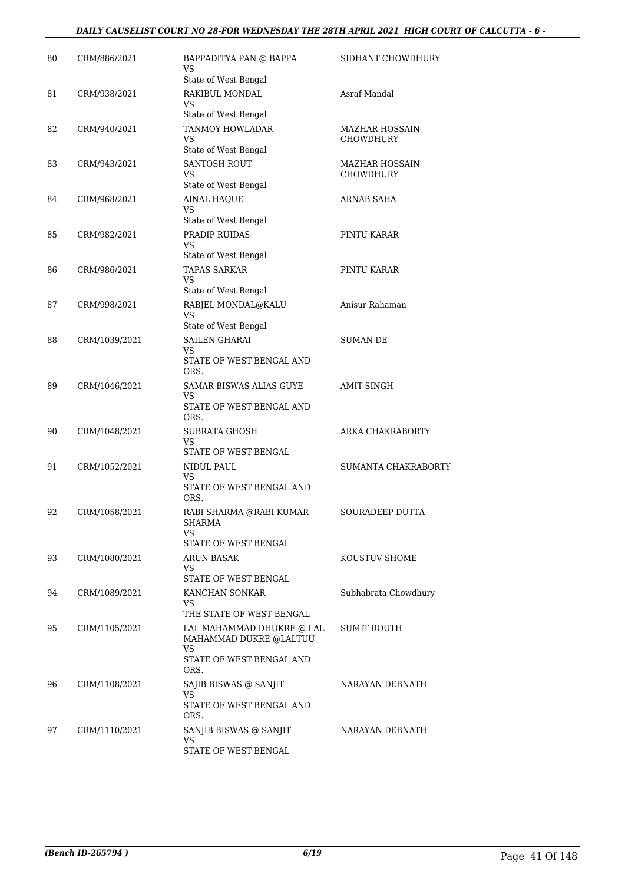| 80 | CRM/886/2021  | BAPPADITYA PAN @ BAPPA<br>VS                                                                  | SIDHANT CHOWDHURY                         |
|----|---------------|-----------------------------------------------------------------------------------------------|-------------------------------------------|
| 81 | CRM/938/2021  | State of West Bengal<br>RAKIBUL MONDAL<br>VS                                                  | Asraf Mandal                              |
| 82 | CRM/940/2021  | State of West Bengal<br><b>TANMOY HOWLADAR</b><br>VS                                          | <b>MAZHAR HOSSAIN</b><br><b>CHOWDHURY</b> |
|    |               | State of West Bengal                                                                          |                                           |
| 83 | CRM/943/2021  | SANTOSH ROUT<br><b>VS</b><br>State of West Bengal                                             | MAZHAR HOSSAIN<br>CHOWDHURY               |
| 84 | CRM/968/2021  | <b>AINAL HAQUE</b><br>VS                                                                      | ARNAB SAHA                                |
| 85 | CRM/982/2021  | State of West Bengal<br>PRADIP RUIDAS<br>VS.<br>State of West Bengal                          | PINTU KARAR                               |
| 86 | CRM/986/2021  | <b>TAPAS SARKAR</b><br>VS<br>State of West Bengal                                             | PINTU KARAR                               |
| 87 | CRM/998/2021  | RABJEL MONDAL@KALU<br>VS                                                                      | Anisur Rahaman                            |
| 88 | CRM/1039/2021 | State of West Bengal<br><b>SAILEN GHARAI</b><br>VS<br>STATE OF WEST BENGAL AND                | <b>SUMAN DE</b>                           |
| 89 | CRM/1046/2021 | ORS.<br>SAMAR BISWAS ALIAS GUYE<br>VS<br>STATE OF WEST BENGAL AND<br>ORS.                     | <b>AMIT SINGH</b>                         |
| 90 | CRM/1048/2021 | <b>SUBRATA GHOSH</b><br>VS<br>STATE OF WEST BENGAL                                            | ARKA CHAKRABORTY                          |
| 91 | CRM/1052/2021 | NIDUL PAUL<br>VS<br>STATE OF WEST BENGAL AND<br>ORS.                                          | <b>SUMANTA CHAKRABORTY</b>                |
| 92 | CRM/1058/2021 | RABI SHARMA @RABI KUMAR<br><b>SHARMA</b><br>VS<br>STATE OF WEST BENGAL                        | SOURADEEP DUTTA                           |
| 93 | CRM/1080/2021 | ARUN BASAK<br>VS<br>STATE OF WEST BENGAL                                                      | KOUSTUV SHOME                             |
| 94 | CRM/1089/2021 | KANCHAN SONKAR<br>VS<br>THE STATE OF WEST BENGAL                                              | Subhabrata Chowdhury                      |
| 95 | CRM/1105/2021 | LAL MAHAMMAD DHUKRE @ LAL<br>MAHAMMAD DUKRE @LALTUU<br>VS<br>STATE OF WEST BENGAL AND<br>ORS. | <b>SUMIT ROUTH</b>                        |
| 96 | CRM/1108/2021 | SAJIB BISWAS @ SANJIT<br>VS<br>STATE OF WEST BENGAL AND<br>ORS.                               | NARAYAN DEBNATH                           |
| 97 | CRM/1110/2021 | SANJIB BISWAS @ SANJIT<br>VS<br>STATE OF WEST BENGAL                                          | NARAYAN DEBNATH                           |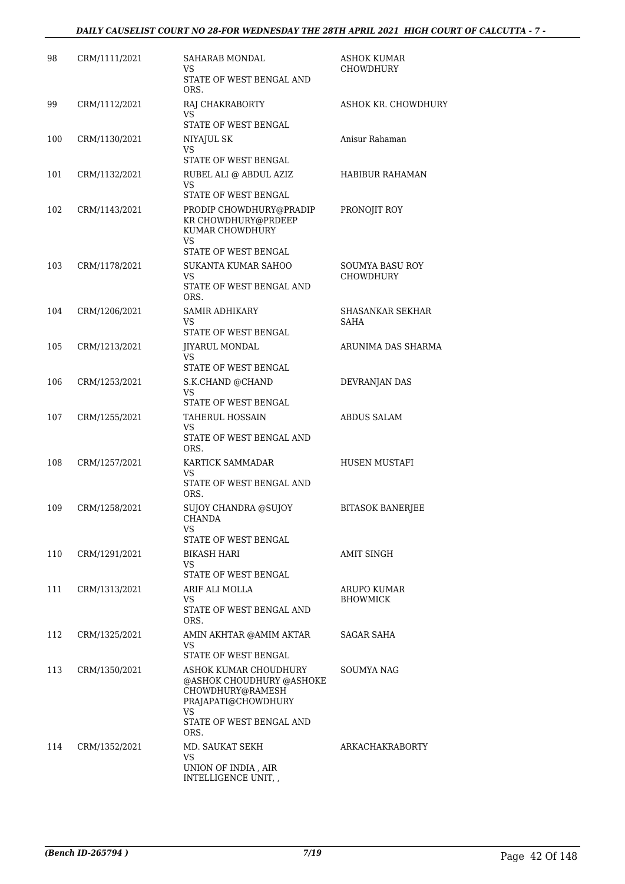| 98  | CRM/1111/2021 | SAHARAB MONDAL<br>VS                                                                                                                                           | <b>ASHOK KUMAR</b><br><b>CHOWDHURY</b> |
|-----|---------------|----------------------------------------------------------------------------------------------------------------------------------------------------------------|----------------------------------------|
|     |               | STATE OF WEST BENGAL AND<br>ORS.                                                                                                                               |                                        |
| 99  | CRM/1112/2021 | RAJ CHAKRABORTY<br>VS<br>STATE OF WEST BENGAL                                                                                                                  | ASHOK KR. CHOWDHURY                    |
| 100 | CRM/1130/2021 | NIYAJUL SK<br>VS.<br>STATE OF WEST BENGAL                                                                                                                      | Anisur Rahaman                         |
| 101 | CRM/1132/2021 | RUBEL ALI @ ABDUL AZIZ<br>VS                                                                                                                                   | HABIBUR RAHAMAN                        |
| 102 | CRM/1143/2021 | STATE OF WEST BENGAL<br>PRODIP CHOWDHURY@PRADIP<br>KR CHOWDHURY@PRDEEP<br>KUMAR CHOWDHURY<br>VS                                                                | PRONOJIT ROY                           |
| 103 | CRM/1178/2021 | STATE OF WEST BENGAL<br>SUKANTA KUMAR SAHOO<br>VS<br>STATE OF WEST BENGAL AND<br>ORS.                                                                          | SOUMYA BASU ROY<br>CHOWDHURY           |
| 104 | CRM/1206/2021 | SAMIR ADHIKARY<br>VS<br>STATE OF WEST BENGAL                                                                                                                   | <b>SHASANKAR SEKHAR</b><br>SAHA        |
| 105 | CRM/1213/2021 | <b>JIYARUL MONDAL</b><br>VS<br>STATE OF WEST BENGAL                                                                                                            | ARUNIMA DAS SHARMA                     |
| 106 | CRM/1253/2021 | S.K.CHAND @CHAND<br>VS<br>STATE OF WEST BENGAL                                                                                                                 | DEVRANJAN DAS                          |
| 107 | CRM/1255/2021 | <b>TAHERUL HOSSAIN</b><br>VS<br>STATE OF WEST BENGAL AND<br>ORS.                                                                                               | <b>ABDUS SALAM</b>                     |
| 108 | CRM/1257/2021 | KARTICK SAMMADAR<br>VS<br>STATE OF WEST BENGAL AND<br>ORS.                                                                                                     | HUSEN MUSTAFI                          |
| 109 | CRM/1258/2021 | SUJOY CHANDRA @SUJOY<br>CHANDA<br>VS<br>STATE OF WEST BENGAL                                                                                                   | <b>BITASOK BANERJEE</b>                |
| 110 | CRM/1291/2021 | BIKASH HARI<br>VS<br>STATE OF WEST BENGAL                                                                                                                      | AMIT SINGH                             |
| 111 | CRM/1313/2021 | ARIF ALI MOLLA<br>VS<br>STATE OF WEST BENGAL AND<br>ORS.                                                                                                       | ARUPO KUMAR<br><b>BHOWMICK</b>         |
| 112 | CRM/1325/2021 | AMIN AKHTAR @AMIM AKTAR<br>VS.                                                                                                                                 | SAGAR SAHA                             |
| 113 | CRM/1350/2021 | STATE OF WEST BENGAL<br>ASHOK KUMAR CHOUDHURY<br>@ASHOK CHOUDHURY @ASHOKE<br>CHOWDHURY@RAMESH<br>PRAJAPATI@CHOWDHURY<br>VS<br>STATE OF WEST BENGAL AND<br>ORS. | SOUMYA NAG                             |
| 114 | CRM/1352/2021 | MD. SAUKAT SEKH<br>VS<br>UNION OF INDIA, AIR<br>INTELLIGENCE UNIT,                                                                                             | ARKACHAKRABORTY                        |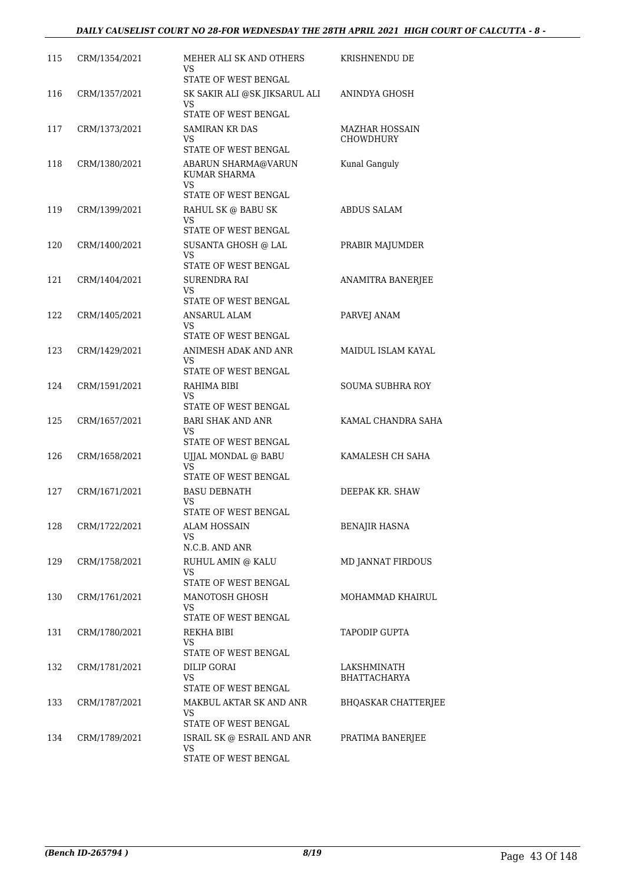| 115 | CRM/1354/2021 | MEHER ALI SK AND OTHERS<br>VS.<br>STATE OF WEST BENGAL                            | KRISHNENDU DE                      |
|-----|---------------|-----------------------------------------------------------------------------------|------------------------------------|
| 116 | CRM/1357/2021 | SK SAKIR ALI @SK JIKSARUL ALI<br>VS.<br>STATE OF WEST BENGAL                      | ANINDYA GHOSH                      |
| 117 | CRM/1373/2021 | <b>SAMIRAN KR DAS</b><br>VS.<br>STATE OF WEST BENGAL                              | MAZHAR HOSSAIN<br><b>CHOWDHURY</b> |
| 118 | CRM/1380/2021 | ABARUN SHARMA@VARUN<br>KUMAR SHARMA<br>VS.                                        | Kunal Ganguly                      |
| 119 | CRM/1399/2021 | STATE OF WEST BENGAL<br>RAHUL SK @ BABU SK<br>VS                                  | ABDUS SALAM                        |
| 120 | CRM/1400/2021 | STATE OF WEST BENGAL<br>SUSANTA GHOSH @ LAL<br><b>VS</b>                          | PRABIR MAJUMDER                    |
| 121 | CRM/1404/2021 | STATE OF WEST BENGAL<br>SURENDRA RAI<br>VS.                                       | ANAMITRA BANERJEE                  |
| 122 | CRM/1405/2021 | STATE OF WEST BENGAL<br>ANSARUL ALAM<br>VS.                                       | PARVEJ ANAM                        |
| 123 | CRM/1429/2021 | STATE OF WEST BENGAL<br>ANIMESH ADAK AND ANR<br>VS.                               | MAIDUL ISLAM KAYAL                 |
| 124 | CRM/1591/2021 | STATE OF WEST BENGAL<br>RAHIMA BIBI<br>VS.                                        | <b>SOUMA SUBHRA ROY</b>            |
| 125 | CRM/1657/2021 | STATE OF WEST BENGAL<br><b>BARI SHAK AND ANR</b><br>VS.                           | KAMAL CHANDRA SAHA                 |
| 126 | CRM/1658/2021 | STATE OF WEST BENGAL<br>UJJAL MONDAL @ BABU<br>VS.                                | KAMALESH CH SAHA                   |
| 127 | CRM/1671/2021 | STATE OF WEST BENGAL<br><b>BASU DEBNATH</b><br>VS.                                | DEEPAK KR. SHAW                    |
| 128 | CRM/1722/2021 | STATE OF WEST BENGAL<br><b>ALAM HOSSAIN</b><br>VS.                                | <b>BENAJIR HASNA</b>               |
| 129 | CRM/1758/2021 | N.C.B. AND ANR<br>RUHUL AMIN @ KALU<br>VS.                                        | MD JANNAT FIRDOUS                  |
| 130 | CRM/1761/2021 | STATE OF WEST BENGAL<br>MANOTOSH GHOSH<br>VS.                                     | MOHAMMAD KHAIRUL                   |
| 131 | CRM/1780/2021 | STATE OF WEST BENGAL<br>REKHA BIBI<br>VS                                          | TAPODIP GUPTA                      |
| 132 | CRM/1781/2021 | STATE OF WEST BENGAL<br>DILIP GORAI<br>VS.                                        | LAKSHMINATH<br>BHATTACHARYA        |
| 133 | CRM/1787/2021 | STATE OF WEST BENGAL<br>MAKBUL AKTAR SK AND ANR<br>VS.                            | <b>BHQASKAR CHATTERJEE</b>         |
| 134 | CRM/1789/2021 | STATE OF WEST BENGAL<br>ISRAIL SK @ ESRAIL AND ANR<br>VS.<br>STATE OF WEST BENGAL | PRATIMA BANERJEE                   |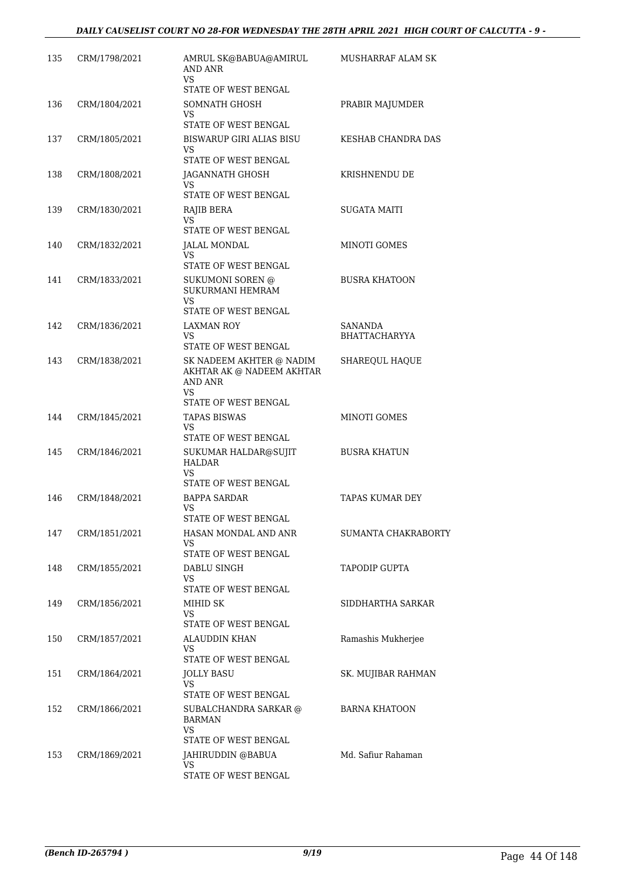| 135 | CRM/1798/2021 | AMRUL SK@BABUA@AMIRUL<br><b>AND ANR</b><br>VS.                                                        | MUSHARRAF ALAM SK               |
|-----|---------------|-------------------------------------------------------------------------------------------------------|---------------------------------|
| 136 | CRM/1804/2021 | STATE OF WEST BENGAL<br>SOMNATH GHOSH                                                                 | PRABIR MAJUMDER                 |
|     |               | VS<br>STATE OF WEST BENGAL                                                                            |                                 |
| 137 | CRM/1805/2021 | <b>BISWARUP GIRI ALIAS BISU</b><br>VS<br>STATE OF WEST BENGAL                                         | KESHAB CHANDRA DAS              |
| 138 | CRM/1808/2021 | JAGANNATH GHOSH<br>VS                                                                                 | KRISHNENDU DE                   |
|     |               | STATE OF WEST BENGAL                                                                                  |                                 |
| 139 | CRM/1830/2021 | RAJIB BERA<br>VS<br>STATE OF WEST BENGAL                                                              | SUGATA MAITI                    |
| 140 | CRM/1832/2021 | JALAL MONDAL<br><b>VS</b>                                                                             | MINOTI GOMES                    |
| 141 | CRM/1833/2021 | STATE OF WEST BENGAL<br><b>SUKUMONI SOREN @</b><br>SUKURMANI HEMRAM<br>VS<br>STATE OF WEST BENGAL     | <b>BUSRA KHATOON</b>            |
| 142 | CRM/1836/2021 | LAXMAN ROY<br>VS.                                                                                     | SANANDA<br><b>BHATTACHARYYA</b> |
| 143 | CRM/1838/2021 | STATE OF WEST BENGAL<br>SK NADEEM AKHTER @ NADIM<br>AKHTAR AK @ NADEEM AKHTAR<br>AND ANR<br><b>VS</b> | SHAREQUL HAQUE                  |
| 144 | CRM/1845/2021 | STATE OF WEST BENGAL<br><b>TAPAS BISWAS</b><br>VS.                                                    | MINOTI GOMES                    |
|     |               | STATE OF WEST BENGAL                                                                                  |                                 |
| 145 | CRM/1846/2021 | SUKUMAR HALDAR@SUJIT<br>HALDAR<br>VS                                                                  | <b>BUSRA KHATUN</b>             |
|     |               | STATE OF WEST BENGAL                                                                                  |                                 |
| 146 | CRM/1848/2021 | <b>BAPPA SARDAR</b><br>VS.<br>STATE OF WEST BENGAL                                                    | TAPAS KUMAR DEY                 |
| 147 | CRM/1851/2021 | HASAN MONDAL AND ANR<br>VS<br>STATE OF WEST BENGAL                                                    | SUMANTA CHAKRABORTY             |
| 148 | CRM/1855/2021 | DABLU SINGH<br>VS.                                                                                    | <b>TAPODIP GUPTA</b>            |
| 149 | CRM/1856/2021 | STATE OF WEST BENGAL<br>MIHID SK<br>VS<br>STATE OF WEST BENGAL                                        | SIDDHARTHA SARKAR               |
| 150 | CRM/1857/2021 | <b>ALAUDDIN KHAN</b><br>VS<br>STATE OF WEST BENGAL                                                    | Ramashis Mukherjee              |
| 151 | CRM/1864/2021 | JOLLY BASU<br>VS.<br>STATE OF WEST BENGAL                                                             | SK. MUJIBAR RAHMAN              |
| 152 | CRM/1866/2021 | SUBALCHANDRA SARKAR @<br><b>BARMAN</b><br>VS.                                                         | <b>BARNA KHATOON</b>            |
|     |               | STATE OF WEST BENGAL                                                                                  |                                 |
| 153 | CRM/1869/2021 | JAHIRUDDIN @BABUA<br>VS.                                                                              | Md. Safiur Rahaman              |
|     |               | STATE OF WEST BENGAL                                                                                  |                                 |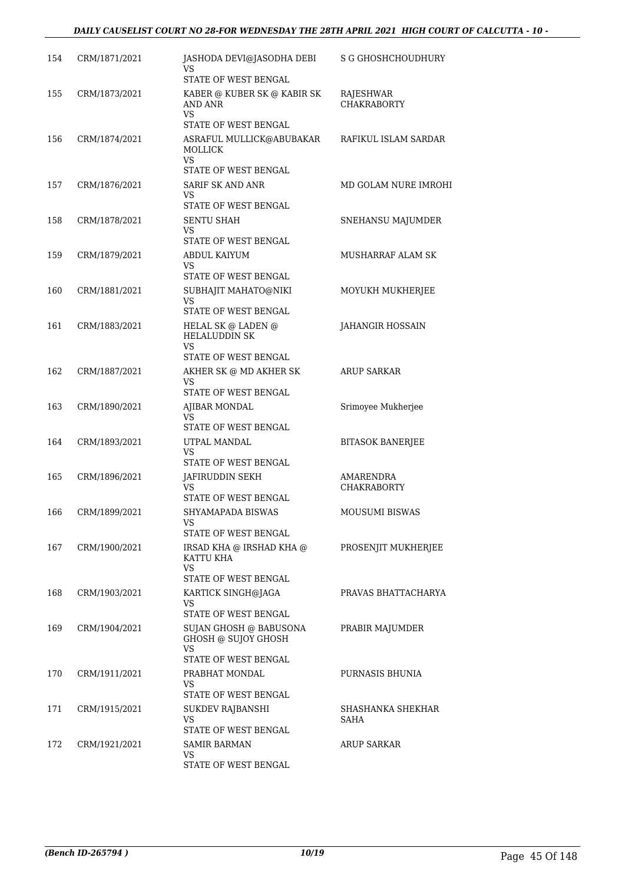## *DAILY CAUSELIST COURT NO 28-FOR WEDNESDAY THE 28TH APRIL 2021 HIGH COURT OF CALCUTTA - 10 -*

| 154 | CRM/1871/2021 | JASHODA DEVI@JASODHA DEBI<br>VS                                                           | <b>S G GHOSHCHOUDHURY</b>       |
|-----|---------------|-------------------------------------------------------------------------------------------|---------------------------------|
| 155 | CRM/1873/2021 | STATE OF WEST BENGAL<br>KABER @ KUBER SK @ KABIR SK<br><b>AND ANR</b><br>VS               | RAJESHWAR<br><b>CHAKRABORTY</b> |
| 156 | CRM/1874/2021 | STATE OF WEST BENGAL<br>ASRAFUL MULLICK@ABUBAKAR<br>MOLLICK<br>VS                         | RAFIKUL ISLAM SARDAR            |
| 157 | CRM/1876/2021 | STATE OF WEST BENGAL<br>SARIF SK AND ANR<br>VS                                            | MD GOLAM NURE IMROHI            |
| 158 | CRM/1878/2021 | STATE OF WEST BENGAL<br>SENTU SHAH<br>VS                                                  | SNEHANSU MAJUMDER               |
| 159 | CRM/1879/2021 | STATE OF WEST BENGAL<br>ABDUL KAIYUM<br>VS                                                | MUSHARRAF ALAM SK               |
| 160 | CRM/1881/2021 | STATE OF WEST BENGAL<br>SUBHAJIT MAHATO@NIKI<br>VS<br>STATE OF WEST BENGAL                | MOYUKH MUKHERJEE                |
| 161 | CRM/1883/2021 | HELAL SK @ LADEN @<br>HELALUDDIN SK<br><b>VS</b>                                          | <b>JAHANGIR HOSSAIN</b>         |
| 162 | CRM/1887/2021 | STATE OF WEST BENGAL<br>AKHER SK @ MD AKHER SK<br>VS                                      | <b>ARUP SARKAR</b>              |
| 163 | CRM/1890/2021 | STATE OF WEST BENGAL<br>AJIBAR MONDAL<br>VS                                               | Srimoyee Mukherjee              |
| 164 | CRM/1893/2021 | STATE OF WEST BENGAL<br>UTPAL MANDAL<br>VS                                                | <b>BITASOK BANERJEE</b>         |
| 165 | CRM/1896/2021 | STATE OF WEST BENGAL<br>JAFIRUDDIN SEKH<br>VS<br>STATE OF WEST BENGAL                     | <b>AMARENDRA</b><br>CHAKRABORTY |
| 166 | CRM/1899/2021 | SHYAMAPADA BISWAS<br>VS<br>STATE OF WEST BENGAL                                           | <b>MOUSUMI BISWAS</b>           |
| 167 | CRM/1900/2021 | IRSAD KHA @ IRSHAD KHA @<br>KATTU KHA<br>VS                                               | PROSENJIT MUKHERJEE             |
| 168 | CRM/1903/2021 | STATE OF WEST BENGAL<br>KARTICK SINGH@JAGA<br>VS                                          | PRAVAS BHATTACHARYA             |
| 169 | CRM/1904/2021 | STATE OF WEST BENGAL<br>SUJAN GHOSH @ BABUSONA<br><b>GHOSH @ SUJOY GHOSH</b><br><b>VS</b> | PRABIR MAJUMDER                 |
| 170 | CRM/1911/2021 | STATE OF WEST BENGAL<br>PRABHAT MONDAL<br>VS                                              | PURNASIS BHUNIA                 |
| 171 | CRM/1915/2021 | STATE OF WEST BENGAL<br><b>SUKDEV RAJBANSHI</b><br>VS<br>STATE OF WEST BENGAL             | SHASHANKA SHEKHAR<br>SAHA       |
| 172 | CRM/1921/2021 | <b>SAMIR BARMAN</b><br>VS<br>STATE OF WEST BENGAL                                         | ARUP SARKAR                     |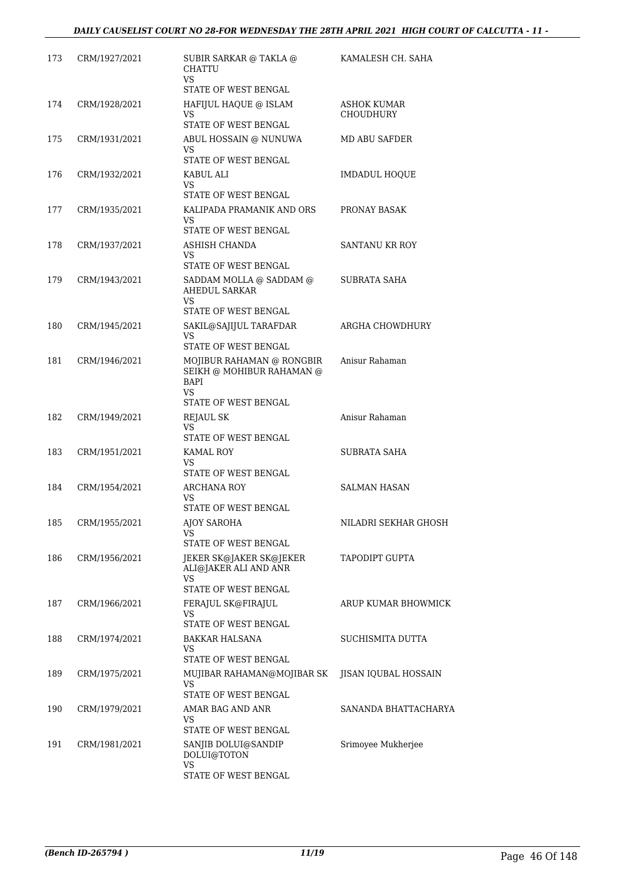| 173 | CRM/1927/2021 | SUBIR SARKAR @ TAKLA @<br><b>CHATTU</b><br>VS.                                                      | KAMALESH CH. SAHA                      |
|-----|---------------|-----------------------------------------------------------------------------------------------------|----------------------------------------|
| 174 | CRM/1928/2021 | STATE OF WEST BENGAL<br>HAFIJUL HAQUE @ ISLAM<br>VS.                                                | <b>ASHOK KUMAR</b><br><b>CHOUDHURY</b> |
| 175 | CRM/1931/2021 | STATE OF WEST BENGAL<br>ABUL HOSSAIN @ NUNUWA<br>VS.<br>STATE OF WEST BENGAL                        | MD ABU SAFDER                          |
| 176 | CRM/1932/2021 | KABUL ALI<br>VS.                                                                                    | <b>IMDADUL HOOUE</b>                   |
| 177 | CRM/1935/2021 | STATE OF WEST BENGAL<br>KALIPADA PRAMANIK AND ORS<br>VS.<br>STATE OF WEST BENGAL                    | PRONAY BASAK                           |
| 178 | CRM/1937/2021 | ASHISH CHANDA<br>VS<br>STATE OF WEST BENGAL                                                         | <b>SANTANU KR ROY</b>                  |
| 179 | CRM/1943/2021 | SADDAM MOLLA @ SADDAM @<br>AHEDUL SARKAR<br>VS.<br>STATE OF WEST BENGAL                             | SUBRATA SAHA                           |
| 180 | CRM/1945/2021 | SAKIL@SAJIJUL TARAFDAR<br>VS.<br>STATE OF WEST BENGAL                                               | ARGHA CHOWDHURY                        |
| 181 | CRM/1946/2021 | MOJIBUR RAHAMAN @ RONGBIR<br>SEIKH @ MOHIBUR RAHAMAN @<br>BAPI<br><b>VS</b><br>STATE OF WEST BENGAL | Anisur Rahaman                         |
| 182 | CRM/1949/2021 | REJAUL SK<br>VS.<br>STATE OF WEST BENGAL                                                            | Anisur Rahaman                         |
| 183 | CRM/1951/2021 | KAMAL ROY<br>VS.<br>STATE OF WEST BENGAL                                                            | SUBRATA SAHA                           |
| 184 | CRM/1954/2021 | ARCHANA ROY<br>VS.<br>STATE OF WEST BENGAL                                                          | <b>SALMAN HASAN</b>                    |
| 185 | CRM/1955/2021 | AJOY SAROHA<br>VS.<br>STATE OF WEST BENGAL                                                          | NILADRI SEKHAR GHOSH                   |
| 186 | CRM/1956/2021 | JEKER SK@JAKER SK@JEKER<br>ALI@JAKER ALI AND ANR<br>VS.<br>STATE OF WEST BENGAL                     | TAPODIPT GUPTA                         |
| 187 | CRM/1966/2021 | FERAJUL SK@FIRAJUL<br>VS.<br>STATE OF WEST BENGAL                                                   | ARUP KUMAR BHOWMICK                    |
| 188 | CRM/1974/2021 | BAKKAR HALSANA<br>VS<br>STATE OF WEST BENGAL                                                        | SUCHISMITA DUTTA                       |
| 189 | CRM/1975/2021 | MUJIBAR RAHAMAN@MOJIBAR SK<br><b>VS</b><br>STATE OF WEST BENGAL                                     | JISAN IQUBAL HOSSAIN                   |
| 190 | CRM/1979/2021 | AMAR BAG AND ANR<br>VS<br>STATE OF WEST BENGAL                                                      | SANANDA BHATTACHARYA                   |
| 191 | CRM/1981/2021 | SANJIB DOLUI@SANDIP<br>DOLUI@TOTON<br>VS.<br>STATE OF WEST BENGAL                                   | Srimoyee Mukherjee                     |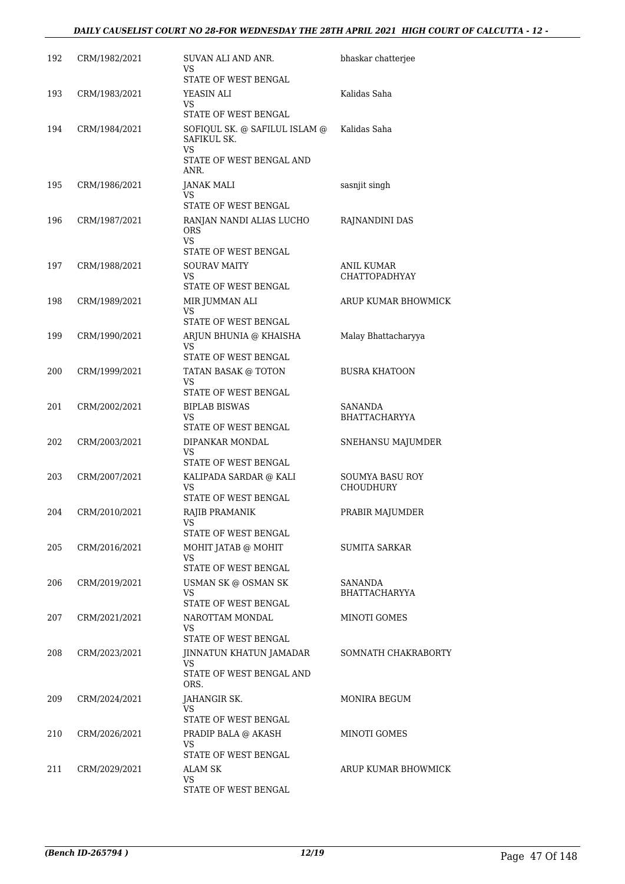## *DAILY CAUSELIST COURT NO 28-FOR WEDNESDAY THE 28TH APRIL 2021 HIGH COURT OF CALCUTTA - 12 -*

| 192 | CRM/1982/2021 | SUVAN ALI AND ANR.<br>VS<br>STATE OF WEST BENGAL                                          | bhaskar chatterjee                         |
|-----|---------------|-------------------------------------------------------------------------------------------|--------------------------------------------|
| 193 | CRM/1983/2021 | YEASIN ALI<br>VS.                                                                         | Kalidas Saha                               |
| 194 | CRM/1984/2021 | STATE OF WEST BENGAL<br>SOFIQUL SK. @ SAFILUL ISLAM @<br>SAFIKUL SK.                      | Kalidas Saha                               |
|     |               | VS<br>STATE OF WEST BENGAL AND<br>ANR.                                                    |                                            |
| 195 | CRM/1986/2021 | JANAK MALI<br>VS                                                                          | sasnjit singh                              |
| 196 | CRM/1987/2021 | STATE OF WEST BENGAL<br>RANJAN NANDI ALIAS LUCHO<br>ORS                                   | RAJNANDINI DAS                             |
| 197 | CRM/1988/2021 | <b>VS</b><br>STATE OF WEST BENGAL<br><b>SOURAV MAITY</b>                                  | ANIL KUMAR                                 |
|     |               | VS<br>STATE OF WEST BENGAL                                                                | <b>CHATTOPADHYAY</b>                       |
| 198 | CRM/1989/2021 | MIR JUMMAN ALI<br>VS<br>STATE OF WEST BENGAL                                              | ARUP KUMAR BHOWMICK                        |
| 199 | CRM/1990/2021 | ARJUN BHUNIA @ KHAISHA<br>VS<br>STATE OF WEST BENGAL                                      | Malay Bhattacharyya                        |
| 200 | CRM/1999/2021 | TATAN BASAK @ TOTON<br>VS                                                                 | <b>BUSRA KHATOON</b>                       |
| 201 | CRM/2002/2021 | STATE OF WEST BENGAL<br><b>BIPLAB BISWAS</b><br>VS<br>STATE OF WEST BENGAL                | <b>SANANDA</b><br><b>BHATTACHARYYA</b>     |
| 202 | CRM/2003/2021 | DIPANKAR MONDAL<br>VS                                                                     | SNEHANSU MAJUMDER                          |
|     |               | STATE OF WEST BENGAL                                                                      |                                            |
| 203 | CRM/2007/2021 | KALIPADA SARDAR @ KALI<br>VS.<br>STATE OF WEST BENGAL                                     | <b>SOUMYA BASU ROY</b><br><b>CHOUDHURY</b> |
| 204 | CRM/2010/2021 | RAJIB PRAMANIK<br>VS<br>STATE OF WEST BENGAL                                              | PRABIR MAJUMDER                            |
| 205 | CRM/2016/2021 | MOHIT JATAB @ MOHIT<br>VS.<br>STATE OF WEST BENGAL                                        | SUMITA SARKAR                              |
| 206 | CRM/2019/2021 | USMAN SK @ OSMAN SK<br>VS                                                                 | SANANDA<br><b>BHATTACHARYYA</b>            |
| 207 | CRM/2021/2021 | STATE OF WEST BENGAL<br>NAROTTAM MONDAL<br>VS                                             | MINOTI GOMES                               |
| 208 | CRM/2023/2021 | STATE OF WEST BENGAL<br><b>JINNATUN KHATUN JAMADAR</b><br>VS.<br>STATE OF WEST BENGAL AND | SOMNATH CHAKRABORTY                        |
| 209 | CRM/2024/2021 | ORS.<br>JAHANGIR SK.<br>VS.                                                               | MONIRA BEGUM                               |
|     |               | STATE OF WEST BENGAL                                                                      |                                            |
| 210 | CRM/2026/2021 | PRADIP BALA @ AKASH<br>VS<br>STATE OF WEST BENGAL                                         | MINOTI GOMES                               |
| 211 | CRM/2029/2021 | ALAM SK<br>VS<br>STATE OF WEST BENGAL                                                     | ARUP KUMAR BHOWMICK                        |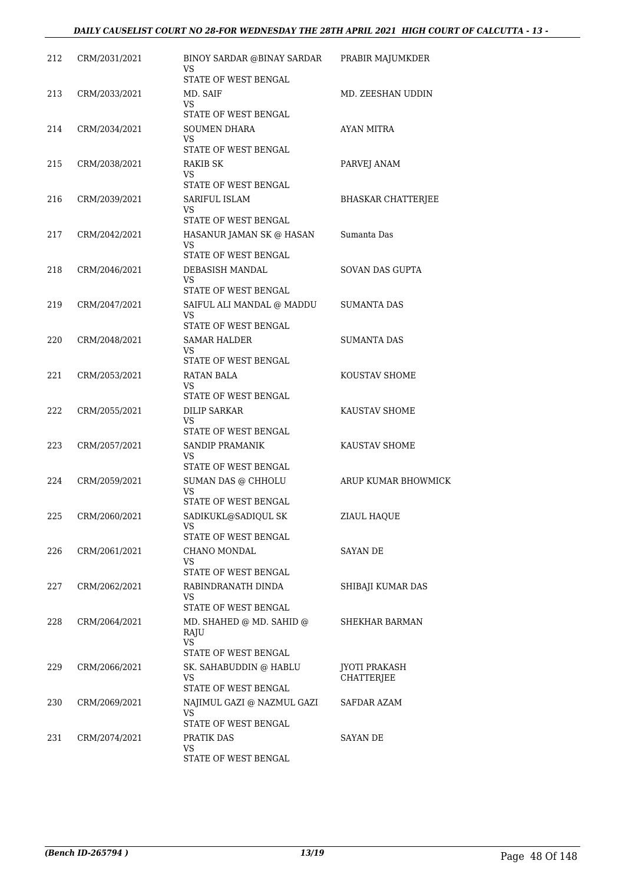| 212 | CRM/2031/2021 | BINOY SARDAR @BINAY SARDAR<br>VS<br>STATE OF WEST BENGAL        | PRABIR MAJUMKDER            |
|-----|---------------|-----------------------------------------------------------------|-----------------------------|
| 213 | CRM/2033/2021 | MD. SAIF<br>VS.<br>STATE OF WEST BENGAL                         | MD. ZEESHAN UDDIN           |
| 214 | CRM/2034/2021 | SOUMEN DHARA<br>VS<br>STATE OF WEST BENGAL                      | AYAN MITRA                  |
| 215 | CRM/2038/2021 | RAKIB SK<br>VS<br>STATE OF WEST BENGAL                          | PARVEJ ANAM                 |
| 216 | CRM/2039/2021 | SARIFUL ISLAM<br>VS<br>STATE OF WEST BENGAL                     | <b>BHASKAR CHATTERJEE</b>   |
| 217 | CRM/2042/2021 | HASANUR JAMAN SK @ HASAN<br>VS<br>STATE OF WEST BENGAL          | Sumanta Das                 |
| 218 | CRM/2046/2021 | DEBASISH MANDAL<br><b>VS</b><br>STATE OF WEST BENGAL            | SOVAN DAS GUPTA             |
| 219 | CRM/2047/2021 | SAIFUL ALI MANDAL @ MADDU<br>VS<br>STATE OF WEST BENGAL         | <b>SUMANTA DAS</b>          |
| 220 | CRM/2048/2021 | SAMAR HALDER<br>VS.<br>STATE OF WEST BENGAL                     | <b>SUMANTA DAS</b>          |
| 221 | CRM/2053/2021 | RATAN BALA<br>VS<br>STATE OF WEST BENGAL                        | KOUSTAV SHOME               |
| 222 | CRM/2055/2021 | <b>DILIP SARKAR</b><br>VS<br>STATE OF WEST BENGAL               | KAUSTAV SHOME               |
| 223 | CRM/2057/2021 | SANDIP PRAMANIK<br>VS<br>STATE OF WEST BENGAL                   | KAUSTAV SHOME               |
| 224 | CRM/2059/2021 | SUMAN DAS @ CHHOLU<br>VS<br>STATE OF WEST BENGAL                | ARUP KUMAR BHOWMICK         |
| 225 | CRM/2060/2021 | SADIKUKL@SADIQUL SK<br>VS<br>STATE OF WEST BENGAL               | ZIAUL HAQUE                 |
| 226 | CRM/2061/2021 | CHANO MONDAL<br>VS<br>STATE OF WEST BENGAL                      | SAYAN DE                    |
| 227 | CRM/2062/2021 | RABINDRANATH DINDA<br>VS<br>STATE OF WEST BENGAL                | SHIBAJI KUMAR DAS           |
| 228 | CRM/2064/2021 | MD. SHAHED @ MD. SAHID @<br>RAJU<br>VS.<br>STATE OF WEST BENGAL | SHEKHAR BARMAN              |
| 229 | CRM/2066/2021 | SK. SAHABUDDIN @ HABLU<br>VS.<br>STATE OF WEST BENGAL           | JYOTI PRAKASH<br>CHATTERJEE |
| 230 | CRM/2069/2021 | NAJIMUL GAZI @ NAZMUL GAZI<br>VS<br>STATE OF WEST BENGAL        | SAFDAR AZAM                 |
| 231 | CRM/2074/2021 | PRATIK DAS<br>VS<br>STATE OF WEST BENGAL                        | SAYAN DE                    |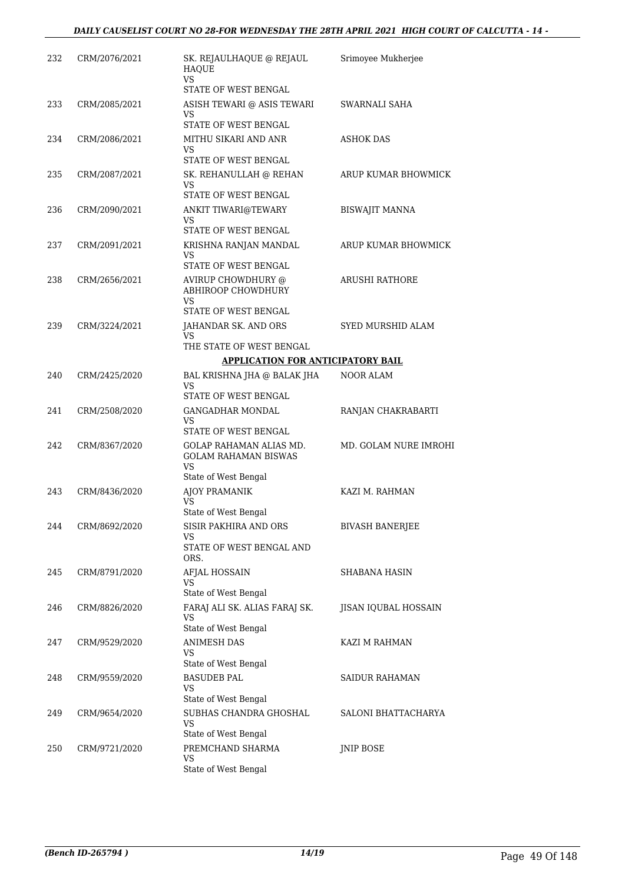| 232 | CRM/2076/2021 | SK. REJAULHAQUE @ REJAUL<br><b>HAQUE</b><br>VS                      | Srimoyee Mukherjee     |
|-----|---------------|---------------------------------------------------------------------|------------------------|
|     |               | STATE OF WEST BENGAL                                                |                        |
| 233 | CRM/2085/2021 | ASISH TEWARI @ ASIS TEWARI<br><b>VS</b>                             | SWARNALI SAHA          |
|     |               | STATE OF WEST BENGAL                                                |                        |
| 234 | CRM/2086/2021 | MITHU SIKARI AND ANR<br>VS                                          | <b>ASHOK DAS</b>       |
|     |               | STATE OF WEST BENGAL                                                |                        |
| 235 | CRM/2087/2021 | SK. REHANULLAH @ REHAN<br>VS                                        | ARUP KUMAR BHOWMICK    |
|     |               | STATE OF WEST BENGAL                                                |                        |
| 236 | CRM/2090/2021 | ANKIT TIWARI@TEWARY<br>VS<br>STATE OF WEST BENGAL                   | <b>BISWAJIT MANNA</b>  |
|     |               |                                                                     |                        |
| 237 | CRM/2091/2021 | KRISHNA RANJAN MANDAL<br><b>VS</b><br><b>STATE OF WEST BENGAL</b>   | ARUP KUMAR BHOWMICK    |
| 238 | CRM/2656/2021 | AVIRUP CHOWDHURY @<br>ABHIROOP CHOWDHURY<br>VS                      | <b>ARUSHI RATHORE</b>  |
|     |               | STATE OF WEST BENGAL                                                |                        |
| 239 | CRM/3224/2021 | <b>JAHANDAR SK. AND ORS</b>                                         | SYED MURSHID ALAM      |
|     |               | VS<br>THE STATE OF WEST BENGAL                                      |                        |
|     |               | <b>APPLICATION FOR ANTICIPATORY BAIL</b>                            |                        |
| 240 | CRM/2425/2020 | BAL KRISHNA JHA @ BALAK JHA<br>VS                                   | NOOR ALAM              |
|     |               | STATE OF WEST BENGAL                                                |                        |
| 241 | CRM/2508/2020 | <b>GANGADHAR MONDAL</b><br>VS<br>STATE OF WEST BENGAL               | RANJAN CHAKRABARTI     |
| 242 | CRM/8367/2020 | GOLAP RAHAMAN ALIAS MD.<br><b>GOLAM RAHAMAN BISWAS</b><br><b>VS</b> | MD. GOLAM NURE IMROHI  |
|     |               | State of West Bengal                                                |                        |
| 243 | CRM/8436/2020 | AJOY PRAMANIK<br>VS<br>State of West Bengal                         | KAZI M. RAHMAN         |
| 244 | CRM/8692/2020 | SISIR PAKHIRA AND ORS                                               | <b>BIVASH BANERJEE</b> |
|     |               | VS<br>STATE OF WEST BENGAL AND                                      |                        |
|     |               | ORS.                                                                |                        |
| 245 | CRM/8791/2020 | AFJAL HOSSAIN<br>VS<br>State of West Bengal                         | SHABANA HASIN          |
| 246 | CRM/8826/2020 | FARAJ ALI SK. ALIAS FARAJ SK.                                       | JISAN IQUBAL HOSSAIN   |
|     |               | VS<br>State of West Bengal                                          |                        |
| 247 | CRM/9529/2020 | <b>ANIMESH DAS</b>                                                  | KAZI M RAHMAN          |
|     |               | <b>VS</b>                                                           |                        |
| 248 | CRM/9559/2020 | State of West Bengal<br><b>BASUDEB PAL</b>                          | SAIDUR RAHAMAN         |
|     |               | VS<br>State of West Bengal                                          |                        |
| 249 | CRM/9654/2020 | SUBHAS CHANDRA GHOSHAL                                              | SALONI BHATTACHARYA    |
|     |               | <b>VS</b><br>State of West Bengal                                   |                        |
| 250 | CRM/9721/2020 | PREMCHAND SHARMA                                                    | JNIP BOSE              |
|     |               | VS<br>State of West Bengal                                          |                        |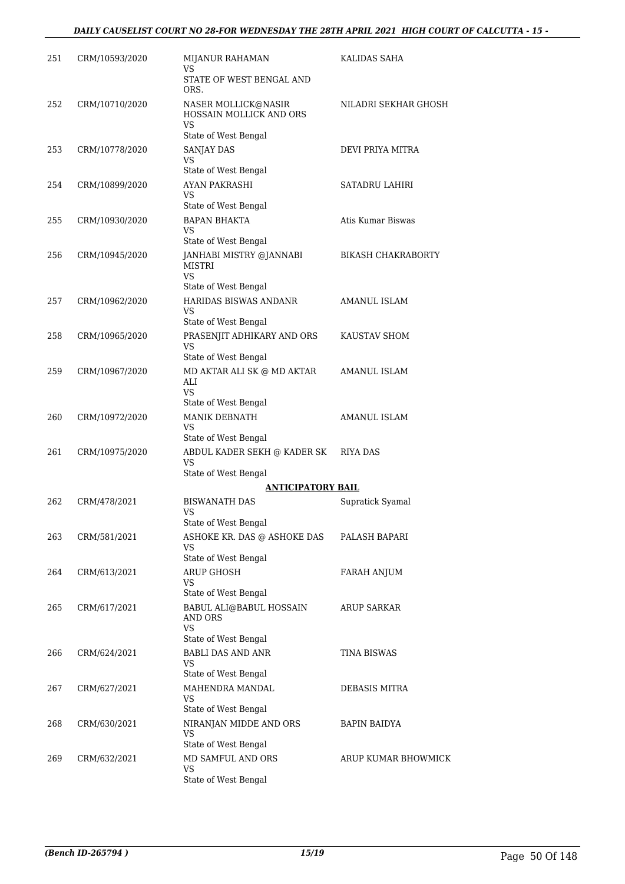## *DAILY CAUSELIST COURT NO 28-FOR WEDNESDAY THE 28TH APRIL 2021 HIGH COURT OF CALCUTTA - 15 -*

| 251 | CRM/10593/2020 | MIJANUR RAHAMAN<br>VS                                    | KALIDAS SAHA              |
|-----|----------------|----------------------------------------------------------|---------------------------|
|     |                | STATE OF WEST BENGAL AND<br>ORS.                         |                           |
| 252 | CRM/10710/2020 | NASER MOLLICK@NASIR<br>HOSSAIN MOLLICK AND ORS<br>VS     | NILADRI SEKHAR GHOSH      |
|     |                | State of West Bengal                                     |                           |
| 253 | CRM/10778/2020 | SANJAY DAS<br>VS<br>State of West Bengal                 | DEVI PRIYA MITRA          |
| 254 | CRM/10899/2020 | AYAN PAKRASHI<br>VS                                      | SATADRU LAHIRI            |
|     |                | State of West Bengal                                     |                           |
| 255 | CRM/10930/2020 | <b>BAPAN BHAKTA</b><br>VS<br>State of West Bengal        | Atis Kumar Biswas         |
| 256 | CRM/10945/2020 | JANHABI MISTRY @JANNABI<br>MISTRI<br>VS                  | <b>BIKASH CHAKRABORTY</b> |
|     |                | State of West Bengal                                     |                           |
| 257 | CRM/10962/2020 | HARIDAS BISWAS ANDANR<br>VS<br>State of West Bengal      | <b>AMANUL ISLAM</b>       |
| 258 | CRM/10965/2020 | PRASENJIT ADHIKARY AND ORS<br>VS<br>State of West Bengal | KAUSTAV SHOM              |
| 259 | CRM/10967/2020 | MD AKTAR ALI SK @ MD AKTAR<br>ALI<br><b>VS</b>           | AMANUL ISLAM              |
|     |                | State of West Bengal                                     |                           |
| 260 | CRM/10972/2020 | MANIK DEBNATH<br>VS<br>State of West Bengal              | AMANUL ISLAM              |
| 261 | CRM/10975/2020 | ABDUL KADER SEKH @ KADER SK                              | RIYA DAS                  |
|     |                | VS<br>State of West Bengal                               |                           |
|     |                | <b>ANTICIPATORY BAIL</b>                                 |                           |
| 262 | CRM/478/2021   | <b>BISWANATH DAS</b><br>VS<br>State of West Bengal       | Supratick Syamal          |
| 263 | CRM/581/2021   | ASHOKE KR. DAS @ ASHOKE DAS<br>VS                        | PALASH BAPARI             |
| 264 | CRM/613/2021   | State of West Bengal<br>ARUP GHOSH                       | FARAH ANJUM               |
|     |                | VS<br>State of West Bengal                               |                           |
| 265 | CRM/617/2021   | BABUL ALI@BABUL HOSSAIN<br>AND ORS<br><b>VS</b>          | ARUP SARKAR               |
|     |                | State of West Bengal                                     |                           |
| 266 | CRM/624/2021   | <b>BABLI DAS AND ANR</b><br>VS.<br>State of West Bengal  | <b>TINA BISWAS</b>        |
| 267 | CRM/627/2021   | MAHENDRA MANDAL<br>VS                                    | DEBASIS MITRA             |
| 268 | CRM/630/2021   | State of West Bengal<br>NIRANJAN MIDDE AND ORS           | BAPIN BAIDYA              |
|     |                | <b>VS</b><br>State of West Bengal                        |                           |
| 269 | CRM/632/2021   | MD SAMFUL AND ORS                                        | ARUP KUMAR BHOWMICK       |
|     |                | VS<br>State of West Bengal                               |                           |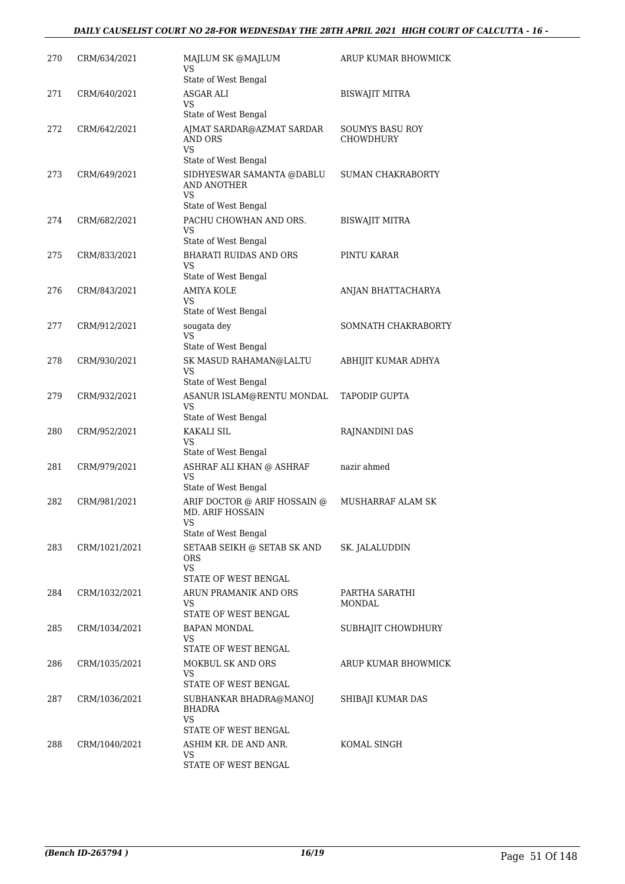| 270 | CRM/634/2021  | MAJLUM SK @MAJLUM<br>VS<br>State of West Bengal                         | ARUP KUMAR BHOWMICK          |
|-----|---------------|-------------------------------------------------------------------------|------------------------------|
| 271 | CRM/640/2021  | ASGAR ALI<br>VS                                                         | <b>BISWAJIT MITRA</b>        |
|     |               | State of West Bengal                                                    |                              |
| 272 | CRM/642/2021  | AJMAT SARDAR@AZMAT SARDAR<br>AND ORS<br>VS                              | SOUMYS BASU ROY<br>CHOWDHURY |
|     |               | State of West Bengal                                                    |                              |
| 273 | CRM/649/2021  | SIDHYESWAR SAMANTA @DABLU<br>AND ANOTHER<br><b>VS</b>                   | <b>SUMAN CHAKRABORTY</b>     |
|     |               | State of West Bengal                                                    |                              |
| 274 | CRM/682/2021  | PACHU CHOWHAN AND ORS.<br>VS<br>State of West Bengal                    | <b>BISWAJIT MITRA</b>        |
| 275 | CRM/833/2021  | <b>BHARATI RUIDAS AND ORS</b>                                           | PINTU KARAR                  |
|     |               | VS<br>State of West Bengal                                              |                              |
| 276 | CRM/843/2021  | <b>AMIYA KOLE</b>                                                       | ANJAN BHATTACHARYA           |
|     |               | VS                                                                      |                              |
|     |               | State of West Bengal                                                    |                              |
| 277 | CRM/912/2021  | sougata dey<br>VS                                                       | SOMNATH CHAKRABORTY          |
|     |               | State of West Bengal                                                    |                              |
| 278 | CRM/930/2021  | SK MASUD RAHAMAN@LALTU<br>VS<br>State of West Bengal                    | ABHIJIT KUMAR ADHYA          |
| 279 | CRM/932/2021  | ASANUR ISLAM@RENTU MONDAL                                               | <b>TAPODIP GUPTA</b>         |
|     |               | VS<br>State of West Bengal                                              |                              |
| 280 | CRM/952/2021  | KAKALI SIL                                                              | RAJNANDINI DAS               |
|     |               | VS<br>State of West Bengal                                              |                              |
| 281 | CRM/979/2021  | ASHRAF ALI KHAN @ ASHRAF<br>VS                                          | nazir ahmed                  |
|     |               | State of West Bengal                                                    |                              |
| 282 | CRM/981/2021  | ARIF DOCTOR @ ARIF HOSSAIN @<br><b>MD. ARIF HOSSAIN</b><br>VS           | MUSHARRAF ALAM SK            |
|     |               | State of West Bengal                                                    |                              |
| 283 | CRM/1021/2021 | SETAAB SEIKH @ SETAB SK AND<br>ORS<br><b>VS</b><br>STATE OF WEST BENGAL | SK. JALALUDDIN               |
| 284 | CRM/1032/2021 | ARUN PRAMANIK AND ORS                                                   | PARTHA SARATHI               |
|     |               | VS<br>STATE OF WEST BENGAL                                              | MONDAL                       |
| 285 | CRM/1034/2021 | <b>BAPAN MONDAL</b>                                                     | SUBHAJIT CHOWDHURY           |
|     |               | VS<br>STATE OF WEST BENGAL                                              |                              |
| 286 | CRM/1035/2021 | MOKBUL SK AND ORS                                                       | ARUP KUMAR BHOWMICK          |
|     |               | VS<br>STATE OF WEST BENGAL                                              |                              |
| 287 | CRM/1036/2021 | SUBHANKAR BHADRA@MANOJ<br><b>BHADRA</b><br>VS                           | SHIBAJI KUMAR DAS            |
|     |               | STATE OF WEST BENGAL                                                    |                              |
| 288 | CRM/1040/2021 | ASHIM KR. DE AND ANR.<br>VS                                             | KOMAL SINGH                  |
|     |               | STATE OF WEST BENGAL                                                    |                              |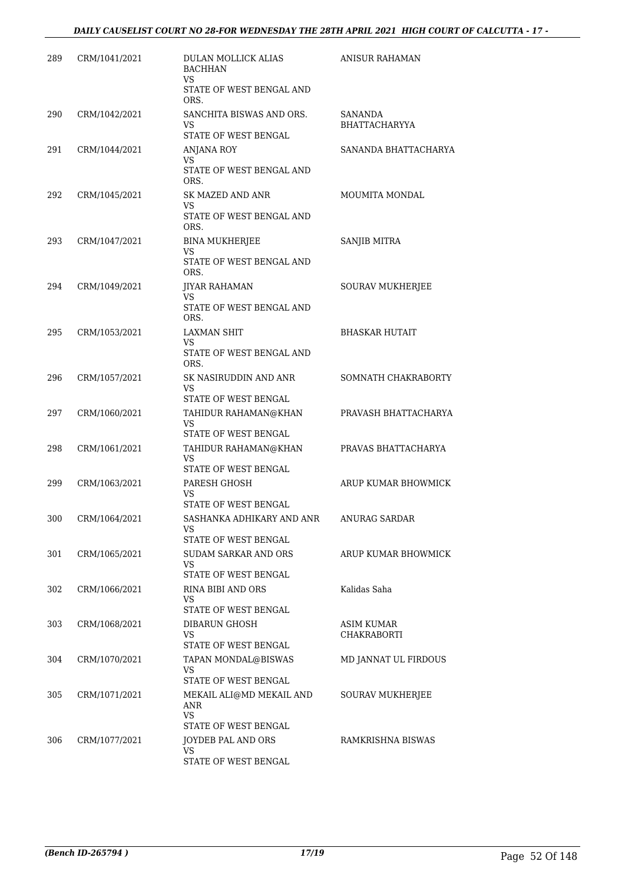| 289 | CRM/1041/2021 | DULAN MOLLICK ALIAS<br><b>BACHHAN</b><br><b>VS</b><br>STATE OF WEST BENGAL AND | <b>ANISUR RAHAMAN</b>           |
|-----|---------------|--------------------------------------------------------------------------------|---------------------------------|
| 290 | CRM/1042/2021 | ORS.<br>SANCHITA BISWAS AND ORS.<br>VS<br>STATE OF WEST BENGAL                 | SANANDA<br><b>BHATTACHARYYA</b> |
| 291 | CRM/1044/2021 | ANJANA ROY<br>VS<br>STATE OF WEST BENGAL AND<br>ORS.                           | SANANDA BHATTACHARYA            |
| 292 | CRM/1045/2021 | <b>SK MAZED AND ANR</b><br>VS.<br>STATE OF WEST BENGAL AND<br>ORS.             | MOUMITA MONDAL                  |
| 293 | CRM/1047/2021 | <b>BINA MUKHERJEE</b><br>VS<br>STATE OF WEST BENGAL AND<br>ORS.                | SANJIB MITRA                    |
| 294 | CRM/1049/2021 | <b>JIYAR RAHAMAN</b><br>VS<br>STATE OF WEST BENGAL AND<br>ORS.                 | SOURAV MUKHERJEE                |
| 295 | CRM/1053/2021 | <b>LAXMAN SHIT</b><br>VS<br>STATE OF WEST BENGAL AND<br>ORS.                   | <b>BHASKAR HUTAIT</b>           |
| 296 | CRM/1057/2021 | SK NASIRUDDIN AND ANR<br>VS<br>STATE OF WEST BENGAL                            | SOMNATH CHAKRABORTY             |
| 297 | CRM/1060/2021 | TAHIDUR RAHAMAN@KHAN<br>VS<br>STATE OF WEST BENGAL                             | PRAVASH BHATTACHARYA            |
| 298 | CRM/1061/2021 | TAHIDUR RAHAMAN@KHAN<br>VS<br>STATE OF WEST BENGAL                             | PRAVAS BHATTACHARYA             |
| 299 | CRM/1063/2021 | PARESH GHOSH<br>VS<br>STATE OF WEST BENGAL                                     | ARUP KUMAR BHOWMICK             |
| 300 | CRM/1064/2021 | SASHANKA ADHIKARY AND ANR<br>VS<br>STATE OF WEST BENGAL                        | ANURAG SARDAR                   |
| 301 | CRM/1065/2021 | <b>SUDAM SARKAR AND ORS</b><br>VS<br>STATE OF WEST BENGAL                      | ARUP KUMAR BHOWMICK             |
| 302 | CRM/1066/2021 | RINA BIBI AND ORS<br>VS<br>STATE OF WEST BENGAL                                | Kalidas Saha                    |
| 303 | CRM/1068/2021 | DIBARUN GHOSH<br>VS<br>STATE OF WEST BENGAL                                    | ASIM KUMAR<br>CHAKRABORTI       |
| 304 | CRM/1070/2021 | TAPAN MONDAL@BISWAS<br>VS<br>STATE OF WEST BENGAL                              | MD JANNAT UL FIRDOUS            |
| 305 | CRM/1071/2021 | MEKAIL ALI@MD MEKAIL AND<br>ANR<br>VS<br>STATE OF WEST BENGAL                  | SOURAV MUKHERJEE                |
| 306 | CRM/1077/2021 | JOYDEB PAL AND ORS<br>VS<br>STATE OF WEST BENGAL                               | RAMKRISHNA BISWAS               |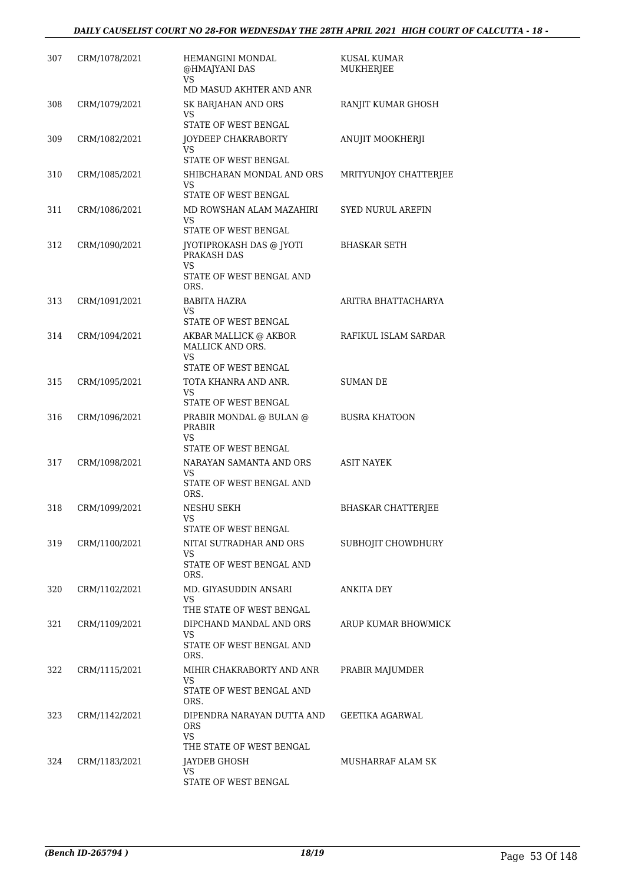| 307 | CRM/1078/2021 | HEMANGINI MONDAL<br>@HMAJYANI DAS<br>VS.<br>MD MASUD AKHTER AND ANR                   | <b>KUSAL KUMAR</b><br>MUKHERJEE |
|-----|---------------|---------------------------------------------------------------------------------------|---------------------------------|
| 308 | CRM/1079/2021 | SK BARJAHAN AND ORS<br>VS.                                                            | RANJIT KUMAR GHOSH              |
| 309 | CRM/1082/2021 | STATE OF WEST BENGAL<br>JOYDEEP CHAKRABORTY<br>VS.<br>STATE OF WEST BENGAL            | ANUJIT MOOKHERJI                |
| 310 | CRM/1085/2021 | SHIBCHARAN MONDAL AND ORS<br>VS                                                       | MRITYUNJOY CHATTERJEE           |
| 311 | CRM/1086/2021 | STATE OF WEST BENGAL<br>MD ROWSHAN ALAM MAZAHIRI<br>VS.                               | <b>SYED NURUL AREFIN</b>        |
| 312 | CRM/1090/2021 | STATE OF WEST BENGAL<br>JYOTIPROKASH DAS @ JYOTI<br>PRAKASH DAS<br>VS.                | <b>BHASKAR SETH</b>             |
|     |               | STATE OF WEST BENGAL AND<br>ORS.                                                      |                                 |
| 313 | CRM/1091/2021 | BABITA HAZRA<br>VS.<br>STATE OF WEST BENGAL                                           | ARITRA BHATTACHARYA             |
| 314 | CRM/1094/2021 | AKBAR MALLICK @ AKBOR<br>MALLICK AND ORS.<br><b>VS</b>                                | RAFIKUL ISLAM SARDAR            |
| 315 | CRM/1095/2021 | STATE OF WEST BENGAL<br>TOTA KHANRA AND ANR.<br><b>VS</b>                             | <b>SUMAN DE</b>                 |
| 316 | CRM/1096/2021 | STATE OF WEST BENGAL<br>PRABIR MONDAL @ BULAN @<br>PRABIR<br>VS                       | <b>BUSRA KHATOON</b>            |
|     |               | STATE OF WEST BENGAL                                                                  |                                 |
| 317 | CRM/1098/2021 | NARAYAN SAMANTA AND ORS<br>VS.<br>STATE OF WEST BENGAL AND<br>ORS.                    | <b>ASIT NAYEK</b>               |
| 318 | CRM/1099/2021 | NESHU SEKH<br>VS<br>STATE OF WEST BENGAL                                              | <b>BHASKAR CHATTERJEE</b>       |
| 319 | CRM/1100/2021 | NITAI SUTRADHAR AND ORS<br>VS.<br>STATE OF WEST BENGAL AND<br>ORS.                    | SUBHOJIT CHOWDHURY              |
| 320 | CRM/1102/2021 | MD. GIYASUDDIN ANSARI<br>VS                                                           | <b>ANKITA DEY</b>               |
| 321 | CRM/1109/2021 | THE STATE OF WEST BENGAL<br>DIPCHAND MANDAL AND ORS<br>VS<br>STATE OF WEST BENGAL AND | ARUP KUMAR BHOWMICK             |
| 322 | CRM/1115/2021 | ORS.<br>MIHIR CHAKRABORTY AND ANR<br><b>VS</b>                                        | PRABIR MAJUMDER                 |
|     |               | STATE OF WEST BENGAL AND<br>ORS.                                                      |                                 |
| 323 | CRM/1142/2021 | DIPENDRA NARAYAN DUTTA AND<br><b>ORS</b><br>VS<br>THE STATE OF WEST BENGAL            | GEETIKA AGARWAL                 |
| 324 | CRM/1183/2021 | JAYDEB GHOSH<br>VS.<br>STATE OF WEST BENGAL                                           | MUSHARRAF ALAM SK               |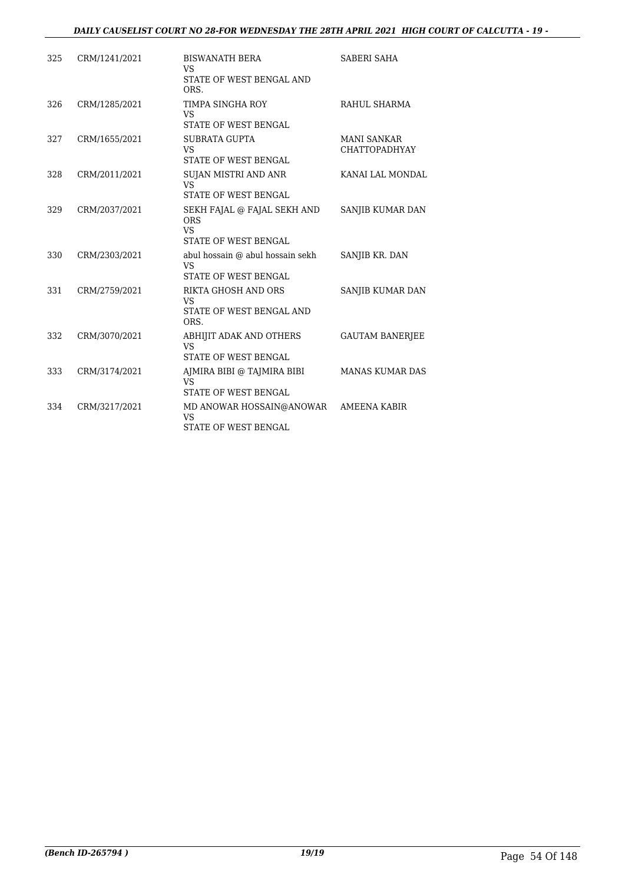## *DAILY CAUSELIST COURT NO 28-FOR WEDNESDAY THE 28TH APRIL 2021 HIGH COURT OF CALCUTTA - 19 -*

| 325 | CRM/1241/2021 | <b>BISWANATH BERA</b><br><b>VS</b>                     | <b>SABERI SAHA</b>                         |
|-----|---------------|--------------------------------------------------------|--------------------------------------------|
|     |               | STATE OF WEST BENGAL AND<br>ORS.                       |                                            |
| 326 | CRM/1285/2021 | TIMPA SINGHA ROY<br><b>VS</b>                          | RAHUL SHARMA                               |
|     |               | <b>STATE OF WEST BENGAL</b>                            |                                            |
| 327 | CRM/1655/2021 | <b>SUBRATA GUPTA</b><br><b>VS</b>                      | <b>MANI SANKAR</b><br><b>CHATTOPADHYAY</b> |
|     |               | STATE OF WEST BENGAL                                   |                                            |
| 328 | CRM/2011/2021 | SUJAN MISTRI AND ANR<br><b>VS</b>                      | KANAI LAL MONDAL                           |
|     |               | <b>STATE OF WEST BENGAL</b>                            |                                            |
| 329 | CRM/2037/2021 | SEKH FAJAL @ FAJAL SEKH AND<br><b>ORS</b><br><b>VS</b> | SANJIB KUMAR DAN                           |
|     |               | <b>STATE OF WEST BENGAL</b>                            |                                            |
| 330 | CRM/2303/2021 | abul hossain @ abul hossain sekh<br><b>VS</b>          | SANJIB KR. DAN                             |
|     |               | STATE OF WEST BENGAL                                   |                                            |
| 331 | CRM/2759/2021 | <b>RIKTA GHOSH AND ORS</b><br><b>VS</b>                | SANJIB KUMAR DAN                           |
|     |               | STATE OF WEST BENGAL AND<br>ORS.                       |                                            |
| 332 | CRM/3070/2021 | ABHIJIT ADAK AND OTHERS<br><b>VS</b>                   | <b>GAUTAM BANERJEE</b>                     |
|     |               | STATE OF WEST BENGAL                                   |                                            |
| 333 | CRM/3174/2021 | AJMIRA BIBI @ TAJMIRA BIBI<br><b>VS</b>                | <b>MANAS KUMAR DAS</b>                     |
|     |               | STATE OF WEST BENGAL                                   |                                            |
| 334 | CRM/3217/2021 | MD ANOWAR HOSSAIN@ANOWAR<br><b>VS</b>                  | AMEENA KABIR                               |
|     |               | STATE OF WEST BENGAL                                   |                                            |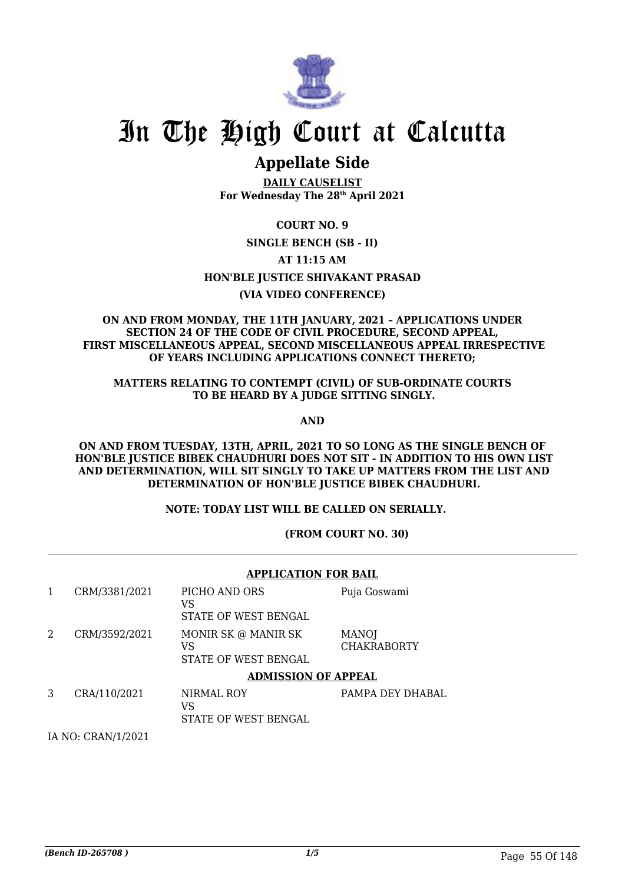

## **Appellate Side**

**DAILY CAUSELIST For Wednesday The 28th April 2021**

## **COURT NO. 9**

## **SINGLE BENCH (SB - II)**

**AT 11:15 AM**

## **HON'BLE JUSTICE SHIVAKANT PRASAD**

## **(VIA VIDEO CONFERENCE)**

#### **ON AND FROM MONDAY, THE 11TH JANUARY, 2021 – APPLICATIONS UNDER SECTION 24 OF THE CODE OF CIVIL PROCEDURE, SECOND APPEAL, FIRST MISCELLANEOUS APPEAL, SECOND MISCELLANEOUS APPEAL IRRESPECTIVE OF YEARS INCLUDING APPLICATIONS CONNECT THERETO;**

## **MATTERS RELATING TO CONTEMPT (CIVIL) OF SUB-ORDINATE COURTS TO BE HEARD BY A JUDGE SITTING SINGLY.**

**AND**

**ON AND FROM TUESDAY, 13TH, APRIL, 2021 TO SO LONG AS THE SINGLE BENCH OF HON'BLE JUSTICE BIBEK CHAUDHURI DOES NOT SIT - IN ADDITION TO HIS OWN LIST AND DETERMINATION, WILL SIT SINGLY TO TAKE UP MATTERS FROM THE LIST AND DETERMINATION OF HON'BLE JUSTICE BIBEK CHAUDHURI.**

**NOTE: TODAY LIST WILL BE CALLED ON SERIALLY.** 

 **(FROM COURT NO. 30)**

#### **APPLICATION FOR BAIL** 1 CRM/3381/2021 PICHO AND ORS VS STATE OF WEST BENGAL Puja Goswami 2 CRM/3592/2021 MONIR SK @ MANIR SK VS STATE OF WEST BENGAL **MANOI** CHAKRABORTY **ADMISSION OF APPEAL** 3 CRA/110/2021 NIRMAL ROY  $V<sub>C</sub>$ STATE OF WEST BENGAL PAMPA DEY DHABAL IA NO: CRAN/1/2021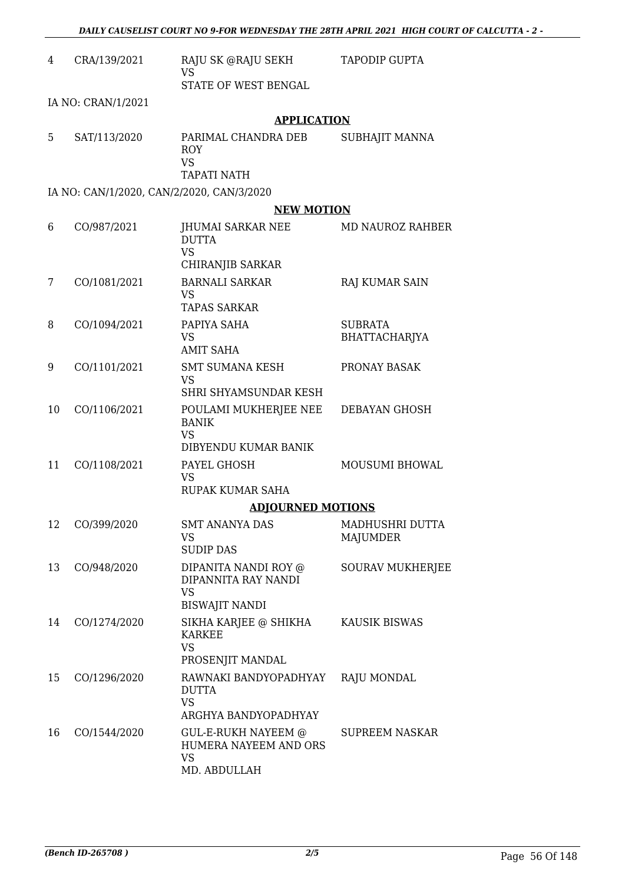| 4  | CRA/139/2021       | RAJU SK @RAJU SEKH<br><b>VS</b>                                           | <b>TAPODIP GUPTA</b>            |
|----|--------------------|---------------------------------------------------------------------------|---------------------------------|
|    |                    | STATE OF WEST BENGAL                                                      |                                 |
|    | IA NO: CRAN/1/2021 |                                                                           |                                 |
|    |                    | <b>APPLICATION</b>                                                        |                                 |
| 5  | SAT/113/2020       | PARIMAL CHANDRA DEB<br><b>ROY</b><br><b>VS</b><br><b>TAPATI NATH</b>      | SUBHAJIT MANNA                  |
|    |                    | IA NO: CAN/1/2020, CAN/2/2020, CAN/3/2020                                 |                                 |
|    |                    | <b>NEW MOTION</b>                                                         |                                 |
| 6  | CO/987/2021        | JHUMAI SARKAR NEE<br><b>DUTTA</b><br><b>VS</b>                            | MD NAUROZ RAHBER                |
|    |                    | CHIRANJIB SARKAR                                                          |                                 |
| 7  | CO/1081/2021       | <b>BARNALI SARKAR</b><br>VS.                                              | RAJ KUMAR SAIN                  |
|    |                    | <b>TAPAS SARKAR</b>                                                       |                                 |
| 8  | CO/1094/2021       | PAPIYA SAHA<br><b>VS</b>                                                  | <b>SUBRATA</b><br>BHATTACHARJYA |
|    |                    | <b>AMIT SAHA</b>                                                          |                                 |
| 9  | CO/1101/2021       | <b>SMT SUMANA KESH</b><br><b>VS</b>                                       | PRONAY BASAK                    |
|    |                    | SHRI SHYAMSUNDAR KESH                                                     |                                 |
| 10 | CO/1106/2021       | POULAMI MUKHERJEE NEE<br><b>BANIK</b><br><b>VS</b>                        | DEBAYAN GHOSH                   |
|    |                    | DIBYENDU KUMAR BANIK                                                      |                                 |
| 11 | CO/1108/2021       | PAYEL GHOSH<br><b>VS</b><br>RUPAK KUMAR SAHA                              | MOUSUMI BHOWAL                  |
|    |                    | <b>ADJOURNED MOTIONS</b>                                                  |                                 |
| 12 | CO/399/2020        | <b>SMT ANANYA DAS</b>                                                     | MADHUSHRI DUTTA                 |
|    |                    | <b>VS</b><br><b>SUDIP DAS</b>                                             | <b>MAJUMDER</b>                 |
| 13 | CO/948/2020        | DIPANITA NANDI ROY @<br>DIPANNITA RAY NANDI<br><b>VS</b>                  | SOURAV MUKHERJEE                |
|    |                    | <b>BISWAJIT NANDI</b>                                                     |                                 |
| 14 | CO/1274/2020       | SIKHA KARJEE @ SHIKHA<br><b>KARKEE</b><br><b>VS</b><br>PROSENJIT MANDAL   | <b>KAUSIK BISWAS</b>            |
| 15 | CO/1296/2020       | RAWNAKI BANDYOPADHYAY<br><b>DUTTA</b><br><b>VS</b>                        | <b>RAJU MONDAL</b>              |
|    |                    | ARGHYA BANDYOPADHYAY                                                      |                                 |
| 16 | CO/1544/2020       | GUL-E-RUKH NAYEEM @<br>HUMERA NAYEEM AND ORS<br><b>VS</b><br>MD. ABDULLAH | <b>SUPREEM NASKAR</b>           |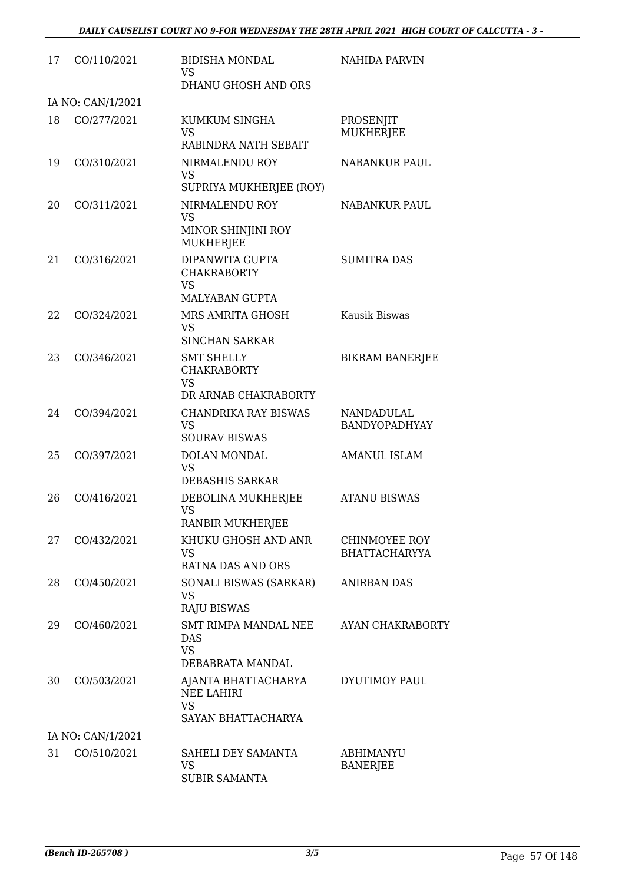| 17 | CO/110/2021       | <b>BIDISHA MONDAL</b>                                                                                  | NAHIDA PARVIN                         |
|----|-------------------|--------------------------------------------------------------------------------------------------------|---------------------------------------|
|    |                   | <b>VS</b><br>DHANU GHOSH AND ORS                                                                       |                                       |
|    | IA NO: CAN/1/2021 |                                                                                                        |                                       |
| 18 | CO/277/2021       | KUMKUM SINGHA<br><b>VS</b><br>RABINDRA NATH SEBAIT                                                     | PROSENJIT<br>MUKHERJEE                |
| 19 | CO/310/2021       | NIRMALENDU ROY<br><b>VS</b><br>SUPRIYA MUKHERJEE (ROY)                                                 | <b>NABANKUR PAUL</b>                  |
| 20 | CO/311/2021       | NIRMALENDU ROY<br><b>VS</b><br>MINOR SHINJINI ROY                                                      | <b>NABANKUR PAUL</b>                  |
| 21 | CO/316/2021       | <b>MUKHERJEE</b><br><b>DIPANWITA GUPTA</b><br><b>CHAKRABORTY</b><br><b>VS</b><br><b>MALYABAN GUPTA</b> | <b>SUMITRA DAS</b>                    |
| 22 | CO/324/2021       | MRS AMRITA GHOSH<br><b>VS</b><br><b>SINCHAN SARKAR</b>                                                 | <b>Kausik Biswas</b>                  |
| 23 | CO/346/2021       | <b>SMT SHELLY</b><br><b>CHAKRABORTY</b><br><b>VS</b><br>DR ARNAB CHAKRABORTY                           | <b>BIKRAM BANERJEE</b>                |
| 24 | CO/394/2021       | <b>CHANDRIKA RAY BISWAS</b><br><b>VS</b><br><b>SOURAV BISWAS</b>                                       | NANDADULAL<br><b>BANDYOPADHYAY</b>    |
| 25 | CO/397/2021       | DOLAN MONDAL<br><b>VS</b><br><b>DEBASHIS SARKAR</b>                                                    | <b>AMANUL ISLAM</b>                   |
| 26 | CO/416/2021       | DEBOLINA MUKHERJEE<br><b>VS</b><br>RANBIR MUKHERJEE                                                    | <b>ATANU BISWAS</b>                   |
| 27 | CO/432/2021       | KHUKU GHOSH AND ANR<br><b>VS</b><br><b>RATNA DAS AND ORS</b>                                           | CHINMOYEE ROY<br><b>BHATTACHARYYA</b> |
| 28 | CO/450/2021       | SONALI BISWAS (SARKAR)<br><b>VS</b><br><b>RAJU BISWAS</b>                                              | ANIRBAN DAS                           |
| 29 | CO/460/2021       | <b>SMT RIMPA MANDAL NEE</b><br><b>DAS</b><br><b>VS</b><br>DEBABRATA MANDAL                             | AYAN CHAKRABORTY                      |
| 30 | CO/503/2021       | AJANTA BHATTACHARYA<br><b>NEE LAHIRI</b><br><b>VS</b><br>SAYAN BHATTACHARYA                            | DYUTIMOY PAUL                         |
|    | IA NO: CAN/1/2021 |                                                                                                        |                                       |
| 31 | CO/510/2021       | SAHELI DEY SAMANTA<br><b>VS</b><br><b>SUBIR SAMANTA</b>                                                | <b>ABHIMANYU</b><br><b>BANERJEE</b>   |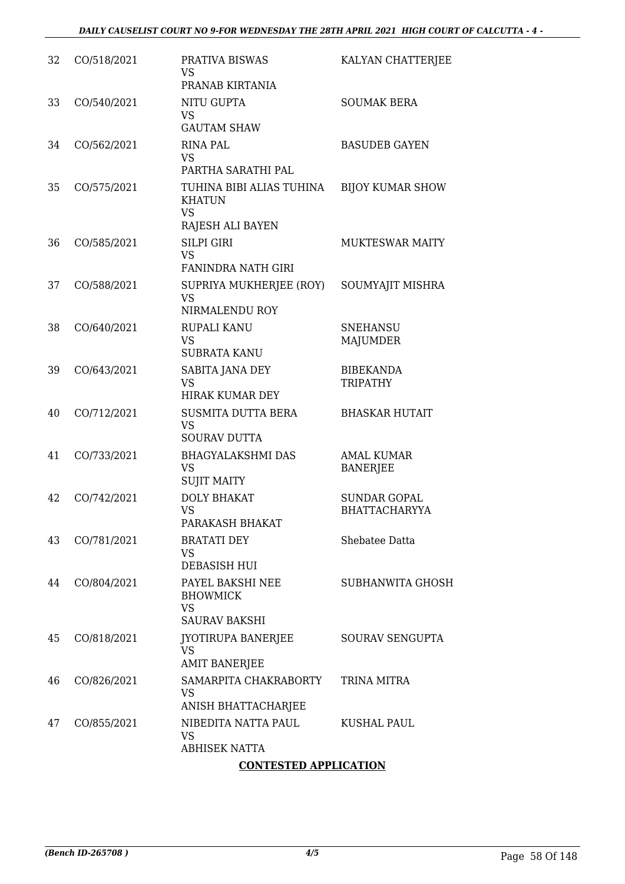| 32 | CO/518/2021 | PRATIVA BISWAS<br><b>VS</b><br>PRANAB KIRTANIA                             | KALYAN CHATTERJEE                           |
|----|-------------|----------------------------------------------------------------------------|---------------------------------------------|
| 33 | CO/540/2021 | NITU GUPTA<br><b>VS</b><br><b>GAUTAM SHAW</b>                              | <b>SOUMAK BERA</b>                          |
| 34 | CO/562/2021 | RINA PAL<br><b>VS</b><br>PARTHA SARATHI PAL                                | <b>BASUDEB GAYEN</b>                        |
| 35 | CO/575/2021 | TUHINA BIBI ALIAS TUHINA<br><b>KHATUN</b><br><b>VS</b><br>RAJESH ALI BAYEN | <b>BIJOY KUMAR SHOW</b>                     |
| 36 | CO/585/2021 | <b>SILPI GIRI</b><br><b>VS</b><br><b>FANINDRA NATH GIRI</b>                | <b>MUKTESWAR MAITY</b>                      |
| 37 | CO/588/2021 | SUPRIYA MUKHERJEE (ROY)<br><b>VS</b><br>NIRMALENDU ROY                     | SOUMYAJIT MISHRA                            |
| 38 | CO/640/2021 | RUPALI KANU<br><b>VS</b><br><b>SUBRATA KANU</b>                            | <b>SNEHANSU</b><br><b>MAJUMDER</b>          |
| 39 | CO/643/2021 | SABITA JANA DEY<br><b>VS</b><br><b>HIRAK KUMAR DEY</b>                     | <b>BIBEKANDA</b><br><b>TRIPATHY</b>         |
| 40 | CO/712/2021 | <b>SUSMITA DUTTA BERA</b><br><b>VS</b><br><b>SOURAV DUTTA</b>              | <b>BHASKAR HUTAIT</b>                       |
| 41 | CO/733/2021 | <b>BHAGYALAKSHMI DAS</b><br><b>VS</b><br><b>SUJIT MAITY</b>                | <b>AMAL KUMAR</b><br><b>BANERJEE</b>        |
| 42 | CO/742/2021 | <b>DOLY BHAKAT</b><br><b>VS</b><br>PARAKASH BHAKAT                         | <b>SUNDAR GOPAL</b><br><b>BHATTACHARYYA</b> |
| 43 | CO/781/2021 | <b>BRATATI DEY</b><br>VS<br><b>DEBASISH HUI</b>                            | Shebatee Datta                              |
| 44 | CO/804/2021 | PAYEL BAKSHI NEE<br><b>BHOWMICK</b><br><b>VS</b><br><b>SAURAV BAKSHI</b>   | <b>SUBHANWITA GHOSH</b>                     |
| 45 | CO/818/2021 | JYOTIRUPA BANERJEE<br>VS.<br><b>AMIT BANERJEE</b>                          | SOURAV SENGUPTA                             |
| 46 | CO/826/2021 | SAMARPITA CHAKRABORTY<br><b>VS</b><br>ANISH BHATTACHARJEE                  | TRINA MITRA                                 |
| 47 | CO/855/2021 | NIBEDITA NATTA PAUL<br>VS<br><b>ABHISEK NATTA</b>                          | KUSHAL PAUL                                 |
|    |             |                                                                            |                                             |

## **CONTESTED APPLICATION**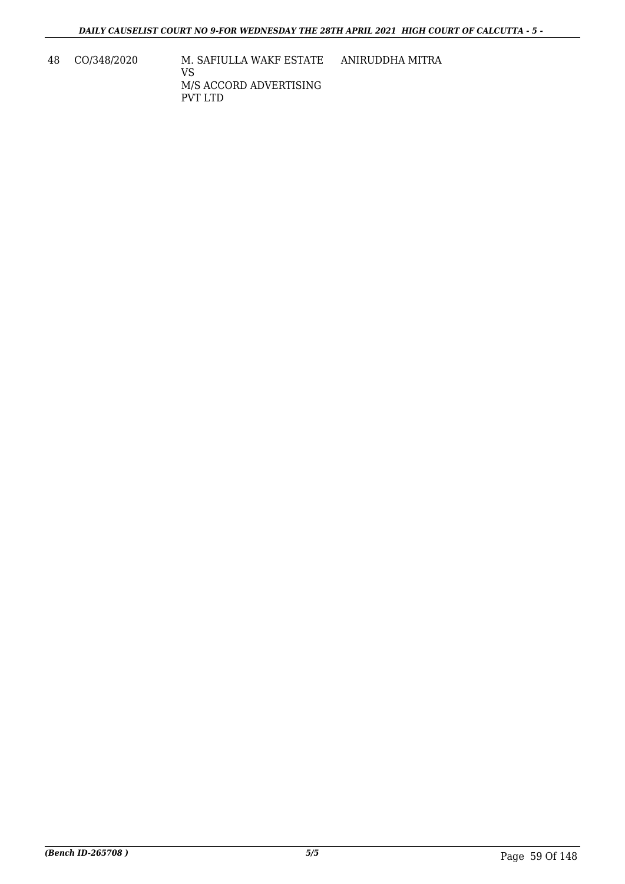48 CO/348/2020 M. SAFIULLA WAKF ESTATE VS M/S ACCORD ADVERTISING PVT LTD ANIRUDDHA MITRA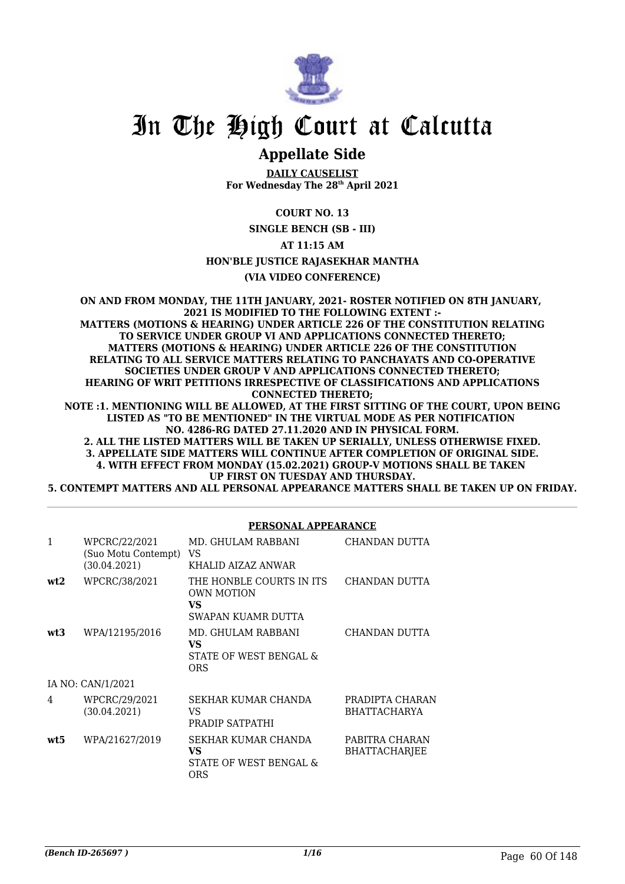

## **Appellate Side**

**DAILY CAUSELIST For Wednesday The 28th April 2021**

**COURT NO. 13**

**SINGLE BENCH (SB - III)**

**AT 11:15 AM**

**HON'BLE JUSTICE RAJASEKHAR MANTHA**

**(VIA VIDEO CONFERENCE)**

**ON AND FROM MONDAY, THE 11TH JANUARY, 2021- ROSTER NOTIFIED ON 8TH JANUARY, 2021 IS MODIFIED TO THE FOLLOWING EXTENT :- MATTERS (MOTIONS & HEARING) UNDER ARTICLE 226 OF THE CONSTITUTION RELATING TO SERVICE UNDER GROUP VI AND APPLICATIONS CONNECTED THERETO; MATTERS (MOTIONS & HEARING) UNDER ARTICLE 226 OF THE CONSTITUTION RELATING TO ALL SERVICE MATTERS RELATING TO PANCHAYATS AND CO-OPERATIVE SOCIETIES UNDER GROUP V AND APPLICATIONS CONNECTED THERETO; HEARING OF WRIT PETITIONS IRRESPECTIVE OF CLASSIFICATIONS AND APPLICATIONS CONNECTED THERETO; NOTE :1. MENTIONING WILL BE ALLOWED, AT THE FIRST SITTING OF THE COURT, UPON BEING LISTED AS "TO BE MENTIONED" IN THE VIRTUAL MODE AS PER NOTIFICATION NO. 4286-RG DATED 27.11.2020 AND IN PHYSICAL FORM. 2. ALL THE LISTED MATTERS WILL BE TAKEN UP SERIALLY, UNLESS OTHERWISE FIXED. 3. APPELLATE SIDE MATTERS WILL CONTINUE AFTER COMPLETION OF ORIGINAL SIDE. 4. WITH EFFECT FROM MONDAY (15.02.2021) GROUP-V MOTIONS SHALL BE TAKEN UP FIRST ON TUESDAY AND THURSDAY. 5. CONTEMPT MATTERS AND ALL PERSONAL APPEARANCE MATTERS SHALL BE TAKEN UP ON FRIDAY.**

#### **PERSONAL APPEARANCE**

| 1   | WPCRC/22/2021<br>(Suo Motu Contempt)<br>(30.04.2021) | MD. GHULAM RABBANI<br>VS<br>KHALID AIZAZ ANWAR                            | CHANDAN DUTTA                          |
|-----|------------------------------------------------------|---------------------------------------------------------------------------|----------------------------------------|
| wt2 | WPCRC/38/2021                                        | THE HONBLE COURTS IN ITS<br><b>OWN MOTION</b><br>VS<br>SWAPAN KUAMR DUTTA | CHANDAN DUTTA                          |
| wt3 | WPA/12195/2016                                       | MD. GHULAM RABBANI<br><b>VS</b><br>STATE OF WEST BENGAL &<br><b>ORS</b>   | CHANDAN DUTTA                          |
|     | IA NO: CAN/1/2021                                    |                                                                           |                                        |
| 4   | WPCRC/29/2021<br>(30.04.2021)                        | SEKHAR KUMAR CHANDA<br>VS<br>PRADIP SATPATHI                              | PRADIPTA CHARAN<br><b>BHATTACHARYA</b> |
| wt5 | WPA/21627/2019                                       | SEKHAR KUMAR CHANDA<br><b>VS</b><br>STATE OF WEST BENGAL &<br>ORS         | PABITRA CHARAN<br><b>BHATTACHARJEE</b> |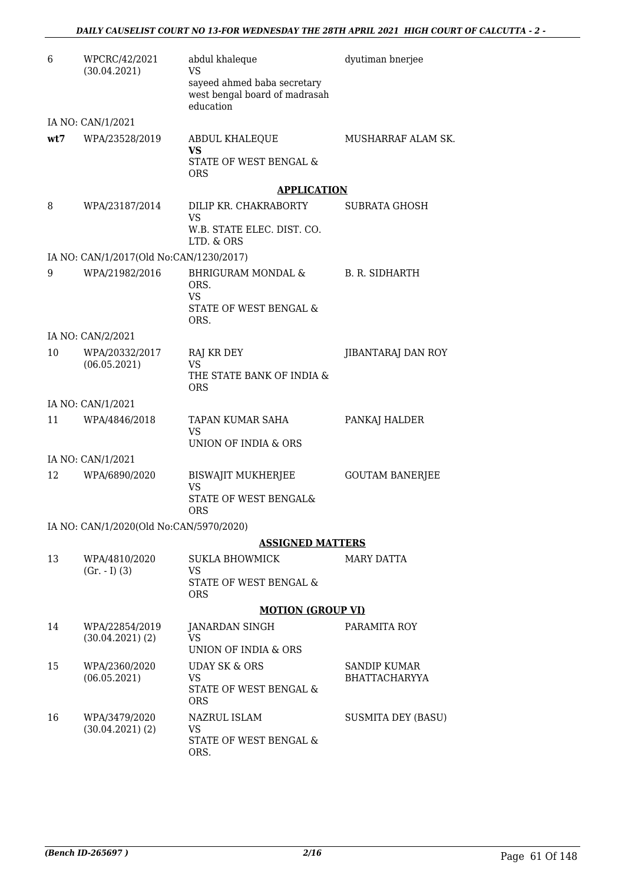| 6   | WPCRC/42/2021<br>(30.04.2021)           | abdul khaleque<br><b>VS</b><br>sayeed ahmed baba secretary | dyutiman bnerjee          |
|-----|-----------------------------------------|------------------------------------------------------------|---------------------------|
|     |                                         | west bengal board of madrasah<br>education                 |                           |
|     | IA NO: CAN/1/2021                       |                                                            |                           |
| wt7 | WPA/23528/2019                          | <b>ABDUL KHALEQUE</b><br><b>VS</b>                         | MUSHARRAF ALAM SK.        |
|     |                                         | STATE OF WEST BENGAL &<br><b>ORS</b>                       |                           |
|     |                                         | <b>APPLICATION</b>                                         |                           |
| 8   | WPA/23187/2014                          | DILIP KR. CHAKRABORTY<br><b>VS</b>                         | <b>SUBRATA GHOSH</b>      |
|     |                                         | W.B. STATE ELEC. DIST. CO.<br>LTD. & ORS                   |                           |
|     | IA NO: CAN/1/2017(Old No:CAN/1230/2017) |                                                            |                           |
| 9   | WPA/21982/2016                          | BHRIGURAM MONDAL &<br>ORS.<br><b>VS</b>                    | B. R. SIDHARTH            |
|     |                                         | STATE OF WEST BENGAL &<br>ORS.                             |                           |
|     | IA NO: CAN/2/2021                       |                                                            |                           |
| 10  | WPA/20332/2017<br>(06.05.2021)          | RAJ KR DEY<br><b>VS</b>                                    | JIBANTARAJ DAN ROY        |
|     |                                         | THE STATE BANK OF INDIA &<br><b>ORS</b>                    |                           |
|     | IA NO: CAN/1/2021                       |                                                            |                           |
| 11  | WPA/4846/2018                           | TAPAN KUMAR SAHA<br><b>VS</b>                              | PANKAJ HALDER             |
|     |                                         | UNION OF INDIA & ORS                                       |                           |
|     | IA NO: CAN/1/2021                       |                                                            |                           |
| 12  | WPA/6890/2020                           | <b>BISWAJIT MUKHERJEE</b><br><b>VS</b>                     | <b>GOUTAM BANERJEE</b>    |
|     |                                         | STATE OF WEST BENGAL&<br><b>ORS</b>                        |                           |
|     | IA NO: CAN/1/2020(Old No:CAN/5970/2020) |                                                            |                           |
|     |                                         | <b>ASSIGNED MATTERS</b>                                    |                           |
| 13  | WPA/4810/2020<br>$(Gr. - I) (3)$        | <b>SUKLA BHOWMICK</b><br><b>VS</b>                         | <b>MARY DATTA</b>         |
|     |                                         | STATE OF WEST BENGAL &<br><b>ORS</b>                       |                           |
|     |                                         | <b>MOTION (GROUP VI)</b>                                   |                           |
| 14  | WPA/22854/2019                          | JANARDAN SINGH                                             | PARAMITA ROY              |
|     | (30.04.2021)(2)                         | VS<br>UNION OF INDIA & ORS                                 |                           |
| 15  | WPA/2360/2020                           | <b>UDAY SK &amp; ORS</b>                                   | SANDIP KUMAR              |
|     | (06.05.2021)                            | <b>VS</b><br>STATE OF WEST BENGAL &<br><b>ORS</b>          | <b>BHATTACHARYYA</b>      |
| 16  | WPA/3479/2020                           | NAZRUL ISLAM                                               | <b>SUSMITA DEY (BASU)</b> |
|     | $(30.04.2021)$ $(2)$                    | VS.<br>STATE OF WEST BENGAL &<br>ORS.                      |                           |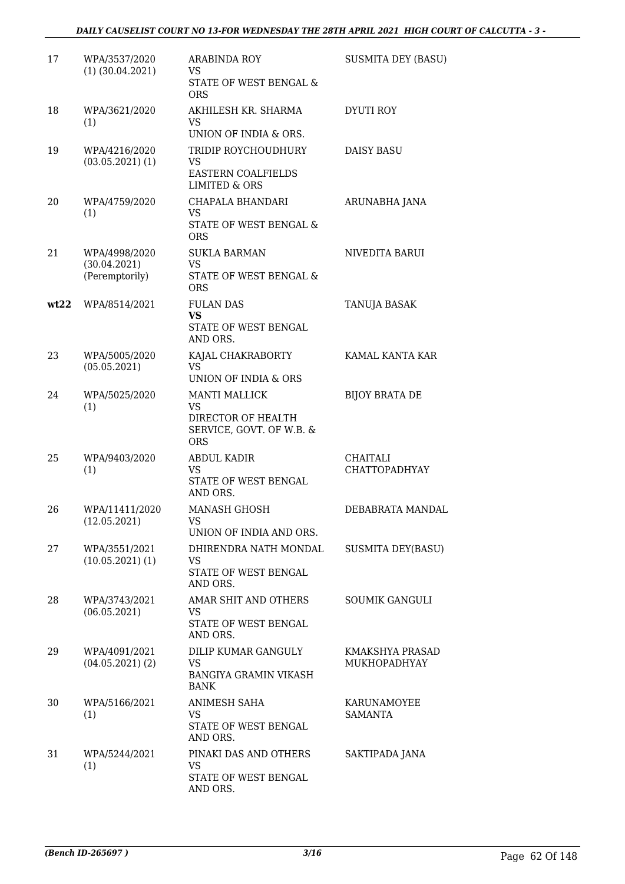| 17   | WPA/3537/2020<br>$(1)$ $(30.04.2021)$           | <b>ARABINDA ROY</b><br>VS<br>STATE OF WEST BENGAL &                                               | <b>SUSMITA DEY (BASU)</b>              |
|------|-------------------------------------------------|---------------------------------------------------------------------------------------------------|----------------------------------------|
| 18   | WPA/3621/2020<br>(1)                            | <b>ORS</b><br>AKHILESH KR. SHARMA<br>VS.<br>UNION OF INDIA & ORS.                                 | DYUTI ROY                              |
| 19   | WPA/4216/2020<br>$(03.05.2021)$ $(1)$           | TRIDIP ROYCHOUDHURY<br>VS<br><b>EASTERN COALFIELDS</b><br><b>LIMITED &amp; ORS</b>                | <b>DAISY BASU</b>                      |
| 20   | WPA/4759/2020<br>(1)                            | CHAPALA BHANDARI<br><b>VS</b><br>STATE OF WEST BENGAL &<br><b>ORS</b>                             | ARUNABHA JANA                          |
| 21   | WPA/4998/2020<br>(30.04.2021)<br>(Peremptorily) | <b>SUKLA BARMAN</b><br><b>VS</b><br>STATE OF WEST BENGAL &<br><b>ORS</b>                          | NIVEDITA BARUI                         |
| wt22 | WPA/8514/2021                                   | <b>FULAN DAS</b><br><b>VS</b><br>STATE OF WEST BENGAL<br>AND ORS.                                 | TANUJA BASAK                           |
| 23   | WPA/5005/2020<br>(05.05.2021)                   | KAJAL CHAKRABORTY<br><b>VS</b><br>UNION OF INDIA & ORS                                            | KAMAL KANTA KAR                        |
| 24   | WPA/5025/2020<br>(1)                            | <b>MANTI MALLICK</b><br><b>VS</b><br>DIRECTOR OF HEALTH<br>SERVICE, GOVT. OF W.B. &<br><b>ORS</b> | <b>BIJOY BRATA DE</b>                  |
| 25   | WPA/9403/2020<br>(1)                            | <b>ABDUL KADIR</b><br><b>VS</b><br>STATE OF WEST BENGAL<br>AND ORS.                               | CHAITALI<br>CHATTOPADHYAY              |
| 26   | WPA/11411/2020<br>(12.05.2021)                  | <b>MANASH GHOSH</b><br>VS —<br>UNION OF INDIA AND ORS.                                            | DEBABRATA MANDAL                       |
| 27   | WPA/3551/2021<br>(10.05.2021)(1)                | DHIRENDRA NATH MONDAL<br>VS<br>STATE OF WEST BENGAL<br>AND ORS.                                   | <b>SUSMITA DEY(BASU)</b>               |
| 28   | WPA/3743/2021<br>(06.05.2021)                   | AMAR SHIT AND OTHERS<br>VS<br>STATE OF WEST BENGAL<br>AND ORS.                                    | <b>SOUMIK GANGULI</b>                  |
| 29   | WPA/4091/2021<br>$(04.05.2021)$ (2)             | DILIP KUMAR GANGULY<br><b>VS</b><br><b>BANGIYA GRAMIN VIKASH</b><br><b>BANK</b>                   | KMAKSHYA PRASAD<br><b>MUKHOPADHYAY</b> |
| 30   | WPA/5166/2021<br>(1)                            | ANIMESH SAHA<br><b>VS</b><br>STATE OF WEST BENGAL<br>AND ORS.                                     | KARUNAMOYEE<br><b>SAMANTA</b>          |
| 31   | WPA/5244/2021<br>(1)                            | PINAKI DAS AND OTHERS<br><b>VS</b><br>STATE OF WEST BENGAL<br>AND ORS.                            | SAKTIPADA JANA                         |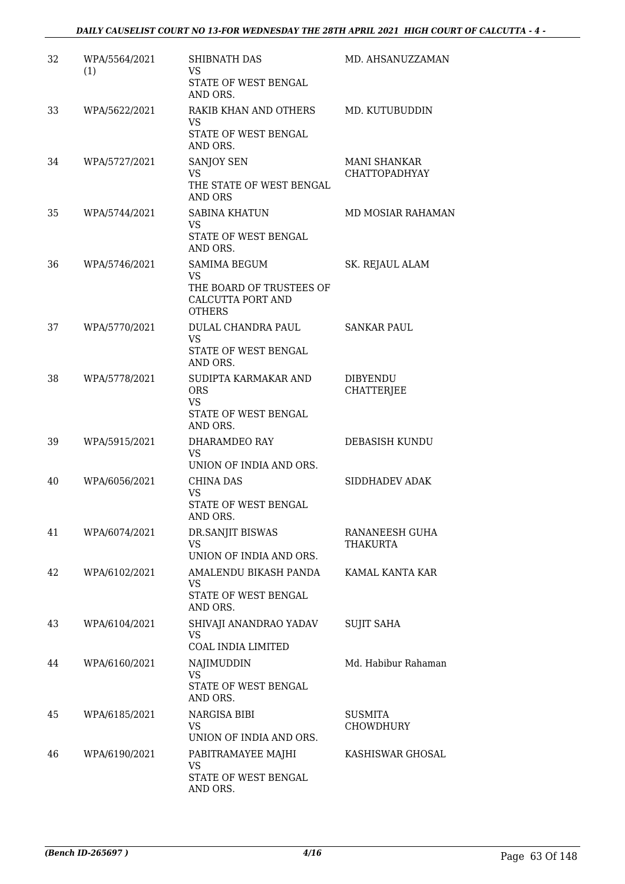| 32 | WPA/5564/2021<br>(1) | SHIBNATH DAS<br><b>VS</b><br>STATE OF WEST BENGAL                    | MD. AHSANUZZAMAN                     |
|----|----------------------|----------------------------------------------------------------------|--------------------------------------|
|    |                      | AND ORS.                                                             |                                      |
| 33 | WPA/5622/2021        | RAKIB KHAN AND OTHERS<br><b>VS</b>                                   | MD. KUTUBUDDIN                       |
|    |                      | STATE OF WEST BENGAL<br>AND ORS.                                     |                                      |
| 34 | WPA/5727/2021        | <b>SANJOY SEN</b><br><b>VS</b>                                       | MANI SHANKAR<br><b>CHATTOPADHYAY</b> |
|    |                      | THE STATE OF WEST BENGAL<br>AND ORS                                  |                                      |
| 35 | WPA/5744/2021        | <b>SABINA KHATUN</b><br><b>VS</b>                                    | MD MOSIAR RAHAMAN                    |
|    |                      | STATE OF WEST BENGAL<br>AND ORS.                                     |                                      |
| 36 | WPA/5746/2021        | <b>SAMIMA BEGUM</b>                                                  | SK. REJAUL ALAM                      |
|    |                      | VS<br>THE BOARD OF TRUSTEES OF<br>CALCUTTA PORT AND<br><b>OTHERS</b> |                                      |
| 37 | WPA/5770/2021        | DULAL CHANDRA PAUL                                                   | <b>SANKAR PAUL</b>                   |
|    |                      | VS<br>STATE OF WEST BENGAL<br>AND ORS.                               |                                      |
| 38 | WPA/5778/2021        | SUDIPTA KARMAKAR AND<br><b>ORS</b><br><b>VS</b>                      | <b>DIBYENDU</b><br><b>CHATTERJEE</b> |
|    |                      | STATE OF WEST BENGAL<br>AND ORS.                                     |                                      |
| 39 | WPA/5915/2021        | DHARAMDEO RAY<br><b>VS</b>                                           | DEBASISH KUNDU                       |
|    |                      | UNION OF INDIA AND ORS.                                              |                                      |
| 40 | WPA/6056/2021        | <b>CHINA DAS</b><br><b>VS</b>                                        | SIDDHADEV ADAK                       |
|    |                      | STATE OF WEST BENGAL<br>AND ORS.                                     |                                      |
| 41 | WPA/6074/2021        | DR.SANJIT BISWAS<br><b>VS</b>                                        | RANANEESH GUHA                       |
|    |                      | UNION OF INDIA AND ORS.                                              | THAKURTA                             |
| 42 | WPA/6102/2021        | AMALENDU BIKASH PANDA<br>VS.                                         | KAMAL KANTA KAR                      |
|    |                      | STATE OF WEST BENGAL<br>AND ORS.                                     |                                      |
| 43 | WPA/6104/2021        | SHIVAJI ANANDRAO YADAV<br>VS                                         | <b>SUJIT SAHA</b>                    |
|    |                      | COAL INDIA LIMITED                                                   |                                      |
| 44 | WPA/6160/2021        | NAJIMUDDIN<br>VS                                                     | Md. Habibur Rahaman                  |
|    |                      | STATE OF WEST BENGAL<br>AND ORS.                                     |                                      |
| 45 | WPA/6185/2021        | NARGISA BIBI                                                         | <b>SUSMITA</b>                       |
|    |                      | VS<br>UNION OF INDIA AND ORS.                                        | CHOWDHURY                            |
| 46 | WPA/6190/2021        | PABITRAMAYEE MAJHI                                                   | KASHISWAR GHOSAL                     |
|    |                      | <b>VS</b><br>STATE OF WEST BENGAL<br>AND ORS.                        |                                      |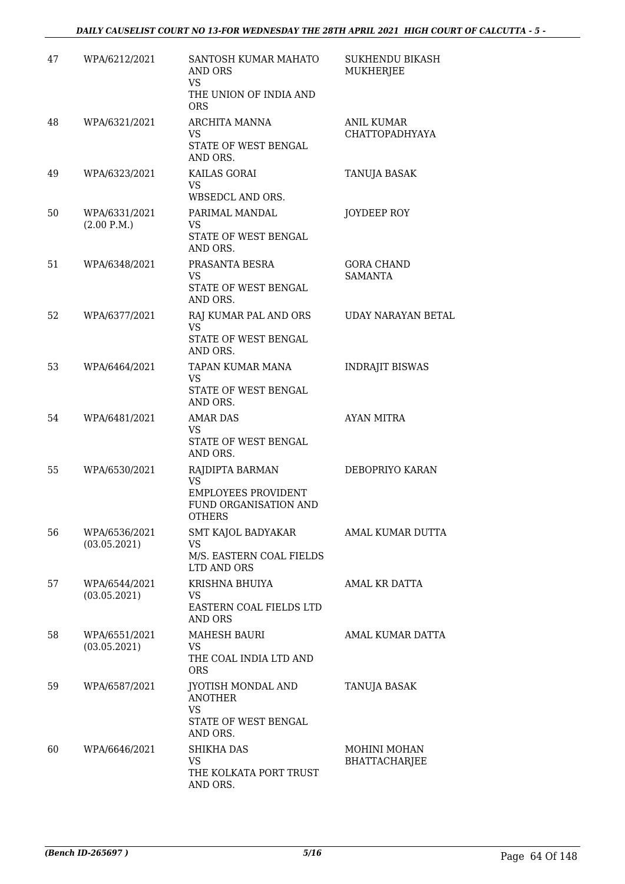| 47 | WPA/6212/2021                 | SANTOSH KUMAR MAHATO<br>AND ORS<br><b>VS</b><br>THE UNION OF INDIA AND<br><b>ORS</b>                 | <b>SUKHENDU BIKASH</b><br>MUKHERJEE |
|----|-------------------------------|------------------------------------------------------------------------------------------------------|-------------------------------------|
| 48 | WPA/6321/2021                 | ARCHITA MANNA<br><b>VS</b><br>STATE OF WEST BENGAL<br>AND ORS.                                       | ANIL KUMAR<br>CHATTOPADHYAYA        |
| 49 | WPA/6323/2021                 | KAILAS GORAI<br><b>VS</b><br>WBSEDCL AND ORS.                                                        | TANUJA BASAK                        |
| 50 | WPA/6331/2021<br>(2.00 P.M.)  | PARIMAL MANDAL<br><b>VS</b><br>STATE OF WEST BENGAL<br>AND ORS.                                      | JOYDEEP ROY                         |
| 51 | WPA/6348/2021                 | PRASANTA BESRA<br><b>VS</b><br>STATE OF WEST BENGAL<br>AND ORS.                                      | <b>GORA CHAND</b><br><b>SAMANTA</b> |
| 52 | WPA/6377/2021                 | RAJ KUMAR PAL AND ORS<br>VS.<br>STATE OF WEST BENGAL<br>AND ORS.                                     | UDAY NARAYAN BETAL                  |
| 53 | WPA/6464/2021                 | TAPAN KUMAR MANA<br><b>VS</b><br>STATE OF WEST BENGAL<br>AND ORS.                                    | <b>INDRAJIT BISWAS</b>              |
| 54 | WPA/6481/2021                 | <b>AMAR DAS</b><br><b>VS</b><br>STATE OF WEST BENGAL<br>AND ORS.                                     | <b>AYAN MITRA</b>                   |
| 55 | WPA/6530/2021                 | RAJDIPTA BARMAN<br><b>VS</b><br><b>EMPLOYEES PROVIDENT</b><br>FUND ORGANISATION AND<br><b>OTHERS</b> | DEBOPRIYO KARAN                     |
| 56 | WPA/6536/2021<br>(03.05.2021) | SMT KAJOL BADYAKAR<br><b>VS</b><br>M/S. EASTERN COAL FIELDS<br>LTD AND ORS                           | AMAL KUMAR DUTTA                    |
| 57 | WPA/6544/2021<br>(03.05.2021) | KRISHNA BHUIYA<br>VS.<br>EASTERN COAL FIELDS LTD<br>AND ORS                                          | AMAL KR DATTA                       |
| 58 | WPA/6551/2021<br>(03.05.2021) | <b>MAHESH BAURI</b><br>VS.<br>THE COAL INDIA LTD AND<br><b>ORS</b>                                   | AMAL KUMAR DATTA                    |
| 59 | WPA/6587/2021                 | JYOTISH MONDAL AND<br><b>ANOTHER</b><br><b>VS</b><br>STATE OF WEST BENGAL<br>AND ORS.                | TANUJA BASAK                        |
| 60 | WPA/6646/2021                 | SHIKHA DAS<br><b>VS</b><br>THE KOLKATA PORT TRUST<br>AND ORS.                                        | MOHINI MOHAN<br>BHATTACHARJEE       |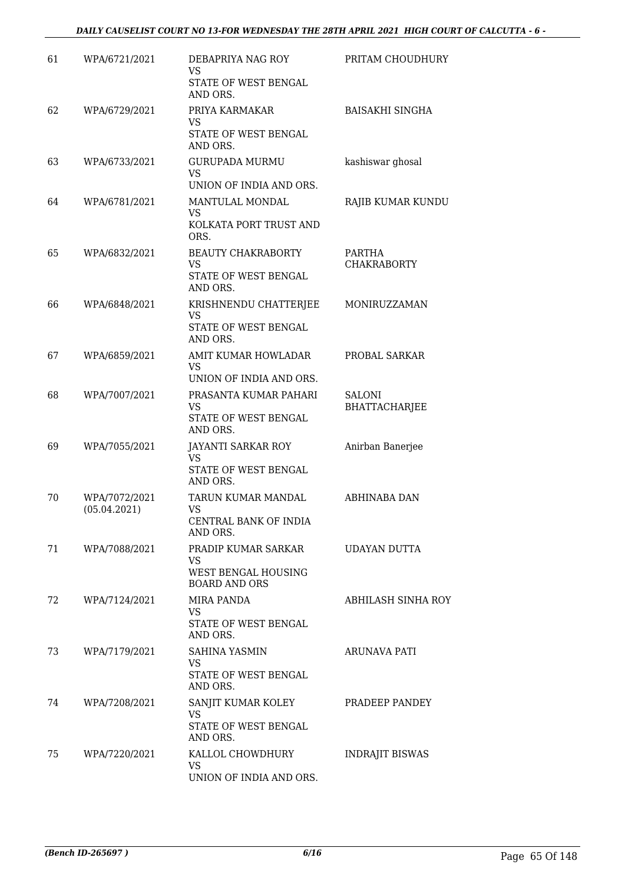## *DAILY CAUSELIST COURT NO 13-FOR WEDNESDAY THE 28TH APRIL 2021 HIGH COURT OF CALCUTTA - 6 -*

| 61 | WPA/6721/2021                 | DEBAPRIYA NAG ROY<br><b>VS</b><br>STATE OF WEST BENGAL<br>AND ORS.                 | PRITAM CHOUDHURY                      |
|----|-------------------------------|------------------------------------------------------------------------------------|---------------------------------------|
| 62 | WPA/6729/2021                 | PRIYA KARMAKAR<br>VS.<br>STATE OF WEST BENGAL                                      | <b>BAISAKHI SINGHA</b>                |
| 63 | WPA/6733/2021                 | AND ORS.<br><b>GURUPADA MURMU</b><br>VS.<br>UNION OF INDIA AND ORS.                | kashiswar ghosal                      |
| 64 | WPA/6781/2021                 | MANTULAL MONDAL<br><b>VS</b><br>KOLKATA PORT TRUST AND                             | RAJIB KUMAR KUNDU                     |
| 65 | WPA/6832/2021                 | ORS.<br><b>BEAUTY CHAKRABORTY</b><br><b>VS</b><br>STATE OF WEST BENGAL<br>AND ORS. | PARTHA<br><b>CHAKRABORTY</b>          |
| 66 | WPA/6848/2021                 | KRISHNENDU CHATTERJEE<br>VS<br>STATE OF WEST BENGAL<br>AND ORS.                    | MONIRUZZAMAN                          |
| 67 | WPA/6859/2021                 | AMIT KUMAR HOWLADAR<br><b>VS</b><br>UNION OF INDIA AND ORS.                        | PROBAL SARKAR                         |
| 68 | WPA/7007/2021                 | PRASANTA KUMAR PAHARI<br>VS<br>STATE OF WEST BENGAL<br>AND ORS.                    | <b>SALONI</b><br><b>BHATTACHARJEE</b> |
| 69 | WPA/7055/2021                 | JAYANTI SARKAR ROY<br>VS<br>STATE OF WEST BENGAL<br>AND ORS.                       | Anirban Banerjee                      |
| 70 | WPA/7072/2021<br>(05.04.2021) | TARUN KUMAR MANDAL<br>VS<br>CENTRAL BANK OF INDIA<br>AND ORS.                      | <b>ABHINABA DAN</b>                   |
| 71 | WPA/7088/2021                 | PRADIP KUMAR SARKAR<br>VS<br>WEST BENGAL HOUSING<br><b>BOARD AND ORS</b>           | <b>UDAYAN DUTTA</b>                   |
| 72 | WPA/7124/2021                 | <b>MIRA PANDA</b><br><b>VS</b><br>STATE OF WEST BENGAL<br>AND ORS.                 | ABHILASH SINHA ROY                    |
| 73 | WPA/7179/2021                 | <b>SAHINA YASMIN</b><br><b>VS</b><br>STATE OF WEST BENGAL<br>AND ORS.              | ARUNAVA PATI                          |
| 74 | WPA/7208/2021                 | SANJIT KUMAR KOLEY<br>VS<br>STATE OF WEST BENGAL<br>AND ORS.                       | PRADEEP PANDEY                        |
| 75 | WPA/7220/2021                 | KALLOL CHOWDHURY<br>VS<br>UNION OF INDIA AND ORS.                                  | <b>INDRAJIT BISWAS</b>                |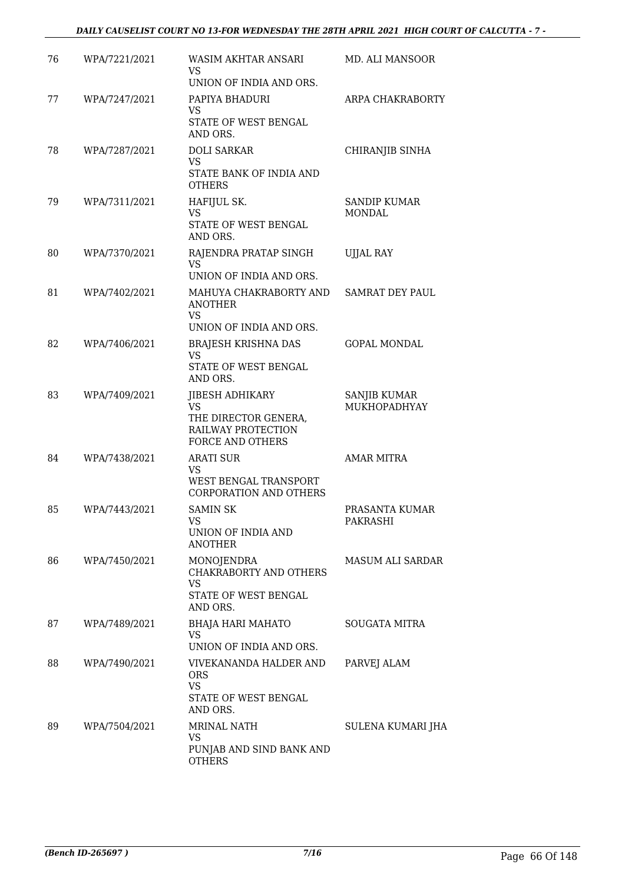| 76 | WPA/7221/2021 | WASIM AKHTAR ANSARI<br>VS<br>UNION OF INDIA AND ORS.                                                  | MD. ALI MANSOOR                      |
|----|---------------|-------------------------------------------------------------------------------------------------------|--------------------------------------|
| 77 | WPA/7247/2021 | PAPIYA BHADURI<br>VS<br>STATE OF WEST BENGAL<br>AND ORS.                                              | ARPA CHAKRABORTY                     |
| 78 | WPA/7287/2021 | <b>DOLI SARKAR</b><br>VS<br>STATE BANK OF INDIA AND<br><b>OTHERS</b>                                  | CHIRANJIB SINHA                      |
| 79 | WPA/7311/2021 | HAFIJUL SK.<br><b>VS</b><br>STATE OF WEST BENGAL<br>AND ORS.                                          | <b>SANDIP KUMAR</b><br><b>MONDAL</b> |
| 80 | WPA/7370/2021 | RAJENDRA PRATAP SINGH<br><b>VS</b><br>UNION OF INDIA AND ORS.                                         | <b>UJJAL RAY</b>                     |
| 81 | WPA/7402/2021 | MAHUYA CHAKRABORTY AND<br><b>ANOTHER</b><br>VS<br>UNION OF INDIA AND ORS.                             | <b>SAMRAT DEY PAUL</b>               |
| 82 | WPA/7406/2021 | <b>BRAJESH KRISHNA DAS</b><br>VS.<br>STATE OF WEST BENGAL<br>AND ORS.                                 | <b>GOPAL MONDAL</b>                  |
| 83 | WPA/7409/2021 | JIBESH ADHIKARY<br><b>VS</b><br>THE DIRECTOR GENERA,<br>RAILWAY PROTECTION<br><b>FORCE AND OTHERS</b> | SANJIB KUMAR<br>MUKHOPADHYAY         |
| 84 | WPA/7438/2021 | <b>ARATI SUR</b><br><b>VS</b><br>WEST BENGAL TRANSPORT<br><b>CORPORATION AND OTHERS</b>               | <b>AMAR MITRA</b>                    |
| 85 | WPA/7443/2021 | <b>SAMIN SK</b><br>VS<br>UNION OF INDIA AND<br><b>ANOTHER</b>                                         | PRASANTA KUMAR<br>PAKRASHI           |
| 86 | WPA/7450/2021 | MONOJENDRA<br>CHAKRABORTY AND OTHERS<br>VS<br>STATE OF WEST BENGAL<br>AND ORS.                        | <b>MASUM ALI SARDAR</b>              |
| 87 | WPA/7489/2021 | <b>BHAJA HARI MAHATO</b><br>VS<br>UNION OF INDIA AND ORS.                                             | <b>SOUGATA MITRA</b>                 |
| 88 | WPA/7490/2021 | VIVEKANANDA HALDER AND<br><b>ORS</b><br><b>VS</b><br>STATE OF WEST BENGAL<br>AND ORS.                 | PARVEJ ALAM                          |
| 89 | WPA/7504/2021 | MRINAL NATH<br>VS<br>PUNJAB AND SIND BANK AND<br><b>OTHERS</b>                                        | SULENA KUMARI JHA                    |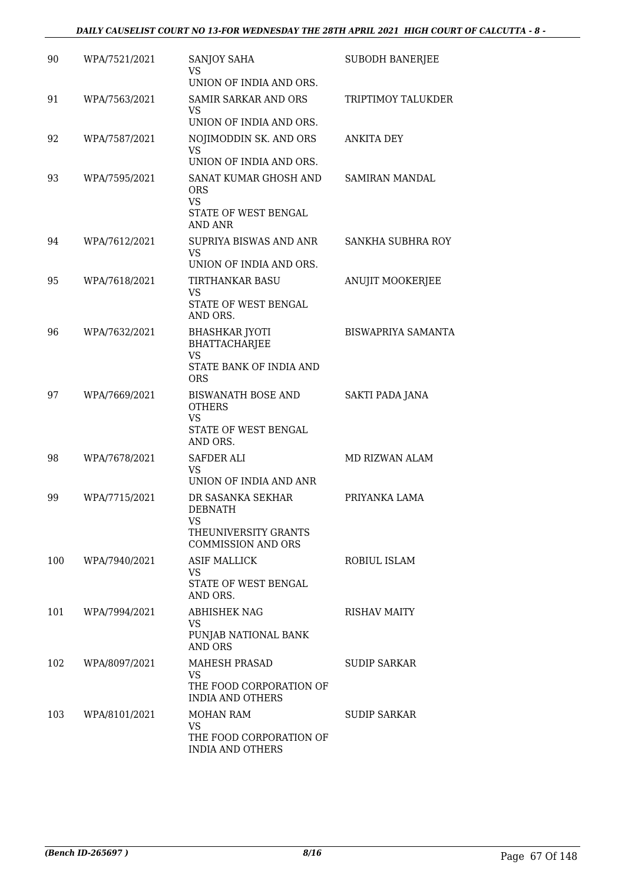| 90  | WPA/7521/2021 | <b>SANJOY SAHA</b><br>VS<br>UNION OF INDIA AND ORS.                                                 | <b>SUBODH BANERJEE</b>    |
|-----|---------------|-----------------------------------------------------------------------------------------------------|---------------------------|
| 91  | WPA/7563/2021 | <b>SAMIR SARKAR AND ORS</b><br>VS<br>UNION OF INDIA AND ORS.                                        | TRIPTIMOY TALUKDER        |
| 92  | WPA/7587/2021 | NOJIMODDIN SK. AND ORS<br><b>VS</b><br>UNION OF INDIA AND ORS.                                      | <b>ANKITA DEY</b>         |
| 93  | WPA/7595/2021 | SANAT KUMAR GHOSH AND<br><b>ORS</b><br><b>VS</b><br>STATE OF WEST BENGAL<br><b>AND ANR</b>          | <b>SAMIRAN MANDAL</b>     |
| 94  | WPA/7612/2021 | SUPRIYA BISWAS AND ANR<br><b>VS</b><br>UNION OF INDIA AND ORS.                                      | SANKHA SUBHRA ROY         |
| 95  | WPA/7618/2021 | <b>TIRTHANKAR BASU</b><br><b>VS</b><br>STATE OF WEST BENGAL<br>AND ORS.                             | ANUJIT MOOKERJEE          |
| 96  | WPA/7632/2021 | <b>BHASHKAR JYOTI</b><br><b>BHATTACHARJEE</b><br><b>VS</b><br>STATE BANK OF INDIA AND<br><b>ORS</b> | <b>BISWAPRIYA SAMANTA</b> |
| 97  | WPA/7669/2021 | <b>BISWANATH BOSE AND</b><br><b>OTHERS</b><br><b>VS</b><br>STATE OF WEST BENGAL<br>AND ORS.         | SAKTI PADA JANA           |
| 98  | WPA/7678/2021 | <b>SAFDER ALI</b><br><b>VS</b><br>UNION OF INDIA AND ANR                                            | MD RIZWAN ALAM            |
| 99  | WPA/7715/2021 | DR SASANKA SEKHAR<br><b>DEBNATH</b><br>vs<br>THEUNIVERSITY GRANTS<br><b>COMMISSION AND ORS</b>      | PRIYANKA LAMA             |
| 100 | WPA/7940/2021 | <b>ASIF MALLICK</b><br>VS<br>STATE OF WEST BENGAL<br>AND ORS.                                       | ROBIUL ISLAM              |
| 101 | WPA/7994/2021 | <b>ABHISHEK NAG</b><br><b>VS</b><br>PUNJAB NATIONAL BANK<br><b>AND ORS</b>                          | <b>RISHAV MAITY</b>       |
| 102 | WPA/8097/2021 | <b>MAHESH PRASAD</b><br>VS.<br>THE FOOD CORPORATION OF<br><b>INDIA AND OTHERS</b>                   | <b>SUDIP SARKAR</b>       |
| 103 | WPA/8101/2021 | <b>MOHAN RAM</b><br><b>VS</b><br>THE FOOD CORPORATION OF<br><b>INDIA AND OTHERS</b>                 | <b>SUDIP SARKAR</b>       |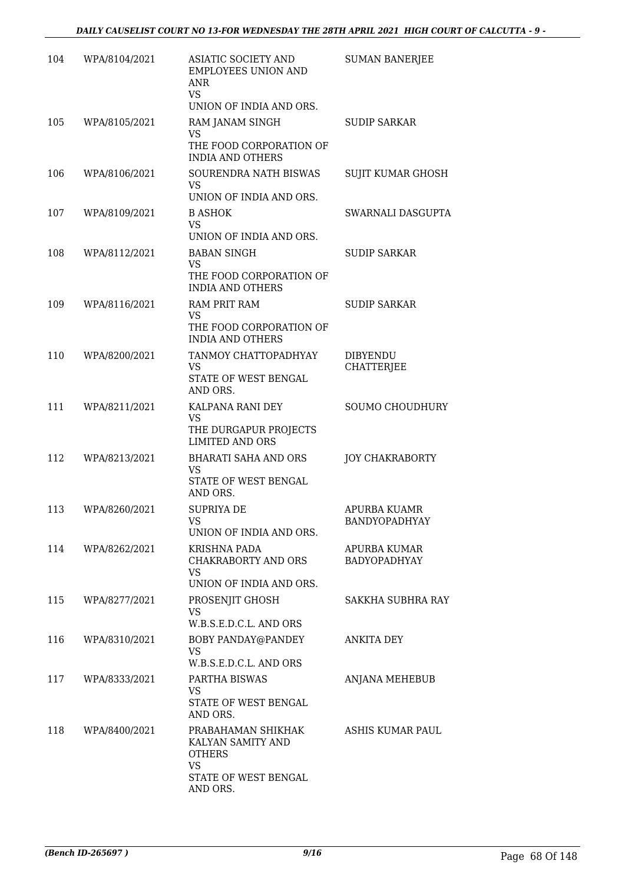| 104 | WPA/8104/2021 | <b>ASIATIC SOCIETY AND</b><br><b>EMPLOYEES UNION AND</b><br>ANR<br>VS            | <b>SUMAN BANERJEE</b>                |
|-----|---------------|----------------------------------------------------------------------------------|--------------------------------------|
|     |               | UNION OF INDIA AND ORS.                                                          |                                      |
| 105 | WPA/8105/2021 | RAM JANAM SINGH<br><b>VS</b>                                                     | <b>SUDIP SARKAR</b>                  |
|     |               | THE FOOD CORPORATION OF<br><b>INDIA AND OTHERS</b>                               |                                      |
| 106 | WPA/8106/2021 | SOURENDRA NATH BISWAS<br><b>VS</b><br>UNION OF INDIA AND ORS.                    | SUJIT KUMAR GHOSH                    |
| 107 | WPA/8109/2021 | <b>B ASHOK</b><br><b>VS</b><br>UNION OF INDIA AND ORS.                           | SWARNALI DASGUPTA                    |
| 108 | WPA/8112/2021 | <b>BABAN SINGH</b>                                                               | <b>SUDIP SARKAR</b>                  |
|     |               | <b>VS</b><br>THE FOOD CORPORATION OF<br><b>INDIA AND OTHERS</b>                  |                                      |
| 109 | WPA/8116/2021 | RAM PRIT RAM                                                                     | <b>SUDIP SARKAR</b>                  |
|     |               | <b>VS</b><br>THE FOOD CORPORATION OF<br><b>INDIA AND OTHERS</b>                  |                                      |
| 110 | WPA/8200/2021 | TANMOY CHATTOPADHYAY<br><b>VS</b><br>STATE OF WEST BENGAL<br>AND ORS.            | <b>DIBYENDU</b><br><b>CHATTERJEE</b> |
| 111 | WPA/8211/2021 | KALPANA RANI DEY<br><b>VS</b><br>THE DURGAPUR PROJECTS<br><b>LIMITED AND ORS</b> | SOUMO CHOUDHURY                      |
| 112 | WPA/8213/2021 | <b>BHARATI SAHA AND ORS</b>                                                      | <b>JOY CHAKRABORTY</b>               |
|     |               | <b>VS</b><br>STATE OF WEST BENGAL<br>AND ORS.                                    |                                      |
| 113 | WPA/8260/2021 | <b>SUPRIYA DE</b><br>VS.<br>UNION OF INDIA AND ORS.                              | APURBA KUAMR<br>BANDYOPADHYAY        |
| 114 | WPA/8262/2021 | KRISHNA PADA<br>CHAKRABORTY AND ORS<br><b>VS</b><br>UNION OF INDIA AND ORS.      | APURBA KUMAR<br>BADYOPADHYAY         |
| 115 | WPA/8277/2021 | PROSENJIT GHOSH<br>VS.<br>W.B.S.E.D.C.L. AND ORS                                 | SAKKHA SUBHRA RAY                    |
| 116 | WPA/8310/2021 | BOBY PANDAY@PANDEY<br><b>VS</b>                                                  | <b>ANKITA DEY</b>                    |
| 117 | WPA/8333/2021 | W.B.S.E.D.C.L. AND ORS<br>PARTHA BISWAS                                          | ANJANA MEHEBUB                       |
|     |               | <b>VS</b><br>STATE OF WEST BENGAL<br>AND ORS.                                    |                                      |
| 118 | WPA/8400/2021 | PRABAHAMAN SHIKHAK<br>KALYAN SAMITY AND<br><b>OTHERS</b><br><b>VS</b>            | ASHIS KUMAR PAUL                     |
|     |               | STATE OF WEST BENGAL<br>AND ORS.                                                 |                                      |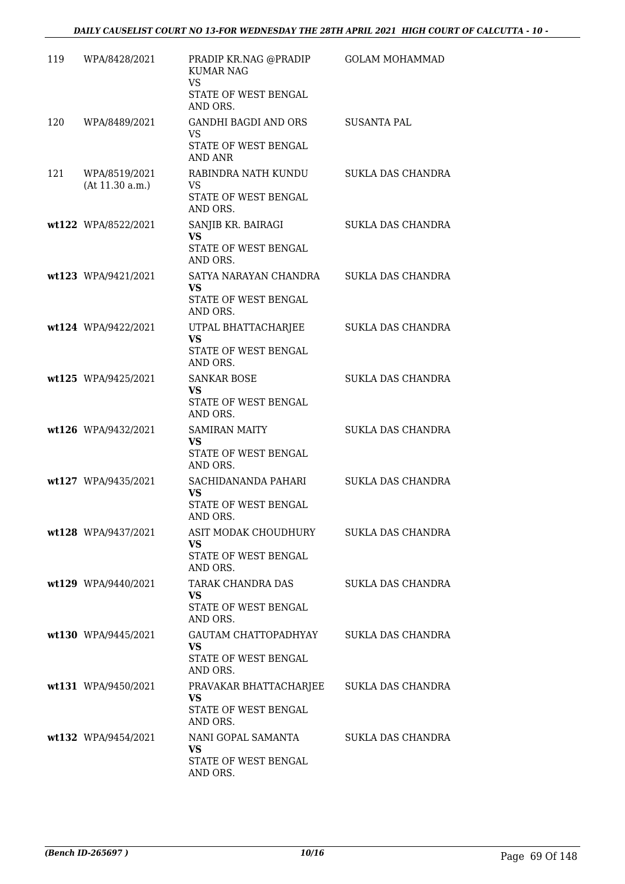| 119 | WPA/8428/2021                    | PRADIP KR.NAG @PRADIP<br><b>KUMAR NAG</b><br><b>VS</b><br>STATE OF WEST BENGAL<br>AND ORS. | <b>GOLAM MOHAMMAD</b>    |
|-----|----------------------------------|--------------------------------------------------------------------------------------------|--------------------------|
| 120 | WPA/8489/2021                    | GANDHI BAGDI AND ORS<br>VS.<br>STATE OF WEST BENGAL<br>AND ANR                             | <b>SUSANTA PAL</b>       |
| 121 | WPA/8519/2021<br>(At 11.30 a.m.) | RABINDRA NATH KUNDU<br><b>VS</b><br>STATE OF WEST BENGAL<br>AND ORS.                       | SUKLA DAS CHANDRA        |
|     | wt122 WPA/8522/2021              | SANJIB KR. BAIRAGI<br><b>VS</b><br>STATE OF WEST BENGAL<br>AND ORS.                        | SUKLA DAS CHANDRA        |
|     | wt123 WPA/9421/2021              | SATYA NARAYAN CHANDRA<br><b>VS</b><br>STATE OF WEST BENGAL<br>AND ORS.                     | SUKLA DAS CHANDRA        |
|     | wt124 WPA/9422/2021              | UTPAL BHATTACHARJEE<br><b>VS</b><br>STATE OF WEST BENGAL<br>AND ORS.                       | <b>SUKLA DAS CHANDRA</b> |
|     | wt125 WPA/9425/2021              | <b>SANKAR BOSE</b><br>VS.<br>STATE OF WEST BENGAL<br>AND ORS.                              | SUKLA DAS CHANDRA        |
|     | wt126 WPA/9432/2021              | <b>SAMIRAN MAITY</b><br><b>VS</b><br>STATE OF WEST BENGAL<br>AND ORS.                      | SUKLA DAS CHANDRA        |
|     | wt127 WPA/9435/2021              | SACHIDANANDA PAHARI<br><b>VS</b><br>STATE OF WEST BENGAL<br>AND ORS.                       | <b>SUKLA DAS CHANDRA</b> |
|     | wt128 WPA/9437/2021              | ASIT MODAK CHOUDHURY<br><b>VS</b><br>STATE OF WEST BENGAL<br>AND ORS.                      | SUKLA DAS CHANDRA        |
|     | wt129 WPA/9440/2021              | TARAK CHANDRA DAS<br>VS<br>STATE OF WEST BENGAL<br>AND ORS.                                | SUKLA DAS CHANDRA        |
|     | wt130 WPA/9445/2021              | GAUTAM CHATTOPADHYAY<br><b>VS</b><br>STATE OF WEST BENGAL<br>AND ORS.                      | SUKLA DAS CHANDRA        |
|     | wt131 WPA/9450/2021              | PRAVAKAR BHATTACHARJEE<br><b>VS</b><br>STATE OF WEST BENGAL<br>AND ORS.                    | SUKLA DAS CHANDRA        |
|     | wt132 WPA/9454/2021              | NANI GOPAL SAMANTA<br><b>VS</b><br>STATE OF WEST BENGAL<br>AND ORS.                        | SUKLA DAS CHANDRA        |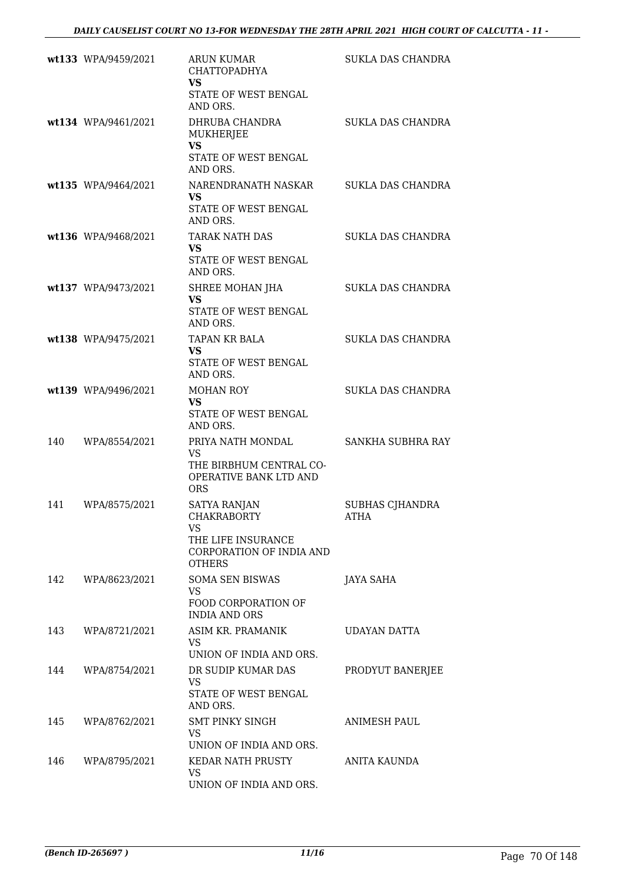|     | wt133 WPA/9459/2021 | <b>ARUN KUMAR</b><br>CHATTOPADHYA<br>VS<br>STATE OF WEST BENGAL<br>AND ORS.                                               | SUKLA DAS CHANDRA       |
|-----|---------------------|---------------------------------------------------------------------------------------------------------------------------|-------------------------|
|     | wt134 WPA/9461/2021 | DHRUBA CHANDRA<br>MUKHERJEE<br><b>VS</b><br>STATE OF WEST BENGAL<br>AND ORS.                                              | SUKLA DAS CHANDRA       |
|     | wt135 WPA/9464/2021 | NARENDRANATH NASKAR<br>VS<br>STATE OF WEST BENGAL<br>AND ORS.                                                             | SUKLA DAS CHANDRA       |
|     | wt136 WPA/9468/2021 | <b>TARAK NATH DAS</b><br>VS<br>STATE OF WEST BENGAL<br>AND ORS.                                                           | SUKLA DAS CHANDRA       |
|     | wt137 WPA/9473/2021 | SHREE MOHAN JHA<br><b>VS</b><br>STATE OF WEST BENGAL<br>AND ORS.                                                          | SUKLA DAS CHANDRA       |
|     | wt138 WPA/9475/2021 | TAPAN KR BALA<br><b>VS</b><br>STATE OF WEST BENGAL<br>AND ORS.                                                            | SUKLA DAS CHANDRA       |
|     | wt139 WPA/9496/2021 | MOHAN ROY<br>VS<br>STATE OF WEST BENGAL<br>AND ORS.                                                                       | SUKLA DAS CHANDRA       |
| 140 | WPA/8554/2021       | PRIYA NATH MONDAL<br><b>VS</b><br>THE BIRBHUM CENTRAL CO-<br>OPERATIVE BANK LTD AND<br><b>ORS</b>                         | SANKHA SUBHRA RAY       |
| 141 | WPA/8575/2021       | <b>SATYA RANJAN</b><br><b>CHAKRABORTY</b><br><b>VS</b><br>THE LIFE INSURANCE<br>CORPORATION OF INDIA AND<br><b>OTHERS</b> | SUBHAS CJHANDRA<br>ATHA |
| 142 | WPA/8623/2021       | <b>SOMA SEN BISWAS</b><br><b>VS</b><br><b>FOOD CORPORATION OF</b><br><b>INDIA AND ORS</b>                                 | JAYA SAHA               |
| 143 | WPA/8721/2021       | ASIM KR. PRAMANIK<br><b>VS</b><br>UNION OF INDIA AND ORS.                                                                 | UDAYAN DATTA            |
| 144 | WPA/8754/2021       | DR SUDIP KUMAR DAS<br><b>VS</b><br>STATE OF WEST BENGAL<br>AND ORS.                                                       | PRODYUT BANERJEE        |
| 145 | WPA/8762/2021       | <b>SMT PINKY SINGH</b><br>VS<br>UNION OF INDIA AND ORS.                                                                   | <b>ANIMESH PAUL</b>     |
| 146 | WPA/8795/2021       | <b>KEDAR NATH PRUSTY</b><br>VS<br>UNION OF INDIA AND ORS.                                                                 | ANITA KAUNDA            |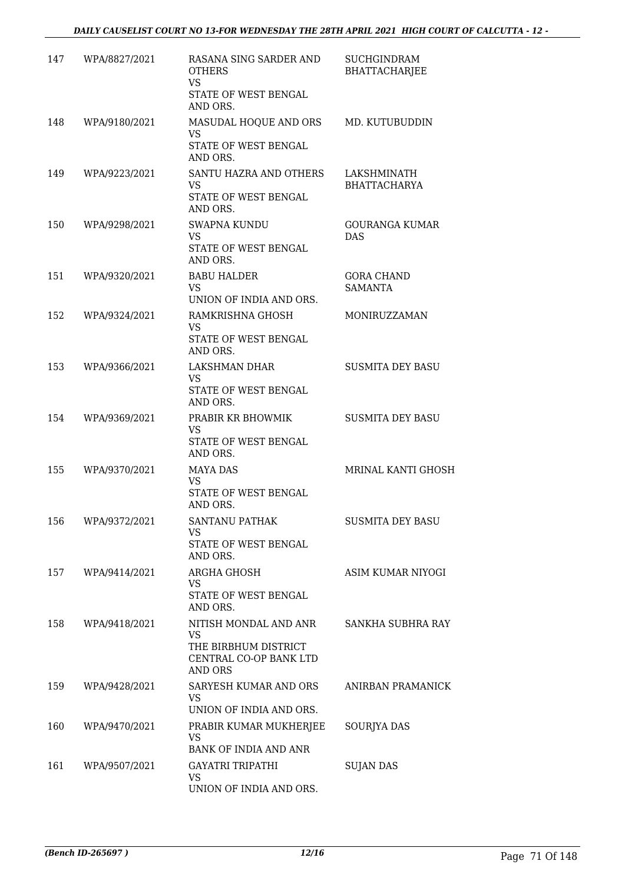| 147 | WPA/8827/2021     | RASANA SING SARDER AND<br><b>OTHERS</b><br><b>VS</b>                                            | <b>SUCHGINDRAM</b><br><b>BHATTACHARJEE</b> |
|-----|-------------------|-------------------------------------------------------------------------------------------------|--------------------------------------------|
|     |                   | STATE OF WEST BENGAL<br>AND ORS.                                                                |                                            |
| 148 | WPA/9180/2021     | MASUDAL HOQUE AND ORS<br><b>VS</b><br>STATE OF WEST BENGAL<br>AND ORS.                          | MD. KUTUBUDDIN                             |
| 149 | WPA/9223/2021     | SANTU HAZRA AND OTHERS<br><b>VS</b><br>STATE OF WEST BENGAL<br>AND ORS.                         | LAKSHMINATH<br><b>BHATTACHARYA</b>         |
| 150 | WPA/9298/2021     | <b>SWAPNA KUNDU</b><br><b>VS</b><br>STATE OF WEST BENGAL<br>AND ORS.                            | <b>GOURANGA KUMAR</b><br>DAS               |
| 151 | WPA/9320/2021     | <b>BABU HALDER</b><br><b>VS</b><br>UNION OF INDIA AND ORS.                                      | <b>GORA CHAND</b><br><b>SAMANTA</b>        |
| 152 | WPA/9324/2021     | RAMKRISHNA GHOSH<br><b>VS</b><br>STATE OF WEST BENGAL<br>AND ORS.                               | MONIRUZZAMAN                               |
| 153 | WPA/9366/2021     | LAKSHMAN DHAR<br>VS<br>STATE OF WEST BENGAL<br>AND ORS.                                         | <b>SUSMITA DEY BASU</b>                    |
| 154 | WPA/9369/2021     | PRABIR KR BHOWMIK<br><b>VS</b><br>STATE OF WEST BENGAL<br>AND ORS.                              | <b>SUSMITA DEY BASU</b>                    |
| 155 | WPA/9370/2021     | <b>MAYA DAS</b><br><b>VS</b><br>STATE OF WEST BENGAL<br>AND ORS.                                | MRINAL KANTI GHOSH                         |
| 156 | WPA/9372/2021     | SANTANU PATHAK<br>VS<br>STATE OF WEST BENGAL<br>AND ORS.                                        | <b>SUSMITA DEY BASU</b>                    |
|     | 157 WPA/9414/2021 | ARGHA GHOSH<br><b>VS</b><br>STATE OF WEST BENGAL<br>AND ORS.                                    | ASIM KUMAR NIYOGI                          |
|     | 158 WPA/9418/2021 | NITISH MONDAL AND ANR<br><b>VS</b><br>THE BIRBHUM DISTRICT<br>CENTRAL CO-OP BANK LTD<br>AND ORS | SANKHA SUBHRA RAY                          |
| 159 | WPA/9428/2021     | SARYESH KUMAR AND ORS<br>VS.<br>UNION OF INDIA AND ORS.                                         | ANIRBAN PRAMANICK                          |
| 160 | WPA/9470/2021     | PRABIR KUMAR MUKHERJEE<br>VS.<br><b>BANK OF INDIA AND ANR</b>                                   | <b>SOURJYA DAS</b>                         |
| 161 | WPA/9507/2021     | <b>GAYATRI TRIPATHI</b><br>VS<br>UNION OF INDIA AND ORS.                                        | <b>SUJAN DAS</b>                           |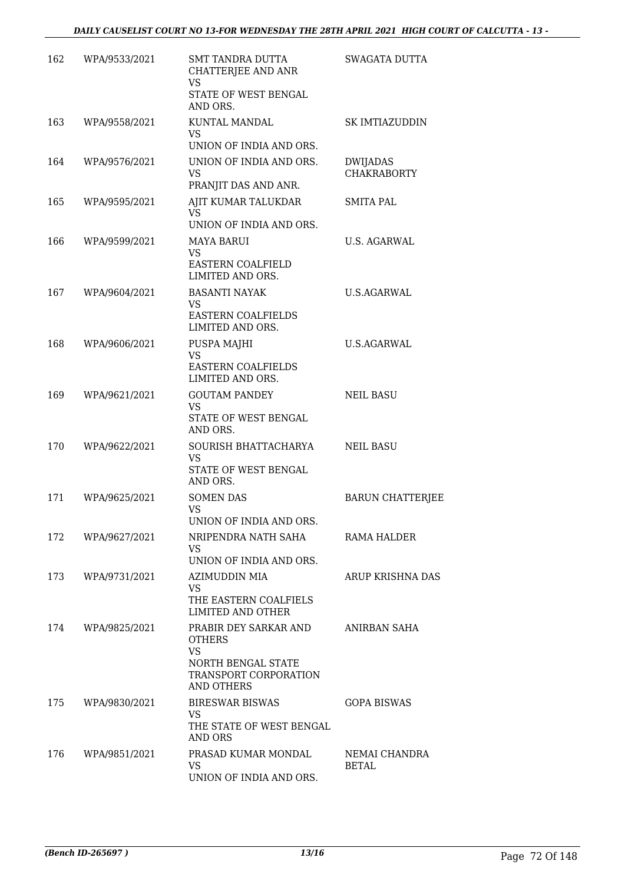| 162 | WPA/9533/2021 | <b>SMT TANDRA DUTTA</b><br>CHATTERJEE AND ANR<br><b>VS</b>                                                       | SWAGATA DUTTA                         |
|-----|---------------|------------------------------------------------------------------------------------------------------------------|---------------------------------------|
|     |               | STATE OF WEST BENGAL<br>AND ORS.                                                                                 |                                       |
| 163 | WPA/9558/2021 | KUNTAL MANDAL<br><b>VS</b><br>UNION OF INDIA AND ORS.                                                            | SK IMTIAZUDDIN                        |
| 164 | WPA/9576/2021 | UNION OF INDIA AND ORS.<br><b>VS</b><br>PRANJIT DAS AND ANR.                                                     | <b>DWIJADAS</b><br><b>CHAKRABORTY</b> |
| 165 | WPA/9595/2021 | AJIT KUMAR TALUKDAR<br><b>VS</b><br>UNION OF INDIA AND ORS.                                                      | SMITA PAL                             |
| 166 | WPA/9599/2021 | <b>MAYA BARUI</b><br><b>VS</b><br>EASTERN COALFIELD<br>LIMITED AND ORS.                                          | <b>U.S. AGARWAL</b>                   |
| 167 | WPA/9604/2021 | <b>BASANTI NAYAK</b><br><b>VS</b><br><b>EASTERN COALFIELDS</b><br>LIMITED AND ORS.                               | <b>U.S.AGARWAL</b>                    |
| 168 | WPA/9606/2021 | PUSPA MAJHI<br><b>VS</b><br>EASTERN COALFIELDS<br>LIMITED AND ORS.                                               | <b>U.S.AGARWAL</b>                    |
| 169 | WPA/9621/2021 | <b>GOUTAM PANDEY</b><br><b>VS</b><br>STATE OF WEST BENGAL<br>AND ORS.                                            | <b>NEIL BASU</b>                      |
| 170 | WPA/9622/2021 | SOURISH BHATTACHARYA<br>VS.<br>STATE OF WEST BENGAL<br>AND ORS.                                                  | <b>NEIL BASU</b>                      |
| 171 | WPA/9625/2021 | <b>SOMEN DAS</b><br><b>VS</b><br>UNION OF INDIA AND ORS                                                          | <b>BARUN CHATTERJEE</b>               |
| 172 | WPA/9627/2021 | NRIPENDRA NATH SAHA<br>VS.<br>UNION OF INDIA AND ORS.                                                            | RAMA HALDER                           |
| 173 | WPA/9731/2021 | AZIMUDDIN MIA<br>VS<br>THE EASTERN COALFIELS<br>LIMITED AND OTHER                                                | ARUP KRISHNA DAS                      |
| 174 | WPA/9825/2021 | PRABIR DEY SARKAR AND<br><b>OTHERS</b><br><b>VS</b><br>NORTH BENGAL STATE<br>TRANSPORT CORPORATION<br>AND OTHERS | ANIRBAN SAHA                          |
| 175 | WPA/9830/2021 | <b>BIRESWAR BISWAS</b><br>VS<br>THE STATE OF WEST BENGAL<br>AND ORS                                              | <b>GOPA BISWAS</b>                    |
| 176 | WPA/9851/2021 | PRASAD KUMAR MONDAL<br><b>VS</b><br>UNION OF INDIA AND ORS.                                                      | NEMAI CHANDRA<br><b>BETAL</b>         |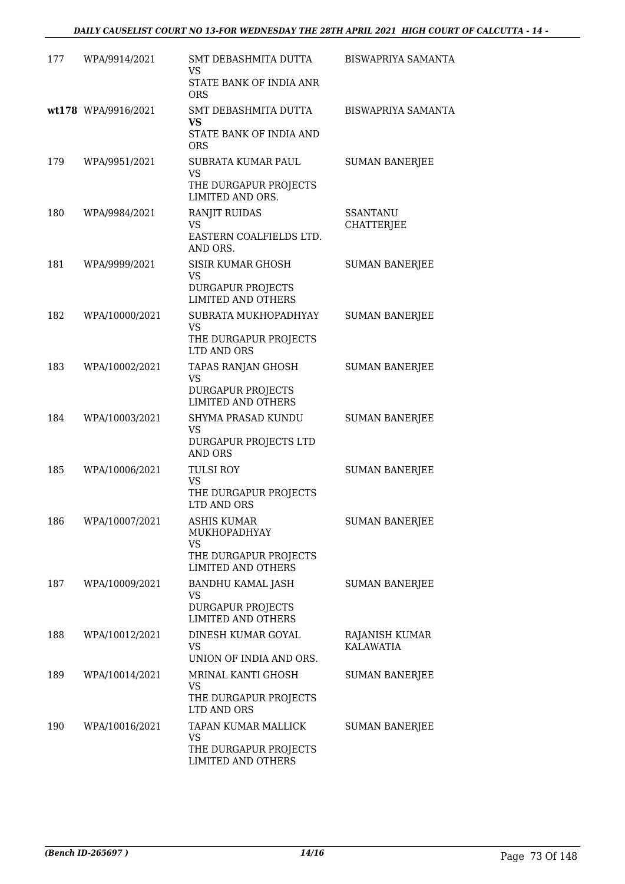| 177 | WPA/9914/2021       | SMT DEBASHMITA DUTTA<br>VS                                                              | <b>BISWAPRIYA SAMANTA</b>   |
|-----|---------------------|-----------------------------------------------------------------------------------------|-----------------------------|
|     |                     | STATE BANK OF INDIA ANR<br><b>ORS</b>                                                   |                             |
|     | wt178 WPA/9916/2021 | SMT DEBASHMITA DUTTA<br><b>VS</b><br>STATE BANK OF INDIA AND                            | <b>BISWAPRIYA SAMANTA</b>   |
|     |                     | <b>ORS</b>                                                                              |                             |
| 179 | WPA/9951/2021       | SUBRATA KUMAR PAUL<br><b>VS</b><br>THE DURGAPUR PROJECTS<br>LIMITED AND ORS.            | <b>SUMAN BANERJEE</b>       |
| 180 | WPA/9984/2021       | <b>RANJIT RUIDAS</b>                                                                    | <b>SSANTANU</b>             |
|     |                     | <b>VS</b><br>EASTERN COALFIELDS LTD.<br>AND ORS.                                        | CHATTERJEE                  |
| 181 | WPA/9999/2021       | <b>SISIR KUMAR GHOSH</b><br>VS<br><b>DURGAPUR PROJECTS</b><br><b>LIMITED AND OTHERS</b> | <b>SUMAN BANERJEE</b>       |
| 182 | WPA/10000/2021      | SUBRATA MUKHOPADHYAY<br><b>VS</b><br>THE DURGAPUR PROJECTS                              | <b>SUMAN BANERJEE</b>       |
| 183 | WPA/10002/2021      | LTD AND ORS<br>TAPAS RANJAN GHOSH                                                       | <b>SUMAN BANERJEE</b>       |
|     |                     | <b>VS</b><br><b>DURGAPUR PROJECTS</b><br><b>LIMITED AND OTHERS</b>                      |                             |
| 184 | WPA/10003/2021      | SHYMA PRASAD KUNDU<br><b>VS</b><br>DURGAPUR PROJECTS LTD<br><b>AND ORS</b>              | <b>SUMAN BANERJEE</b>       |
| 185 | WPA/10006/2021      | <b>TULSI ROY</b>                                                                        | <b>SUMAN BANERJEE</b>       |
|     |                     | <b>VS</b><br>THE DURGAPUR PROJECTS<br>LTD AND ORS                                       |                             |
| 186 | WPA/10007/2021      | <b>ASHIS KUMAR</b><br>MUKHOPADHYAY                                                      | <b>SUMAN BANERJEE</b>       |
|     |                     | <b>VS</b><br>THE DURGAPUR PROJECTS<br><b>LIMITED AND OTHERS</b>                         |                             |
| 187 | WPA/10009/2021      | <b>BANDHU KAMAL JASH</b><br>VS.<br><b>DURGAPUR PROJECTS</b>                             | <b>SUMAN BANERJEE</b>       |
|     |                     | <b>LIMITED AND OTHERS</b>                                                               |                             |
| 188 | WPA/10012/2021      | DINESH KUMAR GOYAL<br>VS.<br>UNION OF INDIA AND ORS.                                    | RAJANISH KUMAR<br>KALAWATIA |
| 189 | WPA/10014/2021      | MRINAL KANTI GHOSH<br>VS<br>THE DURGAPUR PROJECTS<br>LTD AND ORS                        | <b>SUMAN BANERJEE</b>       |
| 190 | WPA/10016/2021      | TAPAN KUMAR MALLICK<br>VS<br>THE DURGAPUR PROJECTS<br>LIMITED AND OTHERS                | <b>SUMAN BANERJEE</b>       |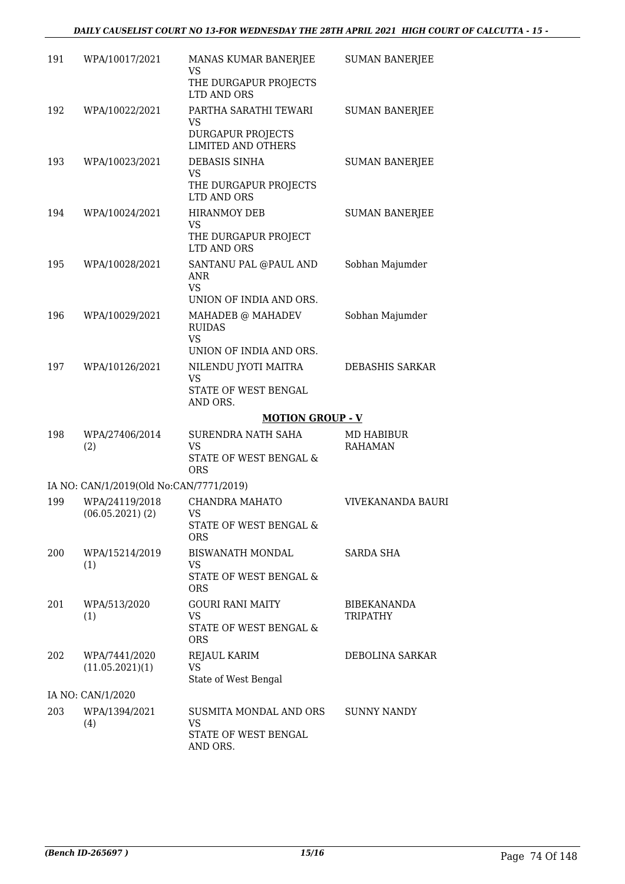| 191 | WPA/10017/2021                                            | MANAS KUMAR BANERJEE<br><b>VS</b>                                            | <b>SUMAN BANERJEE</b>                 |
|-----|-----------------------------------------------------------|------------------------------------------------------------------------------|---------------------------------------|
|     |                                                           | THE DURGAPUR PROJECTS<br>LTD AND ORS                                         |                                       |
| 192 | WPA/10022/2021                                            | PARTHA SARATHI TEWARI<br><b>VS</b>                                           | <b>SUMAN BANERJEE</b>                 |
|     |                                                           | <b>DURGAPUR PROJECTS</b><br><b>LIMITED AND OTHERS</b>                        |                                       |
| 193 | WPA/10023/2021                                            | DEBASIS SINHA<br><b>VS</b><br>THE DURGAPUR PROJECTS<br>LTD AND ORS           | <b>SUMAN BANERJEE</b>                 |
| 194 | WPA/10024/2021                                            | <b>HIRANMOY DEB</b>                                                          | <b>SUMAN BANERJEE</b>                 |
|     |                                                           | VS<br>THE DURGAPUR PROJECT<br>LTD AND ORS                                    |                                       |
| 195 | WPA/10028/2021                                            | SANTANU PAL @PAUL AND<br>ANR<br><b>VS</b><br>UNION OF INDIA AND ORS.         | Sobhan Majumder                       |
| 196 | WPA/10029/2021                                            | MAHADEB @ MAHADEV<br><b>RUIDAS</b>                                           | Sobhan Majumder                       |
|     |                                                           | <b>VS</b><br>UNION OF INDIA AND ORS.                                         |                                       |
| 197 | WPA/10126/2021                                            | NILENDU JYOTI MAITRA<br><b>VS</b>                                            | DEBASHIS SARKAR                       |
|     |                                                           | STATE OF WEST BENGAL<br>AND ORS.                                             |                                       |
|     |                                                           | <b>MOTION GROUP - V</b>                                                      |                                       |
| 198 | WPA/27406/2014<br>(2)                                     | SURENDRA NATH SAHA<br><b>VS</b><br>STATE OF WEST BENGAL &                    | MD HABIBUR<br><b>RAHAMAN</b>          |
|     |                                                           | <b>ORS</b>                                                                   |                                       |
| 199 | IA NO: CAN/1/2019(Old No:CAN/7771/2019)<br>WPA/24119/2018 | <b>CHANDRA MAHATO</b>                                                        | VIVEKANANDA BAURI                     |
|     | (06.05.2021)(2)                                           | VS<br>STATE OF WEST BENGAL &<br><b>ORS</b>                                   |                                       |
| 200 | WPA/15214/2019                                            | BISWANATH MONDAL                                                             | SARDA SHA                             |
|     | (1)                                                       | <b>VS</b><br>STATE OF WEST BENGAL &<br><b>ORS</b>                            |                                       |
| 201 | WPA/513/2020<br>(1)                                       | <b>GOURI RANI MAITY</b><br><b>VS</b><br>STATE OF WEST BENGAL &<br><b>ORS</b> | <b>BIBEKANANDA</b><br><b>TRIPATHY</b> |
| 202 | WPA/7441/2020<br>(11.05.2021)(1)                          | REJAUL KARIM<br><b>VS</b><br>State of West Bengal                            | DEBOLINA SARKAR                       |
|     | IA NO: CAN/1/2020                                         |                                                                              |                                       |
| 203 | WPA/1394/2021                                             | SUSMITA MONDAL AND ORS<br><b>VS</b>                                          | <b>SUNNY NANDY</b>                    |
|     | (4)                                                       |                                                                              |                                       |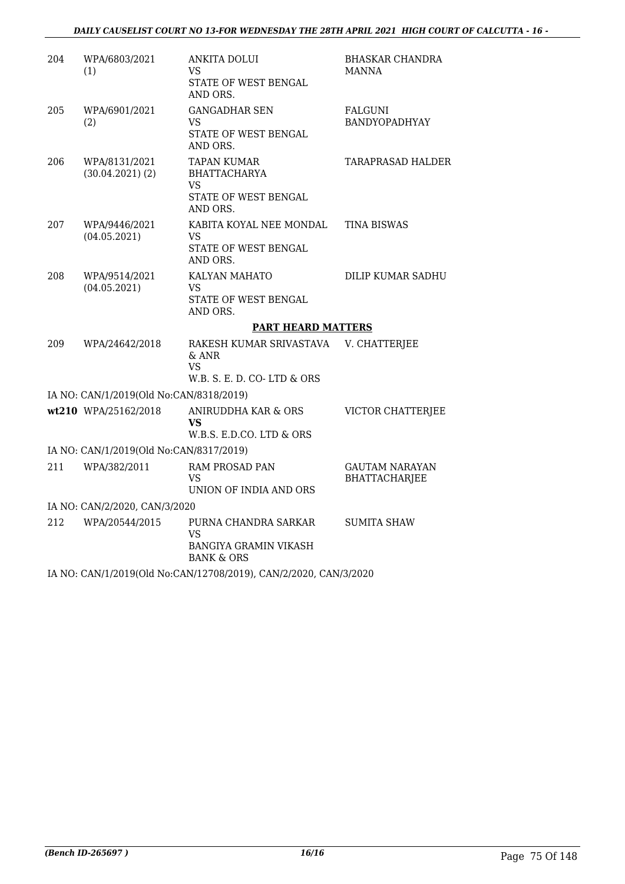| 204 | WPA/6803/2021<br>(1)                    | <b>ANKITA DOLUI</b><br>VS.<br>STATE OF WEST BENGAL<br>AND ORS.                       | <b>BHASKAR CHANDRA</b><br>MANNA               |
|-----|-----------------------------------------|--------------------------------------------------------------------------------------|-----------------------------------------------|
| 205 | WPA/6901/2021<br>(2)                    | <b>GANGADHAR SEN</b><br>VS.<br>STATE OF WEST BENGAL<br>AND ORS.                      | FALGUNI<br><b>BANDYOPADHYAY</b>               |
| 206 | WPA/8131/2021<br>$(30.04.2021)$ $(2)$   | <b>TAPAN KUMAR</b><br><b>BHATTACHARYA</b><br>VS.<br>STATE OF WEST BENGAL<br>AND ORS. | <b>TARAPRASAD HALDER</b>                      |
| 207 | WPA/9446/2021<br>(04.05.2021)           | KABITA KOYAL NEE MONDAL<br>VS.<br>STATE OF WEST BENGAL<br>AND ORS.                   | TINA BISWAS                                   |
| 208 | WPA/9514/2021<br>(04.05.2021)           | KALYAN MAHATO<br>VS<br>STATE OF WEST BENGAL<br>AND ORS.                              | DILIP KUMAR SADHU                             |
|     |                                         | <b>PART HEARD MATTERS</b>                                                            |                                               |
| 209 | WPA/24642/2018                          | RAKESH KUMAR SRIVASTAVA<br>& ANR                                                     | V. CHATTERJEE                                 |
|     |                                         | <b>VS</b><br>W.B. S. E. D. CO- LTD & ORS                                             |                                               |
|     | IA NO: CAN/1/2019(Old No:CAN/8318/2019) |                                                                                      |                                               |
|     | wt210 WPA/25162/2018                    | ANIRUDDHA KAR & ORS<br>VS<br>W.B.S. E.D.CO. LTD & ORS                                | VICTOR CHATTERJEE                             |
|     | IA NO: CAN/1/2019(Old No:CAN/8317/2019) |                                                                                      |                                               |
| 211 | WPA/382/2011                            | RAM PROSAD PAN<br>VS<br>UNION OF INDIA AND ORS                                       | <b>GAUTAM NARAYAN</b><br><b>BHATTACHARJEE</b> |
|     | IA NO: CAN/2/2020, CAN/3/2020           |                                                                                      |                                               |

IA NO: CAN/1/2019(Old No:CAN/12708/2019), CAN/2/2020, CAN/3/2020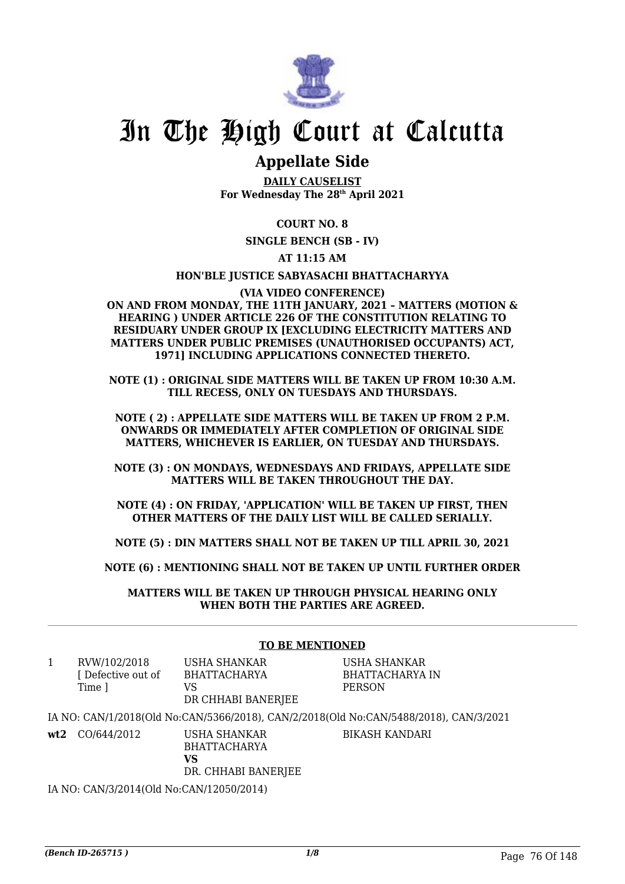

### **Appellate Side**

**DAILY CAUSELIST For Wednesday The 28th April 2021**

#### **COURT NO. 8**

**SINGLE BENCH (SB - IV)**

#### **AT 11:15 AM**

#### **HON'BLE JUSTICE SABYASACHI BHATTACHARYYA**

**(VIA VIDEO CONFERENCE) ON AND FROM MONDAY, THE 11TH JANUARY, 2021 – MATTERS (MOTION & HEARING ) UNDER ARTICLE 226 OF THE CONSTITUTION RELATING TO RESIDUARY UNDER GROUP IX [EXCLUDING ELECTRICITY MATTERS AND MATTERS UNDER PUBLIC PREMISES (UNAUTHORISED OCCUPANTS) ACT, 1971] INCLUDING APPLICATIONS CONNECTED THERETO.**

**NOTE (1) : ORIGINAL SIDE MATTERS WILL BE TAKEN UP FROM 10:30 A.M. TILL RECESS, ONLY ON TUESDAYS AND THURSDAYS.**

**NOTE ( 2) : APPELLATE SIDE MATTERS WILL BE TAKEN UP FROM 2 P.M. ONWARDS OR IMMEDIATELY AFTER COMPLETION OF ORIGINAL SIDE MATTERS, WHICHEVER IS EARLIER, ON TUESDAY AND THURSDAYS.**

**NOTE (3) : ON MONDAYS, WEDNESDAYS AND FRIDAYS, APPELLATE SIDE MATTERS WILL BE TAKEN THROUGHOUT THE DAY.**

**NOTE (4) : ON FRIDAY, 'APPLICATION' WILL BE TAKEN UP FIRST, THEN OTHER MATTERS OF THE DAILY LIST WILL BE CALLED SERIALLY.**

**NOTE (5) : DIN MATTERS SHALL NOT BE TAKEN UP TILL APRIL 30, 2021**

**NOTE (6) : MENTIONING SHALL NOT BE TAKEN UP UNTIL FURTHER ORDER**

**MATTERS WILL BE TAKEN UP THROUGH PHYSICAL HEARING ONLY WHEN BOTH THE PARTIES ARE AGREED.**

#### **TO BE MENTIONED**

| $\mathbf{1}$ | RVW/102/2018     | USHA SHANKAR        | USHA SHANKAR                                                                          |
|--------------|------------------|---------------------|---------------------------------------------------------------------------------------|
|              |                  |                     |                                                                                       |
|              | Defective out of | <b>BHATTACHARYA</b> | <b>BHATTACHARYA IN</b>                                                                |
|              | Time 1           | VS                  | <b>PERSON</b>                                                                         |
|              |                  | DR CHHABI BANERJEE  |                                                                                       |
|              |                  |                     | IA NO: CAN/1/2018(Old No:CAN/5366/2018), CAN/2/2018(Old No:CAN/5488/2018), CAN/3/2021 |
| wt2          | CO/644/2012      | USHA SHANKAR        | <b>BIKASH KANDARI</b>                                                                 |
|              |                  | <b>BHATTACHARYA</b> |                                                                                       |
|              |                  | VS                  |                                                                                       |
|              |                  | DR. CHHABI BANERJEE |                                                                                       |

IA NO: CAN/3/2014(Old No:CAN/12050/2014)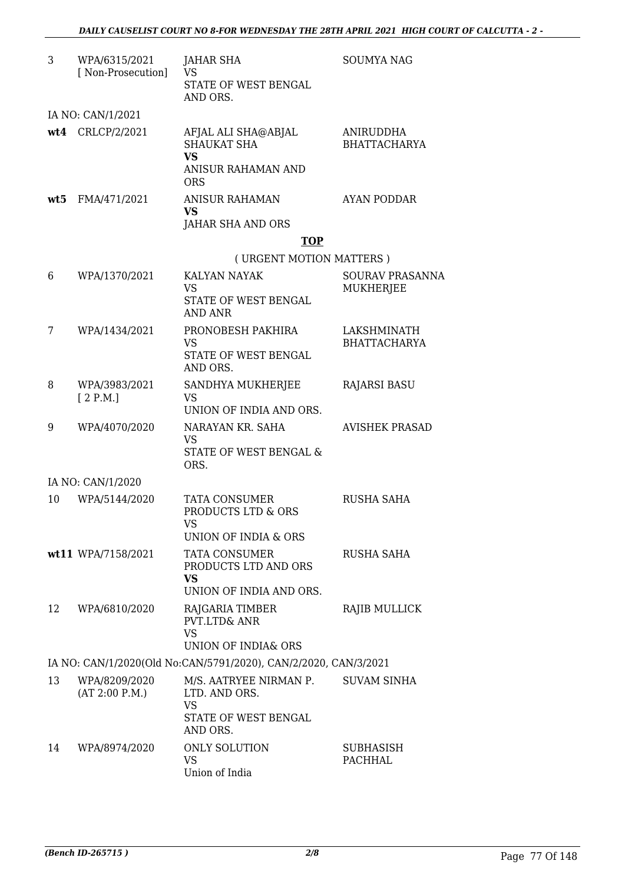| 3   | WPA/6315/2021<br>[ Non-Prosecution] | JAHAR SHA<br><b>VS</b><br>STATE OF WEST BENGAL<br>AND ORS.                                           | <b>SOUMYA NAG</b>                          |
|-----|-------------------------------------|------------------------------------------------------------------------------------------------------|--------------------------------------------|
|     | IA NO: CAN/1/2021                   |                                                                                                      |                                            |
|     | wt4 CRLCP/2/2021                    | AFJAL ALI SHA@ABJAL<br><b>SHAUKAT SHA</b><br><b>VS</b><br><b>ANISUR RAHAMAN AND</b><br><b>ORS</b>    | ANIRUDDHA<br><b>BHATTACHARYA</b>           |
| wt5 | FMA/471/2021                        | <b>ANISUR RAHAMAN</b><br><b>VS</b><br>JAHAR SHA AND ORS                                              | <b>AYAN PODDAR</b>                         |
|     |                                     | <b>TOP</b>                                                                                           |                                            |
|     |                                     | (URGENT MOTION MATTERS)                                                                              |                                            |
| 6   | WPA/1370/2021                       | KALYAN NAYAK<br><b>VS</b><br>STATE OF WEST BENGAL<br><b>AND ANR</b>                                  | <b>SOURAV PRASANNA</b><br><b>MUKHERJEE</b> |
| 7   | WPA/1434/2021                       | PRONOBESH PAKHIRA<br><b>VS</b><br>STATE OF WEST BENGAL<br>AND ORS.                                   | LAKSHMINATH<br><b>BHATTACHARYA</b>         |
| 8   | WPA/3983/2021<br>[2 P.M.]           | SANDHYA MUKHERJEE<br><b>VS</b><br>UNION OF INDIA AND ORS.                                            | <b>RAJARSI BASU</b>                        |
| 9   | WPA/4070/2020                       | NARAYAN KR. SAHA<br><b>VS</b><br>STATE OF WEST BENGAL &<br>ORS.                                      | <b>AVISHEK PRASAD</b>                      |
|     | IA NO: CAN/1/2020                   |                                                                                                      |                                            |
| 10  | WPA/5144/2020                       | <b>TATA CONSUMER</b><br>PRODUCTS LTD & ORS<br><b>VS</b><br>UNION OF INDIA & ORS                      | RUSHA SAHA                                 |
|     | wt11 WPA/7158/2021                  | <b>TATA CONSUMER</b><br>PRODUCTS LTD AND ORS<br><b>VS</b><br>UNION OF INDIA AND ORS.                 | RUSHA SAHA                                 |
| 12  | WPA/6810/2020                       | RAJGARIA TIMBER<br>PVT.LTD& ANR<br>VS.<br><b>UNION OF INDIA&amp; ORS</b>                             | RAJIB MULLICK                              |
|     |                                     | IA NO: CAN/1/2020(Old No:CAN/5791/2020), CAN/2/2020, CAN/3/2021                                      |                                            |
| 13  | WPA/8209/2020<br>(AT 2:00 P.M.)     | M/S. AATRYEE NIRMAN P. SUVAM SINHA<br>LTD. AND ORS.<br><b>VS</b><br>STATE OF WEST BENGAL<br>AND ORS. |                                            |
| 14  | WPA/8974/2020                       | ONLY SOLUTION<br><b>VS</b><br>Union of India                                                         | SUBHASISH<br>PACHHAL                       |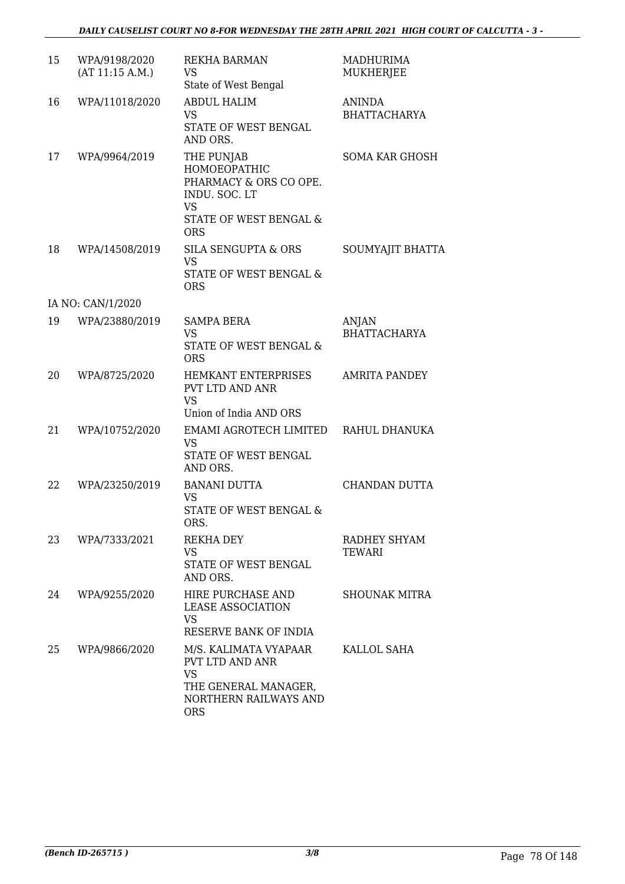| 15 | WPA/9198/2020<br>(AT 11:15 A.M.) | REKHA BARMAN<br>VS                                                                                                         | <b>MADHURIMA</b><br>MUKHERJEE        |
|----|----------------------------------|----------------------------------------------------------------------------------------------------------------------------|--------------------------------------|
|    |                                  | State of West Bengal                                                                                                       |                                      |
| 16 | WPA/11018/2020                   | <b>ABDUL HALIM</b><br><b>VS</b><br>STATE OF WEST BENGAL                                                                    | <b>ANINDA</b><br><b>BHATTACHARYA</b> |
|    |                                  | AND ORS.                                                                                                                   |                                      |
| 17 | WPA/9964/2019                    | THE PUNJAB<br>HOMOEOPATHIC<br>PHARMACY & ORS CO OPE.<br>INDU. SOC. LT<br><b>VS</b><br>STATE OF WEST BENGAL &<br><b>ORS</b> | <b>SOMA KAR GHOSH</b>                |
| 18 | WPA/14508/2019                   | SILA SENGUPTA & ORS<br><b>VS</b><br>STATE OF WEST BENGAL &<br><b>ORS</b>                                                   | SOUMYAJIT BHATTA                     |
|    | IA NO: CAN/1/2020                |                                                                                                                            |                                      |
| 19 | WPA/23880/2019                   | SAMPA BERA                                                                                                                 | ANJAN                                |
|    |                                  | <b>VS</b><br>STATE OF WEST BENGAL &<br><b>ORS</b>                                                                          | <b>BHATTACHARYA</b>                  |
| 20 | WPA/8725/2020                    | HEMKANT ENTERPRISES<br><b>PVT LTD AND ANR</b><br><b>VS</b><br>Union of India AND ORS                                       | <b>AMRITA PANDEY</b>                 |
| 21 | WPA/10752/2020                   | EMAMI AGROTECH LIMITED<br><b>VS</b><br>STATE OF WEST BENGAL<br>AND ORS.                                                    | RAHUL DHANUKA                        |
| 22 | WPA/23250/2019                   | <b>BANANI DUTTA</b><br><b>VS</b><br>STATE OF WEST BENGAL &<br>ORS.                                                         | CHANDAN DUTTA                        |
| 23 | WPA/7333/2021                    | REKHA DEY<br><b>VS</b><br>STATE OF WEST BENGAL<br>AND ORS.                                                                 | RADHEY SHYAM<br><b>TEWARI</b>        |
| 24 | WPA/9255/2020                    | HIRE PURCHASE AND<br>LEASE ASSOCIATION<br><b>VS</b><br>RESERVE BANK OF INDIA                                               | <b>SHOUNAK MITRA</b>                 |
| 25 | WPA/9866/2020                    | M/S. KALIMATA VYAPAAR<br>PVT LTD AND ANR<br><b>VS</b><br>THE GENERAL MANAGER,<br>NORTHERN RAILWAYS AND<br><b>ORS</b>       | KALLOL SAHA                          |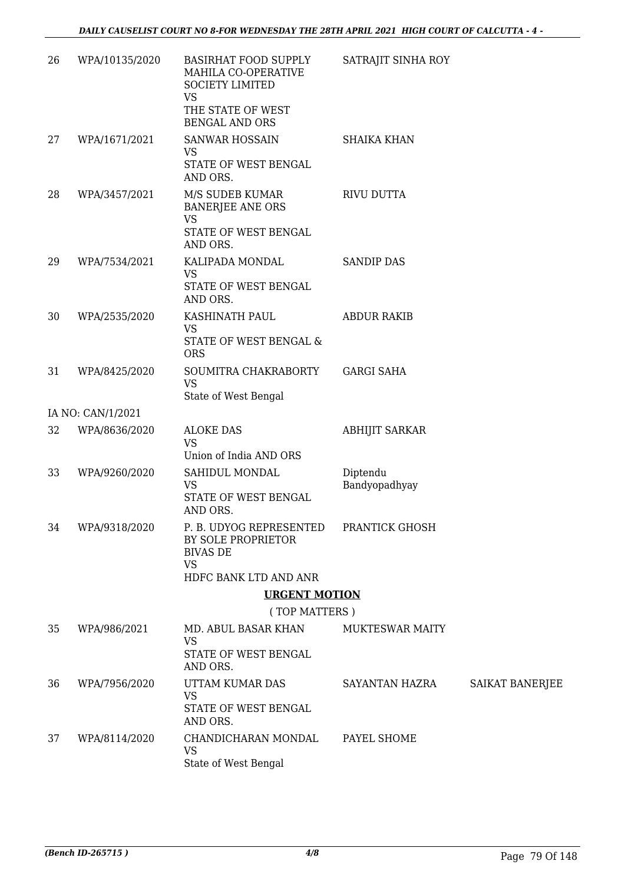| 26 | WPA/10135/2020    | BASIRHAT FOOD SUPPLY<br>MAHILA CO-OPERATIVE<br><b>SOCIETY LIMITED</b><br><b>VS</b><br>THE STATE OF WEST<br><b>BENGAL AND ORS</b> | SATRAJIT SINHA ROY        |                 |
|----|-------------------|----------------------------------------------------------------------------------------------------------------------------------|---------------------------|-----------------|
| 27 | WPA/1671/2021     | <b>SANWAR HOSSAIN</b><br><b>VS</b>                                                                                               | <b>SHAIKA KHAN</b>        |                 |
|    |                   | STATE OF WEST BENGAL<br>AND ORS.                                                                                                 |                           |                 |
| 28 | WPA/3457/2021     | M/S SUDEB KUMAR<br><b>BANERJEE ANE ORS</b><br><b>VS</b><br>STATE OF WEST BENGAL<br>AND ORS.                                      | <b>RIVU DUTTA</b>         |                 |
| 29 | WPA/7534/2021     | KALIPADA MONDAL                                                                                                                  | <b>SANDIP DAS</b>         |                 |
|    |                   | <b>VS</b><br>STATE OF WEST BENGAL<br>AND ORS.                                                                                    |                           |                 |
| 30 | WPA/2535/2020     | KASHINATH PAUL<br><b>VS</b><br>STATE OF WEST BENGAL &<br><b>ORS</b>                                                              | <b>ABDUR RAKIB</b>        |                 |
| 31 | WPA/8425/2020     | SOUMITRA CHAKRABORTY<br><b>VS</b><br>State of West Bengal                                                                        | <b>GARGI SAHA</b>         |                 |
|    | IA NO: CAN/1/2021 |                                                                                                                                  |                           |                 |
| 32 | WPA/8636/2020     | <b>ALOKE DAS</b><br><b>VS</b><br>Union of India AND ORS                                                                          | <b>ABHIJIT SARKAR</b>     |                 |
| 33 | WPA/9260/2020     | SAHIDUL MONDAL<br><b>VS</b><br>STATE OF WEST BENGAL<br>AND ORS.                                                                  | Diptendu<br>Bandyopadhyay |                 |
| 34 | WPA/9318/2020     | P. B. UDYOG REPRESENTED<br>BY SOLE PROPRIETOR<br><b>BIVAS DE</b><br><b>VS</b>                                                    | PRANTICK GHOSH            |                 |
|    |                   | HDFC BANK LTD AND ANR                                                                                                            |                           |                 |
|    |                   | <b>URGENT MOTION</b><br>(TOP MATTERS)                                                                                            |                           |                 |
| 35 | WPA/986/2021      | MD. ABUL BASAR KHAN                                                                                                              | <b>MUKTESWAR MAITY</b>    |                 |
|    |                   | <b>VS</b><br>STATE OF WEST BENGAL<br>AND ORS.                                                                                    |                           |                 |
| 36 | WPA/7956/2020     | UTTAM KUMAR DAS<br><b>VS</b><br>STATE OF WEST BENGAL                                                                             | SAYANTAN HAZRA            | SAIKAT BANERJEE |
|    |                   | AND ORS.                                                                                                                         |                           |                 |
| 37 | WPA/8114/2020     | CHANDICHARAN MONDAL<br><b>VS</b><br>State of West Bengal                                                                         | PAYEL SHOME               |                 |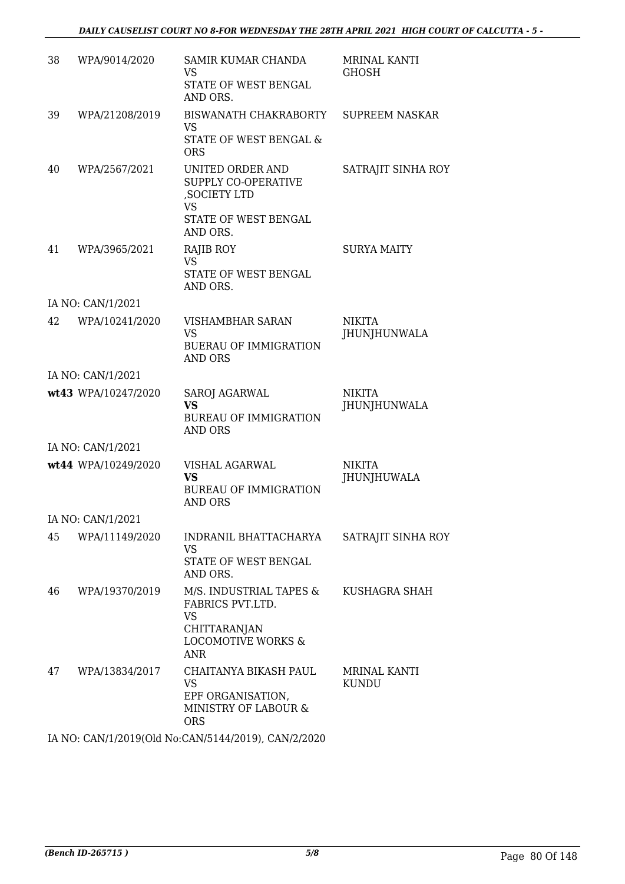| 38 | WPA/9014/2020       | SAMIR KUMAR CHANDA<br><b>VS</b><br>STATE OF WEST BENGAL<br>AND ORS.                                                     | <b>MRINAL KANTI</b><br><b>GHOSH</b>  |
|----|---------------------|-------------------------------------------------------------------------------------------------------------------------|--------------------------------------|
| 39 | WPA/21208/2019      | BISWANATH CHAKRABORTY<br><b>VS</b><br>STATE OF WEST BENGAL &<br><b>ORS</b>                                              | <b>SUPREEM NASKAR</b>                |
| 40 | WPA/2567/2021       | UNITED ORDER AND<br><b>SUPPLY CO-OPERATIVE</b><br>, SOCIETY LTD<br>VS<br>STATE OF WEST BENGAL<br>AND ORS.               | SATRAJIT SINHA ROY                   |
| 41 | WPA/3965/2021       | RAJIB ROY<br><b>VS</b><br>STATE OF WEST BENGAL<br>AND ORS.                                                              | <b>SURYA MAITY</b>                   |
|    | IA NO: CAN/1/2021   |                                                                                                                         |                                      |
| 42 | WPA/10241/2020      | VISHAMBHAR SARAN<br><b>VS</b><br><b>BUERAU OF IMMIGRATION</b><br><b>AND ORS</b>                                         | <b>NIKITA</b><br><b>JHUNJHUNWALA</b> |
|    | IA NO: CAN/1/2021   |                                                                                                                         |                                      |
|    | wt43 WPA/10247/2020 | <b>SAROJ AGARWAL</b><br><b>VS</b><br><b>BUREAU OF IMMIGRATION</b><br><b>AND ORS</b>                                     | <b>NIKITA</b><br>JHUNJHUNWALA        |
|    | IA NO: CAN/1/2021   |                                                                                                                         |                                      |
|    | wt44 WPA/10249/2020 | VISHAL AGARWAL<br><b>VS</b><br><b>BUREAU OF IMMIGRATION</b><br><b>AND ORS</b>                                           | <b>NIKITA</b><br>JHUNJHUWALA         |
|    | IA NO: CAN/1/2021   |                                                                                                                         |                                      |
| 45 | WPA/11149/2020      | INDRANIL BHATTACHARYA<br><b>VS</b><br>STATE OF WEST BENGAL<br>AND ORS.                                                  | SATRAJIT SINHA ROY                   |
| 46 | WPA/19370/2019      | M/S. INDUSTRIAL TAPES &<br>FABRICS PVT.LTD.<br><b>VS</b><br>CHITTARANJAN<br><b>LOCOMOTIVE WORKS &amp;</b><br><b>ANR</b> | KUSHAGRA SHAH                        |
| 47 | WPA/13834/2017      | CHAITANYA BIKASH PAUL<br>VS<br>EPF ORGANISATION,<br>MINISTRY OF LABOUR &<br><b>ORS</b>                                  | MRINAL KANTI<br><b>KUNDU</b>         |

IA NO: CAN/1/2019(Old No:CAN/5144/2019), CAN/2/2020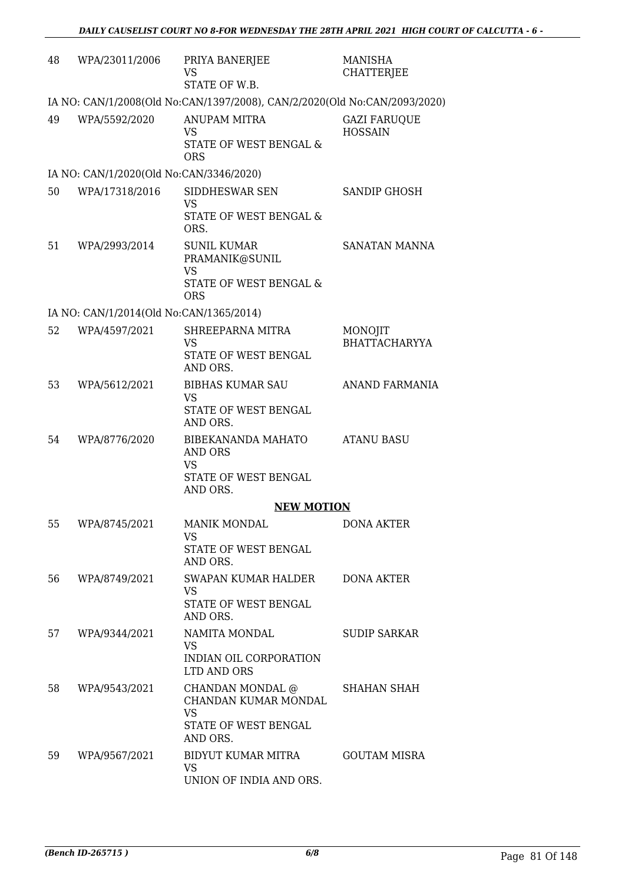| 48 | WPA/23011/2006                          | PRIYA BANERJEE<br><b>VS</b><br>STATE OF W.B.                                              | <b>MANISHA</b><br><b>CHATTERJEE</b>   |
|----|-----------------------------------------|-------------------------------------------------------------------------------------------|---------------------------------------|
|    |                                         | IA NO: CAN/1/2008(Old No:CAN/1397/2008), CAN/2/2020(Old No:CAN/2093/2020)                 |                                       |
| 49 | WPA/5592/2020                           | <b>ANUPAM MITRA</b><br>VS<br>STATE OF WEST BENGAL &<br><b>ORS</b>                         | <b>GAZI FARUQUE</b><br><b>HOSSAIN</b> |
|    | IA NO: CAN/1/2020(Old No:CAN/3346/2020) |                                                                                           |                                       |
| 50 | WPA/17318/2016                          | SIDDHESWAR SEN<br><b>VS</b><br>STATE OF WEST BENGAL &<br>ORS.                             | SANDIP GHOSH                          |
| 51 | WPA/2993/2014                           | <b>SUNIL KUMAR</b><br>PRAMANIK@SUNIL<br><b>VS</b><br>STATE OF WEST BENGAL &<br><b>ORS</b> | SANATAN MANNA                         |
|    | IA NO: CAN/1/2014(Old No:CAN/1365/2014) |                                                                                           |                                       |
| 52 | WPA/4597/2021                           | SHREEPARNA MITRA<br><b>VS</b><br>STATE OF WEST BENGAL<br>AND ORS.                         | MONOJIT<br><b>BHATTACHARYYA</b>       |
| 53 | WPA/5612/2021                           | <b>BIBHAS KUMAR SAU</b><br><b>VS</b><br>STATE OF WEST BENGAL<br>AND ORS.                  | ANAND FARMANIA                        |
| 54 | WPA/8776/2020                           | BIBEKANANDA MAHATO<br>AND ORS<br><b>VS</b><br>STATE OF WEST BENGAL<br>AND ORS.            | <b>ATANU BASU</b>                     |
|    |                                         | <b>NEW MOTION</b>                                                                         |                                       |
| 55 | WPA/8745/2021                           | <b>MANIK MONDAL</b><br>VS<br>STATE OF WEST BENGAL<br>AND ORS.                             | <b>DONA AKTER</b>                     |
| 56 | WPA/8749/2021                           | SWAPAN KUMAR HALDER<br><b>VS</b><br>STATE OF WEST BENGAL<br>AND ORS.                      | <b>DONA AKTER</b>                     |
| 57 | WPA/9344/2021                           | NAMITA MONDAL<br><b>VS</b><br>INDIAN OIL CORPORATION<br>LTD AND ORS                       | <b>SUDIP SARKAR</b>                   |
| 58 | WPA/9543/2021                           | CHANDAN MONDAL @<br>CHANDAN KUMAR MONDAL<br><b>VS</b><br>STATE OF WEST BENGAL<br>AND ORS. | <b>SHAHAN SHAH</b>                    |
| 59 | WPA/9567/2021                           | BIDYUT KUMAR MITRA<br>VS.<br>UNION OF INDIA AND ORS.                                      | <b>GOUTAM MISRA</b>                   |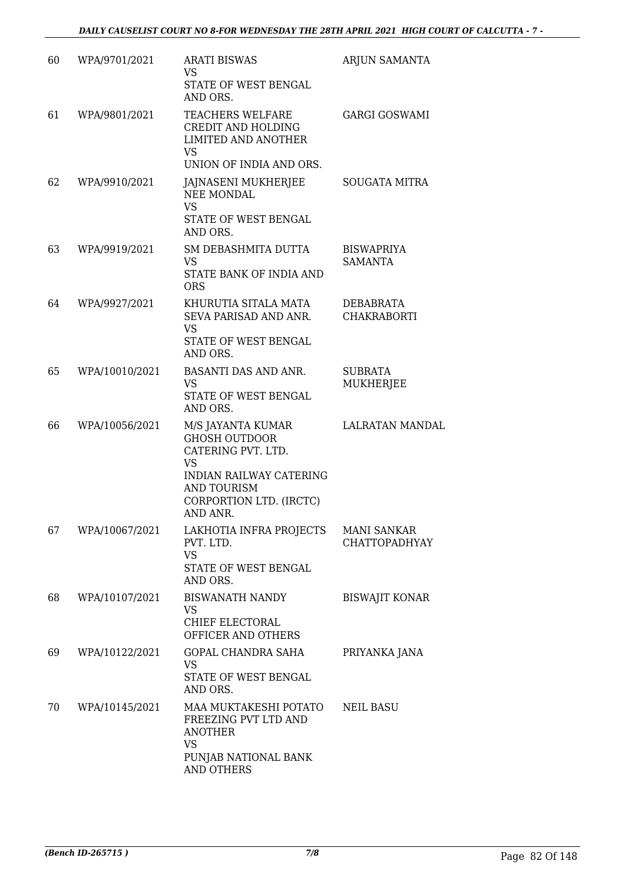| 60 | WPA/9701/2021  | <b>ARATI BISWAS</b><br><b>VS</b><br>STATE OF WEST BENGAL<br>AND ORS.                                                                                                 | <b>ARJUN SAMANTA</b>                   |
|----|----------------|----------------------------------------------------------------------------------------------------------------------------------------------------------------------|----------------------------------------|
| 61 | WPA/9801/2021  | TEACHERS WELFARE<br><b>CREDIT AND HOLDING</b><br><b>LIMITED AND ANOTHER</b><br>VS                                                                                    | <b>GARGI GOSWAMI</b>                   |
|    |                | UNION OF INDIA AND ORS.                                                                                                                                              |                                        |
| 62 | WPA/9910/2021  | JAJNASENI MUKHERJEE<br>NEE MONDAL<br><b>VS</b><br>STATE OF WEST BENGAL                                                                                               | <b>SOUGATA MITRA</b>                   |
|    |                | AND ORS.                                                                                                                                                             |                                        |
| 63 | WPA/9919/2021  | SM DEBASHMITA DUTTA<br><b>VS</b><br>STATE BANK OF INDIA AND<br><b>ORS</b>                                                                                            | <b>BISWAPRIYA</b><br>SAMANTA           |
| 64 | WPA/9927/2021  | KHURUTIA SITALA MATA<br>SEVA PARISAD AND ANR.<br><b>VS</b><br>STATE OF WEST BENGAL<br>AND ORS.                                                                       | <b>DEBABRATA</b><br><b>CHAKRABORTI</b> |
| 65 | WPA/10010/2021 | BASANTI DAS AND ANR.<br>VS<br>STATE OF WEST BENGAL<br>AND ORS.                                                                                                       | <b>SUBRATA</b><br>MUKHERJEE            |
| 66 | WPA/10056/2021 | M/S JAYANTA KUMAR<br><b>GHOSH OUTDOOR</b><br>CATERING PVT. LTD.<br><b>VS</b><br><b>INDIAN RAILWAY CATERING</b><br>AND TOURISM<br>CORPORTION LTD. (IRCTC)<br>AND ANR. | LALRATAN MANDAL                        |
| 67 | WPA/10067/2021 | LAKHOTIA INFRA PROJECTS<br>PVT. LTD.<br><b>VS</b><br>STATE OF WEST BENGAL<br>AND ORS.                                                                                | <b>MANI SANKAR</b><br>CHATTOPADHYAY    |
| 68 | WPA/10107/2021 | <b>BISWANATH NANDY</b><br><b>VS</b><br>CHIEF ELECTORAL<br>OFFICER AND OTHERS                                                                                         | <b>BISWAJIT KONAR</b>                  |
| 69 | WPA/10122/2021 | GOPAL CHANDRA SAHA<br><b>VS</b><br>STATE OF WEST BENGAL<br>AND ORS.                                                                                                  | PRIYANKA JANA                          |
| 70 | WPA/10145/2021 | MAA MUKTAKESHI POTATO<br>FREEZING PVT LTD AND<br><b>ANOTHER</b><br><b>VS</b>                                                                                         | <b>NEIL BASU</b>                       |
|    |                | PUNJAB NATIONAL BANK<br>AND OTHERS                                                                                                                                   |                                        |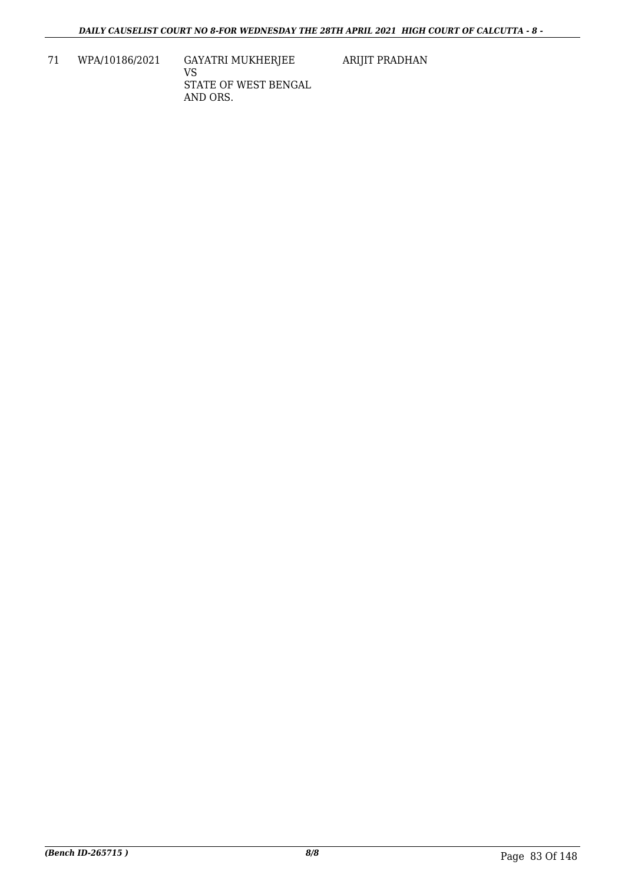71 WPA/10186/2021 GAYATRI MUKHERJEE VS STATE OF WEST BENGAL AND ORS.

ARIJIT PRADHAN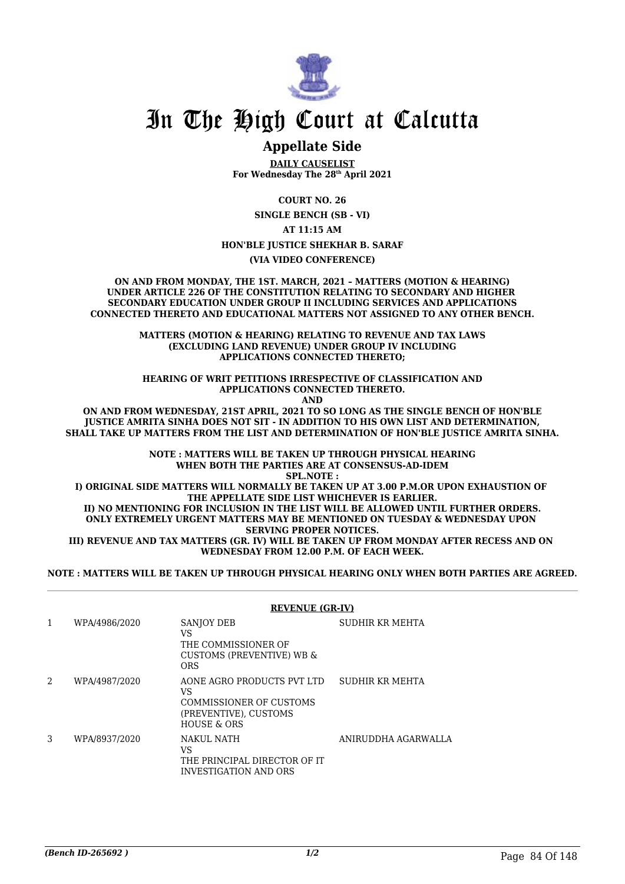

#### **Appellate Side**

**DAILY CAUSELIST For Wednesday The 28th April 2021**

**COURT NO. 26**

**SINGLE BENCH (SB - VI)**

**AT 11:15 AM**

**HON'BLE JUSTICE SHEKHAR B. SARAF**

**(VIA VIDEO CONFERENCE)**

**ON AND FROM MONDAY, THE 1ST. MARCH, 2021 – MATTERS (MOTION & HEARING) UNDER ARTICLE 226 OF THE CONSTITUTION RELATING TO SECONDARY AND HIGHER SECONDARY EDUCATION UNDER GROUP II INCLUDING SERVICES AND APPLICATIONS CONNECTED THERETO AND EDUCATIONAL MATTERS NOT ASSIGNED TO ANY OTHER BENCH.**

> **MATTERS (MOTION & HEARING) RELATING TO REVENUE AND TAX LAWS (EXCLUDING LAND REVENUE) UNDER GROUP IV INCLUDING APPLICATIONS CONNECTED THERETO;**

**HEARING OF WRIT PETITIONS IRRESPECTIVE OF CLASSIFICATION AND APPLICATIONS CONNECTED THERETO. AND**

**ON AND FROM WEDNESDAY, 21ST APRIL, 2021 TO SO LONG AS THE SINGLE BENCH OF HON'BLE JUSTICE AMRITA SINHA DOES NOT SIT - IN ADDITION TO HIS OWN LIST AND DETERMINATION, SHALL TAKE UP MATTERS FROM THE LIST AND DETERMINATION OF HON'BLE JUSTICE AMRITA SINHA.**

> **NOTE : MATTERS WILL BE TAKEN UP THROUGH PHYSICAL HEARING WHEN BOTH THE PARTIES ARE AT CONSENSUS-AD-IDEM SPL.NOTE :**

**I) ORIGINAL SIDE MATTERS WILL NORMALLY BE TAKEN UP AT 3.00 P.M.OR UPON EXHAUSTION OF THE APPELLATE SIDE LIST WHICHEVER IS EARLIER. II) NO MENTIONING FOR INCLUSION IN THE LIST WILL BE ALLOWED UNTIL FURTHER ORDERS.**

**ONLY EXTREMELY URGENT MATTERS MAY BE MENTIONED ON TUESDAY & WEDNESDAY UPON SERVING PROPER NOTICES.**

**III) REVENUE AND TAX MATTERS (GR. IV) WILL BE TAKEN UP FROM MONDAY AFTER RECESS AND ON WEDNESDAY FROM 12.00 P.M. OF EACH WEEK.**

#### **NOTE : MATTERS WILL BE TAKEN UP THROUGH PHYSICAL HEARING ONLY WHEN BOTH PARTIES ARE AGREED.**

**REVENUE (GR-IV)**

| 1              | WPA/4986/2020 | SANJOY DEB<br>VS<br>THE COMMISSIONER OF<br>CUSTOMS (PREVENTIVE) WB &<br><b>ORS</b>                             | SUDHIR KR MEHTA        |
|----------------|---------------|----------------------------------------------------------------------------------------------------------------|------------------------|
| $\mathfrak{D}$ | WPA/4987/2020 | AONE AGRO PRODUCTS PVT LTD<br>VS<br>COMMISSIONER OF CUSTOMS<br>(PREVENTIVE), CUSTOMS<br><b>HOUSE &amp; ORS</b> | <b>SUDHIR KR MEHTA</b> |
| 3              | WPA/8937/2020 | NAKUL NATH<br>VS<br>THE PRINCIPAL DIRECTOR OF IT<br>INVESTIGATION AND ORS                                      | ANIRUDDHA AGARWALLA    |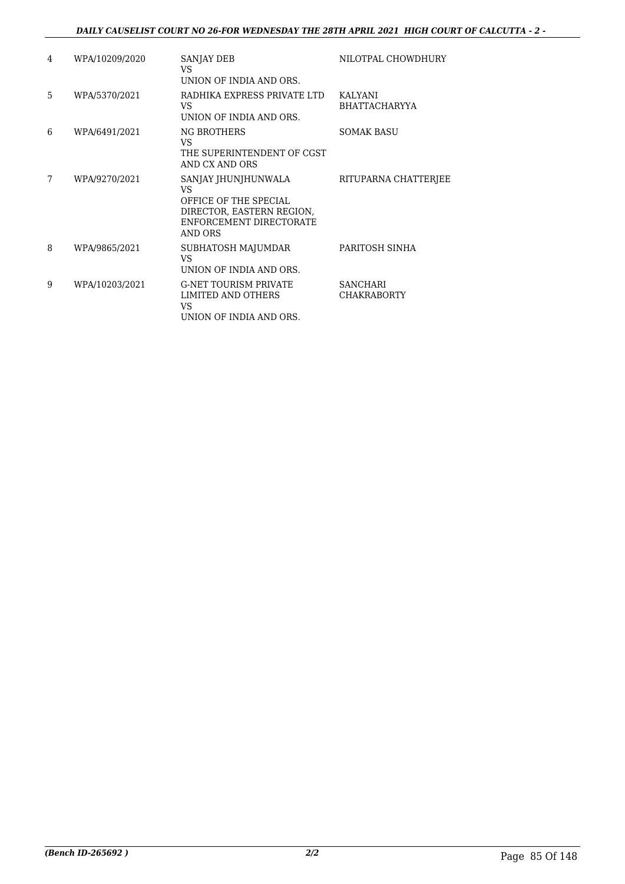#### *DAILY CAUSELIST COURT NO 26-FOR WEDNESDAY THE 28TH APRIL 2021 HIGH COURT OF CALCUTTA - 2 -*

| 4 | WPA/10209/2020 | SANJAY DEB<br>VS<br>UNION OF INDIA AND ORS.                                                                           | NILOTPAL CHOWDHURY                    |
|---|----------------|-----------------------------------------------------------------------------------------------------------------------|---------------------------------------|
| 5 | WPA/5370/2021  | RADHIKA EXPRESS PRIVATE LTD<br>VS.<br>UNION OF INDIA AND ORS.                                                         | KALYANI<br><b>BHATTACHARYYA</b>       |
| 6 | WPA/6491/2021  | NG BROTHERS<br>VS<br>THE SUPERINTENDENT OF CGST<br>AND CX AND ORS                                                     | SOMAK BASU                            |
| 7 | WPA/9270/2021  | SANJAY JHUNJHUNWALA<br>VS<br>OFFICE OF THE SPECIAL<br>DIRECTOR, EASTERN REGION,<br>ENFORCEMENT DIRECTORATE<br>AND ORS | RITUPARNA CHATTERJEE                  |
| 8 | WPA/9865/2021  | SUBHATOSH MAJUMDAR<br>VS<br>UNION OF INDIA AND ORS.                                                                   | PARITOSH SINHA                        |
| 9 | WPA/10203/2021 | <b>G-NET TOURISM PRIVATE</b><br>LIMITED AND OTHERS<br>VS<br>UNION OF INDIA AND ORS.                                   | <b>SANCHARI</b><br><b>CHAKRABORTY</b> |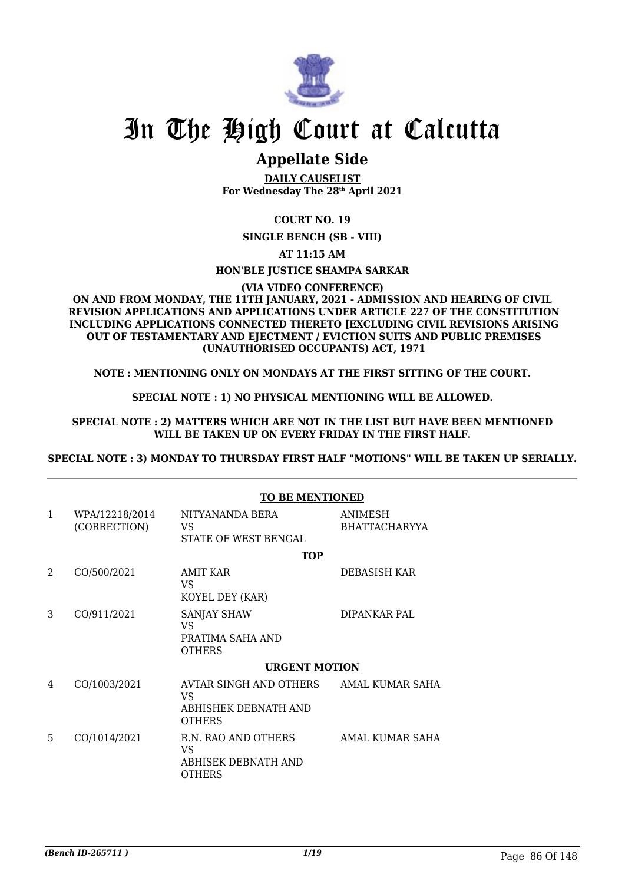

### **Appellate Side**

**DAILY CAUSELIST For Wednesday The 28th April 2021**

#### **COURT NO. 19**

**SINGLE BENCH (SB - VIII)**

**AT 11:15 AM**

#### **HON'BLE JUSTICE SHAMPA SARKAR**

**(VIA VIDEO CONFERENCE)**

#### **ON AND FROM MONDAY, THE 11TH JANUARY, 2021 - ADMISSION AND HEARING OF CIVIL REVISION APPLICATIONS AND APPLICATIONS UNDER ARTICLE 227 OF THE CONSTITUTION INCLUDING APPLICATIONS CONNECTED THERETO [EXCLUDING CIVIL REVISIONS ARISING OUT OF TESTAMENTARY AND EJECTMENT / EVICTION SUITS AND PUBLIC PREMISES (UNAUTHORISED OCCUPANTS) ACT, 1971**

**NOTE : MENTIONING ONLY ON MONDAYS AT THE FIRST SITTING OF THE COURT.**

#### **SPECIAL NOTE : 1) NO PHYSICAL MENTIONING WILL BE ALLOWED.**

#### **SPECIAL NOTE : 2) MATTERS WHICH ARE NOT IN THE LIST BUT HAVE BEEN MENTIONED WILL BE TAKEN UP ON EVERY FRIDAY IN THE FIRST HALF.**

**SPECIAL NOTE : 3) MONDAY TO THURSDAY FIRST HALF "MOTIONS" WILL BE TAKEN UP SERIALLY.**

#### **TO BE MENTIONED**

| 1 | WPA/12218/2014<br>(CORRECTION) | NITYANANDA BERA<br>VS.<br>STATE OF WEST BENGAL                         | <b>ANIMESH</b><br><b>BHATTACHARYYA</b> |
|---|--------------------------------|------------------------------------------------------------------------|----------------------------------------|
|   |                                | <b>TOP</b>                                                             |                                        |
| 2 | CO/500/2021                    | AMIT KAR<br>VS.<br>KOYEL DEY (KAR)                                     | DEBASISH KAR                           |
| 3 | CO/911/2021                    | SANJAY SHAW<br>VS<br>PRATIMA SAHA AND<br><b>OTHERS</b>                 | DIPANKAR PAL                           |
|   |                                | <b>URGENT MOTION</b>                                                   |                                        |
| 4 | CO/1003/2021                   | AVTAR SINGH AND OTHERS<br>VS.<br>ABHISHEK DEBNATH AND<br><b>OTHERS</b> | AMAL KUMAR SAHA                        |
| 5 | CO/1014/2021                   | R.N. RAO AND OTHERS<br>VS<br>ABHISEK DEBNATH AND<br><b>OTHERS</b>      | AMAL KUMAR SAHA                        |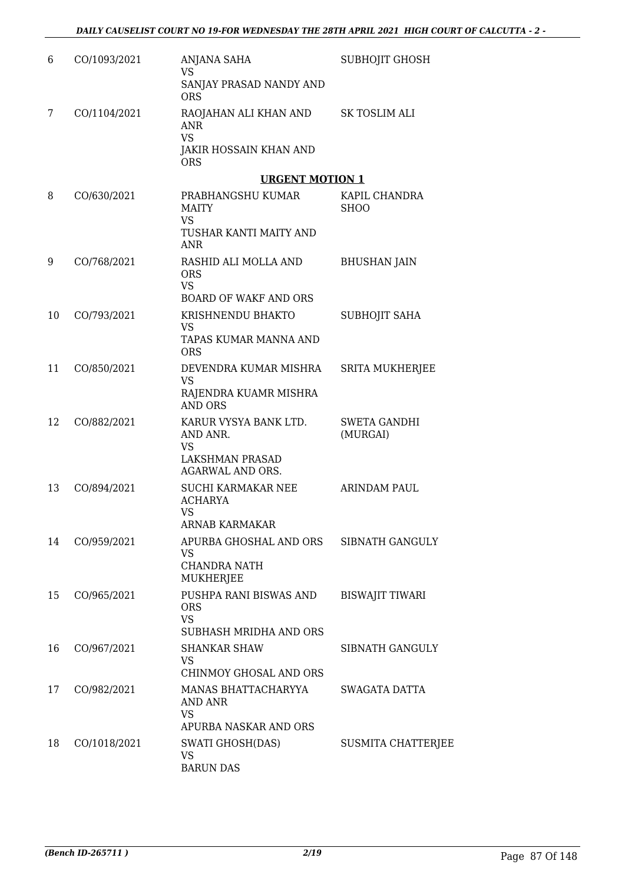| 6  | CO/1093/2021 | <b>ANJANA SAHA</b><br><b>VS</b>                                                   | SUBHOJIT GHOSH               |
|----|--------------|-----------------------------------------------------------------------------------|------------------------------|
|    |              | SANJAY PRASAD NANDY AND<br><b>ORS</b>                                             |                              |
| 7  | CO/1104/2021 | RAOJAHAN ALI KHAN AND<br><b>ANR</b><br><b>VS</b>                                  | SK TOSLIM ALI                |
|    |              | JAKIR HOSSAIN KHAN AND<br><b>ORS</b>                                              |                              |
|    |              | <b>URGENT MOTION 1</b>                                                            |                              |
| 8  | CO/630/2021  | PRABHANGSHU KUMAR<br><b>MAITY</b><br><b>VS</b><br>TUSHAR KANTI MAITY AND          | KAPIL CHANDRA<br><b>SHOO</b> |
| 9  | CO/768/2021  | ANR<br>RASHID ALI MOLLA AND<br><b>ORS</b><br><b>VS</b>                            | <b>BHUSHAN JAIN</b>          |
|    |              | <b>BOARD OF WAKF AND ORS</b>                                                      |                              |
| 10 | CO/793/2021  | KRISHNENDU BHAKTO<br>VS.<br>TAPAS KUMAR MANNA AND<br><b>ORS</b>                   | <b>SUBHOJIT SAHA</b>         |
| 11 | CO/850/2021  | DEVENDRA KUMAR MISHRA                                                             | <b>SRITA MUKHERJEE</b>       |
|    |              | <b>VS</b><br>RAJENDRA KUAMR MISHRA<br><b>AND ORS</b>                              |                              |
| 12 | CO/882/2021  | KARUR VYSYA BANK LTD.<br>AND ANR.<br>VS<br>LAKSHMAN PRASAD<br>AGARWAL AND ORS.    | SWETA GANDHI<br>(MURGAI)     |
| 13 | CO/894/2021  | <b>SUCHI KARMAKAR NEE</b><br><b>ACHARYA</b><br>VS<br>ARNAB KARMAKAR               | ARINDAM PAUL                 |
| 14 | CO/959/2021  | APURBA GHOSHAL AND ORS<br>VS<br><b>CHANDRA NATH</b><br><b>MUKHERJEE</b>           | SIBNATH GANGULY              |
| 15 | CO/965/2021  | PUSHPA RANI BISWAS AND<br><b>ORS</b><br><b>VS</b>                                 | <b>BISWAJIT TIWARI</b>       |
| 16 | CO/967/2021  | SUBHASH MRIDHA AND ORS<br><b>SHANKAR SHAW</b><br>VS<br>CHINMOY GHOSAL AND ORS     | SIBNATH GANGULY              |
| 17 | CO/982/2021  | MANAS BHATTACHARYYA<br>AND ANR<br>VS                                              | <b>SWAGATA DATTA</b>         |
| 18 | CO/1018/2021 | APURBA NASKAR AND ORS<br><b>SWATI GHOSH(DAS)</b><br><b>VS</b><br><b>BARUN DAS</b> | <b>SUSMITA CHATTERJEE</b>    |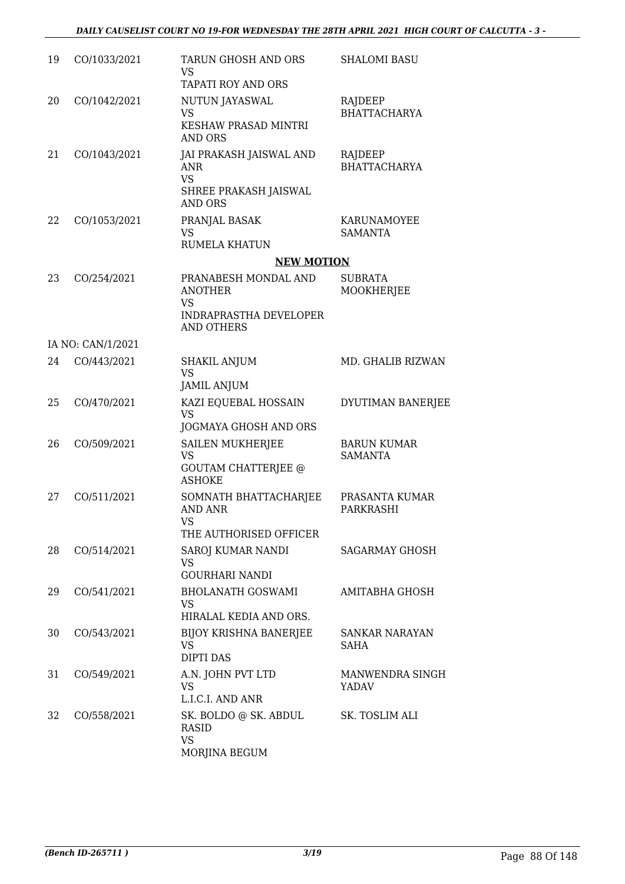| 19 | CO/1033/2021      | TARUN GHOSH AND ORS<br><b>VS</b><br><b>TAPATI ROY AND ORS</b>                                 | <b>SHALOMI BASU</b>                  |
|----|-------------------|-----------------------------------------------------------------------------------------------|--------------------------------------|
| 20 | CO/1042/2021      | NUTUN JAYASWAL<br>VS<br><b>KESHAW PRASAD MINTRI</b><br>AND ORS                                | RAJDEEP<br><b>BHATTACHARYA</b>       |
| 21 | CO/1043/2021      | JAI PRAKASH JAISWAL AND<br><b>ANR</b><br><b>VS</b><br>SHREE PRAKASH JAISWAL<br><b>AND ORS</b> | RAJDEEP<br><b>BHATTACHARYA</b>       |
| 22 | CO/1053/2021      | PRANJAL BASAK<br>VS<br><b>RUMELA KHATUN</b>                                                   | KARUNAMOYEE<br><b>SAMANTA</b>        |
|    |                   | <b>NEW MOTION</b>                                                                             |                                      |
| 23 | CO/254/2021       | PRANABESH MONDAL AND<br><b>ANOTHER</b><br>VS<br>INDRAPRASTHA DEVELOPER<br><b>AND OTHERS</b>   | <b>SUBRATA</b><br>MOOKHERJEE         |
|    | IA NO: CAN/1/2021 |                                                                                               |                                      |
| 24 | CO/443/2021       | <b>SHAKIL ANJUM</b><br><b>VS</b><br><b>JAMIL ANJUM</b>                                        | MD. GHALIB RIZWAN                    |
| 25 | CO/470/2021       | KAZI EQUEBAL HOSSAIN<br><b>VS</b><br>JOGMAYA GHOSH AND ORS                                    | DYUTIMAN BANERJEE                    |
| 26 | CO/509/2021       | <b>SAILEN MUKHERJEE</b><br><b>VS</b><br><b>GOUTAM CHATTERJEE @</b><br><b>ASHOKE</b>           | <b>BARUN KUMAR</b><br><b>SAMANTA</b> |
| 27 | CO/511/2021       | SOMNATH BHATTACHARJEE<br><b>AND ANR</b><br><b>VS</b><br>THE AUTHORISED OFFICER                | PRASANTA KUMAR<br>PARKRASHI          |
| 28 | CO/514/2021       | SAROJ KUMAR NANDI<br>VS<br><b>GOURHARI NANDI</b>                                              | <b>SAGARMAY GHOSH</b>                |
| 29 | CO/541/2021       | <b>BHOLANATH GOSWAMI</b><br>VS<br>HIRALAL KEDIA AND ORS.                                      | AMITABHA GHOSH                       |
| 30 | CO/543/2021       | <b>BIJOY KRISHNA BANERJEE</b><br>VS<br><b>DIPTI DAS</b>                                       | SANKAR NARAYAN<br>SAHA               |
| 31 | CO/549/2021       | A.N. JOHN PVT LTD<br><b>VS</b><br>L.I.C.I. AND ANR                                            | MANWENDRA SINGH<br>YADAV             |
| 32 | CO/558/2021       | SK. BOLDO @ SK. ABDUL<br><b>RASID</b><br><b>VS</b><br>MORJINA BEGUM                           | SK. TOSLIM ALI                       |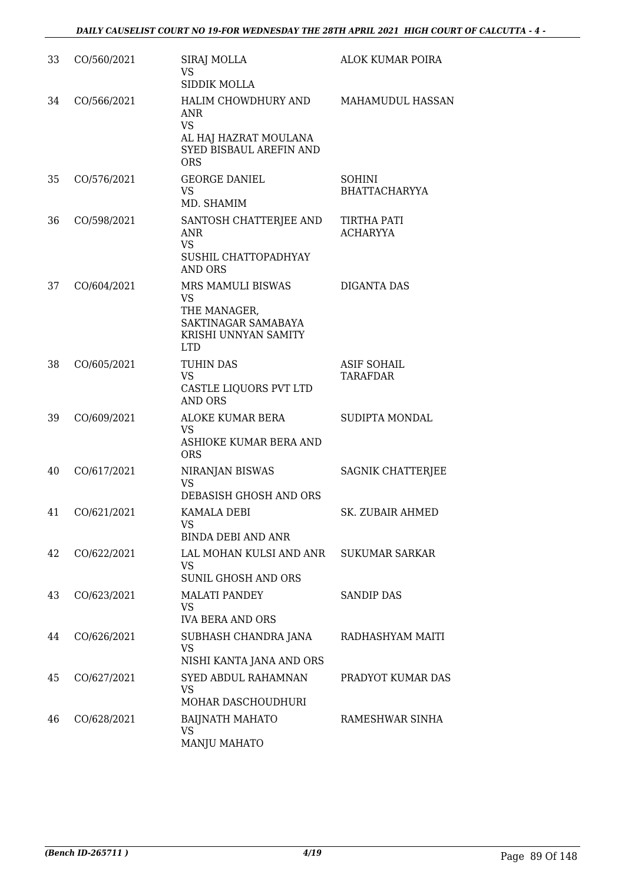| 33 | CO/560/2021 | <b>SIRAJ MOLLA</b><br>VS<br><b>SIDDIK MOLLA</b>                                                           | ALOK KUMAR POIRA                      |
|----|-------------|-----------------------------------------------------------------------------------------------------------|---------------------------------------|
| 34 | CO/566/2021 | HALIM CHOWDHURY AND<br>ANR<br><b>VS</b><br>AL HAJ HAZRAT MOULANA<br>SYED BISBAUL AREFIN AND<br><b>ORS</b> | MAHAMUDUL HASSAN                      |
| 35 | CO/576/2021 | <b>GEORGE DANIEL</b><br>VS<br>MD. SHAMIM                                                                  | <b>SOHINI</b><br><b>BHATTACHARYYA</b> |
| 36 | CO/598/2021 | SANTOSH CHATTERJEE AND<br>ANR<br>VS<br>SUSHIL CHATTOPADHYAY<br><b>AND ORS</b>                             | TIRTHA PATI<br><b>ACHARYYA</b>        |
| 37 | CO/604/2021 | MRS MAMULI BISWAS<br>VS<br>THE MANAGER,<br>SAKTINAGAR SAMABAYA<br>KRISHI UNNYAN SAMITY<br><b>LTD</b>      | DIGANTA DAS                           |
| 38 | CO/605/2021 | TUHIN DAS<br><b>VS</b><br>CASTLE LIQUORS PVT LTD<br><b>AND ORS</b>                                        | <b>ASIF SOHAIL</b><br>TARAFDAR        |
| 39 | CO/609/2021 | ALOKE KUMAR BERA<br><b>VS</b><br>ASHIOKE KUMAR BERA AND<br><b>ORS</b>                                     | <b>SUDIPTA MONDAL</b>                 |
| 40 | CO/617/2021 | NIRANJAN BISWAS<br><b>VS</b><br>DEBASISH GHOSH AND ORS                                                    | SAGNIK CHATTERJEE                     |
| 41 | CO/621/2021 | KAMALA DEBI<br>VS<br><b>BINDA DEBI AND ANR</b>                                                            | SK. ZUBAIR AHMED                      |
| 42 | CO/622/2021 | LAL MOHAN KULSI AND ANR<br>VS.<br><b>SUNIL GHOSH AND ORS</b>                                              | <b>SUKUMAR SARKAR</b>                 |
| 43 | CO/623/2021 | <b>MALATI PANDEY</b><br>VS<br><b>IVA BERA AND ORS</b>                                                     | <b>SANDIP DAS</b>                     |
| 44 | CO/626/2021 | SUBHASH CHANDRA JANA<br>VS<br>NISHI KANTA JANA AND ORS                                                    | RADHASHYAM MAITI                      |
| 45 | CO/627/2021 | SYED ABDUL RAHAMNAN<br>VS<br>MOHAR DASCHOUDHURI                                                           | PRADYOT KUMAR DAS                     |
| 46 | CO/628/2021 | <b>BAIJNATH MAHATO</b><br>VS<br><b>MANJU MAHATO</b>                                                       | RAMESHWAR SINHA                       |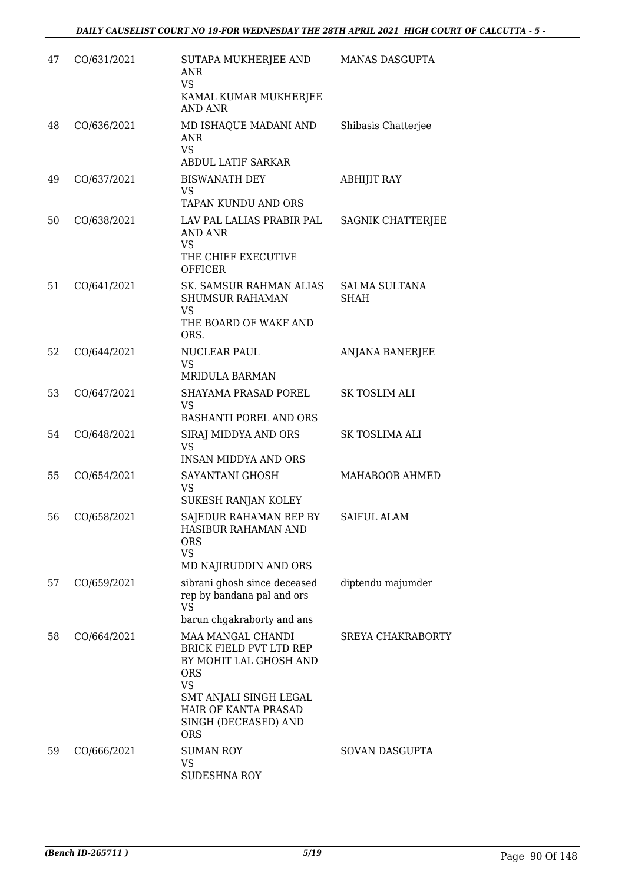| 47 | CO/631/2021 | SUTAPA MUKHERJEE AND<br>ANR<br><b>VS</b><br>KAMAL KUMAR MUKHERJEE<br><b>AND ANR</b>                                                                                                       | <b>MANAS DASGUPTA</b>        |
|----|-------------|-------------------------------------------------------------------------------------------------------------------------------------------------------------------------------------------|------------------------------|
| 48 | CO/636/2021 | MD ISHAQUE MADANI AND<br><b>ANR</b><br><b>VS</b><br><b>ABDUL LATIF SARKAR</b>                                                                                                             | Shibasis Chatterjee          |
| 49 | CO/637/2021 | <b>BISWANATH DEY</b><br><b>VS</b><br>TAPAN KUNDU AND ORS                                                                                                                                  | <b>ABHIJIT RAY</b>           |
| 50 | CO/638/2021 | LAV PAL LALIAS PRABIR PAL<br><b>AND ANR</b><br><b>VS</b><br>THE CHIEF EXECUTIVE<br><b>OFFICER</b>                                                                                         | SAGNIK CHATTERJEE            |
| 51 | CO/641/2021 | SK. SAMSUR RAHMAN ALIAS<br><b>SHUMSUR RAHAMAN</b><br><b>VS</b><br>THE BOARD OF WAKF AND<br>ORS.                                                                                           | SALMA SULTANA<br><b>SHAH</b> |
| 52 | CO/644/2021 | <b>NUCLEAR PAUL</b><br><b>VS</b><br><b>MRIDULA BARMAN</b>                                                                                                                                 | ANJANA BANERJEE              |
| 53 | CO/647/2021 | SHAYAMA PRASAD POREL<br><b>VS</b><br><b>BASHANTI POREL AND ORS</b>                                                                                                                        | <b>SK TOSLIM ALI</b>         |
| 54 | CO/648/2021 | SIRAJ MIDDYA AND ORS<br><b>VS</b><br><b>INSAN MIDDYA AND ORS</b>                                                                                                                          | SK TOSLIMA ALI               |
| 55 | CO/654/2021 | SAYANTANI GHOSH<br>VS<br><b>SUKESH RANJAN KOLEY</b>                                                                                                                                       | MAHABOOB AHMED               |
| 56 | CO/658/2021 | SAJEDUR RAHAMAN REP BY<br><b>HASIBUR RAHAMAN AND</b><br><b>ORS</b><br><b>VS</b><br>MD NAJIRUDDIN AND ORS                                                                                  | <b>SAIFUL ALAM</b>           |
| 57 | CO/659/2021 | sibrani ghosh since deceased<br>rep by bandana pal and ors<br><b>VS</b><br>barun chgakraborty and ans                                                                                     | diptendu majumder            |
| 58 | CO/664/2021 | MAA MANGAL CHANDI<br>BRICK FIELD PVT LTD REP<br>BY MOHIT LAL GHOSH AND<br><b>ORS</b><br><b>VS</b><br>SMT ANJALI SINGH LEGAL<br>HAIR OF KANTA PRASAD<br>SINGH (DECEASED) AND<br><b>ORS</b> | SREYA CHAKRABORTY            |
| 59 | CO/666/2021 | <b>SUMAN ROY</b><br>VS<br><b>SUDESHNA ROY</b>                                                                                                                                             | <b>SOVAN DASGUPTA</b>        |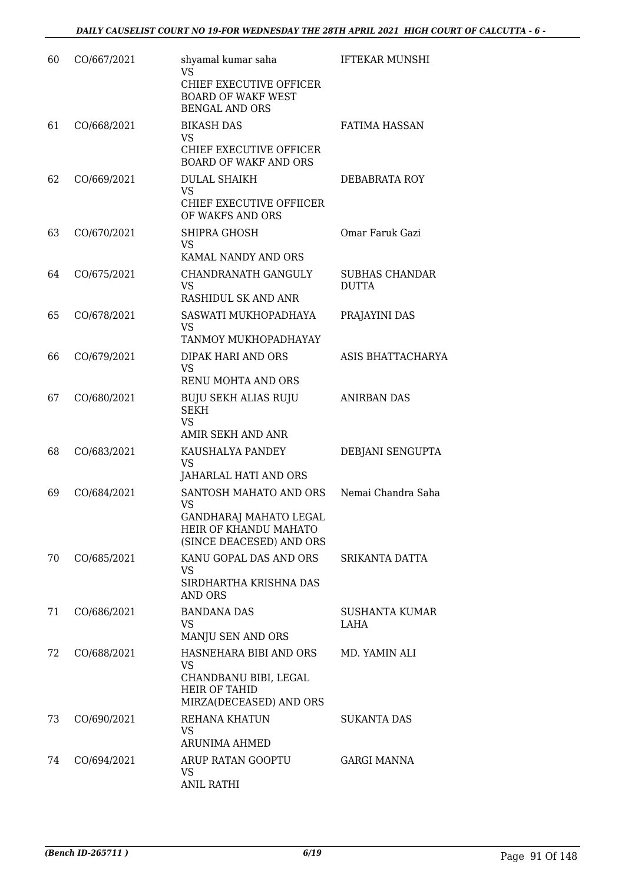| 60 | CO/667/2021 | shyamal kumar saha<br><b>VS</b><br>CHIEF EXECUTIVE OFFICER<br><b>BOARD OF WAKF WEST</b><br><b>BENGAL AND ORS</b>          | <b>IFTEKAR MUNSHI</b>                 |
|----|-------------|---------------------------------------------------------------------------------------------------------------------------|---------------------------------------|
| 61 | CO/668/2021 | <b>BIKASH DAS</b><br>VS.<br>CHIEF EXECUTIVE OFFICER<br><b>BOARD OF WAKF AND ORS</b>                                       | FATIMA HASSAN                         |
| 62 | CO/669/2021 | <b>DULAL SHAIKH</b><br>VS<br>CHIEF EXECUTIVE OFFIICER<br>OF WAKFS AND ORS                                                 | DEBABRATA ROY                         |
| 63 | CO/670/2021 | SHIPRA GHOSH<br><b>VS</b><br>KAMAL NANDY AND ORS                                                                          | Omar Faruk Gazi                       |
| 64 | CO/675/2021 | CHANDRANATH GANGULY<br>VS<br>RASHIDUL SK AND ANR                                                                          | <b>SUBHAS CHANDAR</b><br><b>DUTTA</b> |
| 65 | CO/678/2021 | SASWATI MUKHOPADHAYA<br><b>VS</b><br>TANMOY MUKHOPADHAYAY                                                                 | PRAJAYINI DAS                         |
| 66 | CO/679/2021 | <b>DIPAK HARI AND ORS</b><br><b>VS</b><br>RENU MOHTA AND ORS                                                              | ASIS BHATTACHARYA                     |
| 67 | CO/680/2021 | <b>BUJU SEKH ALIAS RUJU</b><br><b>SEKH</b><br><b>VS</b><br>AMIR SEKH AND ANR                                              | <b>ANIRBAN DAS</b>                    |
| 68 | CO/683/2021 | KAUSHALYA PANDEY<br><b>VS</b><br>JAHARLAL HATI AND ORS                                                                    | DEBJANI SENGUPTA                      |
| 69 | CO/684/2021 | SANTOSH MAHATO AND ORS<br><b>VS</b><br>GANDHARAJ MAHATO LEGAL<br><b>HEIR OF KHANDU MAHATO</b><br>(SINCE DEACESED) AND ORS | Nemai Chandra Saha                    |
| 70 | CO/685/2021 | KANU GOPAL DAS AND ORS<br><b>VS</b><br>SIRDHARTHA KRISHNA DAS<br><b>AND ORS</b>                                           | SRIKANTA DATTA                        |
| 71 | CO/686/2021 | <b>BANDANA DAS</b><br><b>VS</b><br>MANJU SEN AND ORS                                                                      | <b>SUSHANTA KUMAR</b><br>LAHA         |
| 72 | CO/688/2021 | HASNEHARA BIBI AND ORS<br><b>VS</b><br>CHANDBANU BIBI, LEGAL<br><b>HEIR OF TAHID</b><br>MIRZA(DECEASED) AND ORS           | MD. YAMIN ALI                         |
| 73 | CO/690/2021 | REHANA KHATUN<br><b>VS</b><br><b>ARUNIMA AHMED</b>                                                                        | SUKANTA DAS                           |
| 74 | CO/694/2021 | ARUP RATAN GOOPTU<br>VS.<br><b>ANIL RATHI</b>                                                                             | <b>GARGI MANNA</b>                    |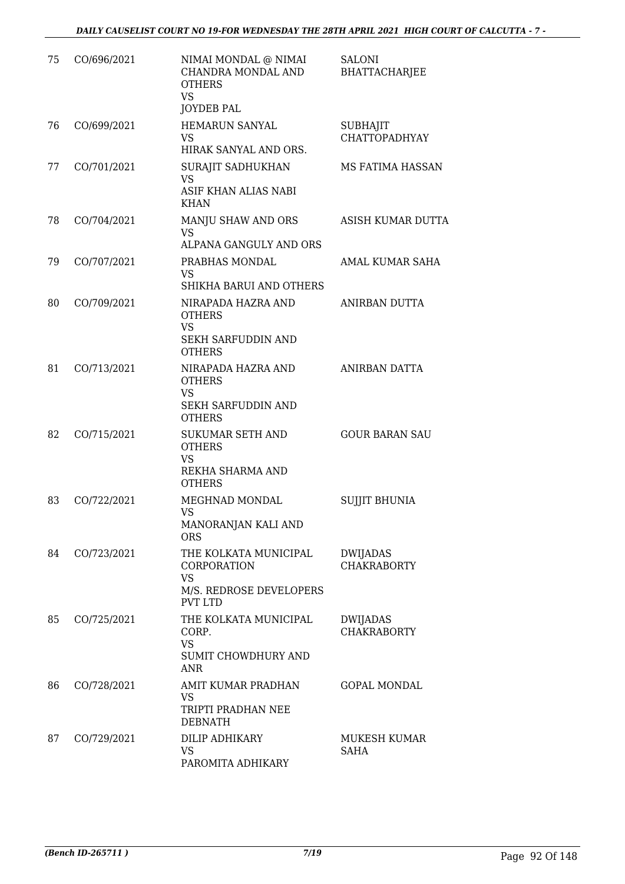| 75 | CO/696/2021 | NIMAI MONDAL @ NIMAI<br>CHANDRA MONDAL AND<br><b>OTHERS</b><br><b>VS</b>                              | SALONI<br><b>BHATTACHARJEE</b>          |
|----|-------------|-------------------------------------------------------------------------------------------------------|-----------------------------------------|
|    |             | JOYDEB PAL                                                                                            |                                         |
| 76 | CO/699/2021 | <b>HEMARUN SANYAL</b><br>VS.                                                                          | <b>SUBHAJIT</b><br><b>CHATTOPADHYAY</b> |
| 77 | CO/701/2021 | HIRAK SANYAL AND ORS.<br>SURAJIT SADHUKHAN<br><b>VS</b><br><b>ASIF KHAN ALIAS NABI</b><br><b>KHAN</b> | MS FATIMA HASSAN                        |
| 78 | CO/704/2021 | MANJU SHAW AND ORS<br><b>VS</b><br>ALPANA GANGULY AND ORS                                             | ASISH KUMAR DUTTA                       |
| 79 | CO/707/2021 | PRABHAS MONDAL<br>VS                                                                                  | AMAL KUMAR SAHA                         |
|    |             | SHIKHA BARUI AND OTHERS                                                                               |                                         |
| 80 | CO/709/2021 | NIRAPADA HAZRA AND<br><b>OTHERS</b><br>VS<br>SEKH SARFUDDIN AND                                       | <b>ANIRBAN DUTTA</b>                    |
| 81 | CO/713/2021 | <b>OTHERS</b><br>NIRAPADA HAZRA AND                                                                   | ANIRBAN DATTA                           |
|    |             | <b>OTHERS</b><br><b>VS</b><br>SEKH SARFUDDIN AND<br><b>OTHERS</b>                                     |                                         |
| 82 | CO/715/2021 | <b>SUKUMAR SETH AND</b><br><b>OTHERS</b><br><b>VS</b><br>REKHA SHARMA AND<br><b>OTHERS</b>            | <b>GOUR BARAN SAU</b>                   |
| 83 | CO/722/2021 | MEGHNAD MONDAL<br>VS<br>MANORANJAN KALI AND<br><b>ORS</b>                                             | <b>SUJJIT BHUNIA</b>                    |
| 84 | CO/723/2021 | THE KOLKATA MUNICIPAL<br><b>CORPORATION</b><br><b>VS</b><br>M/S. REDROSE DEVELOPERS<br><b>PVT LTD</b> | DWIJADAS<br><b>CHAKRABORTY</b>          |
| 85 | CO/725/2021 | THE KOLKATA MUNICIPAL<br>CORP.<br><b>VS</b><br>SUMIT CHOWDHURY AND<br>ANR                             | DWIJADAS<br><b>CHAKRABORTY</b>          |
| 86 | CO/728/2021 | AMIT KUMAR PRADHAN<br>VS<br>TRIPTI PRADHAN NEE<br><b>DEBNATH</b>                                      | <b>GOPAL MONDAL</b>                     |
| 87 | CO/729/2021 | DILIP ADHIKARY<br><b>VS</b><br>PAROMITA ADHIKARY                                                      | MUKESH KUMAR<br>SAHA                    |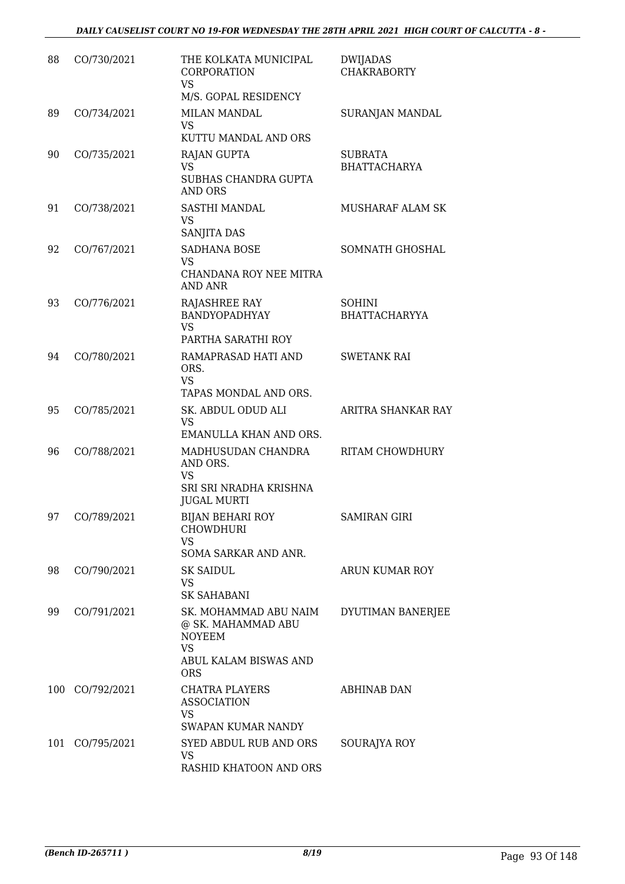| 88  | CO/730/2021 | THE KOLKATA MUNICIPAL<br>CORPORATION<br><b>VS</b><br>M/S. GOPAL RESIDENCY                                        | <b>DWIJADAS</b><br><b>CHAKRABORTY</b> |
|-----|-------------|------------------------------------------------------------------------------------------------------------------|---------------------------------------|
| 89  | CO/734/2021 | <b>MILAN MANDAL</b><br>VS.                                                                                       | SURANJAN MANDAL                       |
| 90  | CO/735/2021 | KUTTU MANDAL AND ORS<br><b>RAJAN GUPTA</b><br><b>VS</b><br>SUBHAS CHANDRA GUPTA<br><b>AND ORS</b>                | <b>SUBRATA</b><br><b>BHATTACHARYA</b> |
| 91  | CO/738/2021 | <b>SASTHI MANDAL</b><br>VS<br>SANJITA DAS                                                                        | MUSHARAF ALAM SK                      |
| 92  | CO/767/2021 | SADHANA BOSE<br><b>VS</b><br>CHANDANA ROY NEE MITRA<br>AND ANR                                                   | SOMNATH GHOSHAL                       |
| 93  | CO/776/2021 | <b>RAJASHREE RAY</b><br>BANDYOPADHYAY<br><b>VS</b><br>PARTHA SARATHI ROY                                         | <b>SOHINI</b><br><b>BHATTACHARYYA</b> |
| 94  | CO/780/2021 | RAMAPRASAD HATI AND<br>ORS.<br><b>VS</b><br>TAPAS MONDAL AND ORS.                                                | <b>SWETANK RAI</b>                    |
| 95  | CO/785/2021 | SK. ABDUL ODUD ALI<br><b>VS</b><br>EMANULLA KHAN AND ORS.                                                        | ARITRA SHANKAR RAY                    |
| 96  | CO/788/2021 | MADHUSUDAN CHANDRA<br>AND ORS.<br>VS<br>SRI SRI NRADHA KRISHNA<br><b>JUGAL MURTI</b>                             | RITAM CHOWDHURY                       |
| 97  | CO/789/2021 | <b>BIJAN BEHARI ROY</b><br><b>CHOWDHURI</b><br>VS<br>SOMA SARKAR AND ANR.                                        | <b>SAMIRAN GIRI</b>                   |
| 98  | CO/790/2021 | SK SAIDUL<br>VS.<br><b>SK SAHABANI</b>                                                                           | ARUN KUMAR ROY                        |
| 99  | CO/791/2021 | SK. MOHAMMAD ABU NAIM<br>@ SK. MAHAMMAD ABU<br><b>NOYEEM</b><br><b>VS</b><br>ABUL KALAM BISWAS AND<br><b>ORS</b> | DYUTIMAN BANERJEE                     |
| 100 | CO/792/2021 | CHATRA PLAYERS<br><b>ASSOCIATION</b><br><b>VS</b><br><b>SWAPAN KUMAR NANDY</b>                                   | <b>ABHINAB DAN</b>                    |
| 101 | CO/795/2021 | <b>SYED ABDUL RUB AND ORS</b><br>VS<br>RASHID KHATOON AND ORS                                                    | SOURAJYA ROY                          |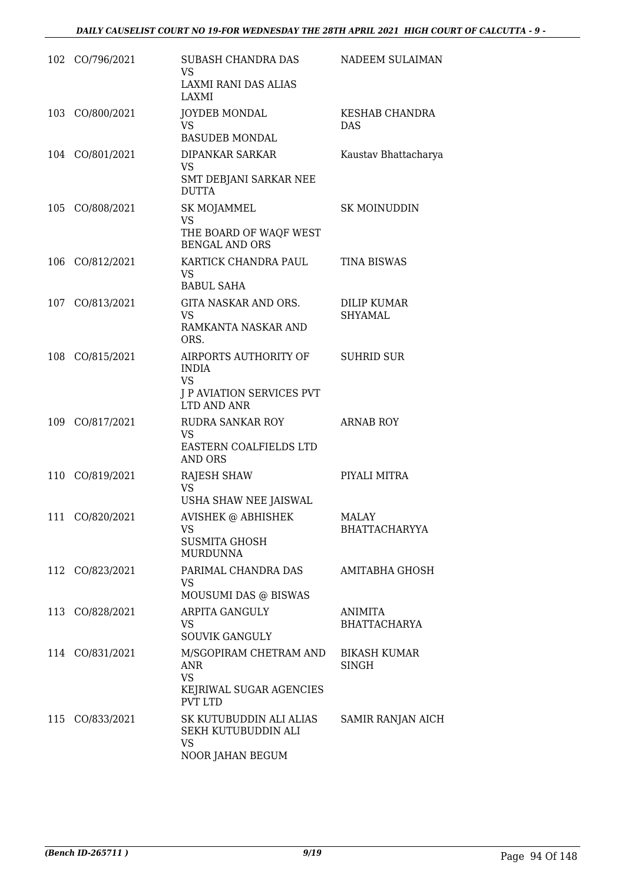| 102 CO/796/2021 | SUBASH CHANDRA DAS<br>VS<br>LAXMI RANI DAS ALIAS<br>LAXMI                                                 | NADEEM SULAIMAN                       |
|-----------------|-----------------------------------------------------------------------------------------------------------|---------------------------------------|
| 103 CO/800/2021 | <b>JOYDEB MONDAL</b><br><b>VS</b><br><b>BASUDEB MONDAL</b>                                                | <b>KESHAB CHANDRA</b><br><b>DAS</b>   |
| 104 CO/801/2021 | DIPANKAR SARKAR<br><b>VS</b><br>SMT DEBJANI SARKAR NEE<br><b>DUTTA</b>                                    | Kaustav Bhattacharya                  |
| 105 CO/808/2021 | SK MOJAMMEL<br><b>VS</b><br>THE BOARD OF WAQF WEST<br><b>BENGAL AND ORS</b>                               | <b>SK MOINUDDIN</b>                   |
| 106 CO/812/2021 | KARTICK CHANDRA PAUL<br>VS.<br><b>BABUL SAHA</b>                                                          | <b>TINA BISWAS</b>                    |
| 107 CO/813/2021 | GITA NASKAR AND ORS.<br>VS.<br>RAMKANTA NASKAR AND<br>ORS.                                                | <b>DILIP KUMAR</b><br><b>SHYAMAL</b>  |
| 108 CO/815/2021 | AIRPORTS AUTHORITY OF SUHRID SUR<br><b>INDIA</b><br><b>VS</b><br>J P AVIATION SERVICES PVT<br>LTD AND ANR |                                       |
| 109 CO/817/2021 | RUDRA SANKAR ROY<br>VS<br>EASTERN COALFIELDS LTD<br><b>AND ORS</b>                                        | <b>ARNAB ROY</b>                      |
| 110 CO/819/2021 | <b>RAJESH SHAW</b><br>VS<br>USHA SHAW NEE JAISWAL                                                         | PIYALI MITRA                          |
| 111 CO/820/2021 | AVISHEK @ ABHISHEK<br>VS<br><b>SUSMITA GHOSH</b><br><b>MURDUNNA</b>                                       | MALAY<br><b>BHATTACHARYYA</b>         |
| 112 CO/823/2021 | PARIMAL CHANDRA DAS<br>VS<br><b>MOUSUMI DAS @ BISWAS</b>                                                  | AMITABHA GHOSH                        |
| 113 CO/828/2021 | ARPITA GANGULY<br>VS.<br><b>SOUVIK GANGULY</b>                                                            | <b>ANIMITA</b><br><b>BHATTACHARYA</b> |
| 114 CO/831/2021 | M/SGOPIRAM CHETRAM AND<br>ANR<br><b>VS</b><br>KEJRIWAL SUGAR AGENCIES<br><b>PVT LTD</b>                   | <b>BIKASH KUMAR</b><br><b>SINGH</b>   |
| 115 CO/833/2021 | SK KUTUBUDDIN ALI ALIAS<br>SEKH KUTUBUDDIN ALI<br><b>VS</b><br>NOOR JAHAN BEGUM                           | SAMIR RANJAN AICH                     |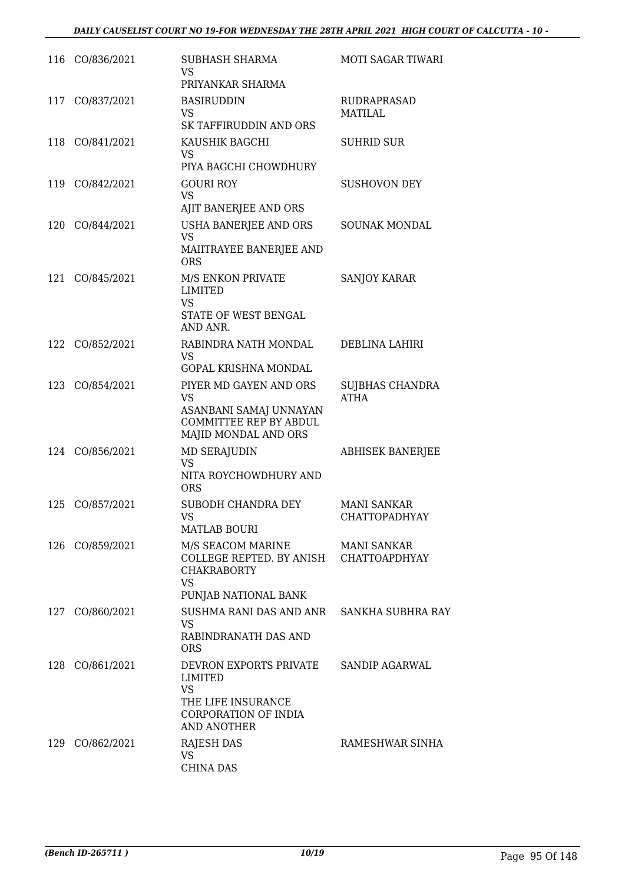|     | 116 CO/836/2021 | SUBHASH SHARMA<br><b>VS</b><br>PRIYANKAR SHARMA                                                                        | <b>MOTI SAGAR TIWARI</b>            |
|-----|-----------------|------------------------------------------------------------------------------------------------------------------------|-------------------------------------|
|     | 117 CO/837/2021 | <b>BASIRUDDIN</b><br>VS.<br>SK TAFFIRUDDIN AND ORS                                                                     | <b>RUDRAPRASAD</b><br>MATILAL       |
| 118 | CO/841/2021     | KAUSHIK BAGCHI<br><b>VS</b><br>PIYA BAGCHI CHOWDHURY                                                                   | <b>SUHRID SUR</b>                   |
| 119 | CO/842/2021     | <b>GOURI ROY</b><br><b>VS</b><br>AJIT BANERJEE AND ORS                                                                 | <b>SUSHOVON DEY</b>                 |
|     | 120 CO/844/2021 | USHA BANERJEE AND ORS<br><b>VS</b><br>MAIITRAYEE BANERJEE AND<br><b>ORS</b>                                            | <b>SOUNAK MONDAL</b>                |
| 121 | CO/845/2021     | M/S ENKON PRIVATE<br><b>LIMITED</b><br><b>VS</b><br>STATE OF WEST BENGAL<br>AND ANR.                                   | <b>SANJOY KARAR</b>                 |
| 122 | CO/852/2021     | RABINDRA NATH MONDAL<br><b>VS</b><br><b>GOPAL KRISHNA MONDAL</b>                                                       | DEBLINA LAHIRI                      |
| 123 | CO/854/2021     | PIYER MD GAYEN AND ORS<br>VS<br>ASANBANI SAMAJ UNNAYAN<br>COMMITTEE REP BY ABDUL<br>MAJID MONDAL AND ORS               | SUJBHAS CHANDRA<br><b>ATHA</b>      |
|     | 124 CO/856/2021 | <b>MD SERAJUDIN</b><br><b>VS</b><br>NITA ROYCHOWDHURY AND<br><b>ORS</b>                                                | <b>ABHISEK BANERJEE</b>             |
| 125 | CO/857/2021     | <b>SUBODH CHANDRA DEY</b><br>VS<br><b>MATLAB BOURI</b>                                                                 | <b>MANI SANKAR</b><br>CHATTOPADHYAY |
|     | 126 CO/859/2021 | M/S SEACOM MARINE<br>COLLEGE REPTED. BY ANISH CHATTOAPDHYAY<br><b>CHAKRABORTY</b><br><b>VS</b><br>PUNJAB NATIONAL BANK | <b>MANI SANKAR</b>                  |
| 127 | CO/860/2021     | SUSHMA RANI DAS AND ANR<br>VS<br>RABINDRANATH DAS AND<br><b>ORS</b>                                                    | <b>SANKHA SUBHRA RAY</b>            |
|     | 128 CO/861/2021 | DEVRON EXPORTS PRIVATE<br>LIMITED<br><b>VS</b><br>THE LIFE INSURANCE<br>CORPORATION OF INDIA<br><b>AND ANOTHER</b>     | SANDIP AGARWAL                      |
| 129 | CO/862/2021     | <b>RAJESH DAS</b><br><b>VS</b><br><b>CHINA DAS</b>                                                                     | RAMESHWAR SINHA                     |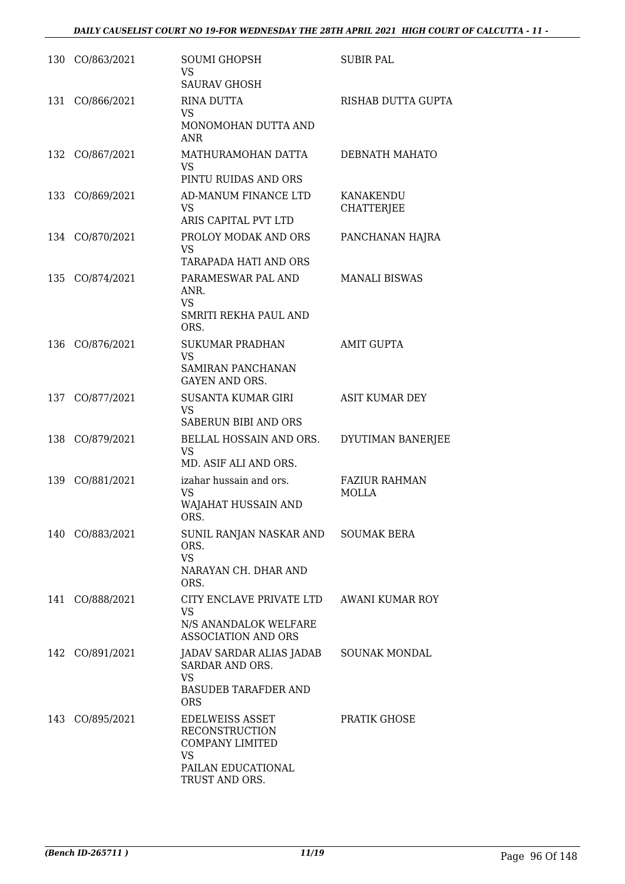| 130 | CO/863/2021     | <b>SOUMI GHOPSH</b><br><b>VS</b><br><b>SAURAV GHOSH</b>                                                                 | <b>SUBIR PAL</b>                     |
|-----|-----------------|-------------------------------------------------------------------------------------------------------------------------|--------------------------------------|
| 131 | CO/866/2021     | <b>RINA DUTTA</b><br>VS.<br>MONOMOHAN DUTTA AND<br><b>ANR</b>                                                           | <b>RISHAB DUTTA GUPTA</b>            |
| 132 | CO/867/2021     | MATHURAMOHAN DATTA<br><b>VS</b><br>PINTU RUIDAS AND ORS                                                                 | DEBNATH MAHATO                       |
|     | 133 CO/869/2021 | AD-MANUM FINANCE LTD<br><b>VS</b><br>ARIS CAPITAL PVT LTD                                                               | KANAKENDU<br><b>CHATTERJEE</b>       |
|     | 134 CO/870/2021 | PROLOY MODAK AND ORS<br>VS<br><b>TARAPADA HATI AND ORS</b>                                                              | PANCHANAN HAJRA                      |
| 135 | CO/874/2021     | PARAMESWAR PAL AND<br>ANR.<br><b>VS</b><br>SMRITI REKHA PAUL AND<br>ORS.                                                | <b>MANALI BISWAS</b>                 |
| 136 | CO/876/2021     | <b>SUKUMAR PRADHAN</b><br><b>VS</b><br><b>SAMIRAN PANCHANAN</b><br><b>GAYEN AND ORS.</b>                                | <b>AMIT GUPTA</b>                    |
| 137 | CO/877/2021     | <b>SUSANTA KUMAR GIRI</b><br><b>VS</b><br>SABERUN BIBI AND ORS                                                          | <b>ASIT KUMAR DEY</b>                |
| 138 | CO/879/2021     | BELLAL HOSSAIN AND ORS.<br><b>VS</b><br>MD. ASIF ALI AND ORS.                                                           | DYUTIMAN BANERJEE                    |
| 139 | CO/881/2021     | izahar hussain and ors.<br><b>VS</b><br>WAJAHAT HUSSAIN AND<br>ORS.                                                     | <b>FAZIUR RAHMAN</b><br><b>MOLLA</b> |
|     | 140 CO/883/2021 | SUNIL RANJAN NASKAR AND SOUMAK BERA<br>ORS.<br><b>VS</b><br>NARAYAN CH. DHAR AND<br>ORS.                                |                                      |
| 141 | CO/888/2021     | CITY ENCLAVE PRIVATE LTD<br>VS<br>N/S ANANDALOK WELFARE<br><b>ASSOCIATION AND ORS</b>                                   | AWANI KUMAR ROY                      |
| 142 | CO/891/2021     | JADAV SARDAR ALIAS JADAB<br>SARDAR AND ORS.<br><b>VS</b><br><b>BASUDEB TARAFDER AND</b><br><b>ORS</b>                   | <b>SOUNAK MONDAL</b>                 |
|     | 143 CO/895/2021 | EDELWEISS ASSET<br><b>RECONSTRUCTION</b><br><b>COMPANY LIMITED</b><br><b>VS</b><br>PAILAN EDUCATIONAL<br>TRUST AND ORS. | <b>PRATIK GHOSE</b>                  |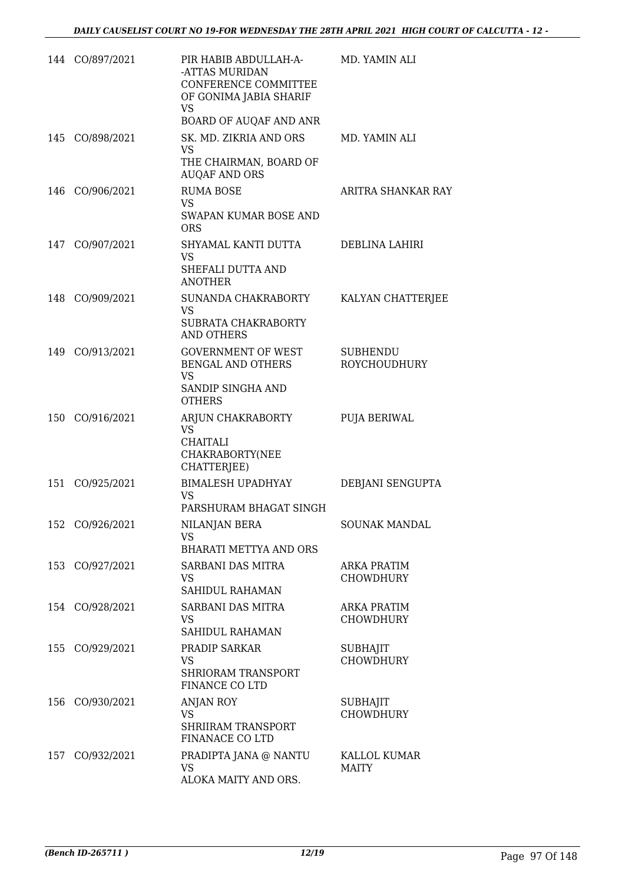|     | 144 CO/897/2021 | PIR HABIB ABDULLAH-A-<br>-ATTAS MURIDAN<br>CONFERENCE COMMITTEE<br>OF GONIMA JABIA SHARIF<br><b>VS</b><br>BOARD OF AUQAF AND ANR | MD. YAMIN ALI                          |
|-----|-----------------|----------------------------------------------------------------------------------------------------------------------------------|----------------------------------------|
|     | 145 CO/898/2021 | SK. MD. ZIKRIA AND ORS<br><b>VS</b><br>THE CHAIRMAN, BOARD OF<br><b>AUQAF AND ORS</b>                                            | MD. YAMIN ALI                          |
|     | 146 CO/906/2021 | <b>RUMA BOSE</b><br>VS<br>SWAPAN KUMAR BOSE AND<br><b>ORS</b>                                                                    | ARITRA SHANKAR RAY                     |
|     | 147 CO/907/2021 | SHYAMAL KANTI DUTTA<br><b>VS</b><br>SHEFALI DUTTA AND<br><b>ANOTHER</b>                                                          | DEBLINA LAHIRI                         |
|     | 148 CO/909/2021 | SUNANDA CHAKRABORTY<br><b>VS</b><br>SUBRATA CHAKRABORTY<br><b>AND OTHERS</b>                                                     | KALYAN CHATTERJEE                      |
|     | 149 CO/913/2021 | GOVERNMENT OF WEST<br>BENGAL AND OTHERS<br><b>VS</b><br>SANDIP SINGHA AND<br><b>OTHERS</b>                                       | <b>SUBHENDU</b><br><b>ROYCHOUDHURY</b> |
|     | 150 CO/916/2021 | ARJUN CHAKRABORTY<br>VS.<br><b>CHAITALI</b><br>CHAKRABORTY(NEE<br>CHATTERJEE)                                                    | <b>PUJA BERIWAL</b>                    |
|     | 151 CO/925/2021 | BIMALESH UPADHYAY<br><b>VS</b><br>PARSHURAM BHAGAT SINGH                                                                         | DEBJANI SENGUPTA                       |
|     | 152 CO/926/2021 | NILANJAN BERA<br>VS<br>BHARATI METTYA AND ORS                                                                                    | SOUNAK MANDAL                          |
|     | 153 CO/927/2021 | SARBANI DAS MITRA<br><b>VS</b><br>SAHIDUL RAHAMAN                                                                                | <b>ARKA PRATIM</b><br><b>CHOWDHURY</b> |
|     | 154 CO/928/2021 | SARBANI DAS MITRA<br>VS<br>SAHIDUL RAHAMAN                                                                                       | <b>ARKA PRATIM</b><br><b>CHOWDHURY</b> |
|     | 155 CO/929/2021 | PRADIP SARKAR<br>VS.<br><b>SHRIORAM TRANSPORT</b><br>FINANCE CO LTD                                                              | <b>SUBHAJIT</b><br><b>CHOWDHURY</b>    |
|     | 156 CO/930/2021 | ANJAN ROY<br>VS<br><b>SHRIIRAM TRANSPORT</b><br>FINANACE CO LTD                                                                  | <b>SUBHAJIT</b><br><b>CHOWDHURY</b>    |
| 157 | CO/932/2021     | PRADIPTA JANA @ NANTU<br><b>VS</b><br>ALOKA MAITY AND ORS.                                                                       | KALLOL KUMAR<br><b>MAITY</b>           |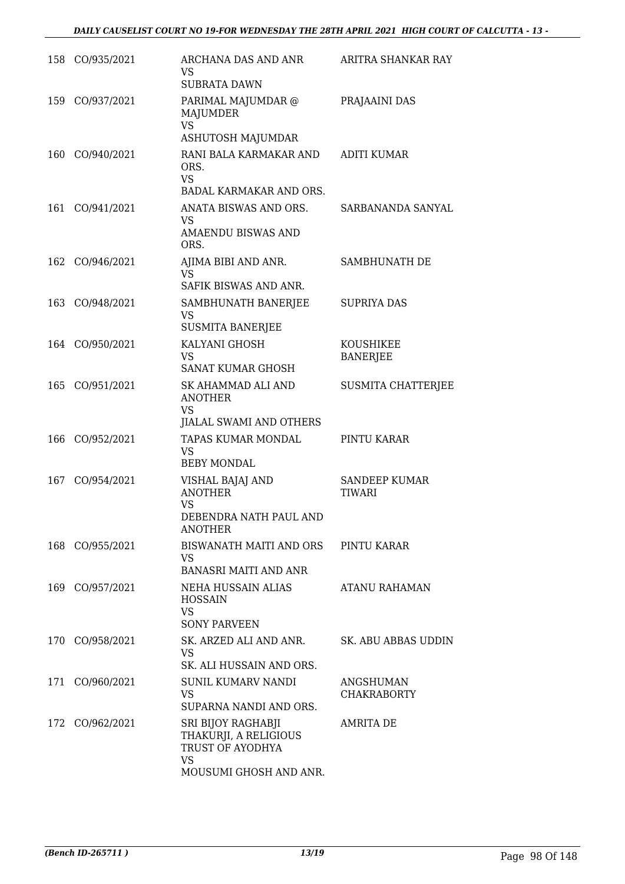|     | 158 CO/935/2021 | ARCHANA DAS AND ANR<br>VS<br><b>SUBRATA DAWN</b>                                                | ARITRA SHANKAR RAY                  |
|-----|-----------------|-------------------------------------------------------------------------------------------------|-------------------------------------|
|     | 159 CO/937/2021 | PARIMAL MAJUMDAR @<br><b>MAJUMDER</b><br>VS                                                     | PRAJAAINI DAS                       |
|     |                 | ASHUTOSH MAJUMDAR                                                                               |                                     |
|     | 160 CO/940/2021 | RANI BALA KARMAKAR AND<br>ORS.<br><b>VS</b><br>BADAL KARMAKAR AND ORS.                          | <b>ADITI KUMAR</b>                  |
| 161 | CO/941/2021     | ANATA BISWAS AND ORS.<br>VS.<br>AMAENDU BISWAS AND<br>ORS.                                      | SARBANANDA SANYAL                   |
|     | 162 CO/946/2021 | AJIMA BIBI AND ANR.<br>VS<br>SAFIK BISWAS AND ANR.                                              | SAMBHUNATH DE                       |
|     | 163 CO/948/2021 | SAMBHUNATH BANERJEE<br>VS<br><b>SUSMITA BANERJEE</b>                                            | <b>SUPRIYA DAS</b>                  |
|     | 164 CO/950/2021 | KALYANI GHOSH<br>VS<br><b>SANAT KUMAR GHOSH</b>                                                 | <b>KOUSHIKEE</b><br><b>BANERJEE</b> |
|     | 165 CO/951/2021 | SK AHAMMAD ALI AND<br><b>ANOTHER</b><br>VS<br>JIALAL SWAMI AND OTHERS                           | SUSMITA CHATTERJEE                  |
|     | 166 CO/952/2021 | TAPAS KUMAR MONDAL<br>VS<br><b>BEBY MONDAL</b>                                                  | PINTU KARAR                         |
| 167 | CO/954/2021     | VISHAL BAJAJ AND<br><b>ANOTHER</b><br>VS<br>DEBENDRA NATH PAUL AND<br><b>ANOTHER</b>            | <b>SANDEEP KUMAR</b><br>TIWARI      |
|     | 168 CO/955/2021 | BISWANATH MAITI AND ORS<br>VS.<br><b>BANASRI MAITI AND ANR</b>                                  | PINTU KARAR                         |
|     | 169 CO/957/2021 | NEHA HUSSAIN ALIAS<br><b>HOSSAIN</b><br>VS<br><b>SONY PARVEEN</b>                               | <b>ATANU RAHAMAN</b>                |
|     | 170 CO/958/2021 | SK. ARZED ALI AND ANR.<br>VS<br>SK. ALI HUSSAIN AND ORS.                                        | SK. ABU ABBAS UDDIN                 |
| 171 | CO/960/2021     | SUNIL KUMARV NANDI<br>VS.<br>SUPARNA NANDI AND ORS.                                             | ANGSHUMAN<br><b>CHAKRABORTY</b>     |
| 172 | CO/962/2021     | SRI BIJOY RAGHABJI<br>THAKURJI, A RELIGIOUS<br>TRUST OF AYODHYA<br>VS<br>MOUSUMI GHOSH AND ANR. | <b>AMRITA DE</b>                    |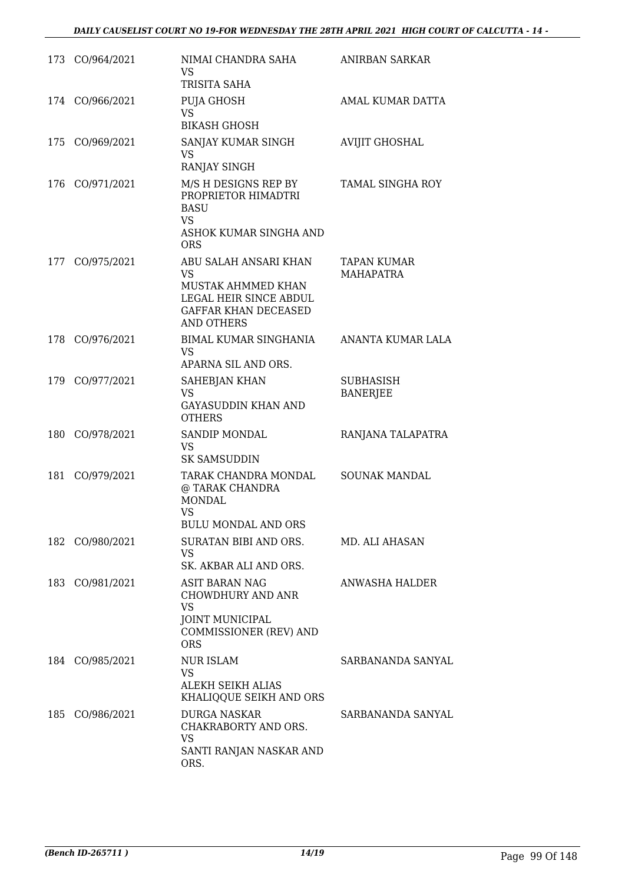|     | 173 CO/964/2021 | NIMAI CHANDRA SAHA<br><b>VS</b><br>TRISITA SAHA                                                                                 | <b>ANIRBAN SARKAR</b>               |
|-----|-----------------|---------------------------------------------------------------------------------------------------------------------------------|-------------------------------------|
|     | 174 CO/966/2021 | PUJA GHOSH<br><b>VS</b><br><b>BIKASH GHOSH</b>                                                                                  | AMAL KUMAR DATTA                    |
| 175 | CO/969/2021     | SANJAY KUMAR SINGH<br><b>VS</b><br>RANJAY SINGH                                                                                 | <b>AVIJIT GHOSHAL</b>               |
|     | 176 CO/971/2021 | M/S H DESIGNS REP BY<br>PROPRIETOR HIMADTRI<br><b>BASU</b><br><b>VS</b><br>ASHOK KUMAR SINGHA AND<br><b>ORS</b>                 | TAMAL SINGHA ROY                    |
| 177 | CO/975/2021     | ABU SALAH ANSARI KHAN<br>VS<br>MUSTAK AHMMED KHAN<br>LEGAL HEIR SINCE ABDUL<br><b>GAFFAR KHAN DECEASED</b><br><b>AND OTHERS</b> | <b>TAPAN KUMAR</b><br>MAHAPATRA     |
|     | 178 CO/976/2021 | BIMAL KUMAR SINGHANIA<br>VS<br>APARNA SIL AND ORS.                                                                              | ANANTA KUMAR LALA                   |
| 179 | CO/977/2021     | SAHEBJAN KHAN<br><b>VS</b><br><b>GAYASUDDIN KHAN AND</b><br><b>OTHERS</b>                                                       | <b>SUBHASISH</b><br><b>BANERJEE</b> |
| 180 | CO/978/2021     | <b>SANDIP MONDAL</b><br>VS<br><b>SK SAMSUDDIN</b>                                                                               | RANJANA TALAPATRA                   |
| 181 | CO/979/2021     | TARAK CHANDRA MONDAL<br>@ TARAK CHANDRA<br><b>MONDAL</b><br><b>VS</b><br><b>BULU MONDAL AND ORS</b>                             | <b>SOUNAK MANDAL</b>                |
| 182 | CO/980/2021     | SURATAN BIBI AND ORS.<br>VS<br>SK. AKBAR ALI AND ORS.                                                                           | MD. ALI AHASAN                      |
|     | 183 CO/981/2021 | <b>ASIT BARAN NAG</b><br>CHOWDHURY AND ANR<br>VS<br>JOINT MUNICIPAL<br><b>COMMISSIONER (REV) AND</b><br><b>ORS</b>              | ANWASHA HALDER                      |
|     | 184 CO/985/2021 | <b>NUR ISLAM</b><br>VS<br>ALEKH SEIKH ALIAS<br>KHALIQQUE SEIKH AND ORS                                                          | SARBANANDA SANYAL                   |
| 185 | CO/986/2021     | <b>DURGA NASKAR</b><br>CHAKRABORTY AND ORS.<br><b>VS</b><br>SANTI RANJAN NASKAR AND<br>ORS.                                     | SARBANANDA SANYAL                   |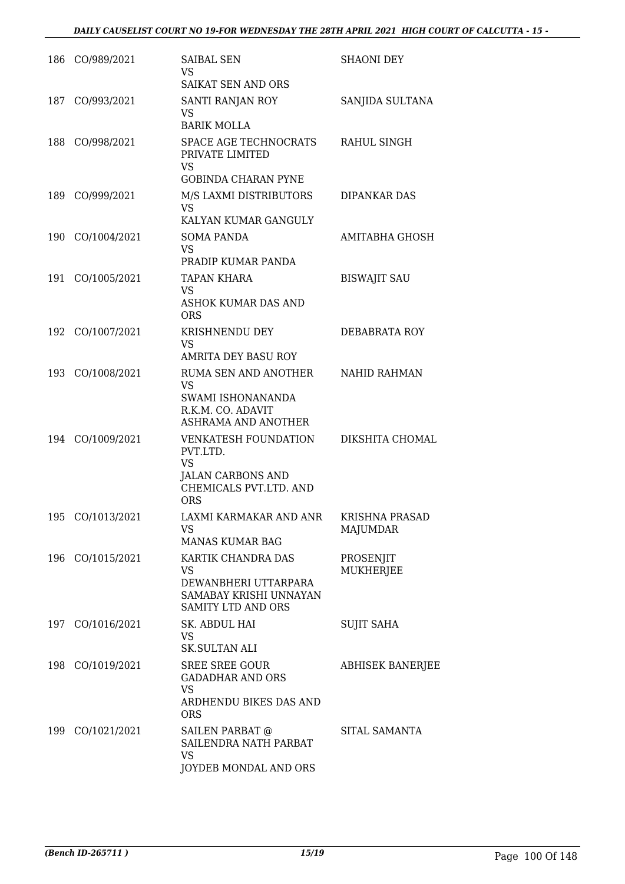|     | 186 CO/989/2021  | <b>SAIBAL SEN</b><br><b>VS</b><br>SAIKAT SEN AND ORS                                                       | <b>SHAONI DEY</b>             |
|-----|------------------|------------------------------------------------------------------------------------------------------------|-------------------------------|
| 187 | CO/993/2021      | SANTI RANJAN ROY<br><b>VS</b><br><b>BARIK MOLLA</b>                                                        | SANJIDA SULTANA               |
| 188 | CO/998/2021      | <b>SPACE AGE TECHNOCRATS</b><br>PRIVATE LIMITED<br><b>VS</b>                                               | RAHUL SINGH                   |
| 189 | CO/999/2021      | <b>GOBINDA CHARAN PYNE</b><br>M/S LAXMI DISTRIBUTORS<br>VS<br>KALYAN KUMAR GANGULY                         | DIPANKAR DAS                  |
|     | 190 CO/1004/2021 | <b>SOMA PANDA</b><br>VS<br>PRADIP KUMAR PANDA                                                              | AMITABHA GHOSH                |
| 191 | CO/1005/2021     | <b>TAPAN KHARA</b><br><b>VS</b><br><b>ASHOK KUMAR DAS AND</b><br><b>ORS</b>                                | <b>BISWAJIT SAU</b>           |
|     | 192 CO/1007/2021 | KRISHNENDU DEY<br><b>VS</b><br>AMRITA DEY BASU ROY                                                         | DEBABRATA ROY                 |
|     | 193 CO/1008/2021 | RUMA SEN AND ANOTHER<br><b>VS</b><br>SWAMI ISHONANANDA<br>R.K.M. CO. ADAVIT<br>ASHRAMA AND ANOTHER         | NAHID RAHMAN                  |
|     | 194 CO/1009/2021 | VENKATESH FOUNDATION<br>PVT.LTD.<br>VS<br><b>JALAN CARBONS AND</b><br>CHEMICALS PVT.LTD. AND<br><b>ORS</b> | DIKSHITA CHOMAL               |
|     | 195 CO/1013/2021 | LAXMI KARMAKAR AND ANR<br>VS<br>MANAS KUMAR BAG                                                            | KRISHNA PRASAD<br>MAJUMDAR    |
|     | 196 CO/1015/2021 | KARTIK CHANDRA DAS<br>VS<br>DEWANBHERI UTTARPARA<br>SAMABAY KRISHI UNNAYAN<br><b>SAMITY LTD AND ORS</b>    | PROSENJIT<br><b>MUKHERJEE</b> |
|     | 197 CO/1016/2021 | SK. ABDUL HAI<br>VS<br><b>SK.SULTAN ALI</b>                                                                | <b>SUJIT SAHA</b>             |
|     | 198 CO/1019/2021 | <b>SREE SREE GOUR</b><br><b>GADADHAR AND ORS</b><br><b>VS</b><br>ARDHENDU BIKES DAS AND<br><b>ORS</b>      | <b>ABHISEK BANERJEE</b>       |
|     | 199 CO/1021/2021 | SAILEN PARBAT @<br>SAILENDRA NATH PARBAT<br><b>VS</b><br>JOYDEB MONDAL AND ORS                             | SITAL SAMANTA                 |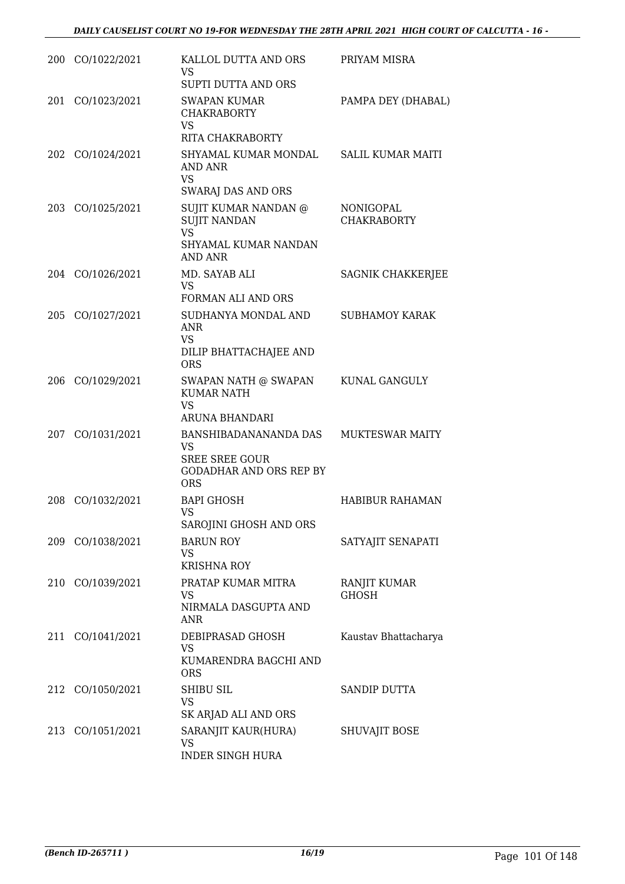|     | 200 CO/1022/2021 | KALLOL DUTTA AND ORS<br><b>VS</b><br>SUPTI DUTTA AND ORS                                             | PRIYAM MISRA                    |
|-----|------------------|------------------------------------------------------------------------------------------------------|---------------------------------|
| 201 | CO/1023/2021     | <b>SWAPAN KUMAR</b><br><b>CHAKRABORTY</b><br><b>VS</b><br>RITA CHAKRABORTY                           | PAMPA DEY (DHABAL)              |
| 202 | CO/1024/2021     | SHYAMAL KUMAR MONDAL<br>AND ANR<br><b>VS</b><br><b>SWARAJ DAS AND ORS</b>                            | <b>SALIL KUMAR MAITI</b>        |
|     | 203 CO/1025/2021 | SUJIT KUMAR NANDAN @<br><b>SUJIT NANDAN</b><br><b>VS</b><br>SHYAMAL KUMAR NANDAN<br><b>AND ANR</b>   | NONIGOPAL<br><b>CHAKRABORTY</b> |
|     | 204 CO/1026/2021 | MD. SAYAB ALI<br><b>VS</b><br><b>FORMAN ALI AND ORS</b>                                              | SAGNIK CHAKKERJEE               |
| 205 | CO/1027/2021     | SUDHANYA MONDAL AND<br><b>ANR</b><br><b>VS</b><br>DILIP BHATTACHAJEE AND<br><b>ORS</b>               | <b>SUBHAMOY KARAK</b>           |
| 206 | CO/1029/2021     | SWAPAN NATH @ SWAPAN<br><b>KUMAR NATH</b><br><b>VS</b><br>ARUNA BHANDARI                             | KUNAL GANGULY                   |
| 207 | CO/1031/2021     | BANSHIBADANANANDA DAS<br>VS<br><b>SREE SREE GOUR</b><br><b>GODADHAR AND ORS REP BY</b><br><b>ORS</b> | <b>MUKTESWAR MAITY</b>          |
| 208 | CO/1032/2021     | <b>BAPI GHOSH</b><br>VS<br>SAROJINI GHOSH AND ORS                                                    | <b>HABIBUR RAHAMAN</b>          |
|     | 209 CO/1038/2021 | <b>BARUN ROY</b><br><b>VS</b><br><b>KRISHNA ROY</b>                                                  | SATYAJIT SENAPATI               |
|     | 210 CO/1039/2021 | PRATAP KUMAR MITRA<br>VS<br>NIRMALA DASGUPTA AND<br>ANR                                              | RANJIT KUMAR<br><b>GHOSH</b>    |
|     | 211 CO/1041/2021 | DEBIPRASAD GHOSH<br><b>VS</b><br>KUMARENDRA BAGCHI AND<br><b>ORS</b>                                 | Kaustav Bhattacharya            |
|     | 212 CO/1050/2021 | SHIBU SIL<br><b>VS</b><br>SK ARJAD ALI AND ORS                                                       | <b>SANDIP DUTTA</b>             |
|     | 213 CO/1051/2021 | SARANJIT KAUR(HURA)<br>VS<br><b>INDER SINGH HURA</b>                                                 | <b>SHUVAJIT BOSE</b>            |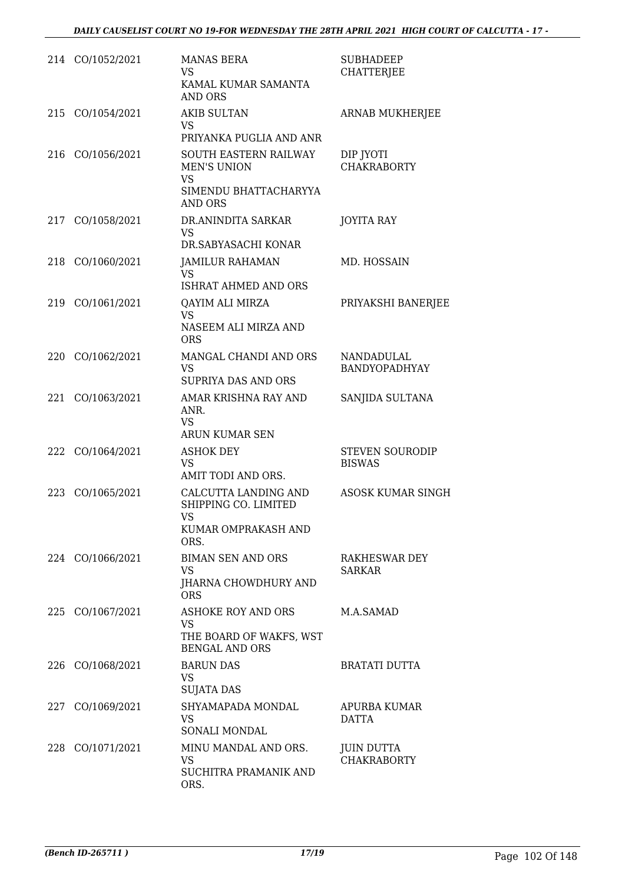|     | 214 CO/1052/2021 | <b>MANAS BERA</b><br>VS<br>KAMAL KUMAR SAMANTA<br><b>AND ORS</b>                                    | <b>SUBHADEEP</b><br><b>CHATTERJEE</b>   |
|-----|------------------|-----------------------------------------------------------------------------------------------------|-----------------------------------------|
|     | 215 CO/1054/2021 | <b>AKIB SULTAN</b><br>VS.<br>PRIYANKA PUGLIA AND ANR                                                | ARNAB MUKHERJEE                         |
| 216 | CO/1056/2021     | SOUTH EASTERN RAILWAY<br><b>MEN'S UNION</b><br><b>VS</b><br>SIMENDU BHATTACHARYYA<br><b>AND ORS</b> | DIP JYOTI<br><b>CHAKRABORTY</b>         |
| 217 | CO/1058/2021     | DR.ANINDITA SARKAR<br>VS<br>DR.SABYASACHI KONAR                                                     | <b>JOYITA RAY</b>                       |
|     | 218 CO/1060/2021 | <b>JAMILUR RAHAMAN</b><br>VS<br><b>ISHRAT AHMED AND ORS</b>                                         | MD. HOSSAIN                             |
|     | 219 CO/1061/2021 | QAYIM ALI MIRZA<br><b>VS</b><br>NASEEM ALI MIRZA AND<br><b>ORS</b>                                  | PRIYAKSHI BANERJEE                      |
| 220 | CO/1062/2021     | MANGAL CHANDI AND ORS<br><b>VS</b><br><b>SUPRIYA DAS AND ORS</b>                                    | NANDADULAL<br><b>BANDYOPADHYAY</b>      |
| 221 | CO/1063/2021     | AMAR KRISHNA RAY AND<br>ANR.<br><b>VS</b><br>ARUN KUMAR SEN                                         | SANJIDA SULTANA                         |
|     | 222 CO/1064/2021 | <b>ASHOK DEY</b><br><b>VS</b><br>AMIT TODI AND ORS.                                                 | <b>STEVEN SOURODIP</b><br><b>BISWAS</b> |
| 223 | CO/1065/2021     | CALCUTTA LANDING AND<br>SHIPPING CO. LIMITED<br><b>VS</b><br>KUMAR OMPRAKASH AND<br>ORS.            | <b>ASOSK KUMAR SINGH</b>                |
|     | 224 CO/1066/2021 | <b>BIMAN SEN AND ORS</b><br><b>VS</b><br>JHARNA CHOWDHURY AND<br><b>ORS</b>                         | RAKHESWAR DEY<br><b>SARKAR</b>          |
|     | 225 CO/1067/2021 | ASHOKE ROY AND ORS<br>VS<br>THE BOARD OF WAKFS, WST<br><b>BENGAL AND ORS</b>                        | M.A.SAMAD                               |
|     | 226 CO/1068/2021 | <b>BARUN DAS</b><br><b>VS</b><br><b>SUJATA DAS</b>                                                  | <b>BRATATI DUTTA</b>                    |
| 227 | CO/1069/2021     | SHYAMAPADA MONDAL<br><b>VS</b><br>SONALI MONDAL                                                     | APURBA KUMAR<br><b>DATTA</b>            |
|     | 228 CO/1071/2021 | MINU MANDAL AND ORS.<br>VS<br>SUCHITRA PRAMANIK AND<br>ORS.                                         | <b>JUIN DUTTA</b><br><b>CHAKRABORTY</b> |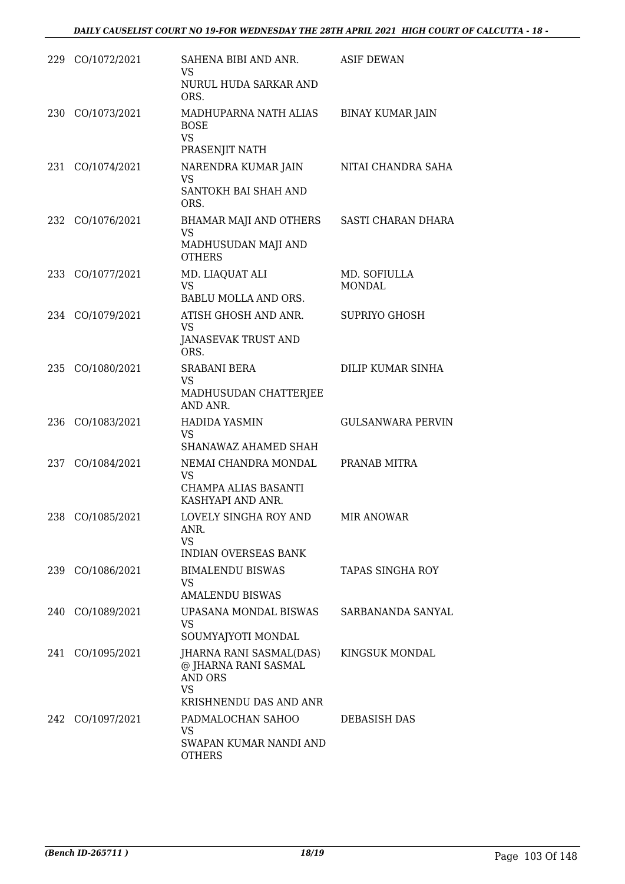|     | 229 CO/1072/2021 | SAHENA BIBI AND ANR.<br>VS<br>NURUL HUDA SARKAR AND<br>ORS.                                              | <b>ASIF DEWAN</b>             |
|-----|------------------|----------------------------------------------------------------------------------------------------------|-------------------------------|
| 230 | CO/1073/2021     | MADHUPARNA NATH ALIAS<br><b>BOSE</b><br><b>VS</b><br>PRASENJIT NATH                                      | <b>BINAY KUMAR JAIN</b>       |
| 231 | CO/1074/2021     | NARENDRA KUMAR JAIN<br><b>VS</b><br>SANTOKH BAI SHAH AND<br>ORS.                                         | NITAI CHANDRA SAHA            |
| 232 | CO/1076/2021     | BHAMAR MAJI AND OTHERS<br><b>VS</b><br>MADHUSUDAN MAJI AND<br><b>OTHERS</b>                              | SASTI CHARAN DHARA            |
|     | 233 CO/1077/2021 | MD. LIAQUAT ALI<br><b>VS</b><br>BABLU MOLLA AND ORS.                                                     | MD. SOFIULLA<br><b>MONDAL</b> |
|     | 234 CO/1079/2021 | ATISH GHOSH AND ANR.<br><b>VS</b><br><b>JANASEVAK TRUST AND</b><br>ORS.                                  | <b>SUPRIYO GHOSH</b>          |
|     | 235 CO/1080/2021 | <b>SRABANI BERA</b><br><b>VS</b><br>MADHUSUDAN CHATTERJEE<br>AND ANR.                                    | DILIP KUMAR SINHA             |
|     | 236 CO/1083/2021 | <b>HADIDA YASMIN</b><br>VS<br>SHANAWAZ AHAMED SHAH                                                       | <b>GULSANWARA PERVIN</b>      |
|     | 237 CO/1084/2021 | NEMAI CHANDRA MONDAL<br><b>VS</b><br>CHAMPA ALIAS BASANTI<br>KASHYAPI AND ANR.                           | PRANAB MITRA                  |
|     | 238 CO/1085/2021 | LOVELY SINGHA ROY AND<br>ANR.<br><b>VS</b><br><b>INDIAN OVERSEAS BANK</b>                                | <b>MIR ANOWAR</b>             |
|     | 239 CO/1086/2021 | <b>BIMALENDU BISWAS</b><br>VS.<br><b>AMALENDU BISWAS</b>                                                 | TAPAS SINGHA ROY              |
|     | 240 CO/1089/2021 | UPASANA MONDAL BISWAS<br>VS<br>SOUMYAJYOTI MONDAL                                                        | SARBANANDA SANYAL             |
|     | 241 CO/1095/2021 | JHARNA RANI SASMAL(DAS)<br>@ JHARNA RANI SASMAL<br><b>AND ORS</b><br><b>VS</b><br>KRISHNENDU DAS AND ANR | KINGSUK MONDAL                |
|     | 242 CO/1097/2021 | PADMALOCHAN SAHOO<br>VS<br>SWAPAN KUMAR NANDI AND<br><b>OTHERS</b>                                       | DEBASISH DAS                  |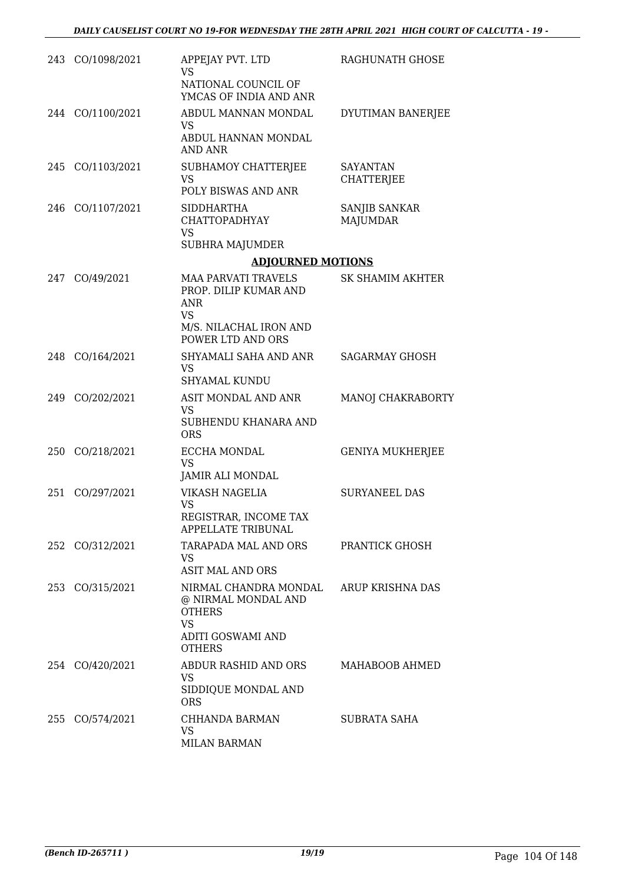|     | 243 CO/1098/2021 | APPEJAY PVT. LTD<br><b>VS</b><br>NATIONAL COUNCIL OF<br>YMCAS OF INDIA AND ANR                                                | RAGHUNATH GHOSE                  |
|-----|------------------|-------------------------------------------------------------------------------------------------------------------------------|----------------------------------|
|     | 244 CO/1100/2021 | ABDUL MANNAN MONDAL<br><b>VS</b><br>ABDUL HANNAN MONDAL<br><b>AND ANR</b>                                                     | DYUTIMAN BANERJEE                |
|     | 245 CO/1103/2021 | SUBHAMOY CHATTERJEE<br><b>VS</b><br>POLY BISWAS AND ANR                                                                       | SAYANTAN<br><b>CHATTERJEE</b>    |
|     | 246 CO/1107/2021 | <b>SIDDHARTHA</b><br><b>CHATTOPADHYAY</b><br><b>VS</b><br>SUBHRA MAJUMDER                                                     | SANJIB SANKAR<br><b>MAJUMDAR</b> |
|     |                  | <b>ADJOURNED MOTIONS</b>                                                                                                      |                                  |
| 247 | CO/49/2021       | <b>MAA PARVATI TRAVELS</b><br>PROP. DILIP KUMAR AND<br><b>ANR</b><br><b>VS</b><br>M/S. NILACHAL IRON AND<br>POWER LTD AND ORS | <b>SK SHAMIM AKHTER</b>          |
|     | 248 CO/164/2021  | SHYAMALI SAHA AND ANR<br>VS<br><b>SHYAMAL KUNDU</b>                                                                           | <b>SAGARMAY GHOSH</b>            |
|     | 249 CO/202/2021  | ASIT MONDAL AND ANR<br>VS.<br>SUBHENDU KHANARA AND<br><b>ORS</b>                                                              | MANOJ CHAKRABORTY                |
| 250 | CO/218/2021      | <b>ECCHA MONDAL</b><br><b>VS</b><br>JAMIR ALI MONDAL                                                                          | <b>GENIYA MUKHERJEE</b>          |
| 251 | CO/297/2021      | <b>VIKASH NAGELIA</b><br><b>VS</b><br>REGISTRAR, INCOME TAX<br>APPELLATE TRIBUNAL                                             | <b>SURYANEEL DAS</b>             |
|     | 252 CO/312/2021  | TARAPADA MAL AND ORS<br>VS<br><b>ASIT MAL AND ORS</b>                                                                         | PRANTICK GHOSH                   |
|     | 253 CO/315/2021  | NIRMAL CHANDRA MONDAL<br>@ NIRMAL MONDAL AND<br><b>OTHERS</b><br><b>VS</b><br>ADITI GOSWAMI AND<br><b>OTHERS</b>              | ARUP KRISHNA DAS                 |
|     | 254 CO/420/2021  | ABDUR RASHID AND ORS<br><b>VS</b><br>SIDDIQUE MONDAL AND<br><b>ORS</b>                                                        | MAHABOOB AHMED                   |
|     | 255 CO/574/2021  | CHHANDA BARMAN<br>VS<br>MILAN BARMAN                                                                                          | SUBRATA SAHA                     |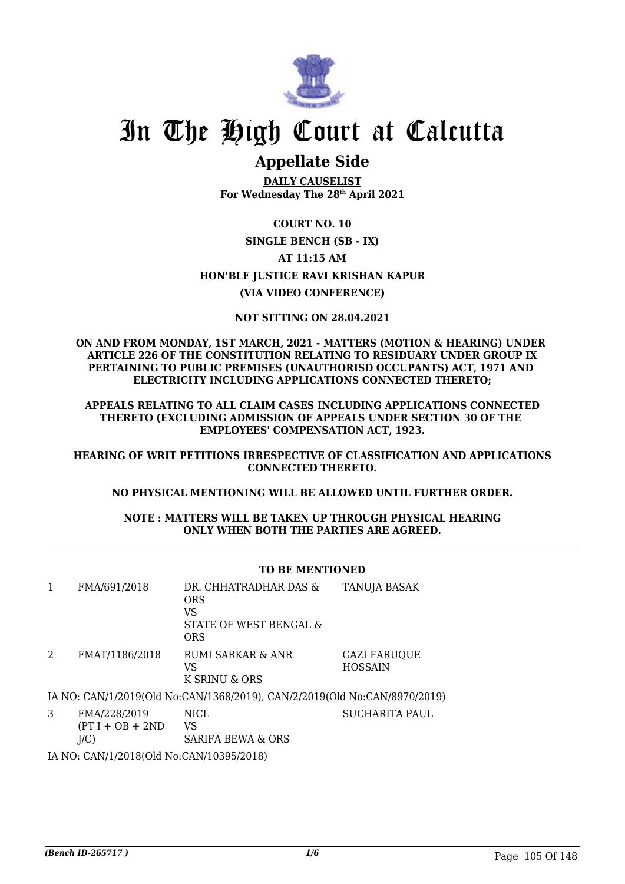

## **Appellate Side**

**DAILY CAUSELIST For Wednesday The 28th April 2021**

### **COURT NO. 10 SINGLE BENCH (SB - IX) AT 11:15 AM HON'BLE JUSTICE RAVI KRISHAN KAPUR (VIA VIDEO CONFERENCE)**

#### **NOT SITTING ON 28.04.2021**

**ON AND FROM MONDAY, 1ST MARCH, 2021 - MATTERS (MOTION & HEARING) UNDER ARTICLE 226 OF THE CONSTITUTION RELATING TO RESIDUARY UNDER GROUP IX PERTAINING TO PUBLIC PREMISES (UNAUTHORISD OCCUPANTS) ACT, 1971 AND ELECTRICITY INCLUDING APPLICATIONS CONNECTED THERETO;**

**APPEALS RELATING TO ALL CLAIM CASES INCLUDING APPLICATIONS CONNECTED THERETO (EXCLUDING ADMISSION OF APPEALS UNDER SECTION 30 OF THE EMPLOYEES' COMPENSATION ACT, 1923.**

**HEARING OF WRIT PETITIONS IRRESPECTIVE OF CLASSIFICATION AND APPLICATIONS CONNECTED THERETO.**

**NO PHYSICAL MENTIONING WILL BE ALLOWED UNTIL FURTHER ORDER.**

**NOTE : MATTERS WILL BE TAKEN UP THROUGH PHYSICAL HEARING ONLY WHEN BOTH THE PARTIES ARE AGREED.**

#### **TO BE MENTIONED**

| FMA/691/2018   | DR. CHHATRADHAR DAS &<br><b>ORS</b><br>VS<br>STATE OF WEST BENGAL &<br><b>ORS</b> | TANUJA BASAK                          |
|----------------|-----------------------------------------------------------------------------------|---------------------------------------|
| FMAT/1186/2018 | RUMI SARKAR & ANR<br>VS<br>K SRINU & ORS                                          | <b>GAZI FARUQUE</b><br><b>HOSSAIN</b> |
|                | IA NO. CANI/1/2010/OIJ No.CANI/1269/2010). CANI/2/2010/OIJ No.CANI/9070/201       |                                       |

IA NO: CAN/1/2019(Old No:CAN/1368/2019), CAN/2/2019(Old No:CAN/8970/2019)

3 FMA/228/2019  $(PT I + OB + 2ND$  $I/C$ ) NICL. VS SARIFA BEWA & ORS

IA NO: CAN/1/2018(Old No:CAN/10395/2018)

SUCHARITA PAUL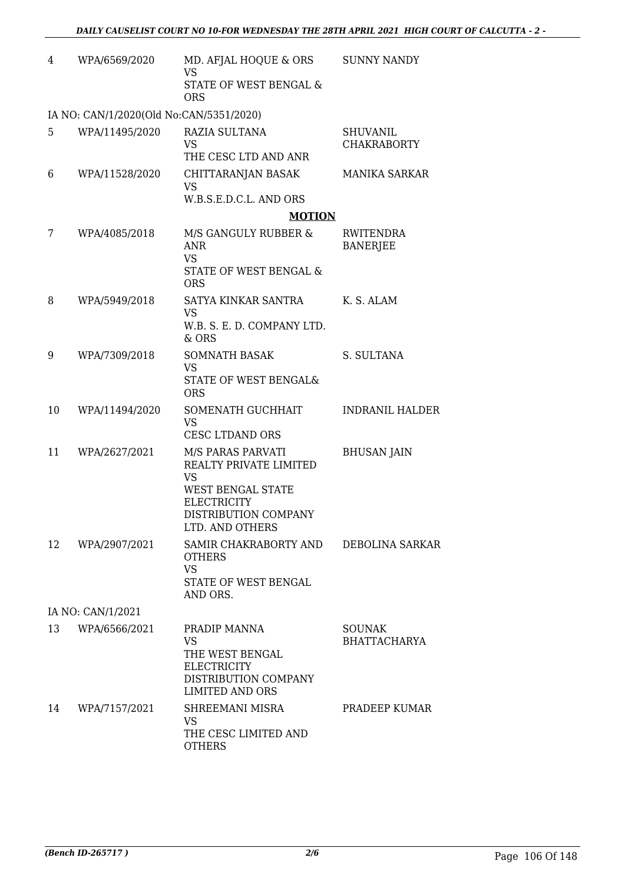| 4  | WPA/6569/2020                           | MD. AFJAL HOQUE & ORS<br><b>VS</b>                                                                                                             | <b>SUNNY NANDY</b>                   |
|----|-----------------------------------------|------------------------------------------------------------------------------------------------------------------------------------------------|--------------------------------------|
|    |                                         | STATE OF WEST BENGAL &<br><b>ORS</b>                                                                                                           |                                      |
|    | IA NO: CAN/1/2020(Old No:CAN/5351/2020) |                                                                                                                                                |                                      |
| 5  | WPA/11495/2020                          | RAZIA SULTANA                                                                                                                                  | <b>SHUVANIL</b>                      |
|    |                                         | VS.<br>THE CESC LTD AND ANR                                                                                                                    | <b>CHAKRABORTY</b>                   |
| 6  | WPA/11528/2020                          | CHITTARANJAN BASAK<br><b>VS</b>                                                                                                                | MANIKA SARKAR                        |
|    |                                         | W.B.S.E.D.C.L. AND ORS                                                                                                                         |                                      |
|    |                                         | <b>MOTION</b>                                                                                                                                  |                                      |
| 7  | WPA/4085/2018                           | M/S GANGULY RUBBER &<br>ANR<br><b>VS</b>                                                                                                       | RWITENDRA<br><b>BANERJEE</b>         |
|    |                                         | STATE OF WEST BENGAL &<br><b>ORS</b>                                                                                                           |                                      |
| 8  | WPA/5949/2018                           | SATYA KINKAR SANTRA<br><b>VS</b>                                                                                                               | K. S. ALAM                           |
|    |                                         | W.B. S. E. D. COMPANY LTD.<br>& ORS                                                                                                            |                                      |
| 9  | WPA/7309/2018                           | <b>SOMNATH BASAK</b><br><b>VS</b><br>STATE OF WEST BENGAL&                                                                                     | S. SULTANA                           |
|    |                                         | <b>ORS</b>                                                                                                                                     |                                      |
| 10 | WPA/11494/2020                          | SOMENATH GUCHHAIT<br><b>VS</b><br><b>CESC LTDAND ORS</b>                                                                                       | <b>INDRANIL HALDER</b>               |
| 11 | WPA/2627/2021                           | M/S PARAS PARVATI<br>REALTY PRIVATE LIMITED<br>VS<br><b>WEST BENGAL STATE</b><br><b>ELECTRICITY</b><br>DISTRIBUTION COMPANY<br>LTD. AND OTHERS | <b>BHUSAN JAIN</b>                   |
| 12 | WPA/2907/2021                           | SAMIR CHAKRABORTY AND<br><b>OTHERS</b><br><b>VS</b><br>STATE OF WEST BENGAL<br>AND ORS.                                                        | DEBOLINA SARKAR                      |
|    | IA NO: CAN/1/2021                       |                                                                                                                                                |                                      |
| 13 | WPA/6566/2021                           | PRADIP MANNA<br>VS<br>THE WEST BENGAL<br><b>ELECTRICITY</b><br>DISTRIBUTION COMPANY<br><b>LIMITED AND ORS</b>                                  | <b>SOUNAK</b><br><b>BHATTACHARYA</b> |
| 14 | WPA/7157/2021                           | SHREEMANI MISRA<br>VS<br>THE CESC LIMITED AND<br><b>OTHERS</b>                                                                                 | PRADEEP KUMAR                        |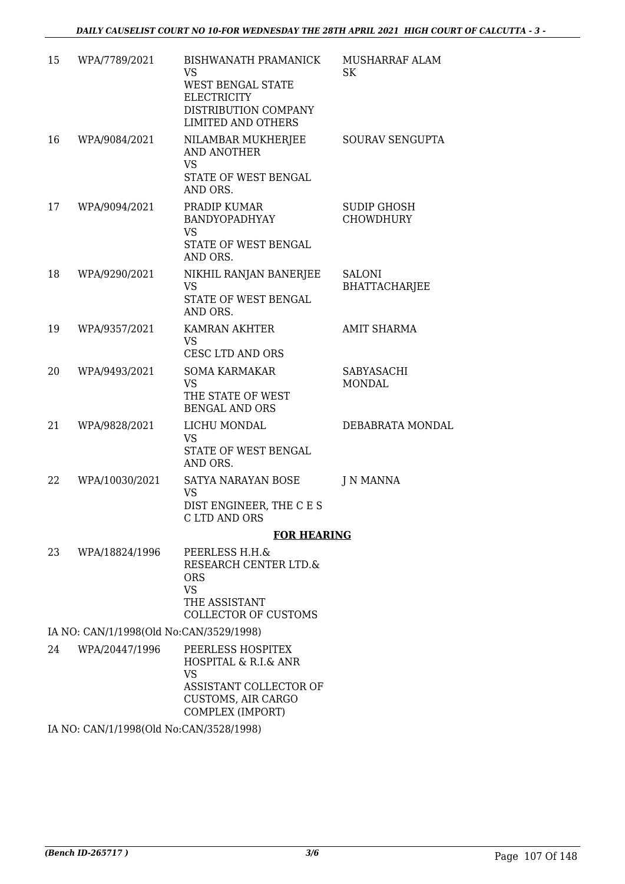| 15 | WPA/7789/2021                           | <b>BISHWANATH PRAMANICK</b><br>VS<br>WEST BENGAL STATE<br><b>ELECTRICITY</b><br>DISTRIBUTION COMPANY<br><b>LIMITED AND OTHERS</b> | MUSHARRAF ALAM<br><b>SK</b>            |
|----|-----------------------------------------|-----------------------------------------------------------------------------------------------------------------------------------|----------------------------------------|
| 16 | WPA/9084/2021                           | NILAMBAR MUKHERJEE<br>AND ANOTHER<br><b>VS</b><br><b>STATE OF WEST BENGAL</b><br>AND ORS.                                         | SOURAV SENGUPTA                        |
| 17 | WPA/9094/2021                           | PRADIP KUMAR<br>BANDYOPADHYAY<br><b>VS</b><br>STATE OF WEST BENGAL<br>AND ORS.                                                    | <b>SUDIP GHOSH</b><br><b>CHOWDHURY</b> |
| 18 | WPA/9290/2021                           | NIKHIL RANJAN BANERJEE<br><b>VS</b><br>STATE OF WEST BENGAL<br>AND ORS.                                                           | <b>SALONI</b><br><b>BHATTACHARJEE</b>  |
| 19 | WPA/9357/2021                           | <b>KAMRAN AKHTER</b><br><b>VS</b><br>CESC LTD AND ORS                                                                             | <b>AMIT SHARMA</b>                     |
| 20 | WPA/9493/2021                           | <b>SOMA KARMAKAR</b><br><b>VS</b><br>THE STATE OF WEST<br><b>BENGAL AND ORS</b>                                                   | SABYASACHI<br><b>MONDAL</b>            |
| 21 | WPA/9828/2021                           | LICHU MONDAL<br><b>VS</b><br>STATE OF WEST BENGAL<br>AND ORS.                                                                     | DEBABRATA MONDAL                       |
| 22 | WPA/10030/2021                          | SATYA NARAYAN BOSE<br><b>VS</b><br>DIST ENGINEER, THE C E S<br>C LTD AND ORS                                                      | J N MANNA                              |
|    |                                         | <b>FOR HEARING</b>                                                                                                                |                                        |
| 23 | WPA/18824/1996                          | PEERLESS H.H.&<br>RESEARCH CENTER LTD.&<br><b>ORS</b><br><b>VS</b><br>THE ASSISTANT<br><b>COLLECTOR OF CUSTOMS</b>                |                                        |
|    | IA NO: CAN/1/1998(Old No:CAN/3529/1998) |                                                                                                                                   |                                        |
| 24 | WPA/20447/1996                          | PEERLESS HOSPITEX<br>HOSPITAL & R.I.& ANR<br><b>VS</b><br>ASSISTANT COLLECTOR OF<br>CUSTOMS, AIR CARGO<br>COMPLEX (IMPORT)        |                                        |

IA NO: CAN/1/1998(Old No:CAN/3528/1998)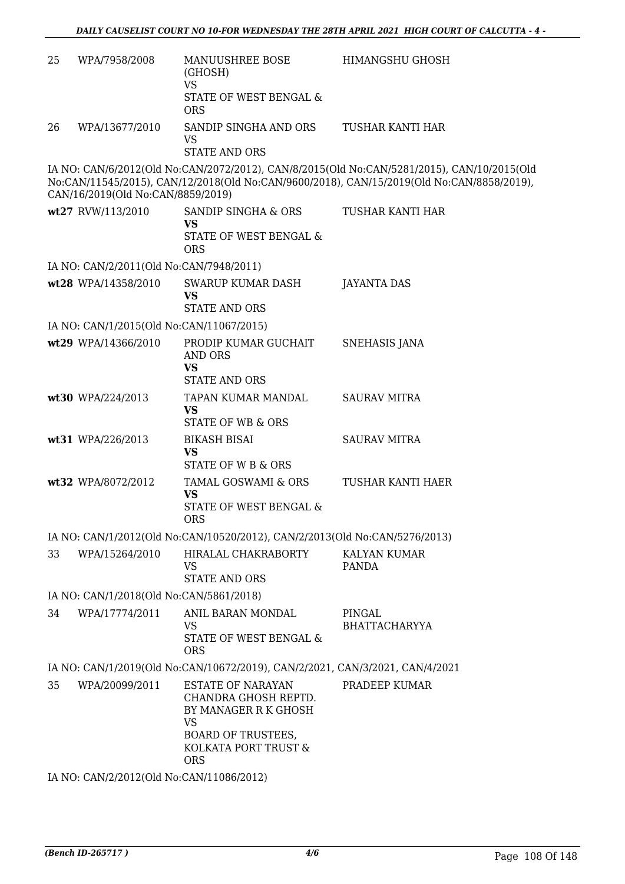| 25 | WPA/7958/2008                            | MANUUSHREE BOSE<br>(GHOSH)<br><b>VS</b><br>STATE OF WEST BENGAL &<br><b>ORS</b>                                                                          | <b>HIMANGSHU GHOSH</b>                                                                                                                                                                  |  |  |
|----|------------------------------------------|----------------------------------------------------------------------------------------------------------------------------------------------------------|-----------------------------------------------------------------------------------------------------------------------------------------------------------------------------------------|--|--|
| 26 | WPA/13677/2010                           | SANDIP SINGHA AND ORS<br>VS<br><b>STATE AND ORS</b>                                                                                                      | TUSHAR KANTI HAR                                                                                                                                                                        |  |  |
|    | CAN/16/2019(Old No:CAN/8859/2019)        |                                                                                                                                                          | IA NO: CAN/6/2012(Old No:CAN/2072/2012), CAN/8/2015(Old No:CAN/5281/2015), CAN/10/2015(Old<br>No:CAN/11545/2015), CAN/12/2018(Old No:CAN/9600/2018), CAN/15/2019(Old No:CAN/8858/2019), |  |  |
|    | wt27 RVW/113/2010                        | SANDIP SINGHA & ORS<br><b>VS</b><br>STATE OF WEST BENGAL &<br><b>ORS</b>                                                                                 | TUSHAR KANTI HAR                                                                                                                                                                        |  |  |
|    | IA NO: CAN/2/2011(Old No:CAN/7948/2011)  |                                                                                                                                                          |                                                                                                                                                                                         |  |  |
|    | wt28 WPA/14358/2010                      | <b>SWARUP KUMAR DASH</b><br><b>VS</b><br><b>STATE AND ORS</b>                                                                                            | <b>JAYANTA DAS</b>                                                                                                                                                                      |  |  |
|    | IA NO: CAN/1/2015(Old No:CAN/11067/2015) |                                                                                                                                                          |                                                                                                                                                                                         |  |  |
|    | wt29 WPA/14366/2010                      | PRODIP KUMAR GUCHAIT<br><b>AND ORS</b><br><b>VS</b>                                                                                                      | <b>SNEHASIS JANA</b>                                                                                                                                                                    |  |  |
|    | wt30 WPA/224/2013                        | <b>STATE AND ORS</b><br>TAPAN KUMAR MANDAL<br><b>VS</b>                                                                                                  | <b>SAURAV MITRA</b>                                                                                                                                                                     |  |  |
|    |                                          | <b>STATE OF WB &amp; ORS</b>                                                                                                                             |                                                                                                                                                                                         |  |  |
|    | wt31 WPA/226/2013                        | <b>BIKASH BISAI</b><br><b>VS</b><br>STATE OF W B & ORS                                                                                                   | <b>SAURAV MITRA</b>                                                                                                                                                                     |  |  |
|    | wt32 WPA/8072/2012                       | <b>TAMAL GOSWAMI &amp; ORS</b><br><b>VS</b><br>STATE OF WEST BENGAL &<br><b>ORS</b>                                                                      | TUSHAR KANTI HAER                                                                                                                                                                       |  |  |
|    |                                          | IA NO: CAN/1/2012(Old No:CAN/10520/2012), CAN/2/2013(Old No:CAN/5276/2013)                                                                               |                                                                                                                                                                                         |  |  |
| 33 | WPA/15264/2010                           | HIRALAL CHAKRABORTY<br><b>VS</b><br><b>STATE AND ORS</b>                                                                                                 | KALYAN KUMAR<br><b>PANDA</b>                                                                                                                                                            |  |  |
|    | IA NO: CAN/1/2018(Old No:CAN/5861/2018)  |                                                                                                                                                          |                                                                                                                                                                                         |  |  |
| 34 | WPA/17774/2011                           | ANIL BARAN MONDAL<br>VS<br><b>STATE OF WEST BENGAL &amp;</b><br><b>ORS</b>                                                                               | PINGAL<br><b>BHATTACHARYYA</b>                                                                                                                                                          |  |  |
|    |                                          | IA NO: CAN/1/2019(Old No:CAN/10672/2019), CAN/2/2021, CAN/3/2021, CAN/4/2021                                                                             |                                                                                                                                                                                         |  |  |
| 35 | WPA/20099/2011                           | <b>ESTATE OF NARAYAN</b><br>CHANDRA GHOSH REPTD.<br>BY MANAGER R K GHOSH<br><b>VS</b><br><b>BOARD OF TRUSTEES,</b><br>KOLKATA PORT TRUST &<br><b>ORS</b> | PRADEEP KUMAR                                                                                                                                                                           |  |  |
|    | IA NO: CAN/2/2012(Old No:CAN/11086/2012) |                                                                                                                                                          |                                                                                                                                                                                         |  |  |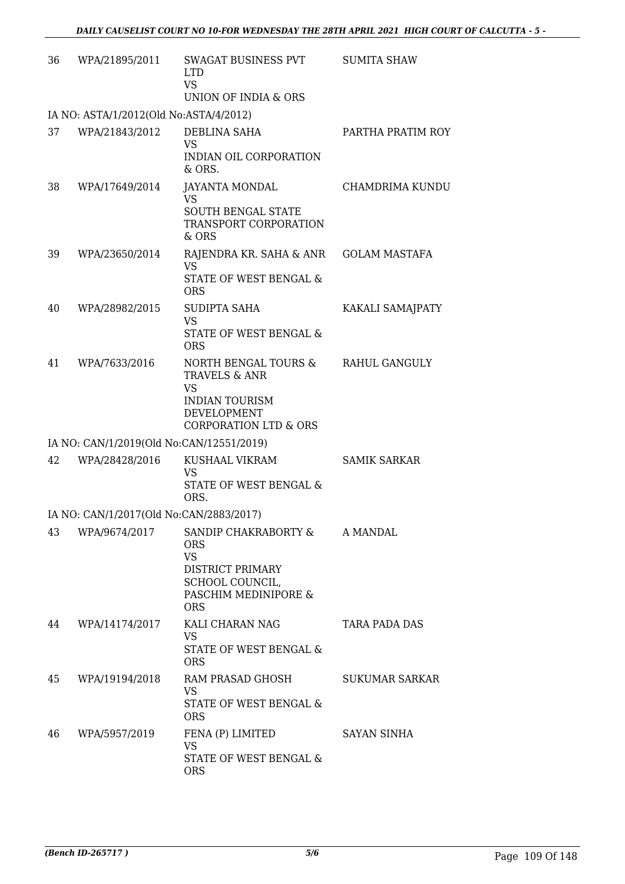| 36 | WPA/21895/2011                           | SWAGAT BUSINESS PVT<br><b>LTD</b><br><b>VS</b><br>UNION OF INDIA & ORS                                                             | <b>SUMITA SHAW</b>    |
|----|------------------------------------------|------------------------------------------------------------------------------------------------------------------------------------|-----------------------|
|    | IA NO: ASTA/1/2012(Old No:ASTA/4/2012)   |                                                                                                                                    |                       |
| 37 | WPA/21843/2012                           | DEBLINA SAHA<br><b>VS</b><br>INDIAN OIL CORPORATION<br>& ORS.                                                                      | PARTHA PRATIM ROY     |
| 38 | WPA/17649/2014                           | <b>JAYANTA MONDAL</b><br>VS<br><b>SOUTH BENGAL STATE</b><br>TRANSPORT CORPORATION<br>& ORS                                         | CHAMDRIMA KUNDU       |
| 39 | WPA/23650/2014                           | RAJENDRA KR. SAHA & ANR<br><b>VS</b><br>STATE OF WEST BENGAL &<br><b>ORS</b>                                                       | <b>GOLAM MASTAFA</b>  |
| 40 | WPA/28982/2015                           | SUDIPTA SAHA<br><b>VS</b><br>STATE OF WEST BENGAL &<br><b>ORS</b>                                                                  | KAKALI SAMAJPATY      |
| 41 | WPA/7633/2016                            | NORTH BENGAL TOURS &<br><b>TRAVELS &amp; ANR</b><br>VS<br><b>INDIAN TOURISM</b><br>DEVELOPMENT<br><b>CORPORATION LTD &amp; ORS</b> | RAHUL GANGULY         |
|    | IA NO: CAN/1/2019(Old No:CAN/12551/2019) |                                                                                                                                    |                       |
| 42 | WPA/28428/2016                           | KUSHAAL VIKRAM<br><b>VS</b><br>STATE OF WEST BENGAL &<br>ORS.                                                                      | <b>SAMIK SARKAR</b>   |
|    | IA NO: CAN/1/2017(Old No:CAN/2883/2017)  |                                                                                                                                    |                       |
| 43 | WPA/9674/2017                            | SANDIP CHAKRABORTY &<br><b>ORS</b><br><b>VS</b><br>DISTRICT PRIMARY<br>SCHOOL COUNCIL,<br>PASCHIM MEDINIPORE &<br><b>ORS</b>       | A MANDAL              |
| 44 | WPA/14174/2017                           | KALI CHARAN NAG<br>VS<br>STATE OF WEST BENGAL &<br><b>ORS</b>                                                                      | TARA PADA DAS         |
| 45 | WPA/19194/2018                           | RAM PRASAD GHOSH<br><b>VS</b><br>STATE OF WEST BENGAL &<br><b>ORS</b>                                                              | <b>SUKUMAR SARKAR</b> |
| 46 | WPA/5957/2019                            | FENA (P) LIMITED<br>VS<br>STATE OF WEST BENGAL &<br><b>ORS</b>                                                                     | SAYAN SINHA           |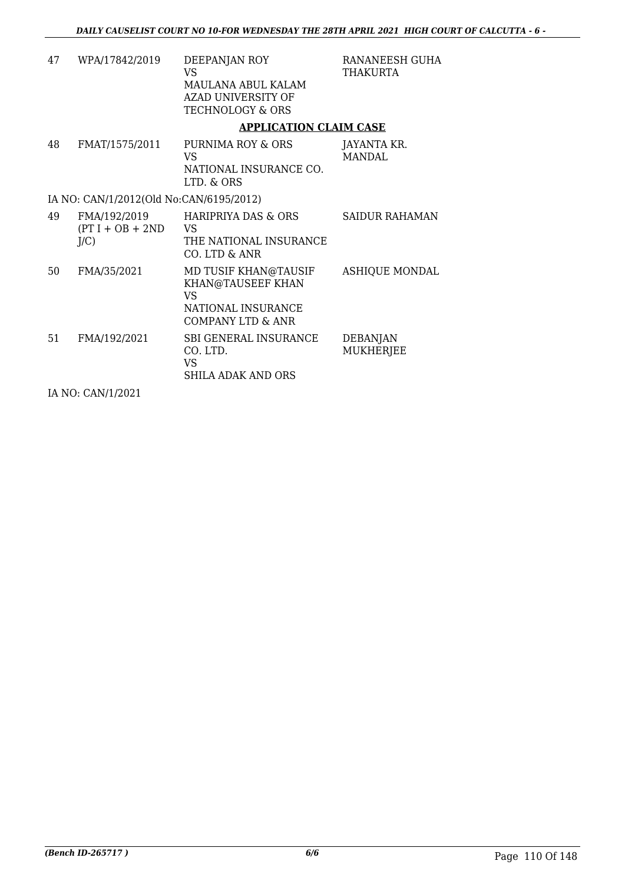| 47 | WPA/17842/2019                                | DEEPANJAN ROY<br>VS.<br>MAULANA ABUL KALAM<br>AZAD UNIVERSITY OF<br><b>TECHNOLOGY &amp; ORS</b> | RANANEESH GUHA<br>THAKURTA          |
|----|-----------------------------------------------|-------------------------------------------------------------------------------------------------|-------------------------------------|
|    |                                               | <b>APPLICATION CLAIM CASE</b>                                                                   |                                     |
| 48 | FMAT/1575/2011                                | PURNIMA ROY & ORS<br>VS.<br>NATIONAL INSURANCE CO.<br>LTD. & ORS                                | JAYANTA KR.<br>MANDAL.              |
|    | IA NO: CAN/1/2012(Old No:CAN/6195/2012)       |                                                                                                 |                                     |
| 49 | FMA/192/2019<br>$(PT I + OB + 2ND$<br>$J/C$ ) | <b>HARIPRIYA DAS &amp; ORS</b><br>VS.<br>THE NATIONAL INSURANCE<br>CO. LTD & ANR                | <b>SAIDUR RAHAMAN</b>               |
| 50 | FMA/35/2021                                   | MD TUSIF KHAN@TAUSIF<br>KHAN@TAUSEEF KHAN<br>VS.<br>NATIONAL INSURANCE<br>COMPANY LTD & ANR     | <b>ASHIQUE MONDAL</b>               |
| 51 | FMA/192/2021                                  | <b>SBI GENERAL INSURANCE</b><br>CO. LTD.<br>VS.<br><b>SHILA ADAK AND ORS</b>                    | <b>DEBANJAN</b><br><b>MUKHERJEE</b> |
|    | TA NTO OANTIA IOOOA                           |                                                                                                 |                                     |

IA NO: CAN/1/2021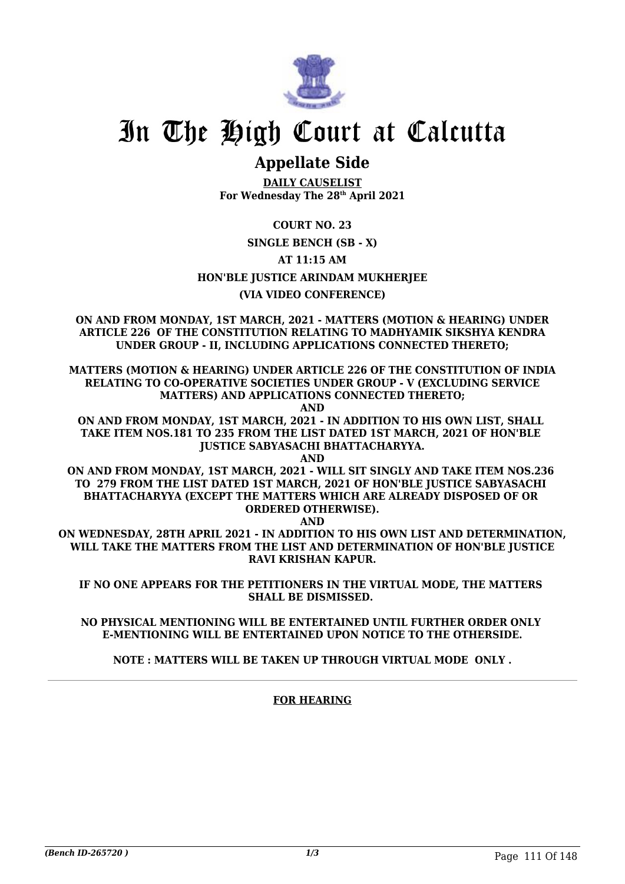

## **Appellate Side**

**DAILY CAUSELIST For Wednesday The 28th April 2021**

**COURT NO. 23**

### **SINGLE BENCH (SB - X)**

**AT 11:15 AM**

### **HON'BLE JUSTICE ARINDAM MUKHERJEE**

### **(VIA VIDEO CONFERENCE)**

**ON AND FROM MONDAY, 1ST MARCH, 2021 - MATTERS (MOTION & HEARING) UNDER ARTICLE 226 OF THE CONSTITUTION RELATING TO MADHYAMIK SIKSHYA KENDRA UNDER GROUP - II, INCLUDING APPLICATIONS CONNECTED THERETO;**

**MATTERS (MOTION & HEARING) UNDER ARTICLE 226 OF THE CONSTITUTION OF INDIA RELATING TO CO-OPERATIVE SOCIETIES UNDER GROUP - V (EXCLUDING SERVICE MATTERS) AND APPLICATIONS CONNECTED THERETO;**

**AND**

**ON AND FROM MONDAY, 1ST MARCH, 2021 - IN ADDITION TO HIS OWN LIST, SHALL TAKE ITEM NOS.181 TO 235 FROM THE LIST DATED 1ST MARCH, 2021 OF HON'BLE JUSTICE SABYASACHI BHATTACHARYYA.**

**AND**

**ON AND FROM MONDAY, 1ST MARCH, 2021 - WILL SIT SINGLY AND TAKE ITEM NOS.236 TO 279 FROM THE LIST DATED 1ST MARCH, 2021 OF HON'BLE JUSTICE SABYASACHI BHATTACHARYYA (EXCEPT THE MATTERS WHICH ARE ALREADY DISPOSED OF OR ORDERED OTHERWISE).**

**AND**

**ON WEDNESDAY, 28TH APRIL 2021 - IN ADDITION TO HIS OWN LIST AND DETERMINATION, WILL TAKE THE MATTERS FROM THE LIST AND DETERMINATION OF HON'BLE JUSTICE RAVI KRISHAN KAPUR.**

**IF NO ONE APPEARS FOR THE PETITIONERS IN THE VIRTUAL MODE, THE MATTERS SHALL BE DISMISSED.** 

**NO PHYSICAL MENTIONING WILL BE ENTERTAINED UNTIL FURTHER ORDER ONLY E-MENTIONING WILL BE ENTERTAINED UPON NOTICE TO THE OTHERSIDE.**

**NOTE : MATTERS WILL BE TAKEN UP THROUGH VIRTUAL MODE ONLY .**

### **FOR HEARING**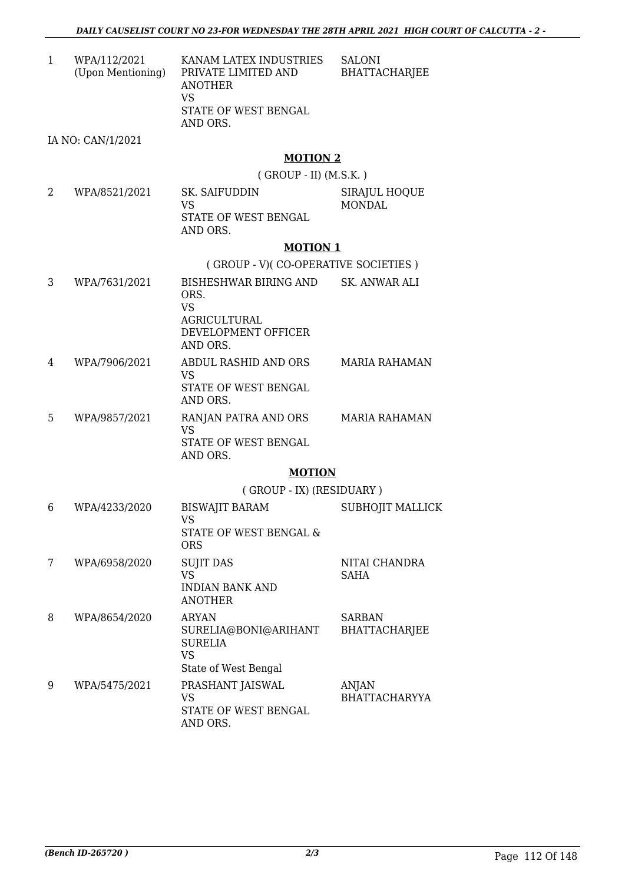| WPA/112/2021      | KANAM LATEX INDUSTRIES | <b>SALONI</b>        |
|-------------------|------------------------|----------------------|
| (Upon Mentioning) | PRIVATE LIMITED AND    | <b>BHATTACHARJEE</b> |
|                   | ANOTHER                |                      |
|                   | VS                     |                      |
|                   | STATE OF WEST BENGAL   |                      |
|                   | AND ORS.               |                      |
|                   |                        |                      |

IA NO: CAN/1/2021

#### **MOTION 2**

#### ( GROUP - II) (M.S.K. )

2 WPA/8521/2021 SK. SAIFUDDIN VS STATE OF WEST BENGAL AND ORS. SIRAJUL HOQUE MONDAL

### **MOTION 1**

#### ( GROUP - V)( CO-OPERATIVE SOCIETIES )

| 3 | WPA/7631/2021 | BISHESHWAR BIRING AND<br>ORS.<br>VS<br>AGRICULTURAL<br>DEVELOPMENT OFFICER<br>AND ORS. | SK ANWAR ALI         |
|---|---------------|----------------------------------------------------------------------------------------|----------------------|
| 4 | WPA/7906/2021 | ABDUL RASHID AND ORS<br>VS<br>STATE OF WEST BENGAL<br>AND ORS.                         | <b>MARIA RAHAMAN</b> |
| 5 | WPA/9857/2021 | RANJAN PATRA AND ORS<br>VS                                                             | MARIA RAHAMAN        |

## STATE OF WEST BENGAL AND ORS.

#### **MOTION**

#### ( GROUP - IX) (RESIDUARY )

| 6 | WPA/4233/2020 | <b>BISWAJIT BARAM</b><br>VS<br>STATE OF WEST BENGAL &<br><b>ORS</b>                  | <b>SUBHOJIT MALLICK</b>               |
|---|---------------|--------------------------------------------------------------------------------------|---------------------------------------|
| 7 | WPA/6958/2020 | <b>SUJIT DAS</b><br>VS<br><b>INDIAN BANK AND</b><br><b>ANOTHER</b>                   | NITAI CHANDRA<br><b>SAHA</b>          |
| 8 | WPA/8654/2020 | <b>ARYAN</b><br>SURELIA@BONI@ARIHANT<br><b>SURELIA</b><br>VS<br>State of West Bengal | <b>SARBAN</b><br><b>BHATTACHARJEE</b> |
| 9 | WPA/5475/2021 | PRASHANT JAISWAL<br>VS<br>STATE OF WEST BENGAL<br>AND ORS.                           | <b>ANJAN</b><br><b>BHATTACHARYYA</b>  |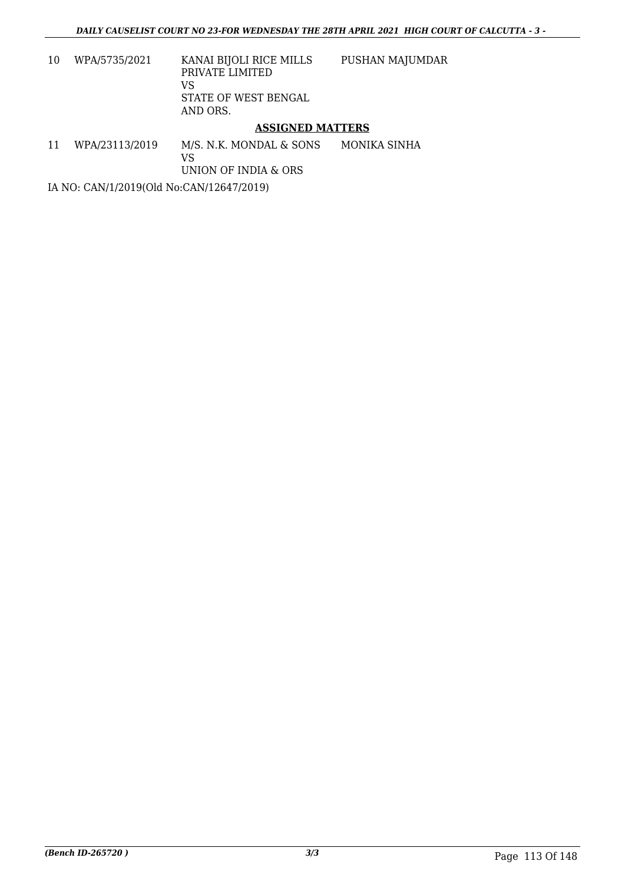10 WPA/5735/2021 KANAI BIJOLI RICE MILLS PRIVATE LIMITED VS STATE OF WEST BENGAL AND ORS. PUSHAN MAJUMDAR

#### **ASSIGNED MATTERS**

11 WPA/23113/2019 M/S. N.K. MONDAL & SONS VS MONIKA SINHA

UNION OF INDIA & ORS

IA NO: CAN/1/2019(Old No:CAN/12647/2019)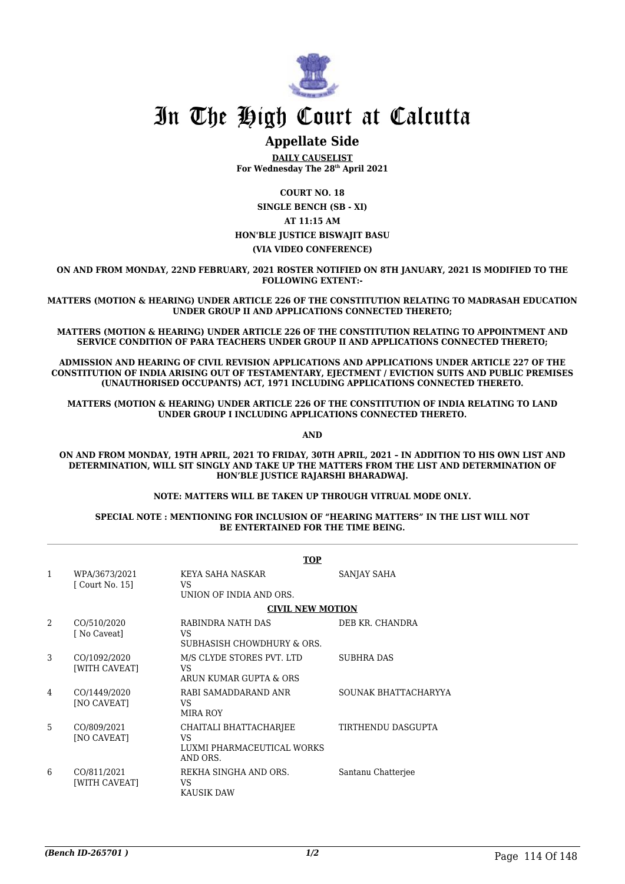

### **Appellate Side**

**DAILY CAUSELIST For Wednesday The 28th April 2021**

**COURT NO. 18 SINGLE BENCH (SB - XI) AT 11:15 AM HON'BLE JUSTICE BISWAJIT BASU (VIA VIDEO CONFERENCE)**

**ON AND FROM MONDAY, 22ND FEBRUARY, 2021 ROSTER NOTIFIED ON 8TH JANUARY, 2021 IS MODIFIED TO THE FOLLOWING EXTENT:-**

**MATTERS (MOTION & HEARING) UNDER ARTICLE 226 OF THE CONSTITUTION RELATING TO MADRASAH EDUCATION UNDER GROUP II AND APPLICATIONS CONNECTED THERETO;**

**MATTERS (MOTION & HEARING) UNDER ARTICLE 226 OF THE CONSTITUTION RELATING TO APPOINTMENT AND SERVICE CONDITION OF PARA TEACHERS UNDER GROUP II AND APPLICATIONS CONNECTED THERETO;**

**ADMISSION AND HEARING OF CIVIL REVISION APPLICATIONS AND APPLICATIONS UNDER ARTICLE 227 OF THE CONSTITUTION OF INDIA ARISING OUT OF TESTAMENTARY, EJECTMENT / EVICTION SUITS AND PUBLIC PREMISES (UNAUTHORISED OCCUPANTS) ACT, 1971 INCLUDING APPLICATIONS CONNECTED THERETO.**

**MATTERS (MOTION & HEARING) UNDER ARTICLE 226 OF THE CONSTITUTION OF INDIA RELATING TO LAND UNDER GROUP I INCLUDING APPLICATIONS CONNECTED THERETO.**

**AND**

**ON AND FROM MONDAY, 19TH APRIL, 2021 TO FRIDAY, 30TH APRIL, 2021 – IN ADDITION TO HIS OWN LIST AND DETERMINATION, WILL SIT SINGLY AND TAKE UP THE MATTERS FROM THE LIST AND DETERMINATION OF HON'BLE JUSTICE RAJARSHI BHARADWAJ.**

**NOTE: MATTERS WILL BE TAKEN UP THROUGH VITRUAL MODE ONLY.**

#### **SPECIAL NOTE : MENTIONING FOR INCLUSION OF "HEARING MATTERS" IN THE LIST WILL NOT BE ENTERTAINED FOR THE TIME BEING.**

|               |                                    | <b>TOP</b>                                                             |                      |  |
|---------------|------------------------------------|------------------------------------------------------------------------|----------------------|--|
| $\mathbf{1}$  | WPA/3673/2021<br>[Court No. 15]    | KEYA SAHA NASKAR<br>VS<br>UNION OF INDIA AND ORS.                      | SANJAY SAHA          |  |
|               |                                    | <b>CIVIL NEW MOTION</b>                                                |                      |  |
| $\mathcal{D}$ | CO/510/2020<br>[ No Caveat]        | RABINDRA NATH DAS<br>VS<br>SUBHASISH CHOWDHURY & ORS.                  | DEB KR. CHANDRA      |  |
| 3             | CO/1092/2020<br>[WITH CAVEAT]      | M/S CLYDE STORES PVT. LTD<br>VS<br>ARUN KUMAR GUPTA & ORS              | <b>SUBHRA DAS</b>    |  |
| 4             | CO/1449/2020<br><b>[NO CAVEAT]</b> | RABI SAMADDARAND ANR<br>VS.<br><b>MIRA ROY</b>                         | SOUNAK BHATTACHARYYA |  |
| 5             | CO/809/2021<br><b>INO CAVEATI</b>  | CHAITALI BHATTACHARJEE<br>VS<br>LUXMI PHARMACEUTICAL WORKS<br>AND ORS. | TIRTHENDU DASGUPTA   |  |
| 6             | CO/811/2021<br>[WITH CAVEAT]       | REKHA SINGHA AND ORS.<br>VS.<br>KAUSIK DAW                             | Santanu Chatterjee   |  |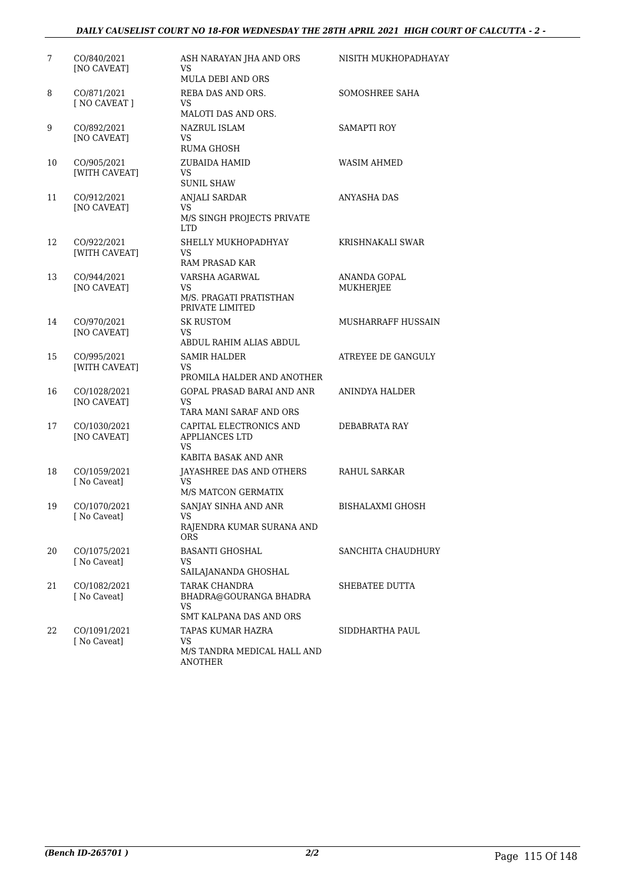#### *DAILY CAUSELIST COURT NO 18-FOR WEDNESDAY THE 28TH APRIL 2021 HIGH COURT OF CALCUTTA - 2 -*

| 7  | CO/840/2021<br>[NO CAVEAT]         | ASH NARAYAN JHA AND ORS<br>VS<br><b>MULA DEBI AND ORS</b>                | NISITH MUKHOPADHAYAY      |
|----|------------------------------------|--------------------------------------------------------------------------|---------------------------|
| 8  | CO/871/2021<br>[ NO CAVEAT ]       | REBA DAS AND ORS.<br>VS<br><b>MALOTI DAS AND ORS.</b>                    | SOMOSHREE SAHA            |
| 9  | CO/892/2021<br><b>[NO CAVEAT]</b>  | NAZRUL ISLAM<br>VS<br>RUMA GHOSH                                         | <b>SAMAPTI ROY</b>        |
| 10 | CO/905/2021<br>[WITH CAVEAT]       | ZUBAIDA HAMID<br>VS<br><b>SUNIL SHAW</b>                                 | WASIM AHMED               |
| 11 | CO/912/2021<br>[NO CAVEAT]         | ANJALI SARDAR<br><b>VS</b><br>M/S SINGH PROJECTS PRIVATE<br><b>LTD</b>   | <b>ANYASHA DAS</b>        |
| 12 | CO/922/2021<br>[WITH CAVEAT]       | SHELLY MUKHOPADHYAY<br>VS<br>RAM PRASAD KAR                              | KRISHNAKALI SWAR          |
| 13 | CO/944/2021<br>[NO CAVEAT]         | VARSHA AGARWAL<br>VS<br>M/S. PRAGATI PRATISTHAN<br>PRIVATE LIMITED       | ANANDA GOPAL<br>MUKHERJEE |
| 14 | CO/970/2021<br>[NO CAVEAT]         | <b>SK RUSTOM</b><br>VS<br>ABDUL RAHIM ALIAS ABDUL                        | MUSHARRAFF HUSSAIN        |
| 15 | CO/995/2021<br>[WITH CAVEAT]       | <b>SAMIR HALDER</b><br>VS<br>PROMILA HALDER AND ANOTHER                  | ATREYEE DE GANGULY        |
| 16 | CO/1028/2021<br>[NO CAVEAT]        | GOPAL PRASAD BARAI AND ANR<br>VS<br>TARA MANI SARAF AND ORS              | ANINDYA HALDER            |
| 17 | CO/1030/2021<br><b>[NO CAVEAT]</b> | CAPITAL ELECTRONICS AND<br>APPLIANCES LTD<br>VS<br>KABITA BASAK AND ANR  | DEBABRATA RAY             |
| 18 | CO/1059/2021<br>[ No Caveat]       | JAYASHREE DAS AND OTHERS<br>VS<br>M/S MATCON GERMATIX                    | RAHUL SARKAR              |
| 19 | CO/1070/2021<br>[ No Caveat]       | SANJAY SINHA AND ANR<br>VS<br>RAJENDRA KUMAR SURANA AND<br><b>ORS</b>    | <b>BISHALAXMI GHOSH</b>   |
| 20 | CO/1075/2021<br>[ No Caveat]       | BASANTI GHOSHAL<br><b>VS</b><br>SAILAJANANDA GHOSHAL                     | SANCHITA CHAUDHURY        |
| 21 | CO/1082/2021<br>[ No Caveat]       | TARAK CHANDRA<br>BHADRA@GOURANGA BHADRA<br>VS<br>SMT KALPANA DAS AND ORS | SHEBATEE DUTTA            |
| 22 | CO/1091/2021<br>[ No Caveat]       | TAPAS KUMAR HAZRA<br>VS<br>M/S TANDRA MEDICAL HALL AND<br>ANOTHER        | SIDDHARTHA PAUL           |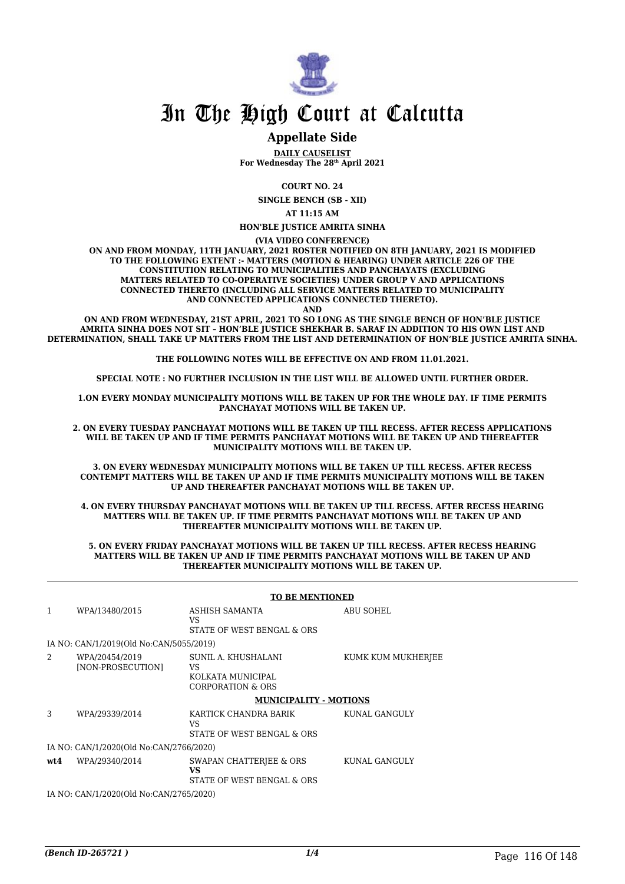

#### **Appellate Side**

**DAILY CAUSELIST For Wednesday The 28th April 2021**

**COURT NO. 24**

**SINGLE BENCH (SB - XII)**

**AT 11:15 AM**

#### **HON'BLE JUSTICE AMRITA SINHA**

**(VIA VIDEO CONFERENCE)**

**ON AND FROM MONDAY, 11TH JANUARY, 2021 ROSTER NOTIFIED ON 8TH JANUARY, 2021 IS MODIFIED TO THE FOLLOWING EXTENT :- MATTERS (MOTION & HEARING) UNDER ARTICLE 226 OF THE CONSTITUTION RELATING TO MUNICIPALITIES AND PANCHAYATS (EXCLUDING MATTERS RELATED TO CO-OPERATIVE SOCIETIES) UNDER GROUP V AND APPLICATIONS CONNECTED THERETO (INCLUDING ALL SERVICE MATTERS RELATED TO MUNICIPALITY AND CONNECTED APPLICATIONS CONNECTED THERETO).**

**AND**

**ON AND FROM WEDNESDAY, 21ST APRIL, 2021 TO SO LONG AS THE SINGLE BENCH OF HON'BLE JUSTICE AMRITA SINHA DOES NOT SIT – HON'BLE JUSTICE SHEKHAR B. SARAF IN ADDITION TO HIS OWN LIST AND DETERMINATION, SHALL TAKE UP MATTERS FROM THE LIST AND DETERMINATION OF HON'BLE JUSTICE AMRITA SINHA.**

**THE FOLLOWING NOTES WILL BE EFFECTIVE ON AND FROM 11.01.2021.**

**SPECIAL NOTE : NO FURTHER INCLUSION IN THE LIST WILL BE ALLOWED UNTIL FURTHER ORDER.**

**1.ON EVERY MONDAY MUNICIPALITY MOTIONS WILL BE TAKEN UP FOR THE WHOLE DAY. IF TIME PERMITS PANCHAYAT MOTIONS WILL BE TAKEN UP.**

**2. ON EVERY TUESDAY PANCHAYAT MOTIONS WILL BE TAKEN UP TILL RECESS. AFTER RECESS APPLICATIONS WILL BE TAKEN UP AND IF TIME PERMITS PANCHAYAT MOTIONS WILL BE TAKEN UP AND THEREAFTER MUNICIPALITY MOTIONS WILL BE TAKEN UP.**

**3. ON EVERY WEDNESDAY MUNICIPALITY MOTIONS WILL BE TAKEN UP TILL RECESS. AFTER RECESS CONTEMPT MATTERS WILL BE TAKEN UP AND IF TIME PERMITS MUNICIPALITY MOTIONS WILL BE TAKEN UP AND THEREAFTER PANCHAYAT MOTIONS WILL BE TAKEN UP.**

**4. ON EVERY THURSDAY PANCHAYAT MOTIONS WILL BE TAKEN UP TILL RECESS. AFTER RECESS HEARING MATTERS WILL BE TAKEN UP. IF TIME PERMITS PANCHAYAT MOTIONS WILL BE TAKEN UP AND THEREAFTER MUNICIPALITY MOTIONS WILL BE TAKEN UP.**

**5. ON EVERY FRIDAY PANCHAYAT MOTIONS WILL BE TAKEN UP TILL RECESS. AFTER RECESS HEARING MATTERS WILL BE TAKEN UP AND IF TIME PERMITS PANCHAYAT MOTIONS WILL BE TAKEN UP AND THEREAFTER MUNICIPALITY MOTIONS WILL BE TAKEN UP.**

|              |                                         | <b>TO BE MENTIONED</b>                                               |                    |  |
|--------------|-----------------------------------------|----------------------------------------------------------------------|--------------------|--|
| $\mathbf{1}$ | WPA/13480/2015                          | ASHISH SAMANTA<br>VS.<br>STATE OF WEST BENGAL & ORS                  | ABU SOHEL          |  |
|              | IA NO: CAN/1/2019(Old No:CAN/5055/2019) |                                                                      |                    |  |
| 2            | WPA/20454/2019<br>[NON-PROSECUTION]     | SUNIL A. KHUSHALANI<br>VS.<br>KOLKATA MUNICIPAL<br>CORPORATION & ORS | KUMK KUM MUKHERJEE |  |
|              |                                         | <b>MUNICIPALITY - MOTIONS</b>                                        |                    |  |
| 3            | WPA/29339/2014                          | KARTICK CHANDRA BARIK<br>VS<br>STATE OF WEST BENGAL & ORS            | KUNAL GANGULY      |  |
|              | IA NO: CAN/1/2020(Old No:CAN/2766/2020) |                                                                      |                    |  |
| wt:4         | WPA/29340/2014                          | SWAPAN CHATTERIEE & ORS<br>VS<br>STATE OF WEST BENGAL & ORS          | KUNAL GANGULY      |  |
|              | IA NO: CAN/1/2020(Old No:CAN/2765/2020) |                                                                      |                    |  |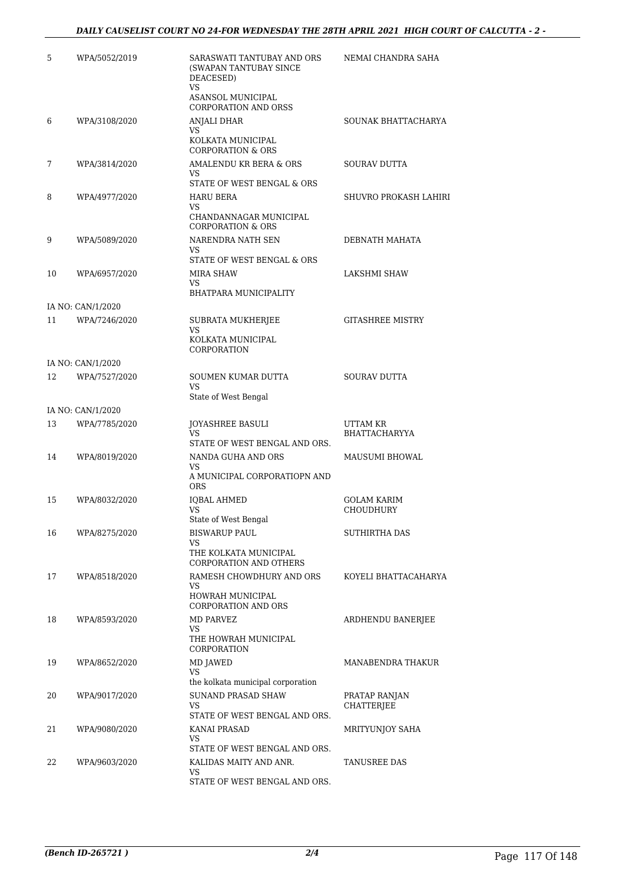| 5  | WPA/5052/2019     | SARASWATI TANTUBAY AND ORS<br>(SWAPAN TANTUBAY SINCE<br>DEACESED)<br>VS                               | NEMAI CHANDRA SAHA                     |
|----|-------------------|-------------------------------------------------------------------------------------------------------|----------------------------------------|
|    |                   | ASANSOL MUNICIPAL<br><b>CORPORATION AND ORSS</b>                                                      |                                        |
| 6  | WPA/3108/2020     | <b>ANJALI DHAR</b><br>VS.<br>KOLKATA MUNICIPAL<br><b>CORPORATION &amp; ORS</b>                        | SOUNAK BHATTACHARYA                    |
| 7  | WPA/3814/2020     | AMALENDU KR BERA & ORS<br>VS<br>STATE OF WEST BENGAL & ORS                                            | SOURAV DUTTA                           |
| 8  | WPA/4977/2020     | HARU BERA<br>VS.<br>CHANDANNAGAR MUNICIPAL<br><b>CORPORATION &amp; ORS</b>                            | SHUVRO PROKASH LAHIRI                  |
| 9  | WPA/5089/2020     | NARENDRA NATH SEN<br>VS.<br>STATE OF WEST BENGAL & ORS                                                | DEBNATH MAHATA                         |
| 10 | WPA/6957/2020     | <b>MIRA SHAW</b><br>VS.<br><b>BHATPARA MUNICIPALITY</b>                                               | LAKSHMI SHAW                           |
|    | IA NO: CAN/1/2020 |                                                                                                       |                                        |
| 11 | WPA/7246/2020     | SUBRATA MUKHERJEE<br><b>VS</b><br>KOLKATA MUNICIPAL<br>CORPORATION                                    | <b>GITASHREE MISTRY</b>                |
|    | IA NO: CAN/1/2020 |                                                                                                       |                                        |
| 12 | WPA/7527/2020     | SOUMEN KUMAR DUTTA<br>VS.<br>State of West Bengal                                                     | <b>SOURAV DUTTA</b>                    |
|    | IA NO: CAN/1/2020 |                                                                                                       |                                        |
| 13 | WPA/7785/2020     | JOYASHREE BASULI                                                                                      | UTTAM KR                               |
|    |                   | VS<br>STATE OF WEST BENGAL AND ORS.                                                                   | <b>BHATTACHARYYA</b>                   |
| 14 | WPA/8019/2020     | NANDA GUHA AND ORS<br><b>VS</b><br>A MUNICIPAL CORPORATIOPN AND                                       | <b>MAUSUMI BHOWAL</b>                  |
|    |                   | <b>ORS</b>                                                                                            |                                        |
| 15 | WPA/8032/2020     | <b>IQBAL AHMED</b><br><b>VS</b><br>State of West Bengal                                               | <b>GOLAM KARIM</b><br><b>CHOUDHURY</b> |
| 16 | WPA/8275/2020     | <b>BISWARUP PAUL</b>                                                                                  | <b>SUTHIRTHA DAS</b>                   |
|    |                   | VS<br>THE KOLKATA MUNICIPAL<br>CORPORATION AND OTHERS                                                 |                                        |
| 17 | WPA/8518/2020     | RAMESH CHOWDHURY AND ORS                                                                              | KOYELI BHATTACAHARYA                   |
|    |                   | VS<br>HOWRAH MUNICIPAL<br>CORPORATION AND ORS                                                         |                                        |
| 18 | WPA/8593/2020     | MD PARVEZ<br>VS.<br>THE HOWRAH MUNICIPAL<br>CORPORATION                                               | ARDHENDU BANERJEE                      |
| 19 | WPA/8652/2020     | MD JAWED<br>VS                                                                                        | MANABENDRA THAKUR                      |
| 20 | WPA/9017/2020     | the kolkata municipal corporation<br><b>SUNAND PRASAD SHAW</b><br>VS<br>STATE OF WEST BENGAL AND ORS. | PRATAP RANJAN<br><b>CHATTERJEE</b>     |
| 21 | WPA/9080/2020     | KANAI PRASAD<br>VS                                                                                    | MRITYUNJOY SAHA                        |
| 22 | WPA/9603/2020     | STATE OF WEST BENGAL AND ORS.<br>KALIDAS MAITY AND ANR.<br>VS<br>STATE OF WEST BENGAL AND ORS.        | TANUSREE DAS                           |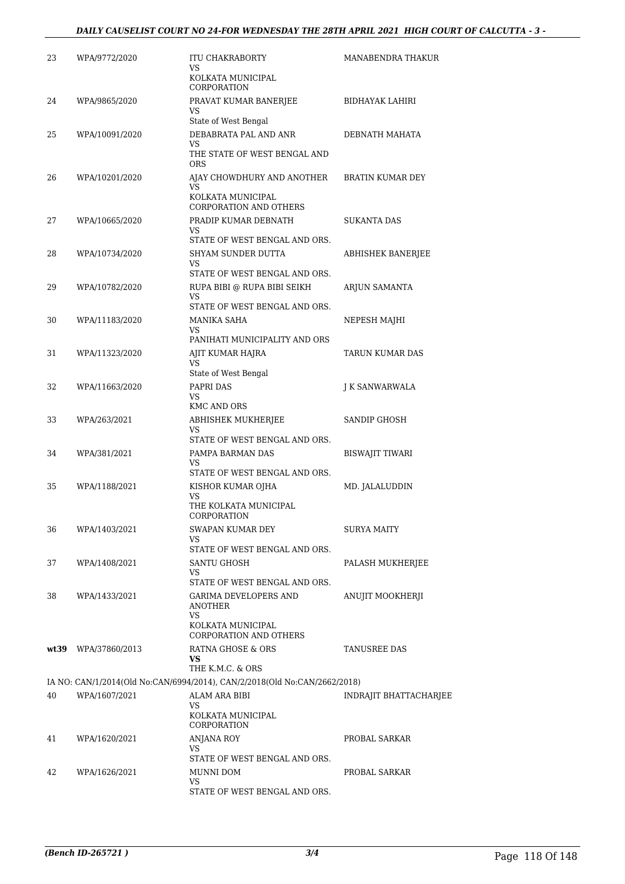| 23   | WPA/9772/2020  | <b>ITU CHAKRABORTY</b><br>VS.<br>KOLKATA MUNICIPAL                                            | MANABENDRA THAKUR       |
|------|----------------|-----------------------------------------------------------------------------------------------|-------------------------|
| 24   | WPA/9865/2020  | CORPORATION<br>PRAVAT KUMAR BANERJEE<br>VS.                                                   | BIDHAYAK LAHIRI         |
| 25   | WPA/10091/2020 | State of West Bengal<br>DEBABRATA PAL AND ANR<br>VS.<br>THE STATE OF WEST BENGAL AND          | DEBNATH MAHATA          |
| 26   | WPA/10201/2020 | <b>ORS</b><br>AJAY CHOWDHURY AND ANOTHER                                                      | <b>BRATIN KUMAR DEY</b> |
|      |                | VS<br>KOLKATA MUNICIPAL<br><b>CORPORATION AND OTHERS</b>                                      |                         |
| 27   | WPA/10665/2020 | PRADIP KUMAR DEBNATH<br>VS.<br>STATE OF WEST BENGAL AND ORS.                                  | SUKANTA DAS             |
| 28   | WPA/10734/2020 | SHYAM SUNDER DUTTA<br>VS                                                                      | ABHISHEK BANERJEE       |
| 29   | WPA/10782/2020 | STATE OF WEST BENGAL AND ORS.<br>RUPA BIBI @ RUPA BIBI SEIKH<br>VS                            | ARJUN SAMANTA           |
| 30   | WPA/11183/2020 | STATE OF WEST BENGAL AND ORS.<br>MANIKA SAHA<br><b>VS</b>                                     | NEPESH MAJHI            |
| 31   | WPA/11323/2020 | PANIHATI MUNICIPALITY AND ORS<br>AJIT KUMAR HAJRA<br><b>VS</b>                                | <b>TARUN KUMAR DAS</b>  |
| 32   | WPA/11663/2020 | State of West Bengal<br>PAPRI DAS<br>VS.<br>KMC AND ORS                                       | <b>J K SANWARWALA</b>   |
| 33   | WPA/263/2021   | ABHISHEK MUKHERJEE<br>VS<br>STATE OF WEST BENGAL AND ORS.                                     | SANDIP GHOSH            |
| 34   | WPA/381/2021   | PAMPA BARMAN DAS<br>VS                                                                        | <b>BISWAJIT TIWARI</b>  |
| 35   | WPA/1188/2021  | STATE OF WEST BENGAL AND ORS.<br>KISHOR KUMAR OJHA<br>VS<br>THE KOLKATA MUNICIPAL             | MD. JALALUDDIN          |
| 36   | WPA/1403/2021  | CORPORATION<br>SWAPAN KUMAR DEY<br>VS.                                                        | <b>SURYA MAITY</b>      |
| 37   | WPA/1408/2021  | STATE OF WEST BENGAL AND ORS.<br>SANTU GHOSH<br>VS<br>STATE OF WEST BENGAL AND ORS.           | PALASH MUKHERJEE        |
| 38   | WPA/1433/2021  | <b>GARIMA DEVELOPERS AND</b><br>ANOTHER<br>VS<br>KOLKATA MUNICIPAL<br>CORPORATION AND OTHERS  | ANUJIT MOOKHERJI        |
| wt39 | WPA/37860/2013 | RATNA GHOSE & ORS<br>VS.                                                                      | <b>TANUSREE DAS</b>     |
|      |                | THE K.M.C. & ORS<br>IA NO: CAN/1/2014(Old No:CAN/6994/2014), CAN/2/2018(Old No:CAN/2662/2018) |                         |
| 40   | WPA/1607/2021  | ALAM ARA BIBI<br>VS<br>KOLKATA MUNICIPAL                                                      | INDRAJIT BHATTACHARJEE  |
|      |                | CORPORATION                                                                                   |                         |
| 41   | WPA/1620/2021  | <b>ANJANA ROY</b><br>VS.<br>STATE OF WEST BENGAL AND ORS.                                     | PROBAL SARKAR           |
| 42   | WPA/1626/2021  | MUNNI DOM<br>VS<br>STATE OF WEST BENGAL AND ORS.                                              | PROBAL SARKAR           |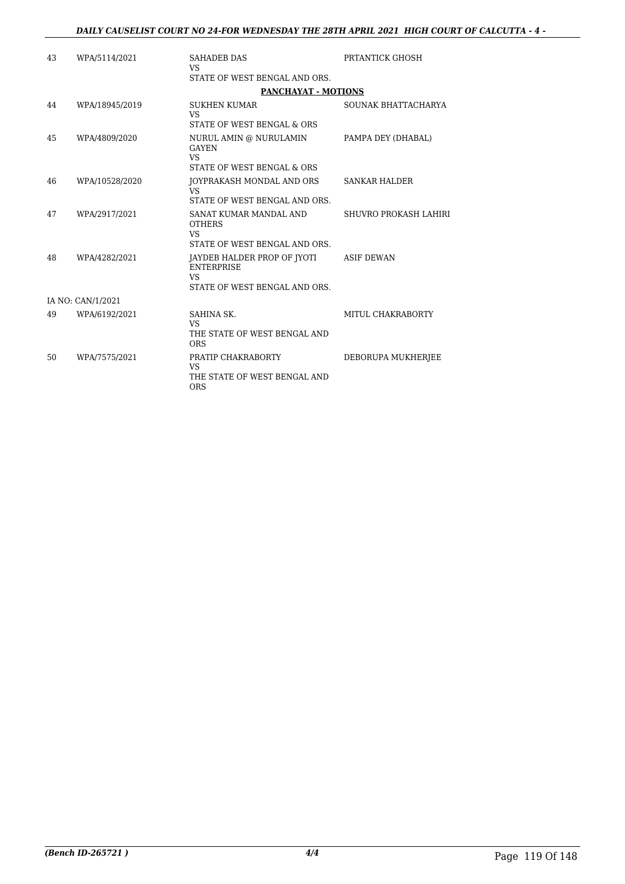| 43 | WPA/5114/2021     | <b>SAHADEB DAS</b><br>VS.                                                                      | PRTANTICK GHOSH       |
|----|-------------------|------------------------------------------------------------------------------------------------|-----------------------|
|    |                   | STATE OF WEST BENGAL AND ORS.                                                                  |                       |
|    |                   | PANCHAYAT - MOTIONS                                                                            |                       |
| 44 | WPA/18945/2019    | <b>SUKHEN KUMAR</b><br><b>VS</b><br>STATE OF WEST BENGAL & ORS                                 | SOUNAK BHATTACHARYA   |
| 45 | WPA/4809/2020     | NURUL AMIN @ NURULAMIN<br><b>GAYEN</b><br><b>VS</b><br>STATE OF WEST BENGAL & ORS              | PAMPA DEY (DHABAL)    |
| 46 | WPA/10528/2020    | JOYPRAKASH MONDAL AND ORS<br><b>VS</b><br>STATE OF WEST BENGAL AND ORS.                        | <b>SANKAR HALDER</b>  |
| 47 | WPA/2917/2021     | SANAT KUMAR MANDAL AND<br><b>OTHERS</b><br>VS.<br>STATE OF WEST BENGAL AND ORS.                | SHUVRO PROKASH LAHIRI |
| 48 | WPA/4282/2021     | JAYDEB HALDER PROP OF JYOTI<br><b>ENTERPRISE</b><br><b>VS</b><br>STATE OF WEST BENGAL AND ORS. | <b>ASIF DEWAN</b>     |
|    | IA NO: CAN/1/2021 |                                                                                                |                       |
| 49 | WPA/6192/2021     | SAHINA SK.<br><b>VS</b><br>THE STATE OF WEST BENGAL AND<br><b>ORS</b>                          | MITUL CHAKRABORTY     |
| 50 | WPA/7575/2021     | PRATIP CHAKRABORTY<br>VS.<br>THE STATE OF WEST BENGAL AND<br><b>ORS</b>                        | DEBORUPA MUKHERJEE    |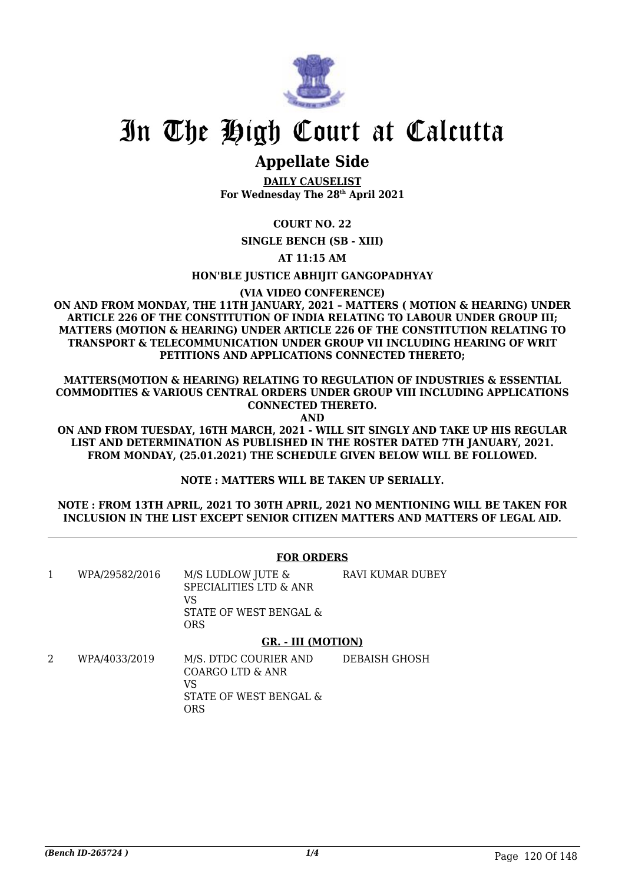

## **Appellate Side**

**DAILY CAUSELIST For Wednesday The 28th April 2021**

#### **COURT NO. 22**

**SINGLE BENCH (SB - XIII)**

**AT 11:15 AM**

**HON'BLE JUSTICE ABHIJIT GANGOPADHYAY**

#### **(VIA VIDEO CONFERENCE)**

**ON AND FROM MONDAY, THE 11TH JANUARY, 2021 – MATTERS ( MOTION & HEARING) UNDER ARTICLE 226 OF THE CONSTITUTION OF INDIA RELATING TO LABOUR UNDER GROUP III; MATTERS (MOTION & HEARING) UNDER ARTICLE 226 OF THE CONSTITUTION RELATING TO TRANSPORT & TELECOMMUNICATION UNDER GROUP VII INCLUDING HEARING OF WRIT PETITIONS AND APPLICATIONS CONNECTED THERETO;**

**MATTERS(MOTION & HEARING) RELATING TO REGULATION OF INDUSTRIES & ESSENTIAL COMMODITIES & VARIOUS CENTRAL ORDERS UNDER GROUP VIII INCLUDING APPLICATIONS CONNECTED THERETO.**

**AND**

**ON AND FROM TUESDAY, 16TH MARCH, 2021 - WILL SIT SINGLY AND TAKE UP HIS REGULAR LIST AND DETERMINATION AS PUBLISHED IN THE ROSTER DATED 7TH JANUARY, 2021. FROM MONDAY, (25.01.2021) THE SCHEDULE GIVEN BELOW WILL BE FOLLOWED.**

**NOTE : MATTERS WILL BE TAKEN UP SERIALLY.**

#### **NOTE : FROM 13TH APRIL, 2021 TO 30TH APRIL, 2021 NO MENTIONING WILL BE TAKEN FOR INCLUSION IN THE LIST EXCEPT SENIOR CITIZEN MATTERS AND MATTERS OF LEGAL AID.**

|   |                | <b>FOR ORDERS</b>                                                                         |                  |
|---|----------------|-------------------------------------------------------------------------------------------|------------------|
| 1 | WPA/29582/2016 | M/S LUDLOW JUTE &<br>SPECIALITIES LTD & ANR<br>VS<br>STATE OF WEST BENGAL &<br><b>ORS</b> | RAVI KUMAR DUBEY |
|   |                | <b>GR.</b> - III (MOTION)                                                                 |                  |
| 2 | WPA/4033/2019  | M/S. DTDC COURIER AND<br>COARGO LTD & ANR<br>VS<br>STATE OF WEST BENGAL &                 | DEBAISH GHOSH    |

ORS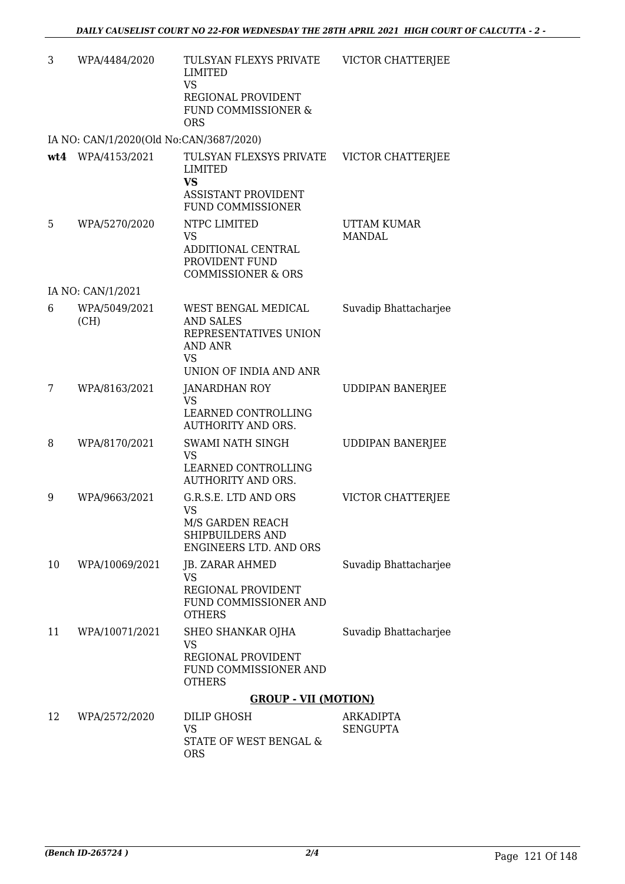| 3   | WPA/4484/2020                           | TULSYAN FLEXYS PRIVATE<br><b>LIMITED</b><br><b>VS</b><br>REGIONAL PROVIDENT<br>FUND COMMISSIONER &<br><b>ORS</b>          | <b>VICTOR CHATTERJEE</b>            |
|-----|-----------------------------------------|---------------------------------------------------------------------------------------------------------------------------|-------------------------------------|
|     | IA NO: CAN/1/2020(Old No:CAN/3687/2020) |                                                                                                                           |                                     |
| wt4 | WPA/4153/2021                           | TULSYAN FLEXSYS PRIVATE<br><b>LIMITED</b><br><b>VS</b><br><b>ASSISTANT PROVIDENT</b><br><b>FUND COMMISSIONER</b>          | VICTOR CHATTERJEE                   |
| 5   | WPA/5270/2020                           | NTPC LIMITED<br><b>VS</b><br>ADDITIONAL CENTRAL<br>PROVIDENT FUND<br><b>COMMISSIONER &amp; ORS</b>                        | <b>UTTAM KUMAR</b><br><b>MANDAL</b> |
|     | IA NO: CAN/1/2021                       |                                                                                                                           |                                     |
| 6   | WPA/5049/2021<br>(CH)                   | WEST BENGAL MEDICAL<br><b>AND SALES</b><br>REPRESENTATIVES UNION<br><b>AND ANR</b><br><b>VS</b><br>UNION OF INDIA AND ANR | Suvadip Bhattacharjee               |
| 7   | WPA/8163/2021                           | <b>JANARDHAN ROY</b><br><b>VS</b><br>LEARNED CONTROLLING<br><b>AUTHORITY AND ORS.</b>                                     | <b>UDDIPAN BANERJEE</b>             |
| 8   | WPA/8170/2021                           | SWAMI NATH SINGH<br><b>VS</b><br>LEARNED CONTROLLING<br><b>AUTHORITY AND ORS.</b>                                         | <b>UDDIPAN BANERJEE</b>             |
| 9   | WPA/9663/2021                           | G.R.S.E. LTD AND ORS<br><b>VS</b><br>M/S GARDEN REACH<br>SHIPBUILDERS AND<br>ENGINEERS LTD. AND ORS                       | VICTOR CHATTERJEE                   |
| 10  | WPA/10069/2021                          | JB. ZARAR AHMED<br>VS<br>REGIONAL PROVIDENT<br>FUND COMMISSIONER AND<br><b>OTHERS</b>                                     | Suvadip Bhattacharjee               |
| 11  | WPA/10071/2021                          | SHEO SHANKAR OJHA<br><b>VS</b><br>REGIONAL PROVIDENT<br>FUND COMMISSIONER AND<br><b>OTHERS</b>                            | Suvadip Bhattacharjee               |
|     |                                         | <b>GROUP - VII (MOTION)</b>                                                                                               |                                     |
| 12  | WPA/2572/2020                           | <b>DILIP GHOSH</b><br>VS<br>STATE OF WEST BENGAL &<br><b>ORS</b>                                                          | ARKADIPTA<br><b>SENGUPTA</b>        |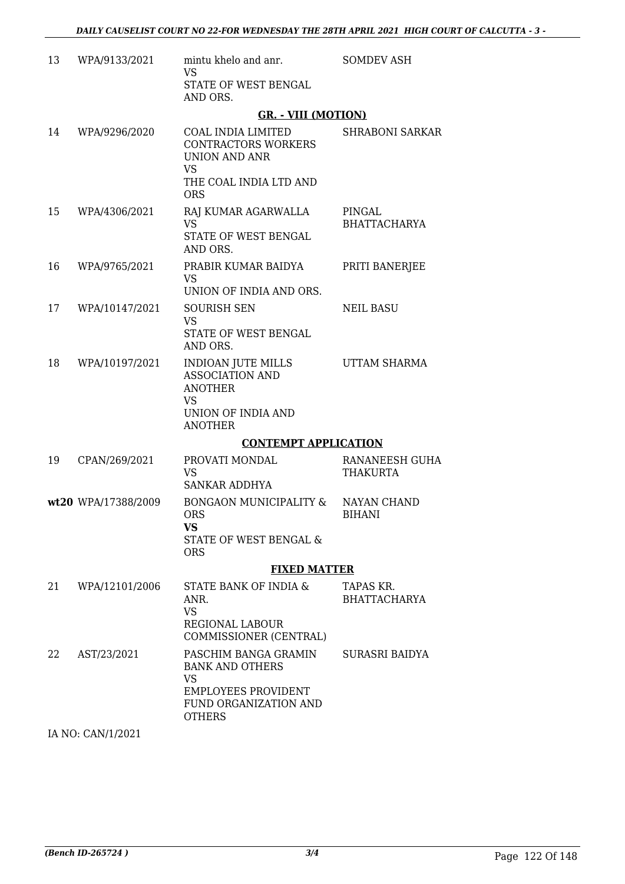| 13 | WPA/9133/2021       | mintu khelo and anr.<br><b>VS</b>                                                                                                   | <b>SOMDEV ASH</b>                |
|----|---------------------|-------------------------------------------------------------------------------------------------------------------------------------|----------------------------------|
|    |                     | STATE OF WEST BENGAL<br>AND ORS.                                                                                                    |                                  |
|    |                     | <b>GR. - VIII (MOTION)</b>                                                                                                          |                                  |
| 14 | WPA/9296/2020       | COAL INDIA LIMITED<br><b>CONTRACTORS WORKERS</b><br><b>UNION AND ANR</b><br><b>VS</b><br>THE COAL INDIA LTD AND<br><b>ORS</b>       | SHRABONI SARKAR                  |
| 15 | WPA/4306/2021       | RAJ KUMAR AGARWALLA<br><b>VS</b><br>STATE OF WEST BENGAL<br>AND ORS.                                                                | PINGAL<br><b>BHATTACHARYA</b>    |
| 16 | WPA/9765/2021       | PRABIR KUMAR BAIDYA<br><b>VS</b><br>UNION OF INDIA AND ORS.                                                                         | PRITI BANERJEE                   |
| 17 | WPA/10147/2021      | <b>SOURISH SEN</b><br><b>VS</b><br>STATE OF WEST BENGAL<br>AND ORS.                                                                 | <b>NEIL BASU</b>                 |
| 18 | WPA/10197/2021      | INDIOAN JUTE MILLS<br><b>ASSOCIATION AND</b><br><b>ANOTHER</b><br><b>VS</b><br>UNION OF INDIA AND<br><b>ANOTHER</b>                 | <b>UTTAM SHARMA</b>              |
|    |                     | <b>CONTEMPT APPLICATION</b>                                                                                                         |                                  |
| 19 | CPAN/269/2021       | PROVATI MONDAL<br><b>VS</b><br>SANKAR ADDHYA                                                                                        | RANANEESH GUHA<br>THAKURTA       |
|    | wt20 WPA/17388/2009 | BONGAON MUNICIPALITY &<br><b>ORS</b><br><b>VS</b>                                                                                   | NAYAN CHAND<br><b>BIHANI</b>     |
|    |                     | STATE OF WEST BENGAL &<br><b>ORS</b>                                                                                                |                                  |
|    |                     | <b>FIXED MATTER</b>                                                                                                                 |                                  |
| 21 | WPA/12101/2006      | STATE BANK OF INDIA $\kappa$<br>ANR.<br><b>VS</b><br><b>REGIONAL LABOUR</b><br>COMMISSIONER (CENTRAL)                               | TAPAS KR.<br><b>BHATTACHARYA</b> |
| 22 | AST/23/2021         | PASCHIM BANGA GRAMIN<br><b>BANK AND OTHERS</b><br><b>VS</b><br><b>EMPLOYEES PROVIDENT</b><br>FUND ORGANIZATION AND<br><b>OTHERS</b> | SURASRI BAIDYA                   |

IA NO: CAN/1/2021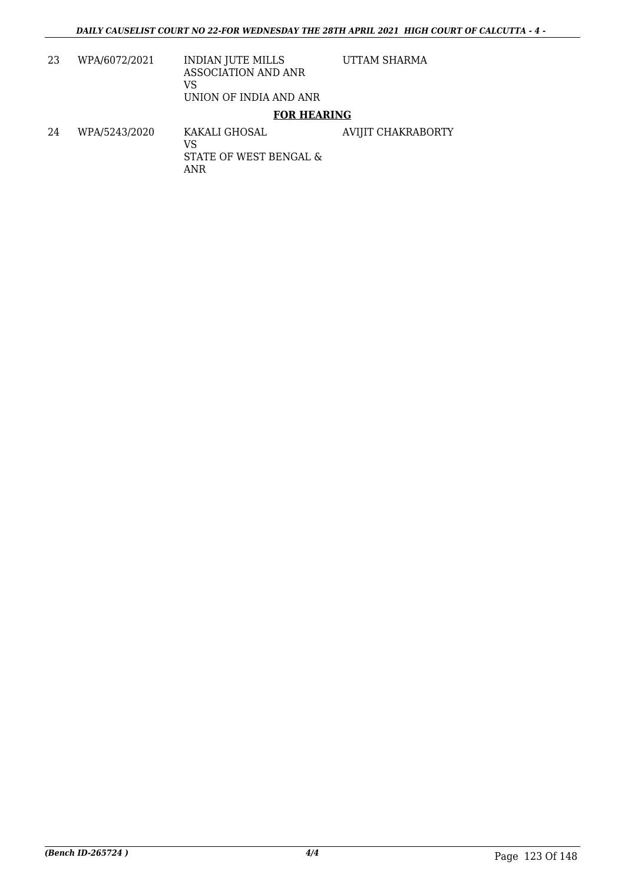| 23 | WPA/6072/2021 | <b>INDIAN JUTE MILLS</b><br>ASSOCIATION AND ANR<br>VS<br>UNION OF INDIA AND ANR | UTTAM SHARMA              |
|----|---------------|---------------------------------------------------------------------------------|---------------------------|
|    |               | <b>FOR HEARING</b>                                                              |                           |
| 24 | WPA/5243/2020 | KAKALI GHOSAL<br>VS<br>STATE OF WEST BENGAL &                                   | <b>AVIJIT CHAKRABORTY</b> |

ANR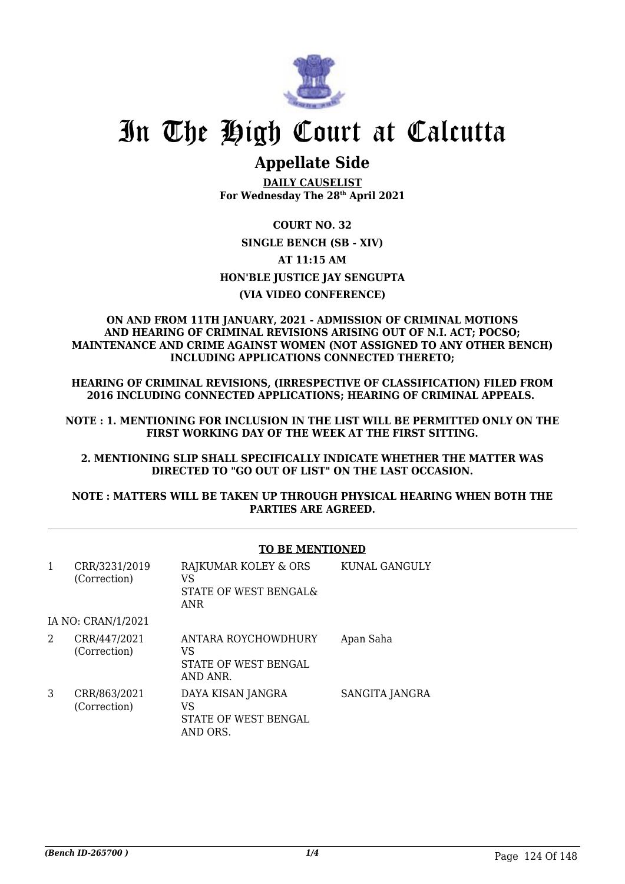

## **Appellate Side**

**DAILY CAUSELIST For Wednesday The 28th April 2021**

### **COURT NO. 32 SINGLE BENCH (SB - XIV) AT 11:15 AM HON'BLE JUSTICE JAY SENGUPTA (VIA VIDEO CONFERENCE)**

#### **ON AND FROM 11TH JANUARY, 2021 - ADMISSION OF CRIMINAL MOTIONS AND HEARING OF CRIMINAL REVISIONS ARISING OUT OF N.I. ACT; POCSO; MAINTENANCE AND CRIME AGAINST WOMEN (NOT ASSIGNED TO ANY OTHER BENCH) INCLUDING APPLICATIONS CONNECTED THERETO;**

**HEARING OF CRIMINAL REVISIONS, (IRRESPECTIVE OF CLASSIFICATION) FILED FROM 2016 INCLUDING CONNECTED APPLICATIONS; HEARING OF CRIMINAL APPEALS.** 

**NOTE : 1. MENTIONING FOR INCLUSION IN THE LIST WILL BE PERMITTED ONLY ON THE FIRST WORKING DAY OF THE WEEK AT THE FIRST SITTING.**

**2. MENTIONING SLIP SHALL SPECIFICALLY INDICATE WHETHER THE MATTER WAS DIRECTED TO "GO OUT OF LIST" ON THE LAST OCCASION.**

**NOTE : MATTERS WILL BE TAKEN UP THROUGH PHYSICAL HEARING WHEN BOTH THE PARTIES ARE AGREED.**

#### **TO BE MENTIONED**

| 1 | CRR/3231/2019<br>(Correction) | RAJKUMAR KOLEY & ORS<br>VS<br>STATE OF WEST BENGAL&<br>ANR    | KUNAL GANGULY  |
|---|-------------------------------|---------------------------------------------------------------|----------------|
|   | IA NO: CRAN/1/2021            |                                                               |                |
| 2 | CRR/447/2021<br>(Correction)  | ANTARA ROYCHOWDHURY<br>VS<br>STATE OF WEST BENGAL<br>AND ANR. | Apan Saha      |
| 3 | CRR/863/2021<br>(Correction)  | DAYA KISAN JANGRA<br>VS<br>STATE OF WEST BENGAL<br>AND ORS.   | SANGITA JANGRA |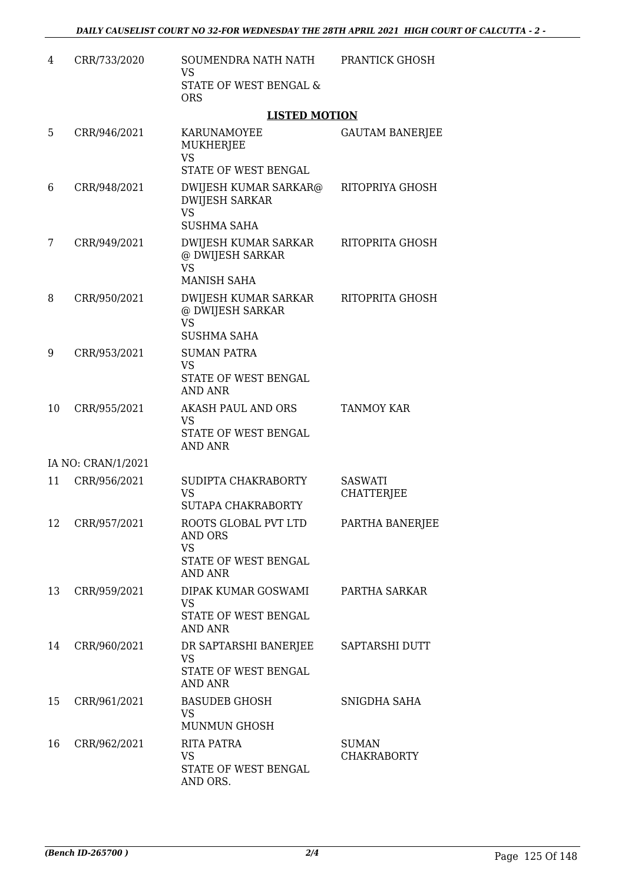| 4  | CRR/733/2020       | SOUMENDRA NATH NATH<br><b>VS</b><br>STATE OF WEST BENGAL &<br><b>ORS</b>          | PRANTICK GHOSH                      |
|----|--------------------|-----------------------------------------------------------------------------------|-------------------------------------|
|    |                    | <b>LISTED MOTION</b>                                                              |                                     |
| 5  | CRR/946/2021       | KARUNAMOYEE<br>MUKHERJEE<br><b>VS</b><br>STATE OF WEST BENGAL                     | <b>GAUTAM BANERJEE</b>              |
| 6  | CRR/948/2021       | DWIJESH KUMAR SARKAR@<br><b>DWIJESH SARKAR</b><br><b>VS</b><br><b>SUSHMA SAHA</b> | RITOPRIYA GHOSH                     |
| 7  | CRR/949/2021       | DWIJESH KUMAR SARKAR<br>@ DWIJESH SARKAR<br><b>VS</b><br><b>MANISH SAHA</b>       | RITOPRITA GHOSH                     |
| 8  | CRR/950/2021       | DWIJESH KUMAR SARKAR<br>@ DWIJESH SARKAR<br><b>VS</b><br><b>SUSHMA SAHA</b>       | RITOPRITA GHOSH                     |
| 9  | CRR/953/2021       | <b>SUMAN PATRA</b><br><b>VS</b><br>STATE OF WEST BENGAL<br><b>AND ANR</b>         |                                     |
| 10 | CRR/955/2021       | AKASH PAUL AND ORS<br><b>VS</b><br>STATE OF WEST BENGAL<br><b>AND ANR</b>         | <b>TANMOY KAR</b>                   |
|    | IA NO: CRAN/1/2021 |                                                                                   |                                     |
| 11 | CRR/956/2021       | SUDIPTA CHAKRABORTY<br><b>VS</b><br>SUTAPA CHAKRABORTY                            | <b>SASWATI</b><br><b>CHATTERJEE</b> |
| 12 | CRR/957/2021       | ROOTS GLOBAL PVT LTD<br>AND ORS<br><b>VS</b><br>STATE OF WEST BENGAL<br>AND ANR   | PARTHA BANERJEE                     |
| 13 | CRR/959/2021       | DIPAK KUMAR GOSWAMI<br><b>VS</b><br>STATE OF WEST BENGAL<br><b>AND ANR</b>        | PARTHA SARKAR                       |
| 14 | CRR/960/2021       | DR SAPTARSHI BANERJEE<br><b>VS</b><br>STATE OF WEST BENGAL<br><b>AND ANR</b>      | SAPTARSHI DUTT                      |
| 15 | CRR/961/2021       | <b>BASUDEB GHOSH</b><br><b>VS</b><br>MUNMUN GHOSH                                 | SNIGDHA SAHA                        |
| 16 | CRR/962/2021       | <b>RITA PATRA</b><br><b>VS</b><br>STATE OF WEST BENGAL<br>AND ORS.                | <b>SUMAN</b><br><b>CHAKRABORTY</b>  |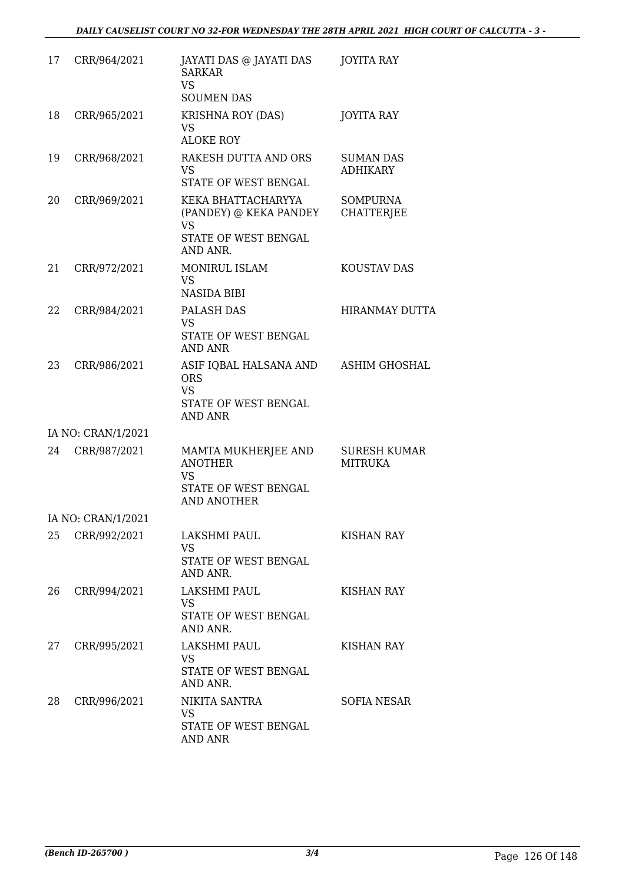| 17 | CRR/964/2021       | JAYATI DAS @ JAYATI DAS<br><b>SARKAR</b><br><b>VS</b><br><b>SOUMEN DAS</b>                       | <b>JOYITA RAY</b>                     |
|----|--------------------|--------------------------------------------------------------------------------------------------|---------------------------------------|
| 18 | CRR/965/2021       | <b>KRISHNA ROY (DAS)</b><br><b>VS</b><br><b>ALOKE ROY</b>                                        | <b>JOYITA RAY</b>                     |
| 19 | CRR/968/2021       | RAKESH DUTTA AND ORS<br><b>VS</b><br>STATE OF WEST BENGAL                                        | <b>SUMAN DAS</b><br><b>ADHIKARY</b>   |
| 20 | CRR/969/2021       | KEKA BHATTACHARYYA<br>(PANDEY) @ KEKA PANDEY<br>VS.<br>STATE OF WEST BENGAL<br>AND ANR.          | <b>SOMPURNA</b><br><b>CHATTERJEE</b>  |
| 21 | CRR/972/2021       | MONIRUL ISLAM<br><b>VS</b><br><b>NASIDA BIBI</b>                                                 | <b>KOUSTAV DAS</b>                    |
| 22 | CRR/984/2021       | PALASH DAS<br><b>VS</b><br>STATE OF WEST BENGAL<br><b>AND ANR</b>                                | <b>HIRANMAY DUTTA</b>                 |
| 23 | CRR/986/2021       | ASIF IQBAL HALSANA AND<br><b>ORS</b><br><b>VS</b><br>STATE OF WEST BENGAL<br><b>AND ANR</b>      | <b>ASHIM GHOSHAL</b>                  |
|    | IA NO: CRAN/1/2021 |                                                                                                  |                                       |
| 24 | CRR/987/2021       | MAMTA MUKHERJEE AND<br><b>ANOTHER</b><br><b>VS</b><br>STATE OF WEST BENGAL<br><b>AND ANOTHER</b> | <b>SURESH KUMAR</b><br><b>MITRUKA</b> |
|    | IA NO: CRAN/1/2021 |                                                                                                  |                                       |
|    | 25 CRR/992/2021    | LAKSHMI PAUL<br><b>VS</b><br>STATE OF WEST BENGAL<br>AND ANR.                                    | KISHAN RAY                            |
| 26 | CRR/994/2021       | LAKSHMI PAUL<br>VS.<br>STATE OF WEST BENGAL<br>AND ANR.                                          | KISHAN RAY                            |
| 27 | CRR/995/2021       | <b>LAKSHMI PAUL</b><br>VS.<br>STATE OF WEST BENGAL<br>AND ANR.                                   | <b>KISHAN RAY</b>                     |
| 28 | CRR/996/2021       | NIKITA SANTRA<br><b>VS</b><br>STATE OF WEST BENGAL<br>AND ANR                                    | <b>SOFIA NESAR</b>                    |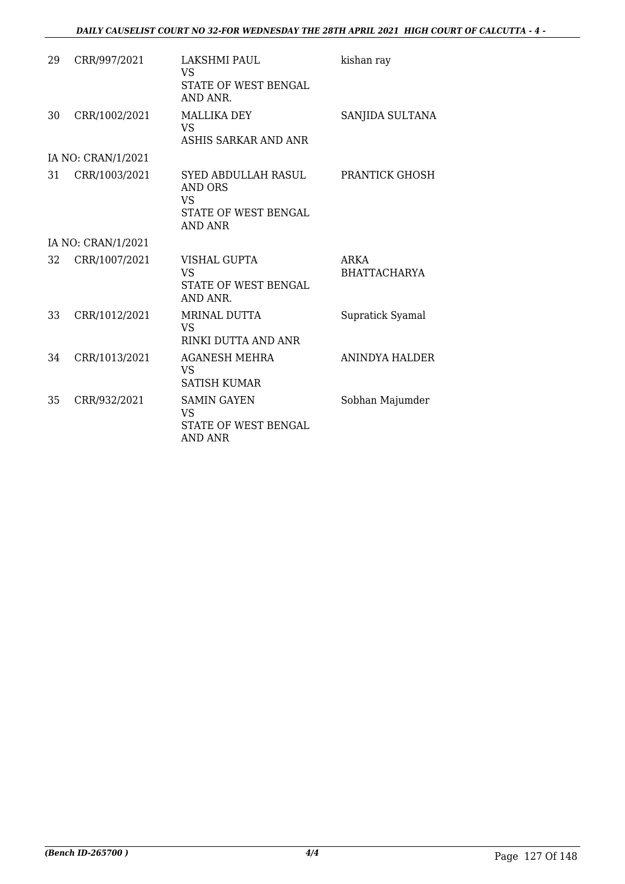| 29 | CRR/997/2021       | LAKSHMI PAUL<br>VS<br>STATE OF WEST BENGAL<br>AND ANR.                                              | kishan ray                  |
|----|--------------------|-----------------------------------------------------------------------------------------------------|-----------------------------|
| 30 | CRR/1002/2021      | <b>MALLIKA DEY</b><br><b>VS</b><br>ASHIS SARKAR AND ANR                                             | SANJIDA SULTANA             |
|    | IA NO: CRAN/1/2021 |                                                                                                     |                             |
| 31 | CRR/1003/2021      | SYED ABDULLAH RASUL<br><b>AND ORS</b><br><b>VS</b><br><b>STATE OF WEST BENGAL</b><br><b>AND ANR</b> | <b>PRANTICK GHOSH</b>       |
|    | IA NO: CRAN/1/2021 |                                                                                                     |                             |
| 32 | CRR/1007/2021      | <b>VISHAL GUPTA</b><br>VS<br>STATE OF WEST BENGAL<br>AND ANR.                                       | ARKA<br><b>BHATTACHARYA</b> |
| 33 | CRR/1012/2021      |                                                                                                     |                             |
|    |                    | MRINAL DUTTA<br><b>VS</b><br>RINKI DUTTA AND ANR                                                    | Supratick Syamal            |
| 34 | CRR/1013/2021      | <b>AGANESH MEHRA</b><br><b>VS</b><br><b>SATISH KUMAR</b>                                            | ANINDYA HALDER              |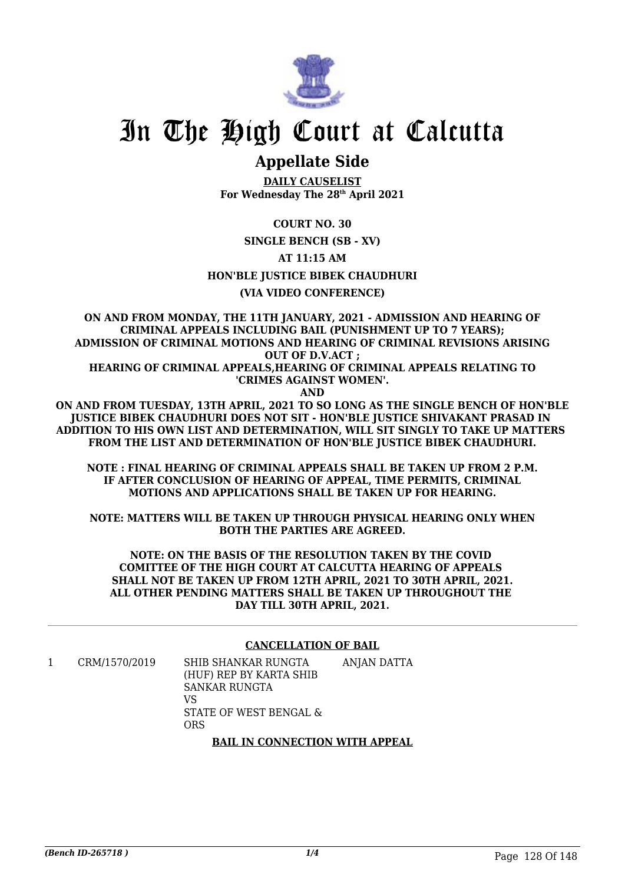

## **Appellate Side**

**DAILY CAUSELIST For Wednesday The 28th April 2021**

**COURT NO. 30**

**SINGLE BENCH (SB - XV)**

**AT 11:15 AM**

**HON'BLE JUSTICE BIBEK CHAUDHURI**

#### **(VIA VIDEO CONFERENCE)**

**ON AND FROM MONDAY, THE 11TH JANUARY, 2021 - ADMISSION AND HEARING OF CRIMINAL APPEALS INCLUDING BAIL (PUNISHMENT UP TO 7 YEARS); ADMISSION OF CRIMINAL MOTIONS AND HEARING OF CRIMINAL REVISIONS ARISING OUT OF D.V.ACT ;**

**HEARING OF CRIMINAL APPEALS,HEARING OF CRIMINAL APPEALS RELATING TO 'CRIMES AGAINST WOMEN'.**

**AND**

**ON AND FROM TUESDAY, 13TH APRIL, 2021 TO SO LONG AS THE SINGLE BENCH OF HON'BLE JUSTICE BIBEK CHAUDHURI DOES NOT SIT - HON'BLE JUSTICE SHIVAKANT PRASAD IN ADDITION TO HIS OWN LIST AND DETERMINATION, WILL SIT SINGLY TO TAKE UP MATTERS FROM THE LIST AND DETERMINATION OF HON'BLE JUSTICE BIBEK CHAUDHURI.**

**NOTE : FINAL HEARING OF CRIMINAL APPEALS SHALL BE TAKEN UP FROM 2 P.M. IF AFTER CONCLUSION OF HEARING OF APPEAL, TIME PERMITS, CRIMINAL MOTIONS AND APPLICATIONS SHALL BE TAKEN UP FOR HEARING.**

**NOTE: MATTERS WILL BE TAKEN UP THROUGH PHYSICAL HEARING ONLY WHEN BOTH THE PARTIES ARE AGREED.**

**NOTE: ON THE BASIS OF THE RESOLUTION TAKEN BY THE COVID COMITTEE OF THE HIGH COURT AT CALCUTTA HEARING OF APPEALS SHALL NOT BE TAKEN UP FROM 12TH APRIL, 2021 TO 30TH APRIL, 2021. ALL OTHER PENDING MATTERS SHALL BE TAKEN UP THROUGHOUT THE DAY TILL 30TH APRIL, 2021.**

#### **CANCELLATION OF BAIL**

1 CRM/1570/2019 SHIB SHANKAR RUNGTA (HUF) REP BY KARTA SHIB SANKAR RUNGTA VS STATE OF WEST BENGAL & ORS ANJAN DATTA

#### **BAIL IN CONNECTION WITH APPEAL**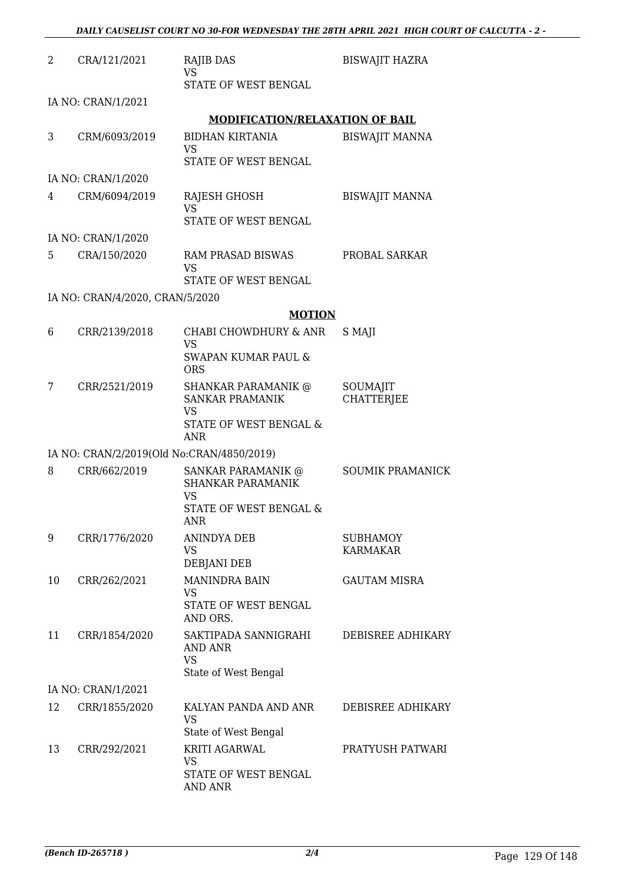| 2  | CRA/121/2021                    | RAJIB DAS<br><b>VS</b>                                                                             | <b>BISWAJIT HAZRA</b>              |
|----|---------------------------------|----------------------------------------------------------------------------------------------------|------------------------------------|
|    |                                 | STATE OF WEST BENGAL                                                                               |                                    |
|    | IA NO: CRAN/1/2021              |                                                                                                    |                                    |
|    |                                 | <b>MODIFICATION/RELAXATION OF BAIL</b>                                                             |                                    |
| 3  | CRM/6093/2019                   | <b>BIDHAN KIRTANIA</b><br><b>VS</b><br>STATE OF WEST BENGAL                                        | <b>BISWAJIT MANNA</b>              |
|    | IA NO: CRAN/1/2020              |                                                                                                    |                                    |
| 4  | CRM/6094/2019                   | RAJESH GHOSH                                                                                       | <b>BISWAJIT MANNA</b>              |
|    |                                 | <b>VS</b><br>STATE OF WEST BENGAL                                                                  |                                    |
|    | IA NO: CRAN/1/2020              |                                                                                                    |                                    |
| 5  | CRA/150/2020                    | RAM PRASAD BISWAS<br><b>VS</b>                                                                     | PROBAL SARKAR                      |
|    |                                 | STATE OF WEST BENGAL                                                                               |                                    |
|    | IA NO: CRAN/4/2020, CRAN/5/2020 |                                                                                                    |                                    |
|    |                                 | <b>MOTION</b>                                                                                      |                                    |
| 6  | CRR/2139/2018                   | CHABI CHOWDHURY & ANR<br><b>VS</b>                                                                 | S MAJI                             |
|    |                                 | <b>SWAPAN KUMAR PAUL &amp;</b><br><b>ORS</b>                                                       |                                    |
| 7  | CRR/2521/2019                   | SHANKAR PARAMANIK @<br><b>SANKAR PRAMANIK</b><br><b>VS</b><br>STATE OF WEST BENGAL &<br><b>ANR</b> | SOUMAJIT<br><b>CHATTERJEE</b>      |
|    |                                 | IA NO: CRAN/2/2019(Old No:CRAN/4850/2019)                                                          |                                    |
| 8  | CRR/662/2019                    | SANKAR PARAMANIK @<br>SHANKAR PARAMANIK<br><b>VS</b><br>STATE OF WEST BENGAL &<br>ANR              | <b>SOUMIK PRAMANICK</b>            |
| 9  | CRR/1776/2020                   | ANINDYA DEB<br><b>VS</b><br>DEBJANI DEB                                                            | <b>SUBHAMOY</b><br><b>KARMAKAR</b> |
| 10 | CRR/262/2021                    | <b>MANINDRA BAIN</b><br><b>VS</b><br>STATE OF WEST BENGAL<br>AND ORS.                              | <b>GAUTAM MISRA</b>                |
| 11 | CRR/1854/2020                   | SAKTIPADA SANNIGRAHI<br><b>AND ANR</b><br><b>VS</b><br>State of West Bengal                        | DEBISREE ADHIKARY                  |
|    | IA NO: CRAN/1/2021              |                                                                                                    |                                    |
| 12 | CRR/1855/2020                   | KALYAN PANDA AND ANR<br><b>VS</b>                                                                  | DEBISREE ADHIKARY                  |
|    |                                 | State of West Bengal                                                                               |                                    |
| 13 | CRR/292/2021                    | KRITI AGARWAL<br><b>VS</b><br>STATE OF WEST BENGAL<br>AND ANR                                      | PRATYUSH PATWARI                   |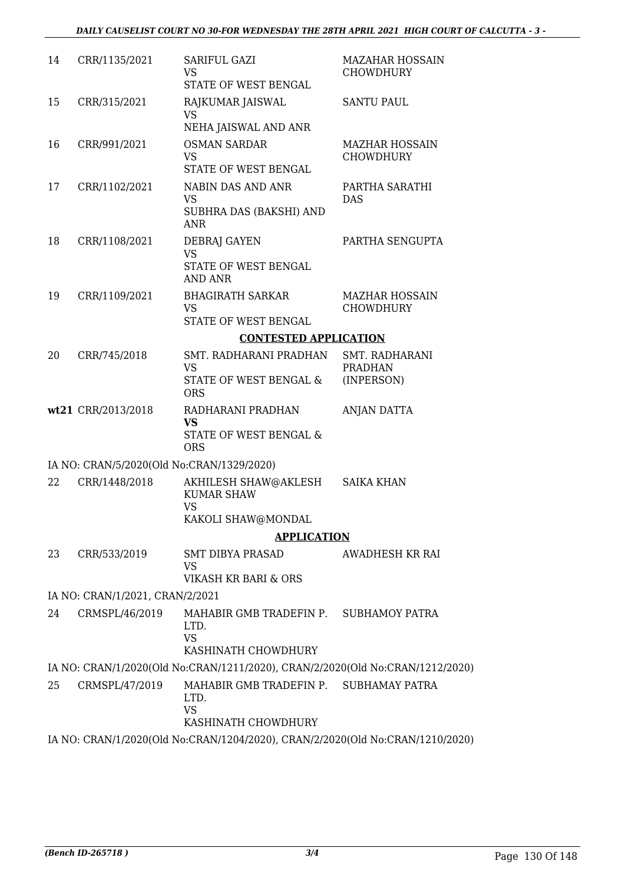| 14 | CRR/1135/2021                             | SARIFUL GAZI<br><b>VS</b><br>STATE OF WEST BENGAL                                  | <b>MAZAHAR HOSSAIN</b><br><b>CHOWDHURY</b> |
|----|-------------------------------------------|------------------------------------------------------------------------------------|--------------------------------------------|
| 15 | CRR/315/2021                              | RAJKUMAR JAISWAL<br><b>VS</b>                                                      | <b>SANTU PAUL</b>                          |
|    |                                           | NEHA JAISWAL AND ANR                                                               |                                            |
| 16 | CRR/991/2021                              | <b>OSMAN SARDAR</b><br><b>VS</b><br>STATE OF WEST BENGAL                           | <b>MAZHAR HOSSAIN</b><br><b>CHOWDHURY</b>  |
| 17 | CRR/1102/2021                             | NABIN DAS AND ANR<br><b>VS</b><br>SUBHRA DAS (BAKSHI) AND<br><b>ANR</b>            | PARTHA SARATHI<br><b>DAS</b>               |
| 18 | CRR/1108/2021                             | DEBRAJ GAYEN<br><b>VS</b><br>STATE OF WEST BENGAL<br><b>AND ANR</b>                | PARTHA SENGUPTA                            |
| 19 | CRR/1109/2021                             | <b>BHAGIRATH SARKAR</b><br><b>VS</b>                                               | <b>MAZHAR HOSSAIN</b><br><b>CHOWDHURY</b>  |
|    |                                           | STATE OF WEST BENGAL                                                               |                                            |
|    |                                           | <b>CONTESTED APPLICATION</b>                                                       |                                            |
| 20 | CRR/745/2018                              | SMT. RADHARANI PRADHAN<br><b>VS</b>                                                | SMT. RADHARANI<br><b>PRADHAN</b>           |
|    |                                           | STATE OF WEST BENGAL &<br><b>ORS</b>                                               | (INPERSON)                                 |
|    | wt21 CRR/2013/2018                        | RADHARANI PRADHAN<br>VS<br>STATE OF WEST BENGAL &<br><b>ORS</b>                    | ANJAN DATTA                                |
|    | IA NO: CRAN/5/2020(Old No:CRAN/1329/2020) |                                                                                    |                                            |
| 22 | CRR/1448/2018                             | AKHILESH SHAW@AKLESH<br><b>KUMAR SHAW</b><br><b>VS</b>                             | <b>SAIKA KHAN</b>                          |
|    |                                           | KAKOLI SHAW@MONDAL                                                                 |                                            |
|    |                                           | <b>APPLICATION</b>                                                                 |                                            |
| 23 | CRR/533/2019                              | SMT DIBYA PRASAD<br><b>VS</b><br>VIKASH KR BARI & ORS                              | AWADHESH KR RAI                            |
|    | IA NO: CRAN/1/2021, CRAN/2/2021           |                                                                                    |                                            |
| 24 | CRMSPL/46/2019                            | MAHABIR GMB TRADEFIN P. SUBHAMOY PATRA<br>LTD.<br><b>VS</b><br>KASHINATH CHOWDHURY |                                            |
|    |                                           | IA NO: CRAN/1/2020(Old No:CRAN/1211/2020), CRAN/2/2020(Old No:CRAN/1212/2020)      |                                            |
| 25 | CRMSPL/47/2019                            | MAHABIR GMB TRADEFIN P. SUBHAMAY PATRA<br>LTD.<br><b>VS</b><br>KASHINATH CHOWDHURY |                                            |
|    |                                           | IA NO: CRAN/1/2020(Old No:CRAN/1204/2020), CRAN/2/2020(Old No:CRAN/1210/2020)      |                                            |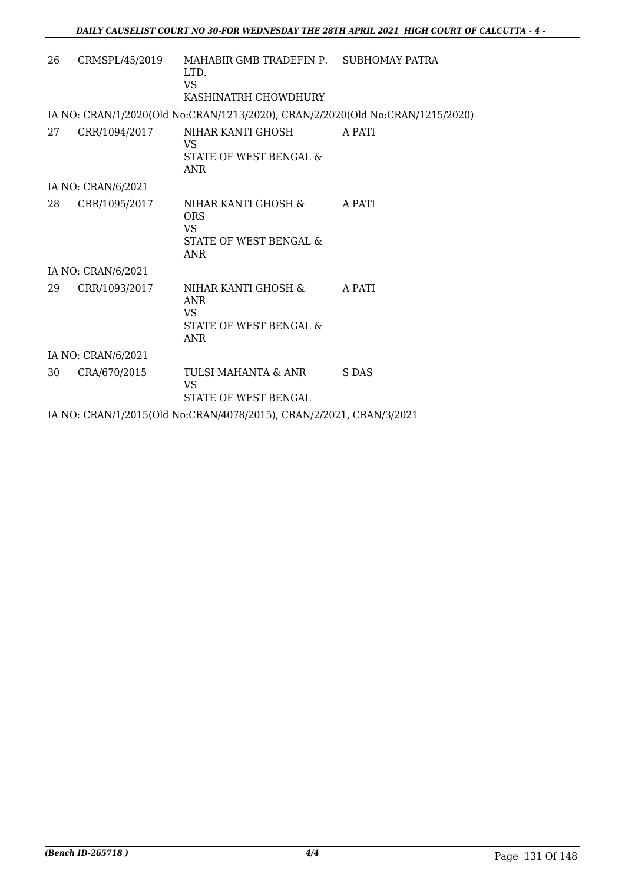| 26                                                                  | CRMSPL/45/2019     | MAHABIR GMB TRADEFIN P. SUBHOMAY PATRA<br>LTD.<br>VS.<br>KASHINATRH CHOWDHURY          |        |  |  |
|---------------------------------------------------------------------|--------------------|----------------------------------------------------------------------------------------|--------|--|--|
|                                                                     |                    | IA NO: CRAN/1/2020(Old No:CRAN/1213/2020), CRAN/2/2020(Old No:CRAN/1215/2020)          |        |  |  |
| 27                                                                  | CRR/1094/2017      | NIHAR KANTI GHOSH<br>VS.<br>STATE OF WEST BENGAL &<br><b>ANR</b>                       | A PATI |  |  |
|                                                                     | IA NO: CRAN/6/2021 |                                                                                        |        |  |  |
| 28                                                                  | CRR/1095/2017      | NIHAR KANTI GHOSH &<br><b>ORS</b><br><b>VS</b><br>STATE OF WEST BENGAL &<br><b>ANR</b> | A PATI |  |  |
|                                                                     | IA NO: CRAN/6/2021 |                                                                                        |        |  |  |
| 29                                                                  | CRR/1093/2017      | NIHAR KANTI GHOSH &<br><b>ANR</b><br>VS.<br>STATE OF WEST BENGAL &<br>ANR              | A PATI |  |  |
|                                                                     | IA NO: CRAN/6/2021 |                                                                                        |        |  |  |
| 30                                                                  | CRA/670/2015       | TULSI MAHANTA & ANR<br>VS<br>STATE OF WEST BENGAL                                      | S DAS  |  |  |
| IA NO: CRAN/1/2015(Old No:CRAN/4078/2015), CRAN/2/2021, CRAN/3/2021 |                    |                                                                                        |        |  |  |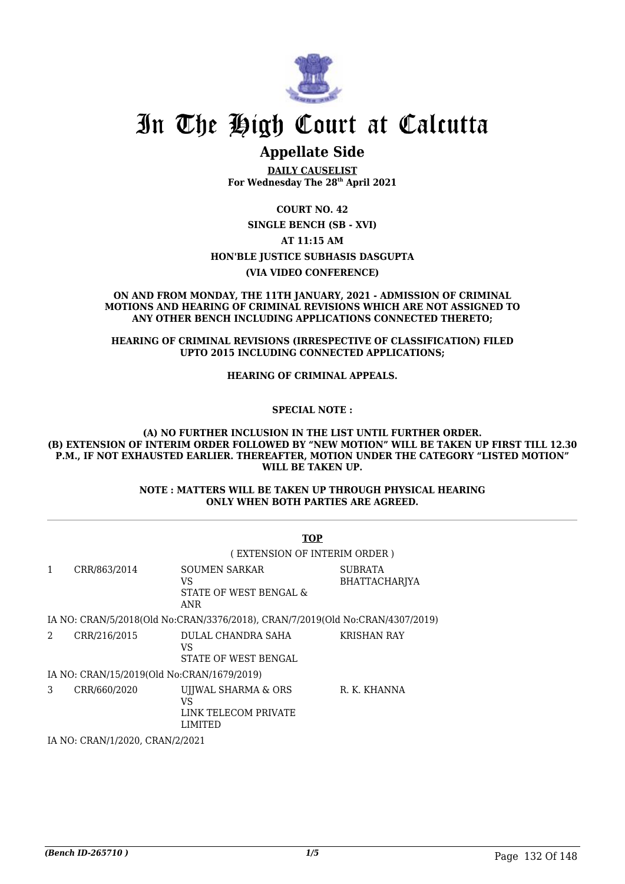

## **Appellate Side**

**DAILY CAUSELIST For Wednesday The 28th April 2021**

**COURT NO. 42**

**SINGLE BENCH (SB - XVI)**

**AT 11:15 AM**

#### **HON'BLE JUSTICE SUBHASIS DASGUPTA**

**(VIA VIDEO CONFERENCE)**

**ON AND FROM MONDAY, THE 11TH JANUARY, 2021 - ADMISSION OF CRIMINAL MOTIONS AND HEARING OF CRIMINAL REVISIONS WHICH ARE NOT ASSIGNED TO ANY OTHER BENCH INCLUDING APPLICATIONS CONNECTED THERETO;**

**HEARING OF CRIMINAL REVISIONS (IRRESPECTIVE OF CLASSIFICATION) FILED UPTO 2015 INCLUDING CONNECTED APPLICATIONS;**

**HEARING OF CRIMINAL APPEALS.**

**SPECIAL NOTE :**

**(A) NO FURTHER INCLUSION IN THE LIST UNTIL FURTHER ORDER. (B) EXTENSION OF INTERIM ORDER FOLLOWED BY "NEW MOTION" WILL BE TAKEN UP FIRST TILL 12.30 P.M., IF NOT EXHAUSTED EARLIER. THEREAFTER, MOTION UNDER THE CATEGORY "LISTED MOTION" WILL BE TAKEN UP.**

> **NOTE : MATTERS WILL BE TAKEN UP THROUGH PHYSICAL HEARING ONLY WHEN BOTH PARTIES ARE AGREED.**

|   |                                 | <b>TOP</b>                                                                    |                                        |
|---|---------------------------------|-------------------------------------------------------------------------------|----------------------------------------|
|   |                                 | (EXTENSION OF INTERIM ORDER)                                                  |                                        |
| 1 | CRR/863/2014                    | <b>SOUMEN SARKAR</b><br>VS<br>STATE OF WEST BENGAL &<br><b>ANR</b>            | <b>SUBRATA</b><br><b>BHATTACHARIYA</b> |
|   |                                 | IA NO: CRAN/5/2018(Old No:CRAN/3376/2018), CRAN/7/2019(Old No:CRAN/4307/2019) |                                        |
| 2 | CRR/216/2015                    | DULAL CHANDRA SAHA<br>VS.<br>STATE OF WEST BENGAL                             | KRISHAN RAY                            |
|   |                                 | IA NO: CRAN/15/2019(Old No:CRAN/1679/2019)                                    |                                        |
| 3 | CRR/660/2020                    | UJJWAL SHARMA & ORS<br>VS.<br>LINK TELECOM PRIVATE<br>LIMITED                 | R. K. KHANNA                           |
|   | IA NO: CRAN/1/2020, CRAN/2/2021 |                                                                               |                                        |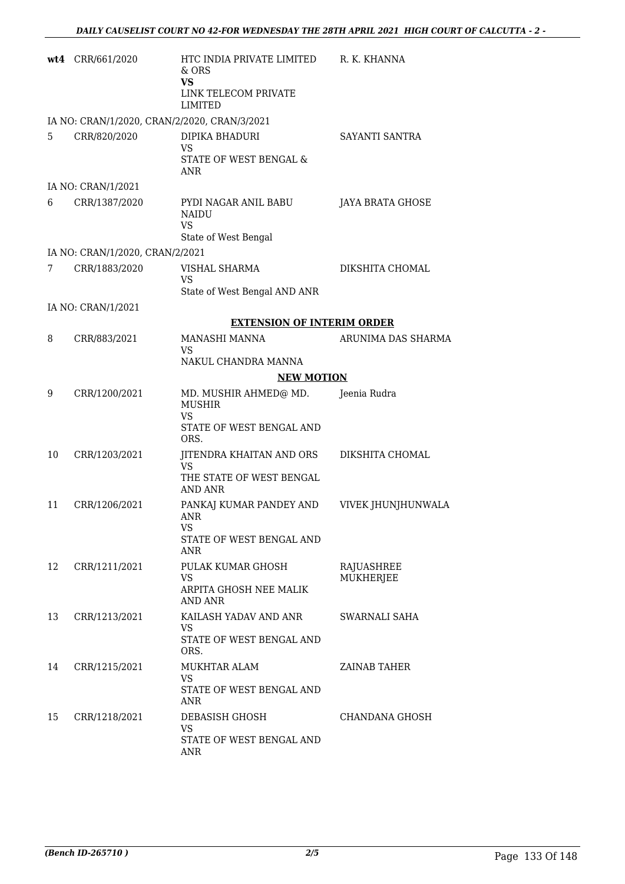|    | wt4 CRR/661/2020                             | HTC INDIA PRIVATE LIMITED<br>$&$ ORS<br><b>VS</b><br>LINK TELECOM PRIVATE<br>LIMITED | R. K. KHANNA            |
|----|----------------------------------------------|--------------------------------------------------------------------------------------|-------------------------|
|    | IA NO: CRAN/1/2020, CRAN/2/2020, CRAN/3/2021 |                                                                                      |                         |
| 5  | CRR/820/2020                                 | DIPIKA BHADURI<br><b>VS</b><br>STATE OF WEST BENGAL &<br>ANR                         | SAYANTI SANTRA          |
|    | IA NO: CRAN/1/2021                           |                                                                                      |                         |
| 6  | CRR/1387/2020                                | PYDI NAGAR ANIL BABU<br><b>NAIDU</b><br><b>VS</b>                                    | <b>JAYA BRATA GHOSE</b> |
|    |                                              | State of West Bengal                                                                 |                         |
|    | IA NO: CRAN/1/2020, CRAN/2/2021              |                                                                                      |                         |
| 7  | CRR/1883/2020                                | VISHAL SHARMA<br><b>VS</b><br>State of West Bengal AND ANR                           | DIKSHITA CHOMAL         |
|    | IA NO: CRAN/1/2021                           |                                                                                      |                         |
|    |                                              | <b>EXTENSION OF INTERIM ORDER</b>                                                    |                         |
| 8  | CRR/883/2021                                 | <b>MANASHI MANNA</b><br>VS.<br>NAKUL CHANDRA MANNA                                   | ARUNIMA DAS SHARMA      |
|    |                                              | <b>NEW MOTION</b>                                                                    |                         |
| 9  | CRR/1200/2021                                | MD. MUSHIR AHMED@ MD.                                                                | Jeenia Rudra            |
|    |                                              | <b>MUSHIR</b><br><b>VS</b><br>STATE OF WEST BENGAL AND<br>ORS.                       |                         |
| 10 | CRR/1203/2021                                | JITENDRA KHAITAN AND ORS<br><b>VS</b><br>THE STATE OF WEST BENGAL<br><b>AND ANR</b>  | DIKSHITA CHOMAL         |
| 11 | CRR/1206/2021                                | PANKAJ KUMAR PANDEY AND<br>ANR<br><b>VS</b><br>STATE OF WEST BENGAL AND<br>ANR       | VIVEK JHUNJHUNWALA      |
| 12 | CRR/1211/2021                                | PULAK KUMAR GHOSH<br>VS<br>ARPITA GHOSH NEE MALIK<br><b>AND ANR</b>                  | RAJUASHREE<br>MUKHERJEE |
| 13 | CRR/1213/2021                                | KAILASH YADAV AND ANR<br>VS<br>STATE OF WEST BENGAL AND<br>ORS.                      | SWARNALI SAHA           |
| 14 | CRR/1215/2021                                | <b>MUKHTAR ALAM</b><br>VS<br>STATE OF WEST BENGAL AND<br>ANR                         | ZAINAB TAHER            |
| 15 | CRR/1218/2021                                | DEBASISH GHOSH<br>VS<br>STATE OF WEST BENGAL AND<br>ANR                              | CHANDANA GHOSH          |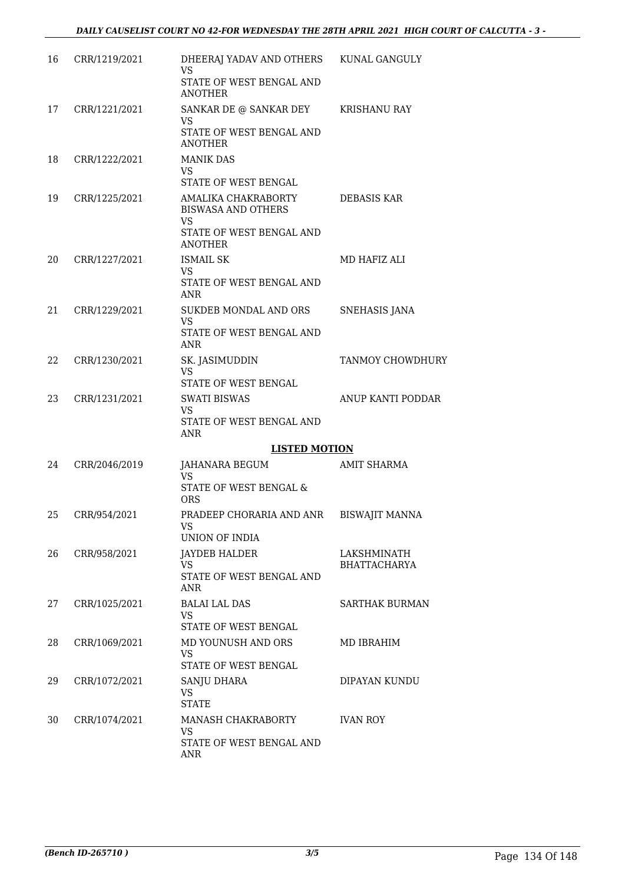| 16 | CRR/1219/2021 | DHEERAJ YADAV AND OTHERS KUNAL GANGULY<br><b>VS</b>                                       |                                    |
|----|---------------|-------------------------------------------------------------------------------------------|------------------------------------|
|    |               | STATE OF WEST BENGAL AND<br><b>ANOTHER</b>                                                |                                    |
| 17 | CRR/1221/2021 | SANKAR DE @ SANKAR DEY<br><b>VS</b>                                                       | <b>KRISHANU RAY</b>                |
|    |               | STATE OF WEST BENGAL AND<br><b>ANOTHER</b>                                                |                                    |
| 18 | CRR/1222/2021 | <b>MANIK DAS</b><br><b>VS</b>                                                             |                                    |
|    |               | STATE OF WEST BENGAL                                                                      |                                    |
| 19 | CRR/1225/2021 | AMALIKA CHAKRABORTY<br><b>BISWASA AND OTHERS</b><br><b>VS</b><br>STATE OF WEST BENGAL AND | DEBASIS KAR                        |
|    |               | <b>ANOTHER</b>                                                                            |                                    |
| 20 | CRR/1227/2021 | <b>ISMAIL SK</b><br>VS                                                                    | MD HAFIZ ALI                       |
|    |               | STATE OF WEST BENGAL AND<br><b>ANR</b>                                                    |                                    |
| 21 | CRR/1229/2021 | SUKDEB MONDAL AND ORS<br>VS.                                                              | SNEHASIS JANA                      |
|    |               | STATE OF WEST BENGAL AND<br><b>ANR</b>                                                    |                                    |
| 22 | CRR/1230/2021 | SK. JASIMUDDIN                                                                            | <b>TANMOY CHOWDHURY</b>            |
|    |               | VS.<br>STATE OF WEST BENGAL                                                               |                                    |
| 23 | CRR/1231/2021 | <b>SWATI BISWAS</b><br><b>VS</b>                                                          | ANUP KANTI PODDAR                  |
|    |               | STATE OF WEST BENGAL AND<br>ANR                                                           |                                    |
|    |               | <b>LISTED MOTION</b>                                                                      |                                    |
| 24 | CRR/2046/2019 | JAHANARA BEGUM<br><b>VS</b>                                                               | <b>AMIT SHARMA</b>                 |
|    |               | STATE OF WEST BENGAL &<br><b>ORS</b>                                                      |                                    |
| 25 | CRR/954/2021  | PRADEEP CHORARIA AND ANR<br><b>VS</b>                                                     | <b>BISWAJIT MANNA</b>              |
|    |               | UNION OF INDIA                                                                            |                                    |
| 26 | CRR/958/2021  | <b>JAYDEB HALDER</b><br><b>VS</b>                                                         | LAKSHMINATH<br><b>BHATTACHARYA</b> |
|    |               | STATE OF WEST BENGAL AND<br><b>ANR</b>                                                    |                                    |
| 27 | CRR/1025/2021 | <b>BALAI LAL DAS</b><br><b>VS</b>                                                         | SARTHAK BURMAN                     |
|    |               | STATE OF WEST BENGAL                                                                      |                                    |
| 28 | CRR/1069/2021 | MD YOUNUSH AND ORS<br><b>VS</b><br>STATE OF WEST BENGAL                                   | MD IBRAHIM                         |
| 29 | CRR/1072/2021 | SANJU DHARA                                                                               | DIPAYAN KUNDU                      |
|    |               | VS<br><b>STATE</b>                                                                        |                                    |
| 30 | CRR/1074/2021 | MANASH CHAKRABORTY                                                                        | <b>IVAN ROY</b>                    |
|    |               | VS<br>STATE OF WEST BENGAL AND<br>ANR                                                     |                                    |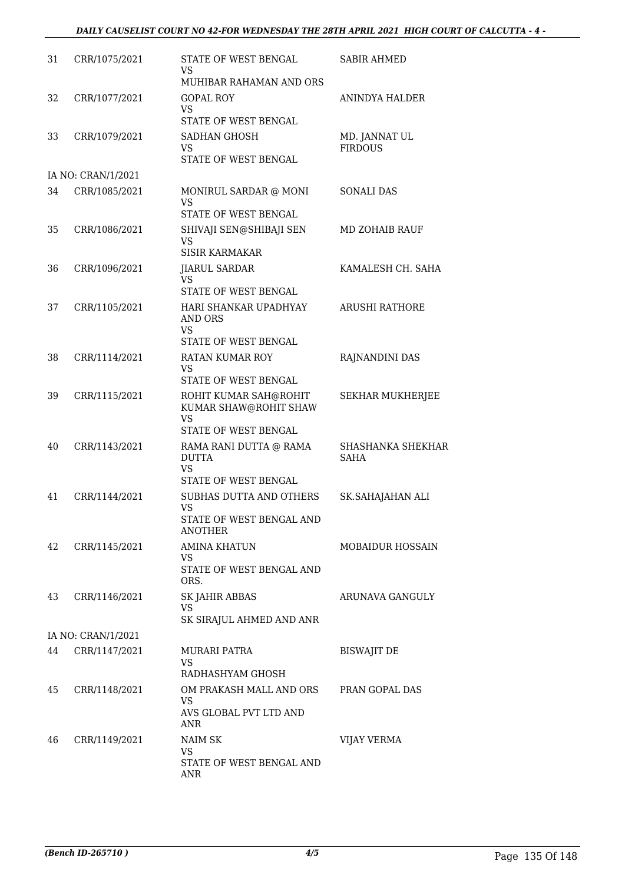| 31 | CRR/1075/2021      | STATE OF WEST BENGAL<br>VS                                                                                  | <b>SABIR AHMED</b>               |
|----|--------------------|-------------------------------------------------------------------------------------------------------------|----------------------------------|
|    |                    | MUHIBAR RAHAMAN AND ORS                                                                                     |                                  |
| 32 | CRR/1077/2021      | <b>GOPAL ROY</b><br>VS<br><b>STATE OF WEST BENGAL</b>                                                       | ANINDYA HALDER                   |
| 33 | CRR/1079/2021      | <b>SADHAN GHOSH</b><br><b>VS</b><br>STATE OF WEST BENGAL                                                    | MD. JANNAT UL<br><b>FIRDOUS</b>  |
|    | IA NO: CRAN/1/2021 |                                                                                                             |                                  |
| 34 | CRR/1085/2021      | MONIRUL SARDAR @ MONI<br>VS<br>STATE OF WEST BENGAL                                                         | <b>SONALI DAS</b>                |
| 35 | CRR/1086/2021      | SHIVAJI SEN@SHIBAJI SEN<br><b>VS</b><br><b>SISIR KARMAKAR</b>                                               | MD ZOHAIB RAUF                   |
| 36 | CRR/1096/2021      | <b>JIARUL SARDAR</b><br><b>VS</b><br>STATE OF WEST BENGAL                                                   | KAMALESH CH. SAHA                |
| 37 | CRR/1105/2021      | HARI SHANKAR UPADHYAY<br>AND ORS<br><b>VS</b><br>STATE OF WEST BENGAL                                       | <b>ARUSHI RATHORE</b>            |
| 38 | CRR/1114/2021      | <b>RATAN KUMAR ROY</b><br>VS                                                                                | RAJNANDINI DAS                   |
| 39 | CRR/1115/2021      | STATE OF WEST BENGAL<br>ROHIT KUMAR SAH@ROHIT<br>KUMAR SHAW@ROHIT SHAW<br><b>VS</b><br>STATE OF WEST BENGAL | SEKHAR MUKHERJEE                 |
| 40 | CRR/1143/2021      | RAMA RANI DUTTA @ RAMA<br><b>DUTTA</b><br><b>VS</b><br><b>STATE OF WEST BENGAL</b>                          | SHASHANKA SHEKHAR<br><b>SAHA</b> |
| 41 | CRR/1144/2021      | SUBHAS DUTTA AND OTHERS<br>VS<br>STATE OF WEST BENGAL AND<br><b>ANOTHER</b>                                 | SK.SAHAJAHAN ALI                 |
| 42 | CRR/1145/2021      | <b>AMINA KHATUN</b><br>VS<br>STATE OF WEST BENGAL AND<br>ORS.                                               | <b>MOBAIDUR HOSSAIN</b>          |
| 43 | CRR/1146/2021      | <b>SK JAHIR ABBAS</b><br>VS<br>SK SIRAJUL AHMED AND ANR                                                     | <b>ARUNAVA GANGULY</b>           |
|    | IA NO: CRAN/1/2021 |                                                                                                             |                                  |
| 44 | CRR/1147/2021      | <b>MURARI PATRA</b><br><b>VS</b><br>RADHASHYAM GHOSH                                                        | <b>BISWAJIT DE</b>               |
| 45 | CRR/1148/2021      | OM PRAKASH MALL AND ORS<br><b>VS</b><br>AVS GLOBAL PVT LTD AND<br><b>ANR</b>                                | PRAN GOPAL DAS                   |
| 46 | CRR/1149/2021      | NAIM SK<br><b>VS</b><br>STATE OF WEST BENGAL AND<br>ANR                                                     | VIJAY VERMA                      |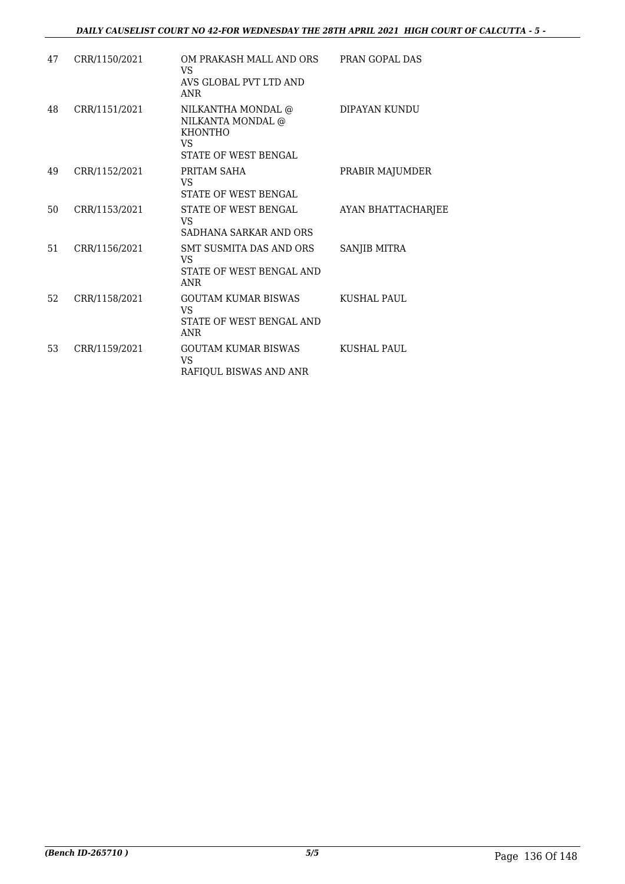| 47 | CRR/1150/2021 | OM PRAKASH MALL AND ORS PRAN GOPAL DAS<br>VS.<br>AVS GLOBAL PVT LTD AND<br><b>ANR</b>           |                    |
|----|---------------|-------------------------------------------------------------------------------------------------|--------------------|
| 48 | CRR/1151/2021 | NILKANTHA MONDAL @<br>NILKANTA MONDAL @<br><b>KHONTHO</b><br>VS.<br><b>STATE OF WEST BENGAL</b> | DIPAYAN KUNDU      |
| 49 | CRR/1152/2021 | PRITAM SAHA<br>VS.<br>STATE OF WEST BENGAL                                                      | PRABIR MAJUMDER    |
| 50 | CRR/1153/2021 | <b>STATE OF WEST BENGAL</b><br>VS.<br>SADHANA SARKAR AND ORS                                    | AYAN BHATTACHARJEE |
| 51 | CRR/1156/2021 | <b>SMT SUSMITA DAS AND ORS</b><br>VS<br>STATE OF WEST BENGAL AND<br><b>ANR</b>                  | SANJIB MITRA       |
| 52 | CRR/1158/2021 | <b>GOUTAM KUMAR BISWAS</b><br>VS.<br>STATE OF WEST BENGAL AND<br>ANR                            | KUSHAL PAUL        |
| 53 | CRR/1159/2021 | <b>GOUTAM KUMAR BISWAS</b><br>VS<br>RAFIQUL BISWAS AND ANR                                      | KUSHAL PAUL        |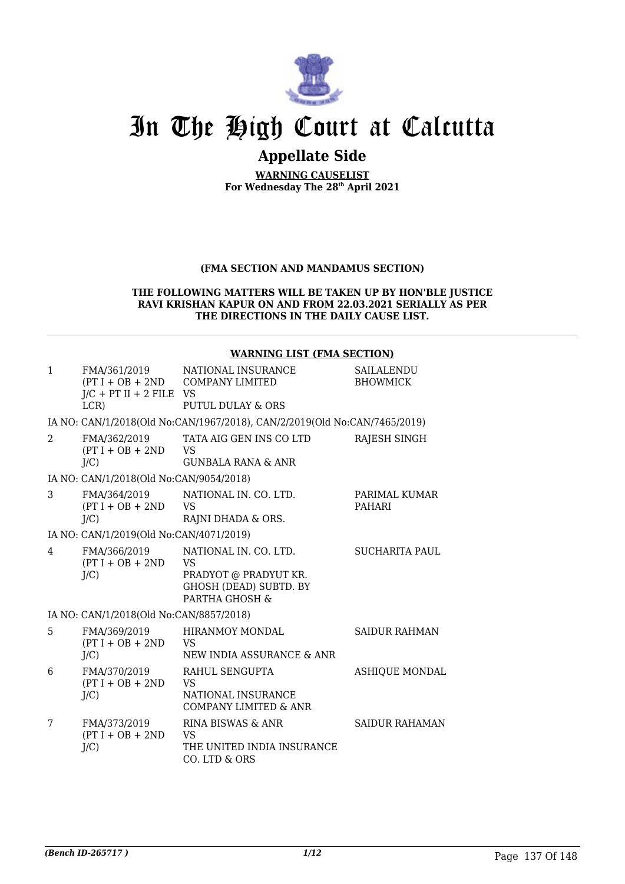

## **Appellate Side**

**WARNING CAUSELIST For Wednesday The 28th April 2021**

#### **(FMA SECTION AND MANDAMUS SECTION)**

#### **THE FOLLOWING MATTERS WILL BE TAKEN UP BY HON'BLE JUSTICE RAVI KRISHAN KAPUR ON AND FROM 22.03.2021 SERIALLY AS PER THE DIRECTIONS IN THE DAILY CAUSE LIST.**

#### **WARNING LIST (FMA SECTION)**

| $\mathbf{1}$   | FMA/361/2019<br>$J/C$ + PT II + 2 FILE VS<br>LCR | NATIONAL INSURANCE<br>$(PT I + OB + 2ND$ COMPANY LIMITED<br>PUTUL DULAY & ORS                           | SAILALENDU<br><b>BHOWMICK</b>  |
|----------------|--------------------------------------------------|---------------------------------------------------------------------------------------------------------|--------------------------------|
|                |                                                  | IA NO: CAN/1/2018(Old No:CAN/1967/2018), CAN/2/2019(Old No:CAN/7465/2019)                               |                                |
| $\mathcal{L}$  | FMA/362/2019<br>$(PT I + OB + 2ND$<br>J/C        | TATA AIG GEN INS CO LTD<br><b>VS</b><br><b>GUNBALA RANA &amp; ANR</b>                                   | RAJESH SINGH                   |
|                | IA NO: CAN/1/2018(Old No:CAN/9054/2018)          |                                                                                                         |                                |
| 3              | FMA/364/2019<br>$(PT I + OB + 2ND$<br>$J/C$ )    | NATIONAL IN, CO. LTD.<br><b>VS</b><br>RAJNI DHADA & ORS.                                                | PARIMAL KUMAR<br><b>PAHARI</b> |
|                | IA NO: CAN/1/2019(Old No:CAN/4071/2019)          |                                                                                                         |                                |
| $\overline{4}$ | FMA/366/2019<br>$(PT I + OB + 2ND$<br>J/C        | NATIONAL IN. CO. LTD.<br>VS<br>PRADYOT @ PRADYUT KR.<br><b>GHOSH (DEAD) SUBTD. BY</b><br>PARTHA GHOSH & | <b>SUCHARITA PAUL</b>          |
|                | IA NO: CAN/1/2018(Old No:CAN/8857/2018)          |                                                                                                         |                                |
| 5              | FMA/369/2019<br>$(PT I + OB + 2ND$<br>J/C        | HIRANMOY MONDAL<br>VS<br>NEW INDIA ASSURANCE & ANR                                                      | <b>SAIDUR RAHMAN</b>           |
| 6              | FMA/370/2019<br>$(PT I + OB + 2ND$<br>$J/C$ )    | RAHUL SENGUPTA<br><b>VS</b><br>NATIONAL INSURANCE<br><b>COMPANY LIMITED &amp; ANR</b>                   | <b>ASHIQUE MONDAL</b>          |
| 7              | FMA/373/2019<br>$(PT I + OB + 2ND$<br>$J/C$ )    | RINA BISWAS & ANR<br>VS<br>THE UNITED INDIA INSURANCE<br>CO. LTD & ORS                                  | <b>SAIDUR RAHAMAN</b>          |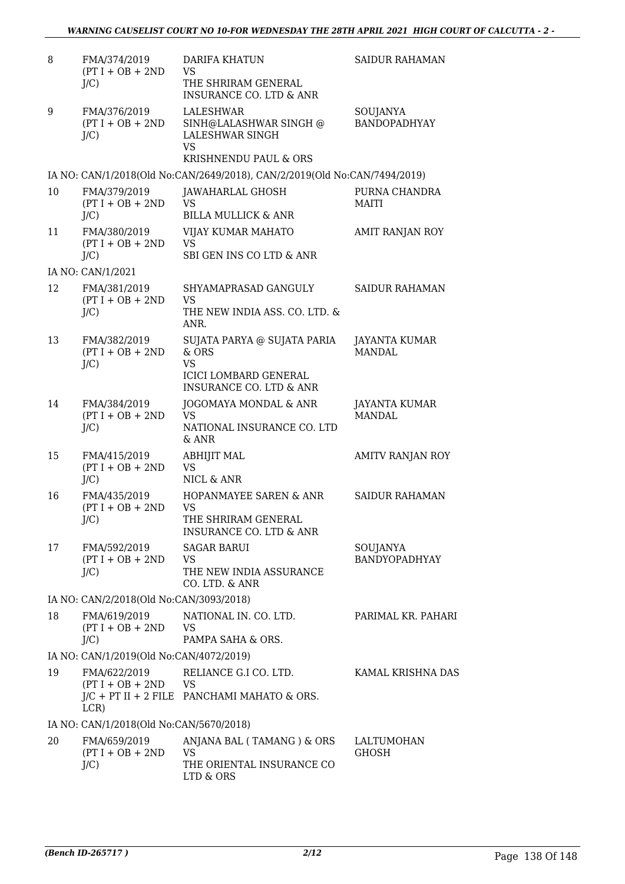| 8  | FMA/374/2019<br>$(PT I + OB + 2ND$<br>$J/C$ ) | DARIFA KHATUN<br>VS<br>THE SHRIRAM GENERAL<br><b>INSURANCE CO. LTD &amp; ANR</b>                                          | <b>SAIDUR RAHAMAN</b>           |
|----|-----------------------------------------------|---------------------------------------------------------------------------------------------------------------------------|---------------------------------|
| 9  | FMA/376/2019<br>$(PT I + OB + 2ND$<br>$J/C$ ) | LALESHWAR<br>SINH@LALASHWAR SINGH @<br>LALESHWAR SINGH<br><b>VS</b><br>KRISHNENDU PAUL & ORS                              | SOUJANYA<br><b>BANDOPADHYAY</b> |
|    |                                               | IA NO: CAN/1/2018(Old No:CAN/2649/2018), CAN/2/2019(Old No:CAN/7494/2019)                                                 |                                 |
| 10 | FMA/379/2019<br>$(PT I + OB + 2ND$<br>$J/C$ ) | JAWAHARLAL GHOSH<br><b>VS</b><br><b>BILLA MULLICK &amp; ANR</b>                                                           | PURNA CHANDRA<br><b>MAITI</b>   |
| 11 | FMA/380/2019<br>$(PT I + OB + 2ND$<br>$J/C$ ) | VIJAY KUMAR MAHATO<br><b>VS</b><br>SBI GEN INS CO LTD & ANR                                                               | AMIT RANJAN ROY                 |
|    | IA NO: CAN/1/2021                             |                                                                                                                           |                                 |
| 12 | FMA/381/2019<br>$(PT I + OB + 2ND$<br>$J/C$ ) | SHYAMAPRASAD GANGULY<br><b>VS</b><br>THE NEW INDIA ASS. CO. LTD. &<br>ANR.                                                | <b>SAIDUR RAHAMAN</b>           |
| 13 | FMA/382/2019<br>$(PT I + OB + 2ND$<br>$J/C$ ) | SUJATA PARYA @ SUJATA PARIA<br>$&$ ORS<br><b>VS</b><br><b>ICICI LOMBARD GENERAL</b><br><b>INSURANCE CO. LTD &amp; ANR</b> | JAYANTA KUMAR<br><b>MANDAL</b>  |
| 14 | FMA/384/2019<br>$(PT I + OB + 2ND$<br>$J/C$ ) | JOGOMAYA MONDAL & ANR<br><b>VS</b><br>NATIONAL INSURANCE CO. LTD<br>& ANR                                                 | JAYANTA KUMAR<br><b>MANDAL</b>  |
| 15 | FMA/415/2019<br>$(PT I + OB + 2ND$<br>$J/C$ ) | ABHIJIT MAL<br><b>VS</b><br>NICL & ANR                                                                                    | AMITV RANJAN ROY                |
| 16 | FMA/435/2019<br>$(PT I + OB + 2ND$<br>$J/C$ ) | HOPANMAYEE SAREN & ANR<br><b>VS</b><br>THE SHRIRAM GENERAL<br><b>INSURANCE CO. LTD &amp; ANR</b>                          | <b>SAIDUR RAHAMAN</b>           |
| 17 | FMA/592/2019<br>$(PT I + OB + 2ND$<br>$J/C$ ) | <b>SAGAR BARUI</b><br><b>VS</b><br>THE NEW INDIA ASSURANCE<br>CO. LTD. & ANR                                              | SOUJANYA<br>BANDYOPADHYAY       |
|    | IA NO: CAN/2/2018(Old No:CAN/3093/2018)       |                                                                                                                           |                                 |
| 18 | FMA/619/2019<br>$(PT I + OB + 2ND$<br>$J/C$ ) | NATIONAL IN. CO. LTD.<br><b>VS</b><br>PAMPA SAHA & ORS.                                                                   | PARIMAL KR. PAHARI              |
|    | IA NO: CAN/1/2019(Old No:CAN/4072/2019)       |                                                                                                                           |                                 |
| 19 | FMA/622/2019<br>$(PT I + OB + 2ND$ VS<br>LCR) | RELIANCE G.I CO. LTD.<br>$J/C$ + PT II + 2 FILE PANCHAMI MAHATO & ORS.                                                    | KAMAL KRISHNA DAS               |
|    | IA NO: CAN/1/2018(Old No:CAN/5670/2018)       |                                                                                                                           |                                 |
| 20 | FMA/659/2019<br>$(PT I + OB + 2ND$<br>$J/C$ ) | ANJANA BAL (TAMANG) & ORS<br><b>VS</b><br>THE ORIENTAL INSURANCE CO<br>LTD & ORS                                          | LALTUMOHAN<br><b>GHOSH</b>      |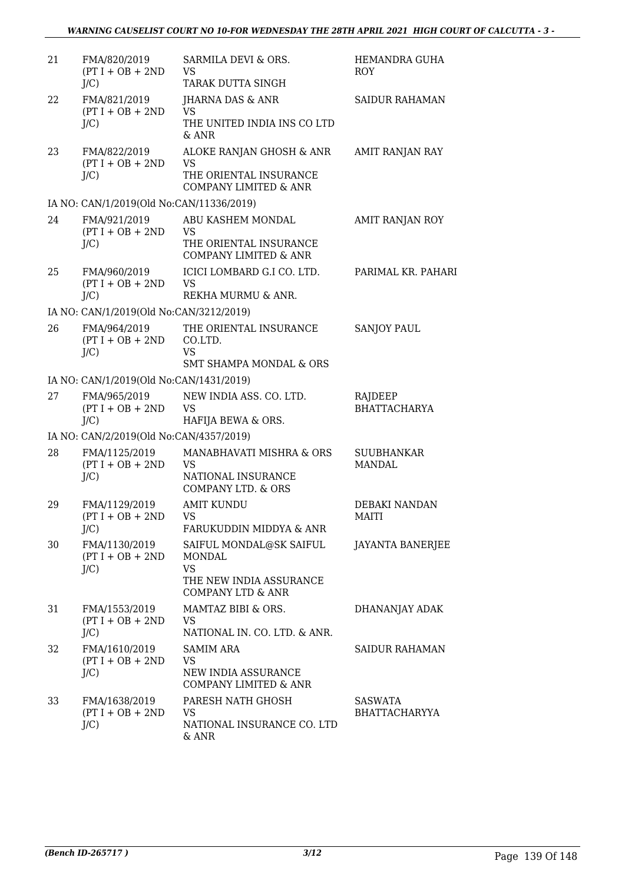| 21 | FMA/820/2019<br>$(PT I + OB + 2ND$<br>$J/C$ )  | SARMILA DEVI & ORS.<br>VS.<br>TARAK DUTTA SINGH                                                           | HEMANDRA GUHA<br><b>ROY</b>            |
|----|------------------------------------------------|-----------------------------------------------------------------------------------------------------------|----------------------------------------|
| 22 | FMA/821/2019<br>$(PT I + OB + 2ND$<br>$J/C$ )  | JHARNA DAS & ANR<br><b>VS</b><br>THE UNITED INDIA INS CO LTD<br>& ANR                                     | <b>SAIDUR RAHAMAN</b>                  |
| 23 | FMA/822/2019<br>$(PT I + OB + 2ND$<br>$J/C$ )  | ALOKE RANJAN GHOSH & ANR<br><b>VS</b><br>THE ORIENTAL INSURANCE<br><b>COMPANY LIMITED &amp; ANR</b>       | AMIT RANJAN RAY                        |
|    | IA NO: CAN/1/2019(Old No:CAN/11336/2019)       |                                                                                                           |                                        |
| 24 | FMA/921/2019<br>$(PT I + OB + 2ND$<br>$J/C$ )  | ABU KASHEM MONDAL<br><b>VS</b><br>THE ORIENTAL INSURANCE<br><b>COMPANY LIMITED &amp; ANR</b>              | AMIT RANJAN ROY                        |
| 25 | FMA/960/2019<br>$(PT I + OB + 2ND$<br>$J/C$ )  | ICICI LOMBARD G.I CO. LTD.<br><b>VS</b><br>REKHA MURMU & ANR.                                             | PARIMAL KR. PAHARI                     |
|    | IA NO: CAN/1/2019(Old No:CAN/3212/2019)        |                                                                                                           |                                        |
| 26 | FMA/964/2019<br>$(PT I + OB + 2ND$<br>$J/C$ )  | THE ORIENTAL INSURANCE<br>CO.LTD.<br>VS                                                                   | <b>SANJOY PAUL</b>                     |
|    |                                                | <b>SMT SHAMPA MONDAL &amp; ORS</b>                                                                        |                                        |
|    | IA NO: CAN/1/2019(Old No:CAN/1431/2019)        |                                                                                                           |                                        |
| 27 | FMA/965/2019<br>$(PT I + OB + 2ND$<br>$J/C$ )  | NEW INDIA ASS. CO. LTD.<br><b>VS</b><br>HAFIJA BEWA & ORS.                                                | RAJDEEP<br><b>BHATTACHARYA</b>         |
|    | IA NO: CAN/2/2019(Old No:CAN/4357/2019)        |                                                                                                           |                                        |
| 28 | FMA/1125/2019<br>$(PT I + OB + 2ND$<br>$J/C$ ) | MANABHAVATI MISHRA & ORS<br><b>VS</b><br>NATIONAL INSURANCE<br>COMPANY LTD. & ORS                         | <b>SUUBHANKAR</b><br><b>MANDAL</b>     |
| 29 | FMA/1129/2019<br>$(PT I + OB + 2ND$<br>$J/C$ ) | <b>AMIT KUNDU</b><br>VS.<br>FARUKUDDIN MIDDYA & ANR                                                       | <b>DEBAKI NANDAN</b><br><b>MAITI</b>   |
| 30 | FMA/1130/2019<br>$(PT I + OB + 2ND$<br>$J/C$ ) | SAIFUL MONDAL@SK SAIFUL<br>MONDAL<br><b>VS</b><br>THE NEW INDIA ASSURANCE<br><b>COMPANY LTD &amp; ANR</b> | <b>JAYANTA BANERJEE</b>                |
| 31 | FMA/1553/2019<br>$(PT I + OB + 2ND$<br>$J/C$ ) | MAMTAZ BIBI & ORS.<br><b>VS</b><br>NATIONAL IN. CO. LTD. & ANR.                                           | DHANANJAY ADAK                         |
| 32 | FMA/1610/2019<br>$(PT I + OB + 2ND$<br>$J/C$ ) | <b>SAMIM ARA</b><br><b>VS</b><br>NEW INDIA ASSURANCE<br>COMPANY LIMITED & ANR                             | <b>SAIDUR RAHAMAN</b>                  |
| 33 | FMA/1638/2019<br>$(PT I + OB + 2ND$<br>$J/C$ ) | PARESH NATH GHOSH<br><b>VS</b><br>NATIONAL INSURANCE CO. LTD<br>& ANR                                     | <b>SASWATA</b><br><b>BHATTACHARYYA</b> |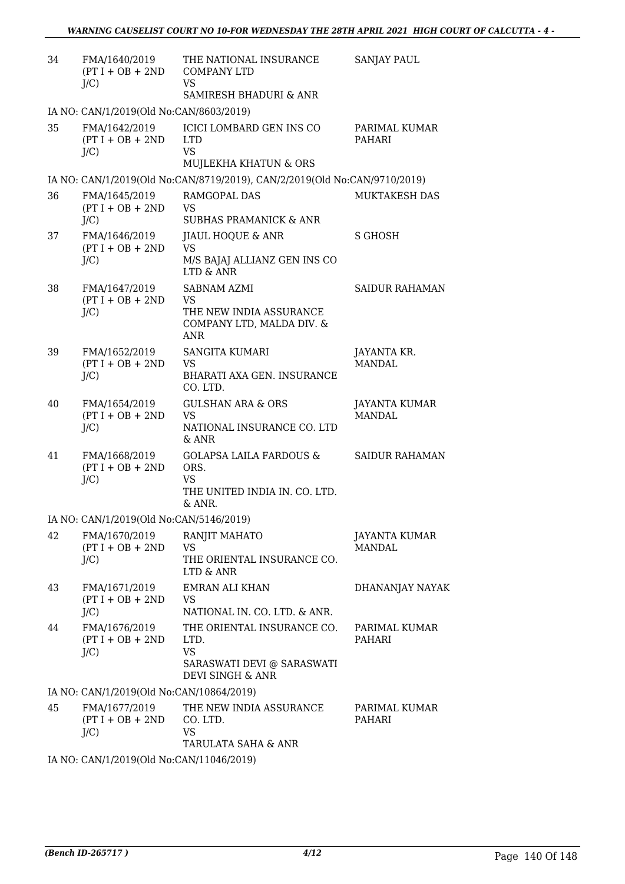| 34 | FMA/1640/2019<br>$(PT I + OB + 2ND$<br>$J/C$ ) | THE NATIONAL INSURANCE<br><b>COMPANY LTD</b><br><b>VS</b>                                                    | <b>SANJAY PAUL</b>             |
|----|------------------------------------------------|--------------------------------------------------------------------------------------------------------------|--------------------------------|
|    |                                                | SAMIRESH BHADURI & ANR                                                                                       |                                |
|    | IA NO: CAN/1/2019(Old No:CAN/8603/2019)        |                                                                                                              |                                |
| 35 | FMA/1642/2019<br>$(PT I + OB + 2ND$<br>$J/C$ ) | <b>ICICI LOMBARD GEN INS CO</b><br><b>LTD</b><br>VS.<br>MUJLEKHA KHATUN & ORS                                | PARIMAL KUMAR<br>PAHARI        |
|    |                                                | IA NO: CAN/1/2019(Old No:CAN/8719/2019), CAN/2/2019(Old No:CAN/9710/2019)                                    |                                |
| 36 | FMA/1645/2019                                  | RAMGOPAL DAS                                                                                                 | MUKTAKESH DAS                  |
|    | $(PT I + OB + 2ND$<br>$J/C$ )                  | <b>VS</b><br><b>SUBHAS PRAMANICK &amp; ANR</b>                                                               |                                |
| 37 | FMA/1646/2019                                  | JIAUL HOQUE & ANR                                                                                            | <b>S GHOSH</b>                 |
|    | $(PT I + OB + 2ND$<br>$J/C$ )                  | <b>VS</b><br>M/S BAJAJ ALLIANZ GEN INS CO<br>LTD & ANR                                                       |                                |
| 38 | FMA/1647/2019                                  | SABNAM AZMI                                                                                                  | <b>SAIDUR RAHAMAN</b>          |
|    | $(PT I + OB + 2ND$<br>$J/C$ )                  | <b>VS</b><br>THE NEW INDIA ASSURANCE<br>COMPANY LTD, MALDA DIV. &<br><b>ANR</b>                              |                                |
| 39 | FMA/1652/2019                                  | <b>SANGITA KUMARI</b>                                                                                        | JAYANTA KR.                    |
|    | $(PT I + OB + 2ND$<br>$J/C$ )                  | <b>VS</b><br>BHARATI AXA GEN. INSURANCE<br>CO. LTD.                                                          | <b>MANDAL</b>                  |
| 40 | FMA/1654/2019<br>$(PT I + OB + 2ND$<br>$J/C$ ) | <b>GULSHAN ARA &amp; ORS</b><br><b>VS</b><br>NATIONAL INSURANCE CO. LTD<br>$&$ ANR                           | JAYANTA KUMAR<br><b>MANDAL</b> |
| 41 | FMA/1668/2019<br>$(PT I + OB + 2ND$<br>$J/C$ ) | <b>GOLAPSA LAILA FARDOUS &amp;</b><br>ORS.<br><b>VS</b><br>THE UNITED INDIA IN. CO. LTD.<br>& ANR.           | <b>SAIDUR RAHAMAN</b>          |
|    | IA NO: CAN/1/2019(Old No:CAN/5146/2019)        |                                                                                                              |                                |
| 42 | FMA/1670/2019<br>$(PT I + OB + 2ND$<br>$J/C$ ) | RANJIT MAHATO<br>VS.<br>THE ORIENTAL INSURANCE CO.<br>LTD & ANR                                              | JAYANTA KUMAR<br><b>MANDAL</b> |
| 43 | FMA/1671/2019<br>$(PT I + OB + 2ND$<br>$J/C$ ) | <b>EMRAN ALI KHAN</b><br>VS.<br>NATIONAL IN. CO. LTD. & ANR.                                                 | DHANANJAY NAYAK                |
| 44 | FMA/1676/2019<br>$(PT I + OB + 2ND$<br>$J/C$ ) | THE ORIENTAL INSURANCE CO.<br>LTD.<br><b>VS</b><br>SARASWATI DEVI @ SARASWATI<br><b>DEVI SINGH &amp; ANR</b> | PARIMAL KUMAR<br>PAHARI        |
|    | IA NO: CAN/1/2019(Old No:CAN/10864/2019)       |                                                                                                              |                                |
| 45 | FMA/1677/2019<br>$(PT I + OB + 2ND$<br>$J/C$ ) | THE NEW INDIA ASSURANCE<br>CO. LTD.<br><b>VS</b><br>TARULATA SAHA & ANR                                      | PARIMAL KUMAR<br>PAHARI        |
|    | IA NO: CAN/1/2019(Old No:CAN/11046/2019)       |                                                                                                              |                                |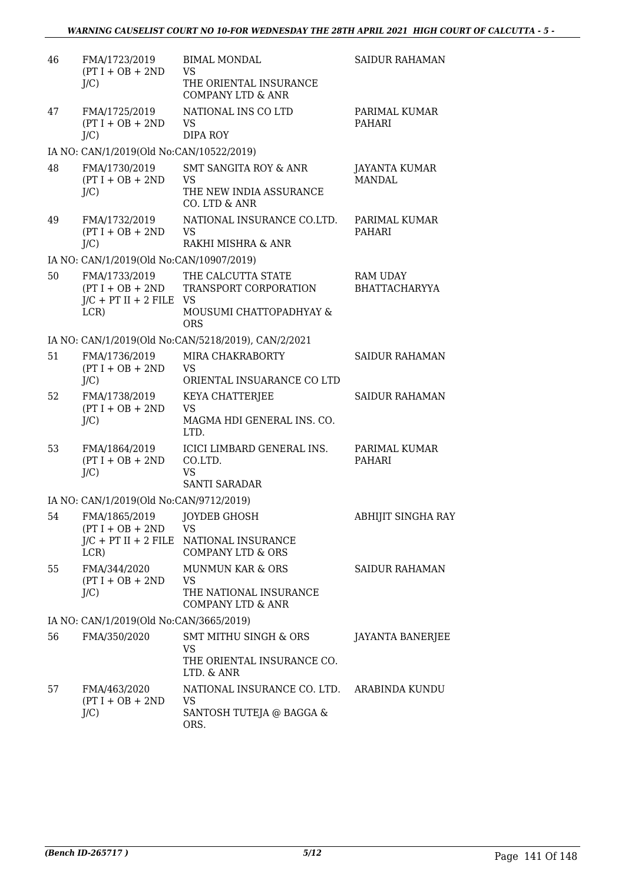| 46 | FMA/1723/2019<br>$(PT I + OB + 2ND$<br>$J/C$ )                           | <b>BIMAL MONDAL</b><br><b>VS</b><br>THE ORIENTAL INSURANCE<br><b>COMPANY LTD &amp; ANR</b>         | <b>SAIDUR RAHAMAN</b>                   |
|----|--------------------------------------------------------------------------|----------------------------------------------------------------------------------------------------|-----------------------------------------|
| 47 | FMA/1725/2019<br>$(PT I + OB + 2ND$<br>J/C                               | NATIONAL INS CO LTD<br><b>VS</b><br>DIPA ROY                                                       | PARIMAL KUMAR<br>PAHARI                 |
|    | IA NO: CAN/1/2019(Old No:CAN/10522/2019)                                 |                                                                                                    |                                         |
| 48 | FMA/1730/2019<br>$(PT I + OB + 2ND$<br>$J/C$ )                           | <b>SMT SANGITA ROY &amp; ANR</b><br><b>VS</b><br>THE NEW INDIA ASSURANCE<br>CO. LTD & ANR          | JAYANTA KUMAR<br><b>MANDAL</b>          |
| 49 | FMA/1732/2019<br>$(PT I + OB + 2ND$<br>$J/C$ )                           | NATIONAL INSURANCE CO.LTD.<br><b>VS</b><br>RAKHI MISHRA & ANR                                      | PARIMAL KUMAR<br>PAHARI                 |
|    | IA NO: CAN/1/2019(Old No:CAN/10907/2019)                                 |                                                                                                    |                                         |
| 50 | FMA/1733/2019<br>$(PT I + OB + 2ND$<br>$J/C$ + PT II + 2 FILE VS<br>LCR) | THE CALCUTTA STATE<br>TRANSPORT CORPORATION<br>MOUSUMI CHATTOPADHYAY &<br><b>ORS</b>               | <b>RAM UDAY</b><br><b>BHATTACHARYYA</b> |
|    |                                                                          | IA NO: CAN/1/2019(Old No:CAN/5218/2019), CAN/2/2021                                                |                                         |
| 51 | FMA/1736/2019<br>$(PT I + OB + 2ND$<br>$J/C$ )                           | MIRA CHAKRABORTY<br><b>VS</b><br>ORIENTAL INSUARANCE CO LTD                                        | <b>SAIDUR RAHAMAN</b>                   |
| 52 | FMA/1738/2019<br>$(PT I + OB + 2ND$<br>$J/C$ )                           | KEYA CHATTERJEE<br><b>VS</b><br>MAGMA HDI GENERAL INS. CO.<br>LTD.                                 | <b>SAIDUR RAHAMAN</b>                   |
| 53 | FMA/1864/2019<br>$(PT I + OB + 2ND$<br>$J/C$ )                           | ICICI LIMBARD GENERAL INS.<br>CO.LTD.<br><b>VS</b><br><b>SANTI SARADAR</b>                         | PARIMAL KUMAR<br><b>PAHARI</b>          |
|    | IA NO: CAN/1/2019(Old No:CAN/9712/2019)                                  |                                                                                                    |                                         |
| 54 | FMA/1865/2019 JOYDEB GHOSH<br>$(PT I + OB + 2ND$ VS<br>LCR)              | J/C + PT II + 2 FILE NATIONAL INSURANCE<br><b>COMPANY LTD &amp; ORS</b>                            | ABHIJIT SINGHA RAY                      |
| 55 | FMA/344/2020<br>$(PT I + OB + 2ND$<br>$J/C$ )                            | <b>MUNMUN KAR &amp; ORS</b><br><b>VS</b><br>THE NATIONAL INSURANCE<br><b>COMPANY LTD &amp; ANR</b> | SAIDUR RAHAMAN                          |
|    | IA NO: CAN/1/2019(Old No:CAN/3665/2019)                                  |                                                                                                    |                                         |
| 56 | FMA/350/2020                                                             | <b>SMT MITHU SINGH &amp; ORS</b><br><b>VS</b><br>THE ORIENTAL INSURANCE CO.<br>LTD. & ANR          | <b>JAYANTA BANERJEE</b>                 |
| 57 | FMA/463/2020<br>$(PT I + OB + 2ND$<br>$J/C$ )                            | NATIONAL INSURANCE CO. LTD. ARABINDA KUNDU<br><b>VS</b><br>SANTOSH TUTEJA @ BAGGA &<br>ORS.        |                                         |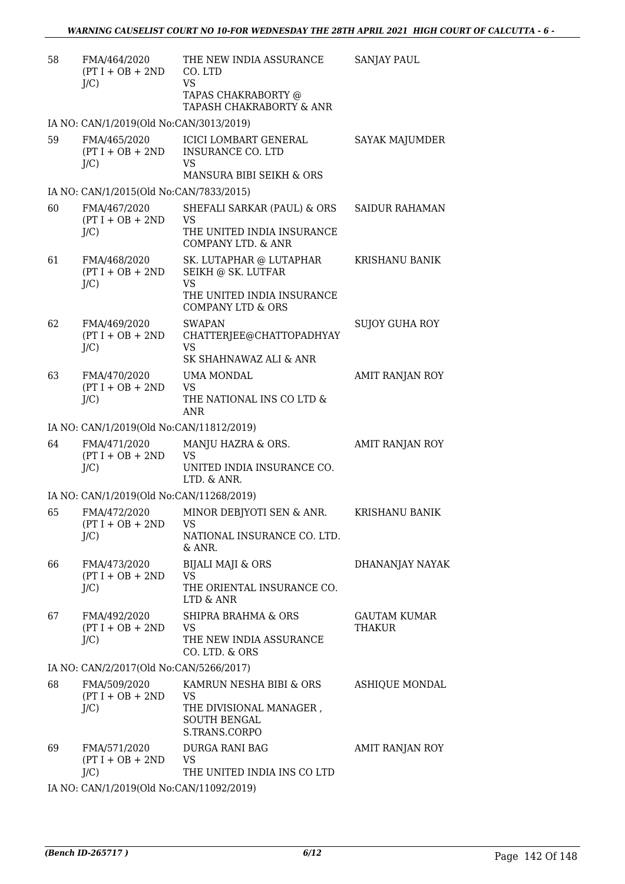| 58 | FMA/464/2020<br>$(PT I + OB + 2ND$<br>J/C     | THE NEW INDIA ASSURANCE<br>CO. LTD<br><b>VS</b><br>TAPAS CHAKRABORTY @<br>TAPASH CHAKRABORTY & ANR                       | <b>SANJAY PAUL</b>            |
|----|-----------------------------------------------|--------------------------------------------------------------------------------------------------------------------------|-------------------------------|
|    | IA NO: CAN/1/2019(Old No:CAN/3013/2019)       |                                                                                                                          |                               |
| 59 | FMA/465/2020<br>$(PT I + OB + 2ND$<br>$J/C$ ) | <b>ICICI LOMBART GENERAL</b><br><b>INSURANCE CO. LTD</b><br>VS<br>MANSURA BIBI SEIKH & ORS                               | <b>SAYAK MAJUMDER</b>         |
|    | IA NO: CAN/1/2015(Old No:CAN/7833/2015)       |                                                                                                                          |                               |
| 60 | FMA/467/2020<br>$(PT I + OB + 2ND$<br>$J/C$ ) | SHEFALI SARKAR (PAUL) & ORS<br><b>VS</b><br>THE UNITED INDIA INSURANCE<br>COMPANY LTD. & ANR                             | <b>SAIDUR RAHAMAN</b>         |
| 61 | FMA/468/2020<br>$(PT I + OB + 2ND$<br>$J/C$ ) | SK. LUTAPHAR @ LUTAPHAR<br>SEIKH @ SK. LUTFAR<br><b>VS</b><br>THE UNITED INDIA INSURANCE<br><b>COMPANY LTD &amp; ORS</b> | KRISHANU BANIK                |
| 62 | FMA/469/2020<br>$(PT I + OB + 2ND$<br>J/C     | <b>SWAPAN</b><br>CHATTERJEE@CHATTOPADHYAY<br><b>VS</b><br>SK SHAHNAWAZ ALI & ANR                                         | <b>SUJOY GUHA ROY</b>         |
| 63 | FMA/470/2020<br>$(PT I + OB + 2ND$<br>$J/C$ ) | UMA MONDAL<br><b>VS</b><br>THE NATIONAL INS CO LTD &<br>ANR                                                              | <b>AMIT RANJAN ROY</b>        |
|    | IA NO: CAN/1/2019(Old No:CAN/11812/2019)      |                                                                                                                          |                               |
| 64 | FMA/471/2020<br>$(PT I + OB + 2ND$<br>$J/C$ ) | MANJU HAZRA & ORS.<br>VS<br>UNITED INDIA INSURANCE CO.<br>LTD. & ANR.                                                    | AMIT RANJAN ROY               |
|    | IA NO: CAN/1/2019(Old No:CAN/11268/2019)      |                                                                                                                          |                               |
| 65 | FMA/472/2020<br>$(PT I + OB + 2ND$<br>$J/C$ ) | MINOR DEBJYOTI SEN & ANR.<br>VS<br>NATIONAL INSURANCE CO. LTD.<br>& ANR.                                                 | <b>KRISHANU BANIK</b>         |
| 66 | FMA/473/2020<br>$(PT I + OB + 2ND$<br>$J/C$ ) | <b>BIJALI MAJI &amp; ORS</b><br><b>VS</b><br>THE ORIENTAL INSURANCE CO.<br>LTD & ANR                                     | DHANANJAY NAYAK               |
| 67 | FMA/492/2020<br>$(PT I + OB + 2ND$<br>$J/C$ ) | SHIPRA BRAHMA & ORS<br><b>VS</b><br>THE NEW INDIA ASSURANCE<br>CO. LTD. & ORS                                            | <b>GAUTAM KUMAR</b><br>THAKUR |
|    | IA NO: CAN/2/2017(Old No:CAN/5266/2017)       |                                                                                                                          |                               |
| 68 | FMA/509/2020<br>$(PT I + OB + 2ND$<br>$J/C$ ) | KAMRUN NESHA BIBI & ORS<br><b>VS</b><br>THE DIVISIONAL MANAGER,<br><b>SOUTH BENGAL</b><br>S.TRANS.CORPO                  | ASHIQUE MONDAL                |
| 69 | FMA/571/2020<br>$(PT I + OB + 2ND$<br>J/C     | <b>DURGA RANI BAG</b><br>VS<br>THE UNITED INDIA INS CO LTD                                                               | AMIT RANJAN ROY               |
|    |                                               | 17.01111100000101                                                                                                        |                               |

IA NO: CAN/1/2019(Old No:CAN/11092/2019)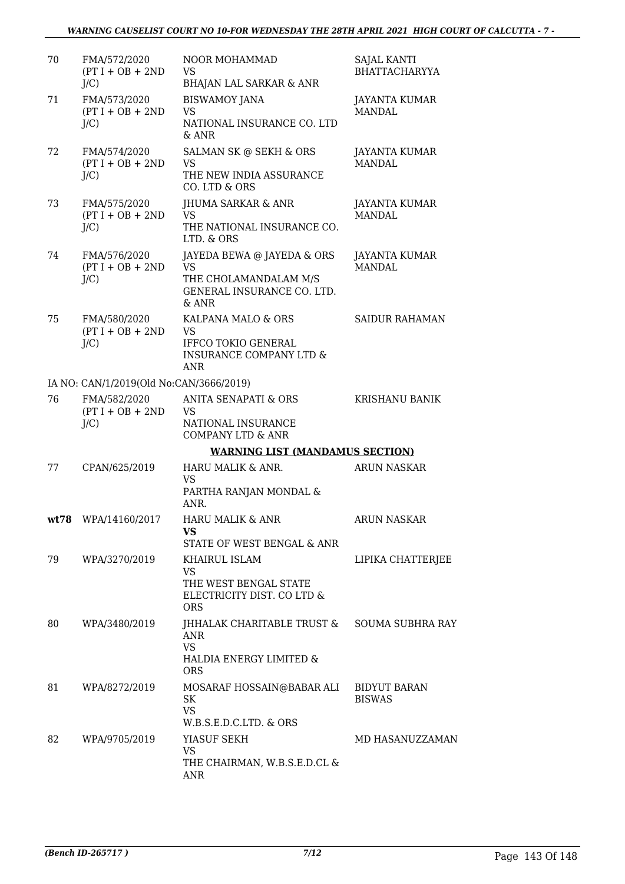| 70 | FMA/572/2020<br>$(PT I + OB + 2ND$<br>$J/C$ ) | NOOR MOHAMMAD<br><b>VS</b><br><b>BHAJAN LAL SARKAR &amp; ANR</b>                                                  | <b>SAJAL KANTI</b><br><b>BHATTACHARYYA</b> |
|----|-----------------------------------------------|-------------------------------------------------------------------------------------------------------------------|--------------------------------------------|
| 71 | FMA/573/2020<br>$(PT I + OB + 2ND$<br>$J/C$ ) | <b>BISWAMOY JANA</b><br><b>VS</b><br>NATIONAL INSURANCE CO. LTD<br>& ANR                                          | JAYANTA KUMAR<br><b>MANDAL</b>             |
| 72 | FMA/574/2020<br>$(PT I + OB + 2ND$<br>$J/C$ ) | SALMAN SK @ SEKH & ORS<br><b>VS</b><br>THE NEW INDIA ASSURANCE<br>CO. LTD & ORS                                   | JAYANTA KUMAR<br><b>MANDAL</b>             |
| 73 | FMA/575/2020<br>$(PT I + OB + 2ND$<br>$J/C$ ) | JHUMA SARKAR & ANR<br><b>VS</b><br>THE NATIONAL INSURANCE CO.<br>LTD. & ORS                                       | JAYANTA KUMAR<br><b>MANDAL</b>             |
| 74 | FMA/576/2020<br>$(PT I + OB + 2ND$<br>$J/C$ ) | JAYEDA BEWA @ JAYEDA & ORS<br><b>VS</b><br>THE CHOLAMANDALAM M/S<br>GENERAL INSURANCE CO. LTD.<br>$&$ ANR         | <b>JAYANTA KUMAR</b><br><b>MANDAL</b>      |
| 75 | FMA/580/2020<br>$(PT I + OB + 2ND$<br>$J/C$ ) | KALPANA MALO & ORS<br><b>VS</b><br><b>IFFCO TOKIO GENERAL</b><br><b>INSURANCE COMPANY LTD &amp;</b><br><b>ANR</b> | <b>SAIDUR RAHAMAN</b>                      |
|    | IA NO: CAN/1/2019(Old No:CAN/3666/2019)       |                                                                                                                   |                                            |
| 76 | FMA/582/2020<br>$(PT I + OB + 2ND$<br>$J/C$ ) | <b>ANITA SENAPATI &amp; ORS</b><br><b>VS</b><br>NATIONAL INSURANCE<br><b>COMPANY LTD &amp; ANR</b>                | <b>KRISHANU BANIK</b>                      |
|    |                                               | <b>WARNING LIST (MANDAMUS SECTION)</b>                                                                            |                                            |
| 77 | CPAN/625/2019                                 | HARU MALIK & ANR.<br><b>VS</b><br>PARTHA RANJAN MONDAL &<br>ANR.                                                  | <b>ARUN NASKAR</b>                         |
|    | wt78 WPA/14160/2017                           | HARU MALIK & ANR<br>VS<br>STATE OF WEST BENGAL & ANR                                                              | <b>ARUN NASKAR</b>                         |
| 79 | WPA/3270/2019                                 | KHAIRUL ISLAM<br><b>VS</b><br>THE WEST BENGAL STATE<br>ELECTRICITY DIST. CO LTD &<br><b>ORS</b>                   | LIPIKA CHATTERJEE                          |
| 80 | WPA/3480/2019                                 | JHHALAK CHARITABLE TRUST &<br>ANR<br><b>VS</b><br>HALDIA ENERGY LIMITED &<br><b>ORS</b>                           | <b>SOUMA SUBHRA RAY</b>                    |
| 81 | WPA/8272/2019                                 | MOSARAF HOSSAIN@BABAR ALI<br>SK<br><b>VS</b><br>W.B.S.E.D.C.LTD. & ORS                                            | <b>BIDYUT BARAN</b><br><b>BISWAS</b>       |
| 82 | WPA/9705/2019                                 | YIASUF SEKH<br><b>VS</b><br>THE CHAIRMAN, W.B.S.E.D.CL &<br>ANR                                                   | MD HASANUZZAMAN                            |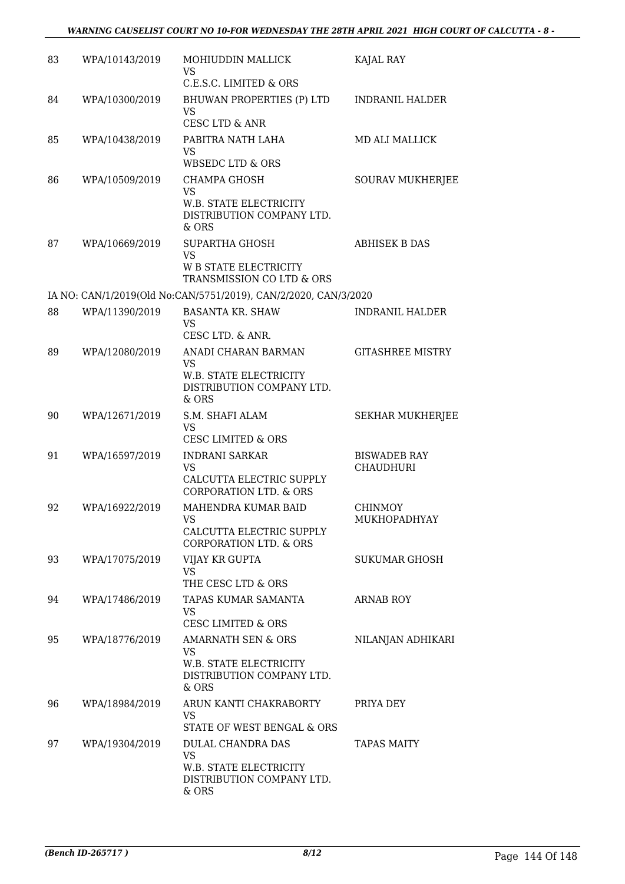| 83 | WPA/10143/2019 | MOHIUDDIN MALLICK<br><b>VS</b><br>C.E.S.C. LIMITED & ORS                                                   | KAJAL RAY                               |
|----|----------------|------------------------------------------------------------------------------------------------------------|-----------------------------------------|
| 84 | WPA/10300/2019 | BHUWAN PROPERTIES (P) LTD<br><b>VS</b><br><b>CESC LTD &amp; ANR</b>                                        | <b>INDRANIL HALDER</b>                  |
| 85 | WPA/10438/2019 | PABITRA NATH LAHA<br><b>VS</b><br><b>WBSEDC LTD &amp; ORS</b>                                              | MD ALI MALLICK                          |
| 86 | WPA/10509/2019 | CHAMPA GHOSH<br><b>VS</b><br>W.B. STATE ELECTRICITY<br>DISTRIBUTION COMPANY LTD.<br>$&$ ORS                | <b>SOURAV MUKHERJEE</b>                 |
| 87 | WPA/10669/2019 | SUPARTHA GHOSH<br><b>VS</b><br>W B STATE ELECTRICITY<br>TRANSMISSION CO LTD & ORS                          | <b>ABHISEK B DAS</b>                    |
|    |                | IA NO: CAN/1/2019(Old No:CAN/5751/2019), CAN/2/2020, CAN/3/2020                                            |                                         |
| 88 | WPA/11390/2019 | <b>BASANTA KR. SHAW</b><br><b>VS</b><br>CESC LTD. & ANR.                                                   | <b>INDRANIL HALDER</b>                  |
| 89 | WPA/12080/2019 | ANADI CHARAN BARMAN<br><b>VS</b><br>W.B. STATE ELECTRICITY<br>DISTRIBUTION COMPANY LTD.<br>& ORS           | <b>GITASHREE MISTRY</b>                 |
| 90 | WPA/12671/2019 | S.M. SHAFI ALAM<br><b>VS</b><br><b>CESC LIMITED &amp; ORS</b>                                              | <b>SEKHAR MUKHERJEE</b>                 |
| 91 | WPA/16597/2019 | <b>INDRANI SARKAR</b><br><b>VS</b><br>CALCUTTA ELECTRIC SUPPLY<br><b>CORPORATION LTD. &amp; ORS</b>        | <b>BISWADEB RAY</b><br><b>CHAUDHURI</b> |
| 92 | WPA/16922/2019 | MAHENDRA KUMAR BAID<br>VS<br>CALCUTTA ELECTRIC SUPPLY<br><b>CORPORATION LTD. &amp; ORS</b>                 | <b>CHINMOY</b><br>MUKHOPADHYAY          |
| 93 | WPA/17075/2019 | VIJAY KR GUPTA<br><b>VS</b><br>THE CESC LTD & ORS                                                          | <b>SUKUMAR GHOSH</b>                    |
| 94 | WPA/17486/2019 | TAPAS KUMAR SAMANTA<br><b>VS</b><br><b>CESC LIMITED &amp; ORS</b>                                          | <b>ARNAB ROY</b>                        |
| 95 | WPA/18776/2019 | <b>AMARNATH SEN &amp; ORS</b><br><b>VS</b><br>W.B. STATE ELECTRICITY<br>DISTRIBUTION COMPANY LTD.<br>& ORS | NILANJAN ADHIKARI                       |
| 96 | WPA/18984/2019 | ARUN KANTI CHAKRABORTY<br>VS<br>STATE OF WEST BENGAL & ORS                                                 | PRIYA DEY                               |
| 97 | WPA/19304/2019 | DULAL CHANDRA DAS<br><b>VS</b><br>W.B. STATE ELECTRICITY<br>DISTRIBUTION COMPANY LTD.<br>& ORS             | <b>TAPAS MAITY</b>                      |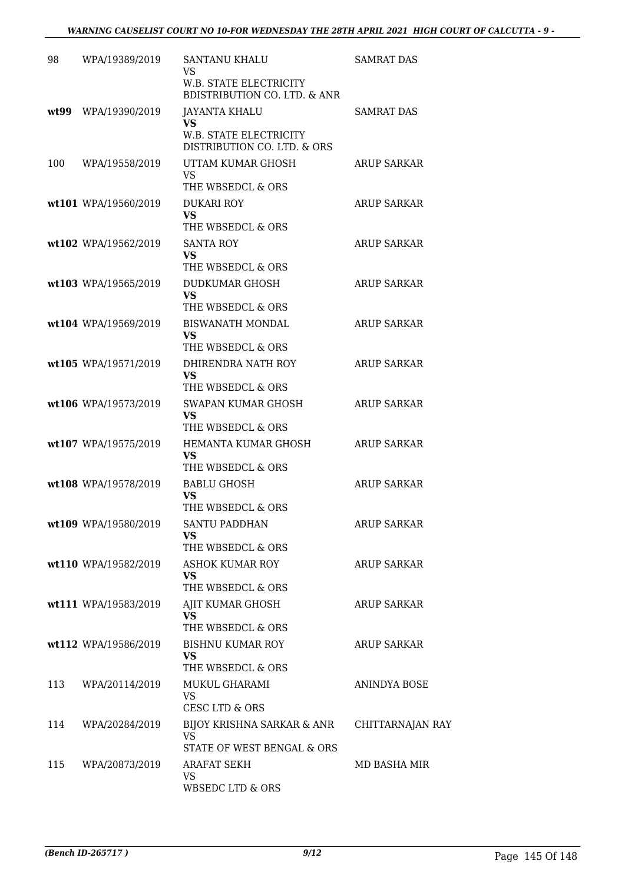| 98   | WPA/19389/2019       | SANTANU KHALU<br><b>VS</b><br>W.B. STATE ELECTRICITY<br><b>BDISTRIBUTION CO. LTD. &amp; ANR</b> | SAMRAT DAS         |
|------|----------------------|-------------------------------------------------------------------------------------------------|--------------------|
| wt99 | WPA/19390/2019       | <b>JAYANTA KHALU</b><br>VS<br>W.B. STATE ELECTRICITY                                            | <b>SAMRAT DAS</b>  |
| 100  | WPA/19558/2019       | DISTRIBUTION CO. LTD. & ORS<br>UTTAM KUMAR GHOSH<br>VS.<br>THE WBSEDCL & ORS                    | ARUP SARKAR        |
|      | wt101 WPA/19560/2019 | <b>DUKARI ROY</b><br><b>VS</b><br>THE WBSEDCL & ORS                                             | <b>ARUP SARKAR</b> |
|      | wt102 WPA/19562/2019 | <b>SANTA ROY</b><br>VS<br>THE WBSEDCL & ORS                                                     | <b>ARUP SARKAR</b> |
|      | wt103 WPA/19565/2019 | DUDKUMAR GHOSH<br><b>VS</b><br>THE WBSEDCL & ORS                                                | <b>ARUP SARKAR</b> |
|      | wt104 WPA/19569/2019 | <b>BISWANATH MONDAL</b><br>VS.<br>THE WBSEDCL & ORS                                             | ARUP SARKAR        |
|      | wt105 WPA/19571/2019 | DHIRENDRA NATH ROY<br>VS<br>THE WBSEDCL & ORS                                                   | <b>ARUP SARKAR</b> |
|      | wt106 WPA/19573/2019 | SWAPAN KUMAR GHOSH<br><b>VS</b><br>THE WBSEDCL & ORS                                            | <b>ARUP SARKAR</b> |
|      | wt107 WPA/19575/2019 | HEMANTA KUMAR GHOSH<br>VS<br>THE WBSEDCL & ORS                                                  | <b>ARUP SARKAR</b> |
|      | wt108 WPA/19578/2019 | <b>BABLU GHOSH</b><br>VS<br>THE WBSEDCL & ORS                                                   | ARUP SARKAR        |
|      | wt109 WPA/19580/2019 | <b>SANTU PADDHAN</b><br><b>VS</b><br>THE WBSEDCL & ORS                                          | <b>ARUP SARKAR</b> |
|      | wt110 WPA/19582/2019 | ASHOK KUMAR ROY<br><b>VS</b><br>THE WBSEDCL & ORS                                               | <b>ARUP SARKAR</b> |
|      | wt111 WPA/19583/2019 | AJIT KUMAR GHOSH<br><b>VS</b><br>THE WBSEDCL & ORS                                              | ARUP SARKAR        |
|      | wt112 WPA/19586/2019 | <b>BISHNU KUMAR ROY</b><br><b>VS</b><br>THE WBSEDCL & ORS                                       | ARUP SARKAR        |
| 113  | WPA/20114/2019       | MUKUL GHARAMI<br><b>VS</b><br>CESC LTD & ORS                                                    | ANINDYA BOSE       |
| 114  | WPA/20284/2019       | BIJOY KRISHNA SARKAR & ANR<br><b>VS</b><br>STATE OF WEST BENGAL & ORS                           | CHITTARNAJAN RAY   |
| 115  | WPA/20873/2019       | ARAFAT SEKH<br><b>VS</b><br>WBSEDC LTD & ORS                                                    | MD BASHA MIR       |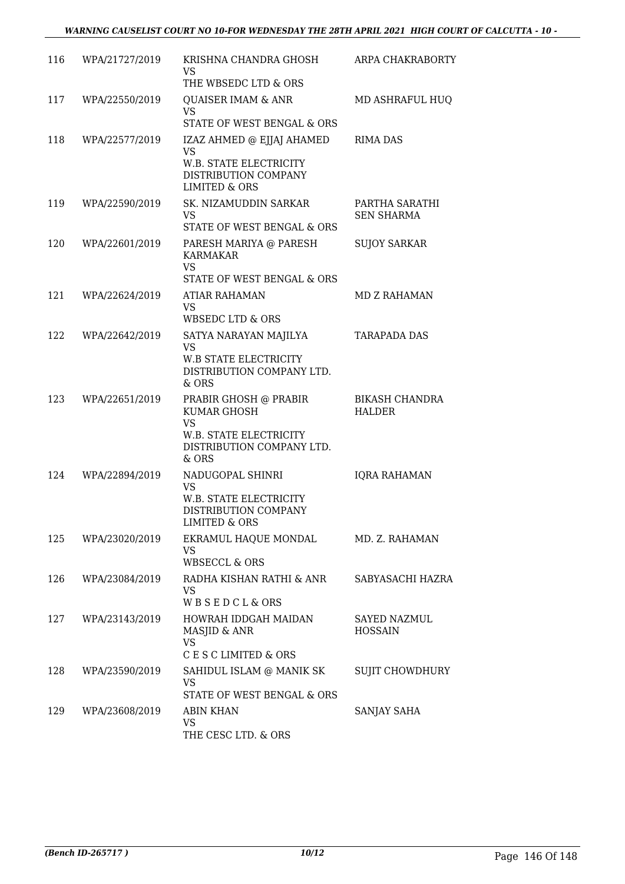| 116 | WPA/21727/2019 | KRISHNA CHANDRA GHOSH<br><b>VS</b><br>THE WBSEDC LTD & ORS                                                        | ARPA CHAKRABORTY                       |
|-----|----------------|-------------------------------------------------------------------------------------------------------------------|----------------------------------------|
| 117 | WPA/22550/2019 | QUAISER IMAM & ANR<br><b>VS</b><br>STATE OF WEST BENGAL & ORS                                                     | MD ASHRAFUL HUQ                        |
| 118 | WPA/22577/2019 | IZAZ AHMED @ EJJAJ AHAMED<br><b>VS</b><br>W.B. STATE ELECTRICITY<br>DISTRIBUTION COMPANY<br>LIMITED & ORS         | <b>RIMA DAS</b>                        |
| 119 | WPA/22590/2019 | SK. NIZAMUDDIN SARKAR<br><b>VS</b><br>STATE OF WEST BENGAL & ORS                                                  | PARTHA SARATHI<br><b>SEN SHARMA</b>    |
| 120 | WPA/22601/2019 | PARESH MARIYA @ PARESH<br><b>KARMAKAR</b><br><b>VS</b><br>STATE OF WEST BENGAL & ORS                              | <b>SUJOY SARKAR</b>                    |
| 121 | WPA/22624/2019 | ATIAR RAHAMAN<br><b>VS</b><br><b>WBSEDC LTD &amp; ORS</b>                                                         | MD Z RAHAMAN                           |
| 122 | WPA/22642/2019 | SATYA NARAYAN MAJILYA<br><b>VS</b><br><b>W.B STATE ELECTRICITY</b><br>DISTRIBUTION COMPANY LTD.<br>& ORS          | <b>TARAPADA DAS</b>                    |
| 123 | WPA/22651/2019 | PRABIR GHOSH @ PRABIR<br>KUMAR GHOSH<br><b>VS</b><br>W.B. STATE ELECTRICITY<br>DISTRIBUTION COMPANY LTD.<br>& ORS | <b>BIKASH CHANDRA</b><br><b>HALDER</b> |
| 124 | WPA/22894/2019 | NADUGOPAL SHINRI<br><b>VS</b><br>W.B. STATE ELECTRICITY<br>DISTRIBUTION COMPANY<br><b>LIMITED &amp; ORS</b>       | <b>IQRA RAHAMAN</b>                    |
| 125 | WPA/23020/2019 | EKRAMUL HAQUE MONDAL<br><b>VS</b><br><b>WBSECCL &amp; ORS</b>                                                     | MD. Z. RAHAMAN                         |
| 126 | WPA/23084/2019 | RADHA KISHAN RATHI & ANR<br>VS.<br><b>WBSEDCL&amp;ORS</b>                                                         | SABYASACHI HAZRA                       |
| 127 | WPA/23143/2019 | HOWRAH IDDGAH MAIDAN<br>MASJID & ANR<br><b>VS</b><br>C E S C LIMITED & ORS                                        | <b>SAYED NAZMUL</b><br><b>HOSSAIN</b>  |
| 128 | WPA/23590/2019 | SAHIDUL ISLAM @ MANIK SK<br><b>VS</b><br>STATE OF WEST BENGAL & ORS                                               | SUJIT CHOWDHURY                        |
| 129 | WPA/23608/2019 | ABIN KHAN<br><b>VS</b><br>THE CESC LTD. & ORS                                                                     | SANJAY SAHA                            |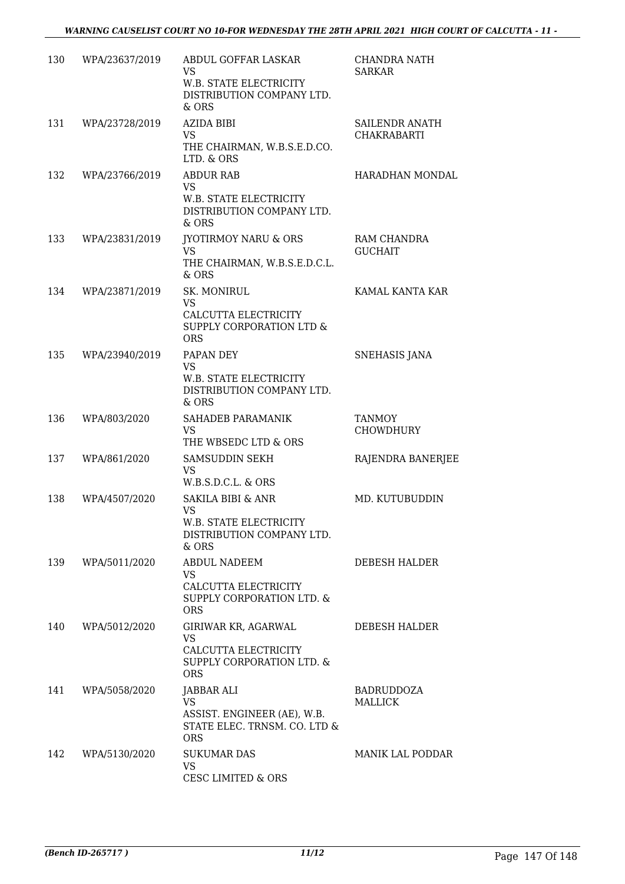| 130 | WPA/23637/2019 | ABDUL GOFFAR LASKAR<br>VS<br>W.B. STATE ELECTRICITY<br>DISTRIBUTION COMPANY LTD.<br>& ORS            | CHANDRA NATH<br><b>SARKAR</b>        |
|-----|----------------|------------------------------------------------------------------------------------------------------|--------------------------------------|
| 131 | WPA/23728/2019 | <b>AZIDA BIBI</b><br><b>VS</b><br>THE CHAIRMAN, W.B.S.E.D.CO.<br>LTD. & ORS                          | SAILENDR ANATH<br><b>CHAKRABARTI</b> |
| 132 | WPA/23766/2019 | <b>ABDUR RAB</b><br><b>VS</b><br>W.B. STATE ELECTRICITY<br>DISTRIBUTION COMPANY LTD.<br>& ORS        | HARADHAN MONDAL                      |
| 133 | WPA/23831/2019 | <b>JYOTIRMOY NARU &amp; ORS</b><br><b>VS</b><br>THE CHAIRMAN, W.B.S.E.D.C.L.<br>& ORS                | RAM CHANDRA<br><b>GUCHAIT</b>        |
| 134 | WPA/23871/2019 | SK. MONIRUL<br><b>VS</b><br>CALCUTTA ELECTRICITY<br>SUPPLY CORPORATION LTD &<br><b>ORS</b>           | KAMAL KANTA KAR                      |
| 135 | WPA/23940/2019 | PAPAN DEY<br><b>VS</b><br>W.B. STATE ELECTRICITY<br>DISTRIBUTION COMPANY LTD.<br>$&$ ORS             | SNEHASIS JANA                        |
| 136 | WPA/803/2020   | SAHADEB PARAMANIK<br><b>VS</b><br>THE WBSEDC LTD & ORS                                               | <b>TANMOY</b><br><b>CHOWDHURY</b>    |
| 137 | WPA/861/2020   | SAMSUDDIN SEKH<br><b>VS</b><br>W.B.S.D.C.L. & ORS                                                    | RAJENDRA BANERJEE                    |
| 138 | WPA/4507/2020  | <b>SAKILA BIBI &amp; ANR</b><br>VS<br>W.B. STATE ELECTRICITY<br>DISTRIBUTION COMPANY LTD.<br>& ORS   | MD. KUTUBUDDIN                       |
| 139 | WPA/5011/2020  | ABDUL NADEEM<br>VS<br>CALCUTTA ELECTRICITY<br>SUPPLY CORPORATION LTD. &<br><b>ORS</b>                | DEBESH HALDER                        |
| 140 | WPA/5012/2020  | GIRIWAR KR, AGARWAL<br>VS<br>CALCUTTA ELECTRICITY<br>SUPPLY CORPORATION LTD. &<br><b>ORS</b>         | DEBESH HALDER                        |
| 141 | WPA/5058/2020  | JABBAR ALI<br><b>VS</b><br>ASSIST. ENGINEER (AE), W.B.<br>STATE ELEC. TRNSM. CO. LTD &<br><b>ORS</b> | <b>BADRUDDOZA</b><br><b>MALLICK</b>  |
| 142 | WPA/5130/2020  | <b>SUKUMAR DAS</b><br><b>VS</b><br><b>CESC LIMITED &amp; ORS</b>                                     | <b>MANIK LAL PODDAR</b>              |